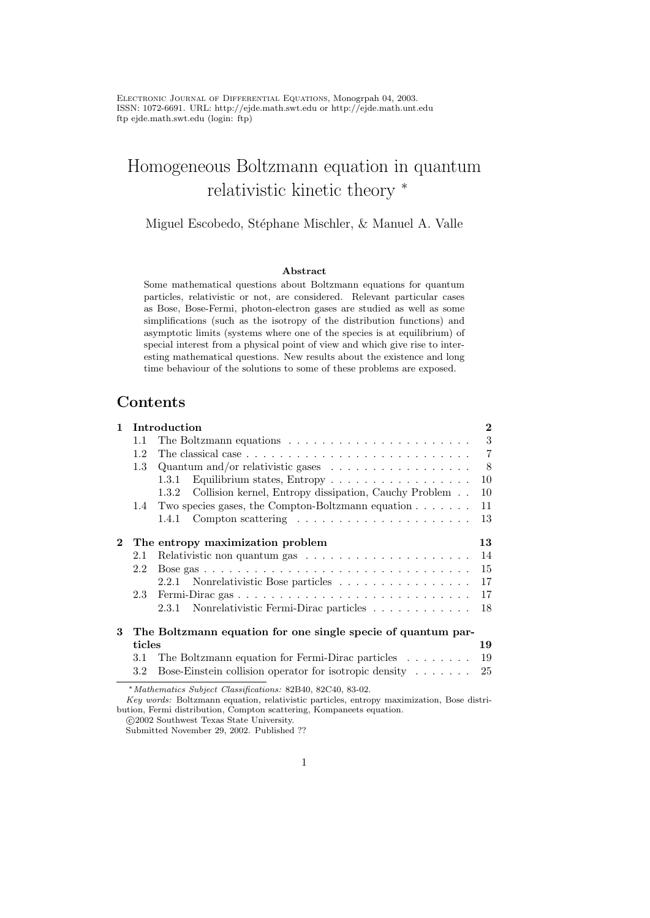Electronic Journal of Differential Equations, Monogrpah 04, 2003. ISSN: 1072-6691. URL: http://ejde.math.swt.edu or http://ejde.math.unt.edu ftp ejde.math.swt.edu (login: ftp)

# Homogeneous Boltzmann equation in quantum relativistic kinetic theory <sup>∗</sup>

Miguel Escobedo, Stéphane Mischler, & Manuel A. Valle

#### Abstract

Some mathematical questions about Boltzmann equations for quantum particles, relativistic or not, are considered. Relevant particular cases as Bose, Bose-Fermi, photon-electron gases are studied as well as some simplifications (such as the isotropy of the distribution functions) and asymptotic limits (systems where one of the species is at equilibrium) of special interest from a physical point of view and which give rise to interesting mathematical questions. New results about the existence and long time behaviour of the solutions to some of these problems are exposed.

# **Contents**

| $\mathbf{1}$                                                                                                                                            |               | Introduction                                                                   | $\bf{2}$       |  |  |
|---------------------------------------------------------------------------------------------------------------------------------------------------------|---------------|--------------------------------------------------------------------------------|----------------|--|--|
|                                                                                                                                                         | 1.1           | The Boltzmann equations $\ldots \ldots \ldots \ldots \ldots \ldots \ldots$     | 3              |  |  |
|                                                                                                                                                         | 1.2           |                                                                                | $\overline{7}$ |  |  |
|                                                                                                                                                         | 1.3           | Quantum and/or relativistic gases $\dots \dots \dots \dots \dots \dots$        | 8              |  |  |
|                                                                                                                                                         |               | Equilibrium states, Entropy $\ldots \ldots \ldots \ldots \ldots$<br>1.3.1      | 10             |  |  |
|                                                                                                                                                         |               | Collision kernel, Entropy dissipation, Cauchy Problem<br>1.3.2                 | 10             |  |  |
|                                                                                                                                                         | $1.4^{\circ}$ | Two species gases, the Compton-Boltzmann equation $\ldots \ldots$              | 11             |  |  |
|                                                                                                                                                         |               | Compton scattering $\ldots \ldots \ldots \ldots \ldots \ldots \ldots$<br>1.4.1 | 13             |  |  |
| $\mathbf{2}$                                                                                                                                            |               | The entropy maximization problem                                               | 13             |  |  |
|                                                                                                                                                         | 2.1           |                                                                                | 14             |  |  |
|                                                                                                                                                         | 2.2           |                                                                                | 15             |  |  |
|                                                                                                                                                         |               | 2.2.1 Nonrelativistic Bose particles                                           | 17             |  |  |
|                                                                                                                                                         | 2.3           |                                                                                | 17             |  |  |
|                                                                                                                                                         |               | 2.3.1 Nonrelativistic Fermi-Dirac particles                                    | 18             |  |  |
| 3                                                                                                                                                       |               | The Boltzmann equation for one single specie of quantum par-                   |                |  |  |
|                                                                                                                                                         | ticles<br>19  |                                                                                |                |  |  |
|                                                                                                                                                         | 3.1           | The Boltzmann equation for Fermi-Dirac particles                               | 19             |  |  |
|                                                                                                                                                         | 3.2           | Bose-Einstein collision operator for isotropic density $\dots \dots$           | 25             |  |  |
| *Mathematics Subject Classifications: 82B40, 82C40, 83-02.<br>Key words: Boltzmann equation, relativistic particles, entropy maximization, Bose distri- |               |                                                                                |                |  |  |
| bution, Fermi distribution, Compton scattering, Kompaneets equation.                                                                                    |               |                                                                                |                |  |  |

c 2002 Southwest Texas State University.

Submitted November 29, 2002. Published ??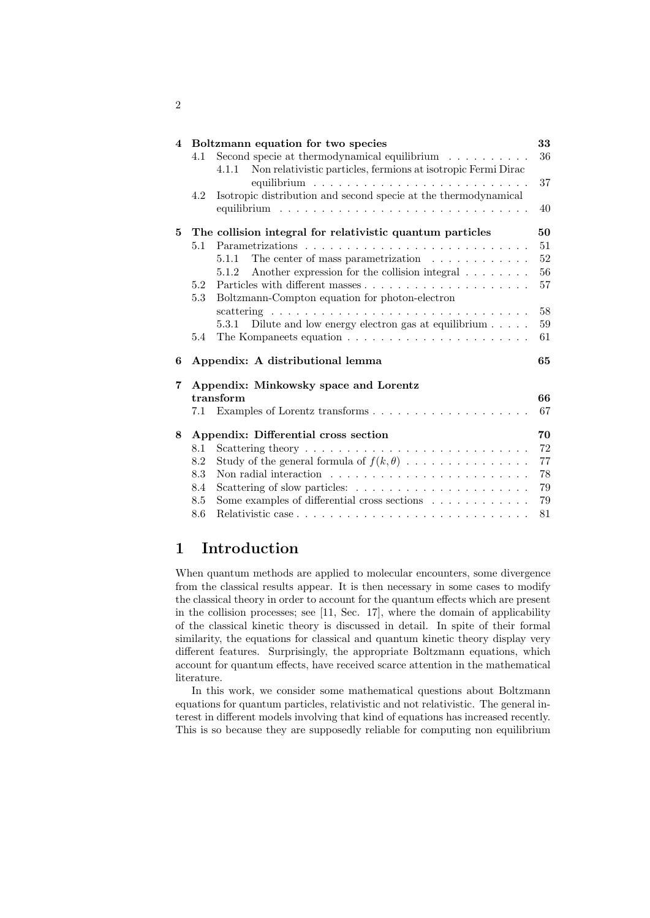| $\overline{4}$ |               | Boltzmann equation for two species                                                    | 33 |
|----------------|---------------|---------------------------------------------------------------------------------------|----|
|                | 4.1           | Second specie at thermodynamical equilibrium $\ldots \ldots \ldots$                   | 36 |
|                |               | Non relativistic particles, fermions at isotropic Fermi Dirac<br>4.1.1                |    |
|                |               |                                                                                       | 37 |
|                | 4.2           | Isotropic distribution and second specie at the thermodynamical                       |    |
|                |               |                                                                                       | 40 |
| 5              |               | The collision integral for relativistic quantum particles                             | 50 |
|                | 5.1           |                                                                                       | 51 |
|                |               | The center of mass parametrization<br>5.1.1                                           | 52 |
|                |               | Another expression for the collision integral<br>5.1.2                                | 56 |
|                | $5.2^{\circ}$ |                                                                                       | 57 |
|                | 5.3           | Boltzmann-Compton equation for photon-electron                                        |    |
|                |               |                                                                                       | 58 |
|                |               | 5.3.1 Dilute and low energy electron gas at equilibrium                               | 59 |
|                | 5.4           |                                                                                       | 61 |
| 6              |               | Appendix: A distributional lemma                                                      | 65 |
| 7              |               | Appendix: Minkowsky space and Lorentz                                                 |    |
|                |               | transform                                                                             | 66 |
|                |               |                                                                                       | 67 |
| 8              |               | Appendix: Differential cross section                                                  | 70 |
|                | 8.1           | Scattering theory $\dots \dots \dots \dots \dots \dots \dots \dots \dots \dots \dots$ | 72 |
|                | 8.2           | Study of the general formula of $f(k, \theta)$                                        | 77 |
|                | 8.3           | Non radial interaction $\ldots \ldots \ldots \ldots \ldots \ldots \ldots$             | 78 |
|                | 8.4           |                                                                                       | 79 |
|                | 8.5           | Some examples of differential cross sections $\ldots \ldots \ldots$                   | 79 |
|                | 8.6           |                                                                                       | 81 |

# 1 Introduction

When quantum methods are applied to molecular encounters, some divergence from the classical results appear. It is then necessary in some cases to modify the classical theory in order to account for the quantum effects which are present in the collision processes; see [11, Sec. 17], where the domain of applicability of the classical kinetic theory is discussed in detail. In spite of their formal similarity, the equations for classical and quantum kinetic theory display very different features. Surprisingly, the appropriate Boltzmann equations, which account for quantum effects, have received scarce attention in the mathematical literature.

In this work, we consider some mathematical questions about Boltzmann equations for quantum particles, relativistic and not relativistic. The general interest in different models involving that kind of equations has increased recently. This is so because they are supposedly reliable for computing non equilibrium

2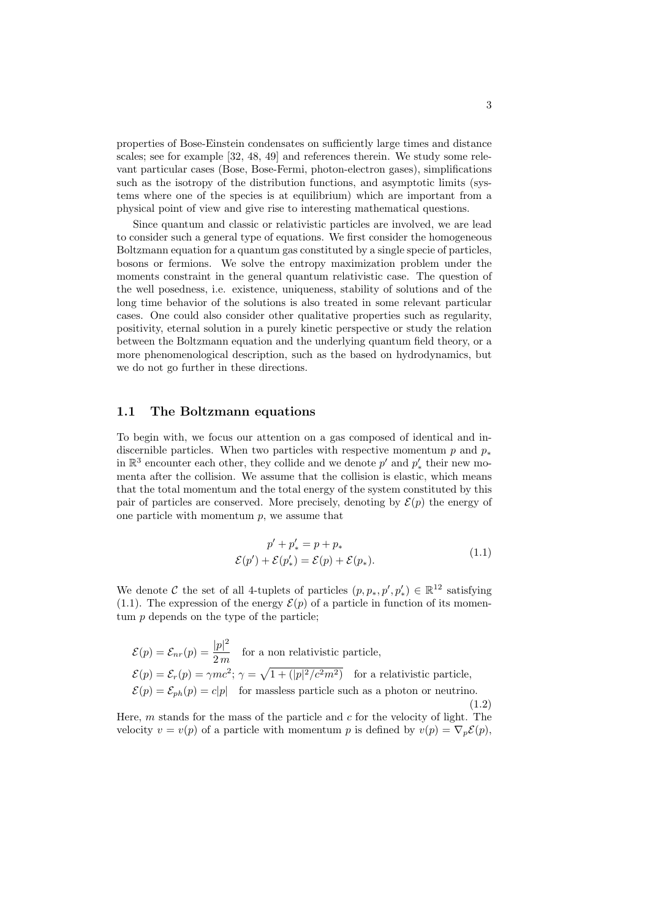properties of Bose-Einstein condensates on sufficiently large times and distance scales; see for example [32, 48, 49] and references therein. We study some relevant particular cases (Bose, Bose-Fermi, photon-electron gases), simplifications such as the isotropy of the distribution functions, and asymptotic limits (systems where one of the species is at equilibrium) which are important from a physical point of view and give rise to interesting mathematical questions.

Since quantum and classic or relativistic particles are involved, we are lead to consider such a general type of equations. We first consider the homogeneous Boltzmann equation for a quantum gas constituted by a single specie of particles, bosons or fermions. We solve the entropy maximization problem under the moments constraint in the general quantum relativistic case. The question of the well posedness, i.e. existence, uniqueness, stability of solutions and of the long time behavior of the solutions is also treated in some relevant particular cases. One could also consider other qualitative properties such as regularity, positivity, eternal solution in a purely kinetic perspective or study the relation between the Boltzmann equation and the underlying quantum field theory, or a more phenomenological description, such as the based on hydrodynamics, but we do not go further in these directions.

### 1.1 The Boltzmann equations

To begin with, we focus our attention on a gas composed of identical and indiscernible particles. When two particles with respective momentum p and  $p_*$ in  $\mathbb{R}^3$  encounter each other, they collide and we denote  $p'$  and  $p'_*$  their new momenta after the collision. We assume that the collision is elastic, which means that the total momentum and the total energy of the system constituted by this pair of particles are conserved. More precisely, denoting by  $\mathcal{E}(p)$  the energy of one particle with momentum  $p$ , we assume that

$$
p' + p'_* = p + p_*
$$
  

$$
\mathcal{E}(p') + \mathcal{E}(p'_*) = \mathcal{E}(p) + \mathcal{E}(p_*).
$$
 (1.1)

We denote C the set of all 4-tuplets of particles  $(p, p_*, p', p'_*) \in \mathbb{R}^{12}$  satisfying (1.1). The expression of the energy  $\mathcal{E}(p)$  of a particle in function of its momentum p depends on the type of the particle;

$$
\mathcal{E}(p) = \mathcal{E}_{nr}(p) = \frac{|p|^2}{2m}
$$
 for a non relativistic particle,  
\n
$$
\mathcal{E}(p) = \mathcal{E}_r(p) = \gamma mc^2; \ \gamma = \sqrt{1 + (|p|^2/c^2 m^2)}
$$
 for a relativistic particle,  
\n
$$
\mathcal{E}(p) = \mathcal{E}_{ph}(p) = c|p|
$$
 for massless particle such as a photon or neutrino. (1.2)

Here,  $m$  stands for the mass of the particle and  $c$  for the velocity of light. The velocity  $v = v(p)$  of a particle with momentum p is defined by  $v(p) = \nabla_p \mathcal{E}(p)$ ,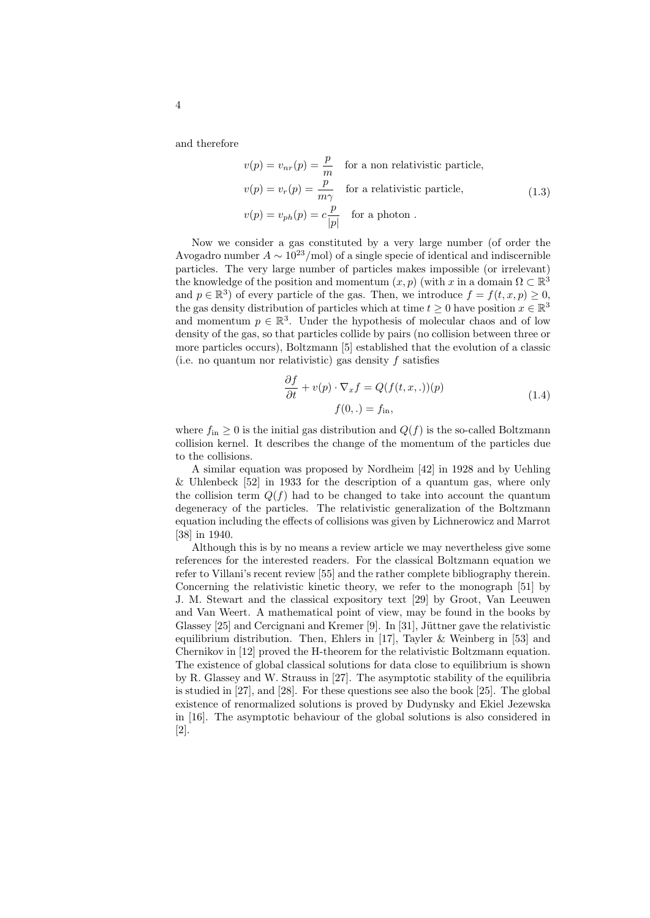and therefore

$$
v(p) = v_{nr}(p) = \frac{p}{m}
$$
 for a non relativistic particle,  

$$
v(p) = v_r(p) = \frac{p}{m\gamma}
$$
 for a relativistic particle,  

$$
v(p) = v_{ph}(p) = c\frac{p}{|p|}
$$
 for a photon. (1.3)

Now we consider a gas constituted by a very large number (of order the Avogadro number  $A \sim 10^{23}$ /mol) of a single specie of identical and indiscernible particles. The very large number of particles makes impossible (or irrelevant) the knowledge of the position and momentum  $(x, p)$  (with x in a domain  $\Omega \subset \mathbb{R}^3$ and  $p \in \mathbb{R}^3$  of every particle of the gas. Then, we introduce  $f = f(t, x, p) \ge 0$ , the gas density distribution of particles which at time  $t \geq 0$  have position  $x \in \mathbb{R}^3$ and momentum  $p \in \mathbb{R}^3$ . Under the hypothesis of molecular chaos and of low density of the gas, so that particles collide by pairs (no collision between three or more particles occurs), Boltzmann [5] established that the evolution of a classic (i.e. no quantum nor relativistic) gas density  $f$  satisfies

$$
\frac{\partial f}{\partial t} + v(p) \cdot \nabla_x f = Q(f(t, x, .))(p)
$$
  

$$
f(0, .) = f_{\text{in}},
$$
 (1.4)

where  $f_{\text{in}} \geq 0$  is the initial gas distribution and  $Q(f)$  is the so-called Boltzmann collision kernel. It describes the change of the momentum of the particles due to the collisions.

A similar equation was proposed by Nordheim [42] in 1928 and by Uehling & Uhlenbeck [52] in 1933 for the description of a quantum gas, where only the collision term  $Q(f)$  had to be changed to take into account the quantum degeneracy of the particles. The relativistic generalization of the Boltzmann equation including the effects of collisions was given by Lichnerowicz and Marrot [38] in 1940.

Although this is by no means a review article we may nevertheless give some references for the interested readers. For the classical Boltzmann equation we refer to Villani's recent review [55] and the rather complete bibliography therein. Concerning the relativistic kinetic theory, we refer to the monograph [51] by J. M. Stewart and the classical expository text [29] by Groot, Van Leeuwen and Van Weert. A mathematical point of view, may be found in the books by Glassey  $[25]$  and Cercignani and Kremer  $[9]$ . In  $[31]$ , Jüttner gave the relativistic equilibrium distribution. Then, Ehlers in [17], Tayler & Weinberg in [53] and Chernikov in [12] proved the H-theorem for the relativistic Boltzmann equation. The existence of global classical solutions for data close to equilibrium is shown by R. Glassey and W. Strauss in [27]. The asymptotic stability of the equilibria is studied in [27], and [28]. For these questions see also the book [25]. The global existence of renormalized solutions is proved by Dudynsky and Ekiel Jezewska in [16]. The asymptotic behaviour of the global solutions is also considered in [2].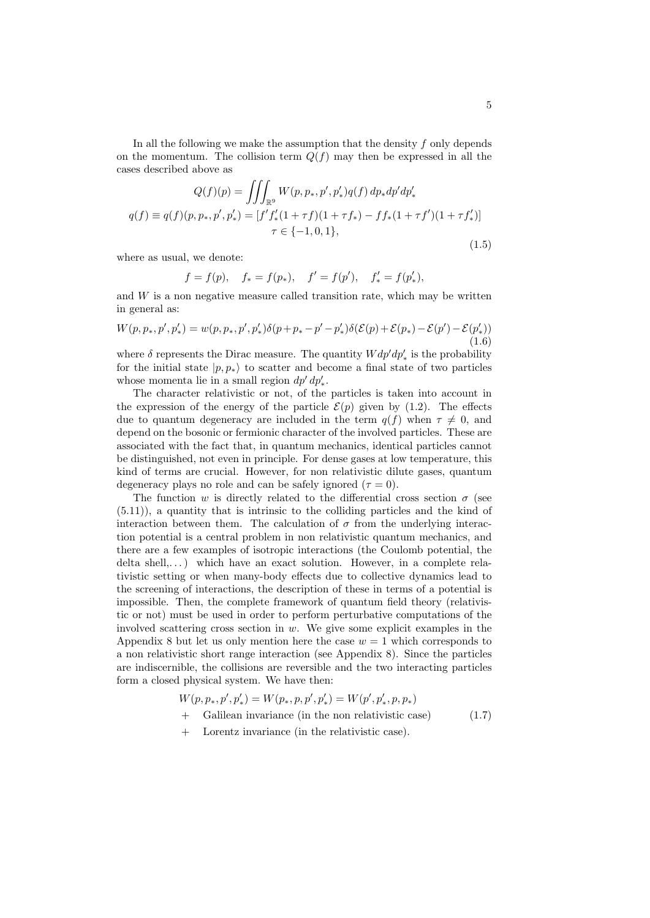In all the following we make the assumption that the density  $f$  only depends on the momentum. The collision term  $Q(f)$  may then be expressed in all the cases described above as

$$
Q(f)(p) = \iiint_{\mathbb{R}^9} W(p, p_*, p', p'_*) q(f) dp_* dp' dp'_*
$$
  

$$
q(f) \equiv q(f)(p, p_*, p', p'_*) = [f' f'_*(1 + \tau f)(1 + \tau f_*) - f f_*(1 + \tau f')(1 + \tau f'_*)]
$$
  

$$
\tau \in \{-1, 0, 1\},
$$
\n(1.5)

where as usual, we denote:

$$
f = f(p)
$$
,  $f_* = f(p_*)$ ,  $f' = f(p')$ ,  $f'_* = f(p'_*)$ ,

and W is a non negative measure called transition rate, which may be written in general as:

$$
W(p, p_*, p', p'_*) = w(p, p_*, p', p'_*)\delta(p + p_* - p' - p'_*)\delta(\mathcal{E}(p) + \mathcal{E}(p_*) - \mathcal{E}(p') - \mathcal{E}(p'_*))
$$
\n(1.6)

where  $\delta$  represents the Dirac measure. The quantity  $W dp' dp'_{*}$  is the probability for the initial state  $|p, p_*\rangle$  to scatter and become a final state of two particles whose momenta lie in a small region  $dp' dp'_{*}$ .

The character relativistic or not, of the particles is taken into account in the expression of the energy of the particle  $\mathcal{E}(p)$  given by (1.2). The effects due to quantum degeneracy are included in the term  $q(f)$  when  $\tau \neq 0$ , and depend on the bosonic or fermionic character of the involved particles. These are associated with the fact that, in quantum mechanics, identical particles cannot be distinguished, not even in principle. For dense gases at low temperature, this kind of terms are crucial. However, for non relativistic dilute gases, quantum degeneracy plays no role and can be safely ignored ( $\tau = 0$ ).

The function w is directly related to the differential cross section  $\sigma$  (see (5.11)), a quantity that is intrinsic to the colliding particles and the kind of interaction between them. The calculation of  $\sigma$  from the underlying interaction potential is a central problem in non relativistic quantum mechanics, and there are a few examples of isotropic interactions (the Coulomb potential, the  $delta shell,...)$  which have an exact solution. However, in a complete relativistic setting or when many-body effects due to collective dynamics lead to the screening of interactions, the description of these in terms of a potential is impossible. Then, the complete framework of quantum field theory (relativistic or not) must be used in order to perform perturbative computations of the involved scattering cross section in  $w$ . We give some explicit examples in the Appendix 8 but let us only mention here the case  $w = 1$  which corresponds to a non relativistic short range interaction (see Appendix 8). Since the particles are indiscernible, the collisions are reversible and the two interacting particles form a closed physical system. We have then:

$$
W(p,p_*,p',p'_*) = W(p_*,p,p',p'_*) = W(p',p'_*,p,p_*)
$$

- + Galilean invariance (in the non relativistic case) (1.7)
- + Lorentz invariance (in the relativistic case).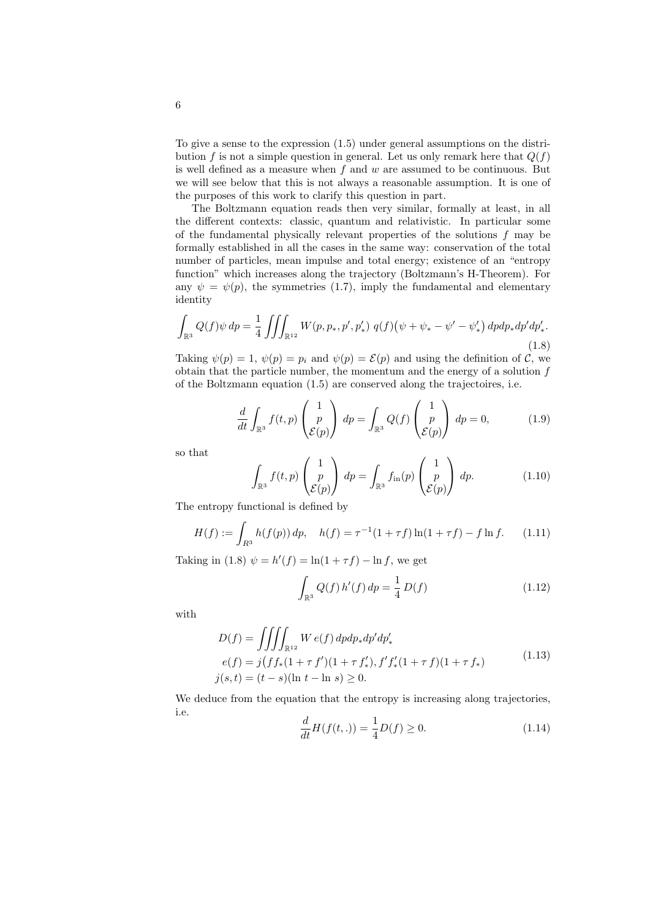To give a sense to the expression (1.5) under general assumptions on the distribution f is not a simple question in general. Let us only remark here that  $Q(f)$ is well defined as a measure when  $f$  and  $w$  are assumed to be continuous. But we will see below that this is not always a reasonable assumption. It is one of the purposes of this work to clarify this question in part.

The Boltzmann equation reads then very similar, formally at least, in all the different contexts: classic, quantum and relativistic. In particular some of the fundamental physically relevant properties of the solutions  $f$  may be formally established in all the cases in the same way: conservation of the total number of particles, mean impulse and total energy; existence of an "entropy function" which increases along the trajectory (Boltzmann's H-Theorem). For any  $\psi = \psi(p)$ , the symmetries (1.7), imply the fundamental and elementary identity

$$
\int_{\mathbb{R}^3} Q(f)\psi \, dp = \frac{1}{4} \iiint_{\mathbb{R}^{12}} W(p, p_*, p', p'_*) \, q(f) \big( \psi + \psi_* - \psi' - \psi'_* \big) \, dp dp_* dp' dp'_*.
$$
\n(1.8)

Taking  $\psi(p) = 1$ ,  $\psi(p) = p_i$  and  $\psi(p) = \mathcal{E}(p)$  and using the definition of C, we obtain that the particle number, the momentum and the energy of a solution  $f$ of the Boltzmann equation (1.5) are conserved along the trajectoires, i.e.

$$
\frac{d}{dt} \int_{\mathbb{R}^3} f(t, p) \begin{pmatrix} 1 \\ p \\ \mathcal{E}(p) \end{pmatrix} dp = \int_{\mathbb{R}^3} Q(f) \begin{pmatrix} 1 \\ p \\ \mathcal{E}(p) \end{pmatrix} dp = 0, \quad (1.9)
$$

so that

$$
\int_{\mathbb{R}^3} f(t, p) \begin{pmatrix} 1 \\ p \\ \mathcal{E}(p) \end{pmatrix} dp = \int_{\mathbb{R}^3} f_{\text{in}}(p) \begin{pmatrix} 1 \\ p \\ \mathcal{E}(p) \end{pmatrix} dp.
$$
 (1.10)

The entropy functional is defined by

$$
H(f) := \int_{R^3} h(f(p)) dp, \quad h(f) = \tau^{-1} (1 + \tau f) \ln(1 + \tau f) - f \ln f. \tag{1.11}
$$

Taking in (1.8)  $\psi = h'(f) = \ln(1 + \tau f) - \ln f$ , we get

$$
\int_{\mathbb{R}^3} Q(f) h'(f) dp = \frac{1}{4} D(f)
$$
\n(1.12)

with

$$
D(f) = \iiint_{\mathbb{R}^{12}} W e(f) dp dp_* dp' dp'_*
$$
  
\n
$$
e(f) = j(f f_*(1 + \tau f')(1 + \tau f'_*), f' f'_*(1 + \tau f)(1 + \tau f_*)
$$
\n
$$
j(s, t) = (t - s)(\ln t - \ln s) \ge 0.
$$
\n(1.13)

We deduce from the equation that the entropy is increasing along trajectories, i.e.

$$
\frac{d}{dt}H(f(t, .)) = \frac{1}{4}D(f) \ge 0.
$$
\n(1.14)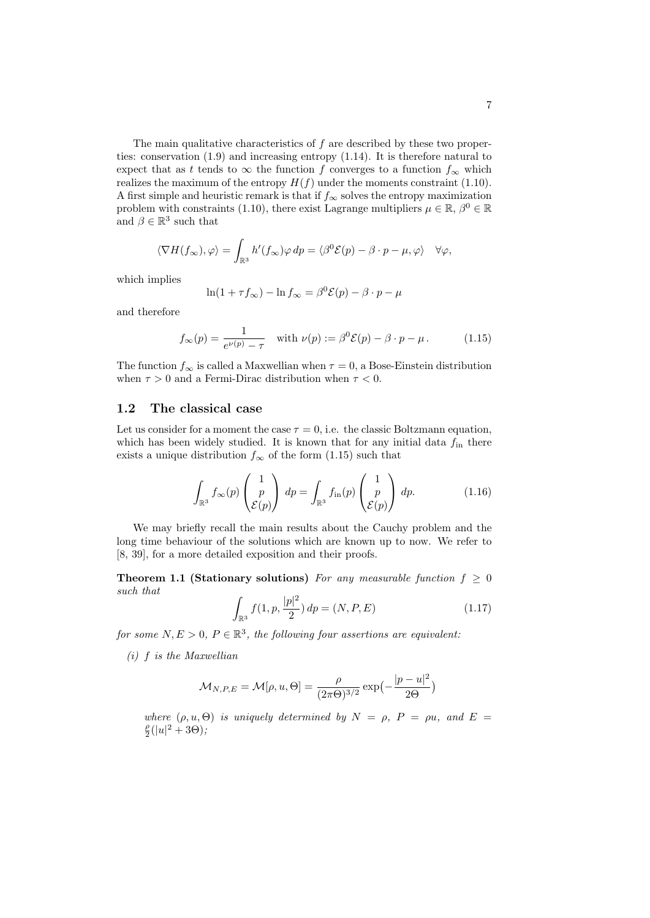The main qualitative characteristics of  $f$  are described by these two properties: conservation (1.9) and increasing entropy (1.14). It is therefore natural to expect that as t tends to  $\infty$  the function f converges to a function  $f_{\infty}$  which realizes the maximum of the entropy  $H(f)$  under the moments constraint (1.10). A first simple and heuristic remark is that if  $f_{\infty}$  solves the entropy maximization problem with constraints (1.10), there exist Lagrange multipliers  $\mu \in \mathbb{R}, \beta^0 \in \mathbb{R}$ and  $\beta \in \mathbb{R}^3$  such that

$$
\langle \nabla H(f_{\infty}), \varphi \rangle = \int_{\mathbb{R}^3} h'(f_{\infty}) \varphi \, dp = \langle \beta^0 \mathcal{E}(p) - \beta \cdot p - \mu, \varphi \rangle \quad \forall \varphi,
$$

which implies

$$
\ln(1 + \tau f_{\infty}) - \ln f_{\infty} = \beta^{0} \mathcal{E}(p) - \beta \cdot p - \mu
$$

and therefore

$$
f_{\infty}(p) = \frac{1}{e^{\nu(p)} - \tau} \quad \text{with } \nu(p) := \beta^0 \mathcal{E}(p) - \beta \cdot p - \mu. \tag{1.15}
$$

The function  $f_{\infty}$  is called a Maxwellian when  $\tau = 0$ , a Bose-Einstein distribution when  $\tau > 0$  and a Fermi-Dirac distribution when  $\tau < 0$ .

## 1.2 The classical case

Let us consider for a moment the case  $\tau = 0$ , i.e. the classic Boltzmann equation, which has been widely studied. It is known that for any initial data  $f_{\text{in}}$  there exists a unique distribution  $f_{\infty}$  of the form (1.15) such that

$$
\int_{\mathbb{R}^3} f_{\infty}(p) \begin{pmatrix} 1 \\ p \\ \mathcal{E}(p) \end{pmatrix} dp = \int_{\mathbb{R}^3} f_{\text{in}}(p) \begin{pmatrix} 1 \\ p \\ \mathcal{E}(p) \end{pmatrix} dp.
$$
 (1.16)

We may briefly recall the main results about the Cauchy problem and the long time behaviour of the solutions which are known up to now. We refer to [8, 39], for a more detailed exposition and their proofs.

Theorem 1.1 (Stationary solutions) For any measurable function  $f \geq 0$ such that

$$
\int_{\mathbb{R}^3} f(1, p, \frac{|p|^2}{2}) \, dp = (N, P, E) \tag{1.17}
$$

for some  $N, E > 0, P \in \mathbb{R}^3$ , the following four assertions are equivalent.

(i) f is the Maxwellian

$$
\mathcal{M}_{N,P,E} = \mathcal{M}[\rho, u, \Theta] = \frac{\rho}{(2\pi\Theta)^{3/2}} \exp\left(-\frac{|p - u|^2}{2\Theta}\right)
$$

where  $(\rho, u, \Theta)$  is uniquely determined by  $N = \rho$ ,  $P = \rho u$ , and  $E =$  $\frac{\rho}{2}(|u|^2 + 3\Theta);$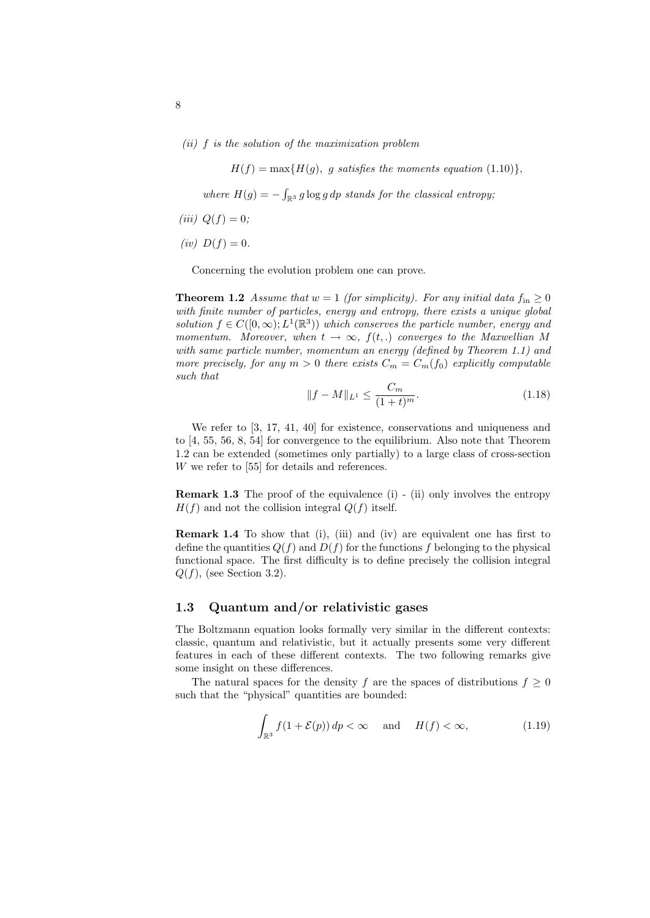$(ii)$  f is the solution of the maximization problem

 $H(f) = \max\{H(g), g \text{ satisfies the moments equation } (1.10)\},\$ 

where  $H(g) = -\int_{\mathbb{R}^3} g \log g \, dp$  stands for the classical entropy;

- (*iii*)  $Q(f) = 0;$
- (*iv*)  $D(f) = 0$ .

Concerning the evolution problem one can prove.

**Theorem 1.2** Assume that  $w = 1$  (for simplicity). For any initial data  $f_{\text{in}} \geq 0$ with finite number of particles, energy and entropy, there exists a unique global solution  $f \in C([0,\infty); L^1(\mathbb{R}^3))$  which conserves the particle number, energy and momentum. Moreover, when  $t \to \infty$ ,  $f(t,.)$  converges to the Maxwellian M with same particle number, momentum an energy (defined by Theorem 1.1) and more precisely, for any  $m > 0$  there exists  $C_m = C_m(f_0)$  explicitly computable such that

$$
||f - M||_{L^{1}} \le \frac{C_{m}}{(1+t)^{m}}.\tag{1.18}
$$

We refer to  $\left[3, 17, 41, 40\right]$  for existence, conservations and uniqueness and to [4, 55, 56, 8, 54] for convergence to the equilibrium. Also note that Theorem 1.2 can be extended (sometimes only partially) to a large class of cross-section W we refer to [55] for details and references.

**Remark 1.3** The proof of the equivalence (i) - (ii) only involves the entropy  $H(f)$  and not the collision integral  $Q(f)$  itself.

Remark 1.4 To show that (i), (iii) and (iv) are equivalent one has first to define the quantities  $Q(f)$  and  $D(f)$  for the functions f belonging to the physical functional space. The first difficulty is to define precisely the collision integral  $Q(f)$ , (see Section 3.2).

# 1.3 Quantum and/or relativistic gases

The Boltzmann equation looks formally very similar in the different contexts: classic, quantum and relativistic, but it actually presents some very different features in each of these different contexts. The two following remarks give some insight on these differences.

The natural spaces for the density f are the spaces of distributions  $f \geq 0$ such that the "physical" quantities are bounded:

$$
\int_{\mathbb{R}^3} f(1 + \mathcal{E}(p)) \, dp < \infty \quad \text{and} \quad H(f) < \infty,\tag{1.19}
$$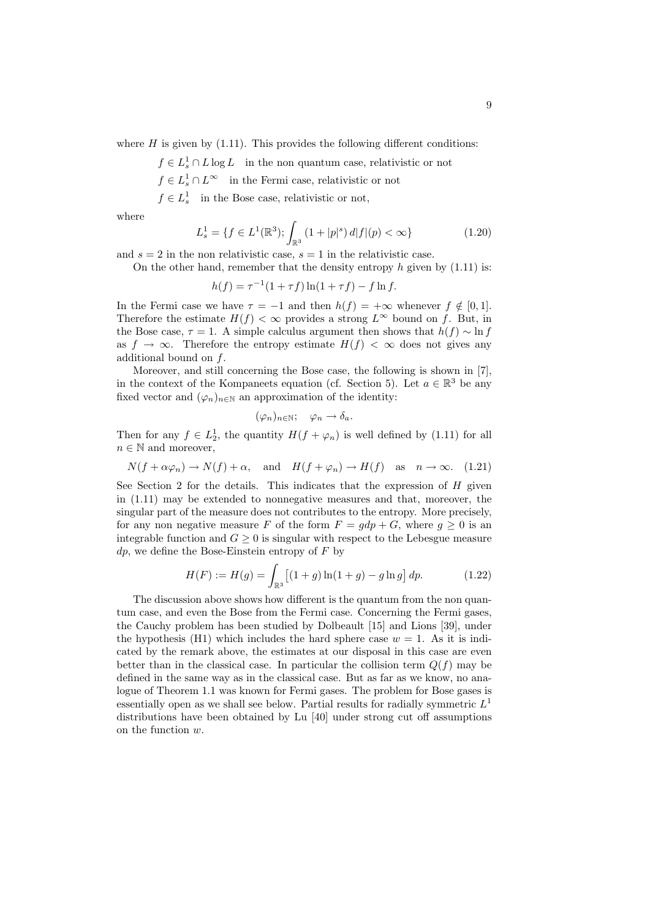where  $H$  is given by  $(1.11)$ . This provides the following different conditions:

 $f \in L^1_s \cap L \log L$  in the non quantum case, relativistic or not

 $f \in L^1_s \cap L^{\infty}$  in the Fermi case, relativistic or not

 $f \in L_s^1$  in the Bose case, relativistic or not,

where

$$
L_s^1 = \{ f \in L^1(\mathbb{R}^3) ; \int_{\mathbb{R}^3} (1 + |p|^s) \, d|f|(p) < \infty \} \tag{1.20}
$$

and  $s = 2$  in the non relativistic case,  $s = 1$  in the relativistic case.

On the other hand, remember that the density entropy  $h$  given by  $(1.11)$  is:

$$
h(f) = \tau^{-1}(1 + \tau f) \ln(1 + \tau f) - f \ln f.
$$

In the Fermi case we have  $\tau = -1$  and then  $h(f) = +\infty$  whenever  $f \notin [0, 1]$ . Therefore the estimate  $H(f) < \infty$  provides a strong  $L^{\infty}$  bound on f. But, in the Bose case,  $\tau = 1$ . A simple calculus argument then shows that  $h(f) \sim \ln f$ as  $f \to \infty$ . Therefore the entropy estimate  $H(f) < \infty$  does not gives any additional bound on f.

Moreover, and still concerning the Bose case, the following is shown in [7], in the context of the Kompaneets equation (cf. Section 5). Let  $a \in \mathbb{R}^3$  be any fixed vector and  $(\varphi_n)_{n\in\mathbb{N}}$  an approximation of the identity:

$$
(\varphi_n)_{n \in \mathbb{N}}; \quad \varphi_n \to \delta_a.
$$

Then for any  $f \in L_2^1$ , the quantity  $H(f + \varphi_n)$  is well defined by (1.11) for all  $n \in \mathbb{N}$  and moreover,

$$
N(f + \alpha \varphi_n) \to N(f) + \alpha
$$
, and  $H(f + \varphi_n) \to H(f)$  as  $n \to \infty$ . (1.21)

See Section 2 for the details. This indicates that the expression of  $H$  given in (1.11) may be extended to nonnegative measures and that, moreover, the singular part of the measure does not contributes to the entropy. More precisely, for any non negative measure F of the form  $F = gdp + G$ , where  $g \ge 0$  is an integrable function and  $G \geq 0$  is singular with respect to the Lebesgue measure  $dp$ , we define the Bose-Einstein entropy of F by

$$
H(F) := H(g) = \int_{\mathbb{R}^3} \left[ (1+g) \ln(1+g) - g \ln g \right] dp.
$$
 (1.22)

The discussion above shows how different is the quantum from the non quantum case, and even the Bose from the Fermi case. Concerning the Fermi gases, the Cauchy problem has been studied by Dolbeault [15] and Lions [39], under the hypothesis (H1) which includes the hard sphere case  $w = 1$ . As it is indicated by the remark above, the estimates at our disposal in this case are even better than in the classical case. In particular the collision term  $Q(f)$  may be defined in the same way as in the classical case. But as far as we know, no analogue of Theorem 1.1 was known for Fermi gases. The problem for Bose gases is essentially open as we shall see below. Partial results for radially symmetric  $L^1$ distributions have been obtained by Lu [40] under strong cut off assumptions on the function w.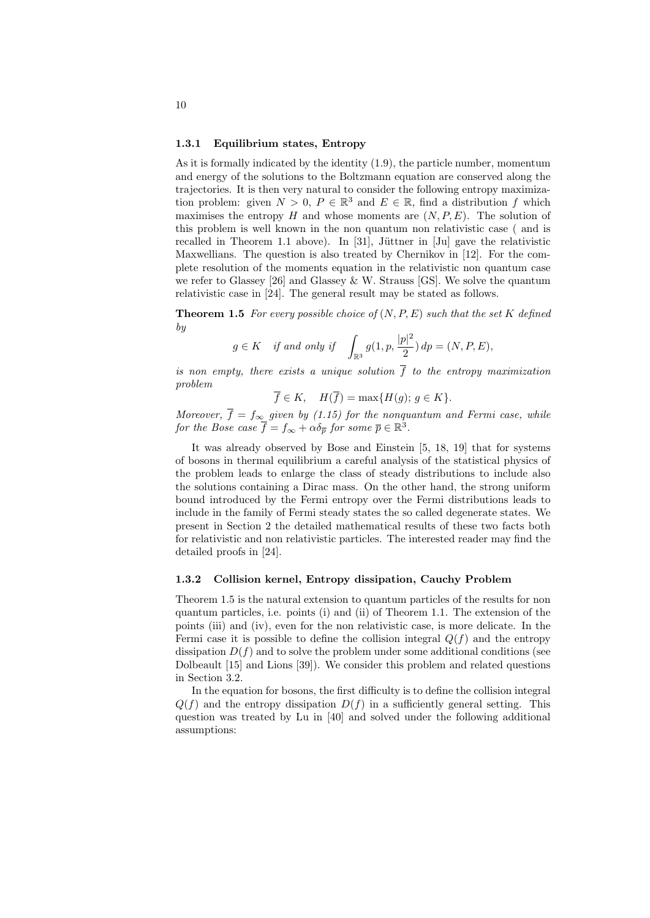#### 1.3.1 Equilibrium states, Entropy

As it is formally indicated by the identity (1.9), the particle number, momentum and energy of the solutions to the Boltzmann equation are conserved along the trajectories. It is then very natural to consider the following entropy maximization problem: given  $N > 0$ ,  $P \in \mathbb{R}^3$  and  $E \in \mathbb{R}$ , find a distribution f which maximises the entropy  $H$  and whose moments are  $(N, P, E)$ . The solution of this problem is well known in the non quantum non relativistic case ( and is recalled in Theorem 1.1 above). In [31], Jüttner in  $|Ju|$  gave the relativistic Maxwellians. The question is also treated by Chernikov in [12]. For the complete resolution of the moments equation in the relativistic non quantum case we refer to Glassey  $[26]$  and Glassey & W. Strauss  $[GS]$ . We solve the quantum relativistic case in [24]. The general result may be stated as follows.

**Theorem 1.5** For every possible choice of  $(N, P, E)$  such that the set K defined by

$$
g \in K \quad \text{if and only if} \quad \int_{\mathbb{R}^3} g(1, p, \frac{|p|^2}{2}) \, dp = (N, P, E),
$$

is non empty, there exists a unique solution  $\overline{f}$  to the entropy maximization problem

 $\overline{f} \in K$ ,  $H(\overline{f}) = \max\{H(q); q \in K\}.$ 

Moreover,  $f = f_{\infty}$  given by (1.15) for the nonquantum and Fermi case, while for the Bose case  $\overline{f} = f_{\infty} + \alpha \delta_{\overline{p}}$  for some  $\overline{p} \in \mathbb{R}^3$ .

It was already observed by Bose and Einstein [5, 18, 19] that for systems of bosons in thermal equilibrium a careful analysis of the statistical physics of the problem leads to enlarge the class of steady distributions to include also the solutions containing a Dirac mass. On the other hand, the strong uniform bound introduced by the Fermi entropy over the Fermi distributions leads to include in the family of Fermi steady states the so called degenerate states. We present in Section 2 the detailed mathematical results of these two facts both for relativistic and non relativistic particles. The interested reader may find the detailed proofs in [24].

### 1.3.2 Collision kernel, Entropy dissipation, Cauchy Problem

Theorem 1.5 is the natural extension to quantum particles of the results for non quantum particles, i.e. points (i) and (ii) of Theorem 1.1. The extension of the points (iii) and (iv), even for the non relativistic case, is more delicate. In the Fermi case it is possible to define the collision integral  $Q(f)$  and the entropy dissipation  $D(f)$  and to solve the problem under some additional conditions (see Dolbeault [15] and Lions [39]). We consider this problem and related questions in Section 3.2.

In the equation for bosons, the first difficulty is to define the collision integral  $Q(f)$  and the entropy dissipation  $D(f)$  in a sufficiently general setting. This question was treated by Lu in [40] and solved under the following additional assumptions: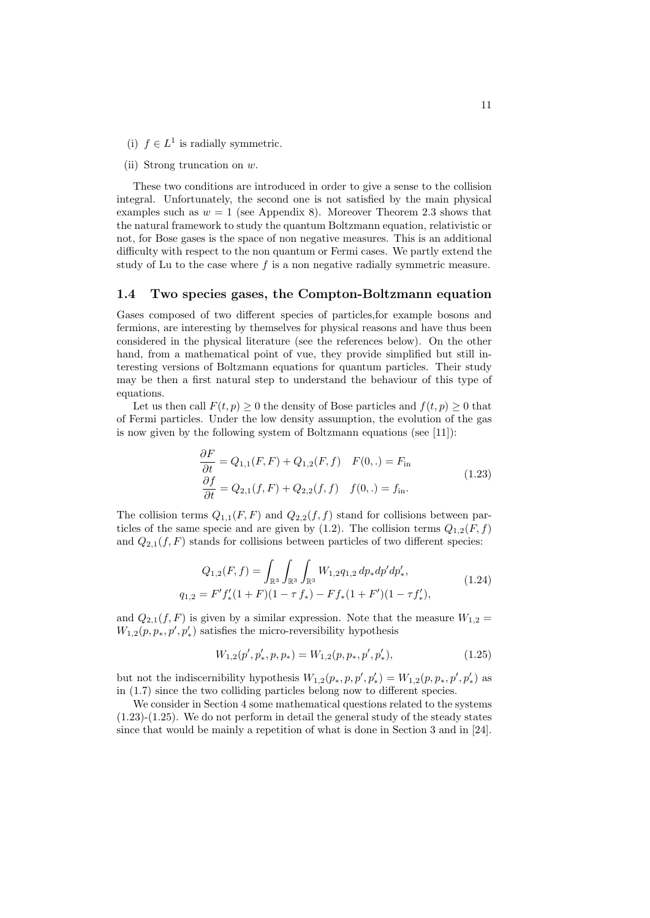- (i)  $f \in L^1$  is radially symmetric.
- (ii) Strong truncation on w.

These two conditions are introduced in order to give a sense to the collision integral. Unfortunately, the second one is not satisfied by the main physical examples such as  $w = 1$  (see Appendix 8). Moreover Theorem 2.3 shows that the natural framework to study the quantum Boltzmann equation, relativistic or not, for Bose gases is the space of non negative measures. This is an additional difficulty with respect to the non quantum or Fermi cases. We partly extend the study of Lu to the case where  $f$  is a non negative radially symmetric measure.

# 1.4 Two species gases, the Compton-Boltzmann equation

Gases composed of two different species of particles,for example bosons and fermions, are interesting by themselves for physical reasons and have thus been considered in the physical literature (see the references below). On the other hand, from a mathematical point of vue, they provide simplified but still interesting versions of Boltzmann equations for quantum particles. Their study may be then a first natural step to understand the behaviour of this type of equations.

Let us then call  $F(t, p) \geq 0$  the density of Bose particles and  $f(t, p) \geq 0$  that of Fermi particles. Under the low density assumption, the evolution of the gas is now given by the following system of Boltzmann equations (see [11]):

$$
\frac{\partial F}{\partial t} = Q_{1,1}(F, F) + Q_{1,2}(F, f) \quad F(0,.) = F_{\text{in}}\n\frac{\partial f}{\partial t} = Q_{2,1}(f, F) + Q_{2,2}(f, f) \quad f(0,.) = f_{\text{in}}.
$$
\n(1.23)

The collision terms  $Q_{1,1}(F, F)$  and  $Q_{2,2}(f, f)$  stand for collisions between particles of the same specie and are given by (1.2). The collision terms  $Q_{1,2}(F, f)$ and  $Q_{2,1}(f, F)$  stands for collisions between particles of two different species:

$$
Q_{1,2}(F,f) = \int_{\mathbb{R}^3} \int_{\mathbb{R}^3} \int_{\mathbb{R}^3} W_{1,2} q_{1,2} \, dp_* dp' dp'_*,
$$
  
\n
$$
q_{1,2} = F' f'_*(1+F)(1-\tau f'_*) - F f_*(1+F')(1-\tau f'_*),
$$
\n(1.24)

and  $Q_{2,1}(f, F)$  is given by a similar expression. Note that the measure  $W_{1,2} =$  $W_{1,2}(p, p_*, p', p'_*)$  satisfies the micro-reversibility hypothesis

$$
W_{1,2}(p',p'_*,p,p_*) = W_{1,2}(p,p_*,p',p'_*),
$$
\n(1.25)

but not the indiscernibility hypothesis  $W_{1,2}(p_*,p,p',p'_*) = W_{1,2}(p,p_*,p',p'_*)$  as in (1.7) since the two colliding particles belong now to different species.

We consider in Section 4 some mathematical questions related to the systems (1.23)-(1.25). We do not perform in detail the general study of the steady states since that would be mainly a repetition of what is done in Section 3 and in [24].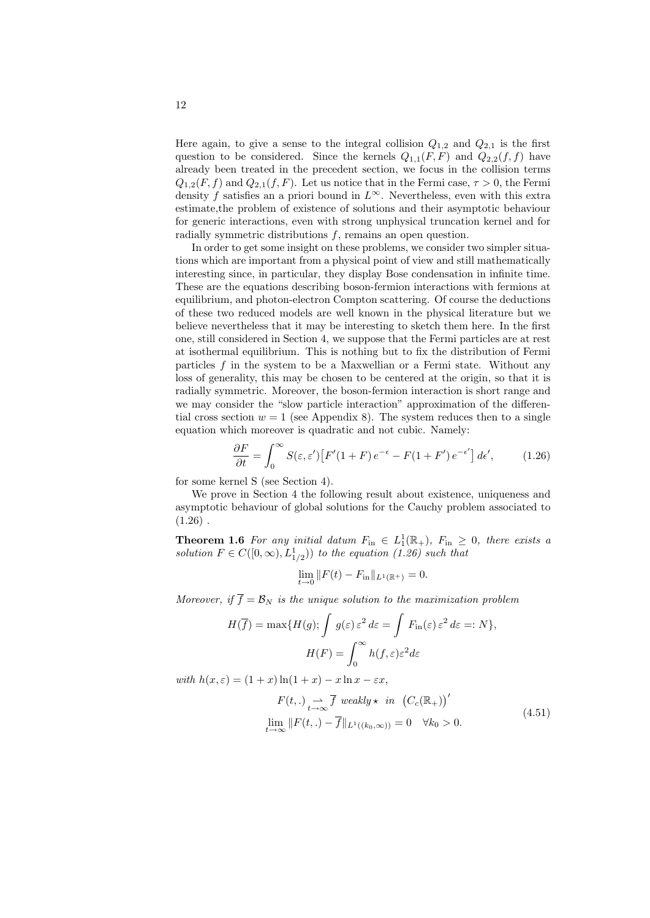Here again, to give a sense to the integral collision  $Q_{1,2}$  and  $Q_{2,1}$  is the first question to be considered. Since the kernels  $Q_{1,1}(F, F)$  and  $Q_{2,2}(f, f)$  have already been treated in the precedent section, we focus in the collision terms  $Q_{1,2}(F, f)$  and  $Q_{2,1}(f, F)$ . Let us notice that in the Fermi case,  $\tau > 0$ , the Fermi density f satisfies an a priori bound in  $L^{\infty}$ . Nevertheless, even with this extra estimate,the problem of existence of solutions and their asymptotic behaviour for generic interactions, even with strong unphysical truncation kernel and for radially symmetric distributions f, remains an open question.

In order to get some insight on these problems, we consider two simpler situations which are important from a physical point of view and still mathematically interesting since, in particular, they display Bose condensation in infinite time. These are the equations describing boson-fermion interactions with fermions at equilibrium, and photon-electron Compton scattering. Of course the deductions of these two reduced models are well known in the physical literature but we believe nevertheless that it may be interesting to sketch them here. In the first one, still considered in Section 4, we suppose that the Fermi particles are at rest at isothermal equilibrium. This is nothing but to fix the distribution of Fermi particles f in the system to be a Maxwellian or a Fermi state. Without any loss of generality, this may be chosen to be centered at the origin, so that it is radially symmetric. Moreover, the boson-fermion interaction is short range and we may consider the "slow particle interaction" approximation of the differential cross section  $w = 1$  (see Appendix 8). The system reduces then to a single equation which moreover is quadratic and not cubic. Namely:

$$
\frac{\partial F}{\partial t} = \int_0^\infty S(\varepsilon, \varepsilon') \left[ F'(1 + F) e^{-\epsilon} - F(1 + F') e^{-\epsilon'} \right] d\epsilon', \tag{1.26}
$$

for some kernel S (see Section 4).

We prove in Section 4 the following result about existence, uniqueness and asymptotic behaviour of global solutions for the Cauchy problem associated to  $(1.26)$ .

**Theorem 1.6** For any initial datum  $F_{\text{in}} \in L_1^1(\mathbb{R}_+), F_{\text{in}} \geq 0$ , there exists a solution  $F \in C([0,\infty), L^1_{1/2})$  to the equation (1.26) such that

$$
\lim_{t \to 0} ||F(t) - F_{\text{in}}||_{L^1(\mathbb{R}^+)} = 0.
$$

Moreover, if  $\overline{f} = \mathcal{B}_N$  is the unique solution to the maximization problem

$$
H(\overline{f}) = \max\{H(g); \int g(\varepsilon) \varepsilon^2 d\varepsilon = \int F_{\text{in}}(\varepsilon) \varepsilon^2 d\varepsilon =: N\},\
$$

$$
H(F) = \int_0^\infty h(f, \varepsilon) \varepsilon^2 d\varepsilon
$$

with  $h(x, \varepsilon) = (1 + x) \ln(1 + x) - x \ln x - \varepsilon x$ ,

$$
F(t,.)\underset{t\to\infty}{\to} \overline{f} \ weakly \star \ in \ (C_c(\mathbb{R}_+))'
$$
  

$$
\lim_{t\to\infty} ||F(t,.) - \overline{f}||_{L^1((k_0,\infty))} = 0 \quad \forall k_0 > 0.
$$
 (4.51)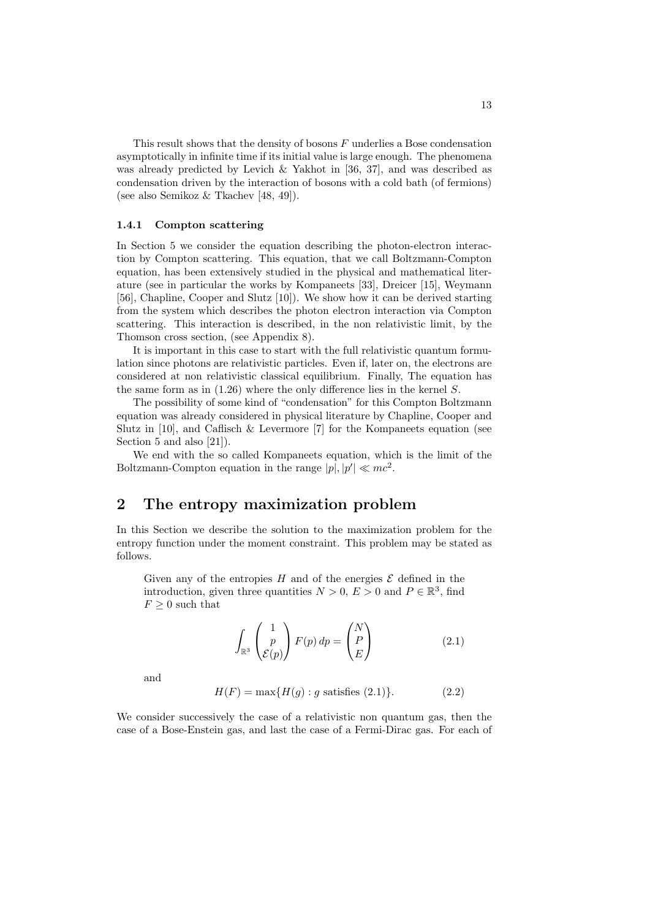This result shows that the density of bosons F underlies a Bose condensation asymptotically in infinite time if its initial value is large enough. The phenomena was already predicted by Levich & Yakhot in [36, 37], and was described as condensation driven by the interaction of bosons with a cold bath (of fermions) (see also Semikoz & Tkachev [48, 49]).

#### 1.4.1 Compton scattering

In Section 5 we consider the equation describing the photon-electron interaction by Compton scattering. This equation, that we call Boltzmann-Compton equation, has been extensively studied in the physical and mathematical literature (see in particular the works by Kompaneets [33], Dreicer [15], Weymann [56], Chapline, Cooper and Slutz [10]). We show how it can be derived starting from the system which describes the photon electron interaction via Compton scattering. This interaction is described, in the non relativistic limit, by the Thomson cross section, (see Appendix 8).

It is important in this case to start with the full relativistic quantum formulation since photons are relativistic particles. Even if, later on, the electrons are considered at non relativistic classical equilibrium. Finally, The equation has the same form as in  $(1.26)$  where the only difference lies in the kernel S.

The possibility of some kind of "condensation" for this Compton Boltzmann equation was already considered in physical literature by Chapline, Cooper and Slutz in  $[10]$ , and Caflisch & Levermore  $[7]$  for the Kompaneets equation (see Section 5 and also [21]).

We end with the so called Kompaneets equation, which is the limit of the Boltzmann-Compton equation in the range  $|p|, |p'| \ll mc^2$ .

# 2 The entropy maximization problem

In this Section we describe the solution to the maximization problem for the entropy function under the moment constraint. This problem may be stated as follows.

Given any of the entropies  $H$  and of the energies  $\mathcal E$  defined in the introduction, given three quantities  $N > 0$ ,  $E > 0$  and  $P \in \mathbb{R}^3$ , find  $F \geq 0$  such that

$$
\int_{\mathbb{R}^3} \begin{pmatrix} 1 \\ p \\ \mathcal{E}(p) \end{pmatrix} F(p) \, dp = \begin{pmatrix} N \\ P \\ E \end{pmatrix} \tag{2.1}
$$

and

$$
H(F) = \max\{H(g) : g \text{ satisfies (2.1)}\}.
$$
 (2.2)

We consider successively the case of a relativistic non quantum gas, then the case of a Bose-Enstein gas, and last the case of a Fermi-Dirac gas. For each of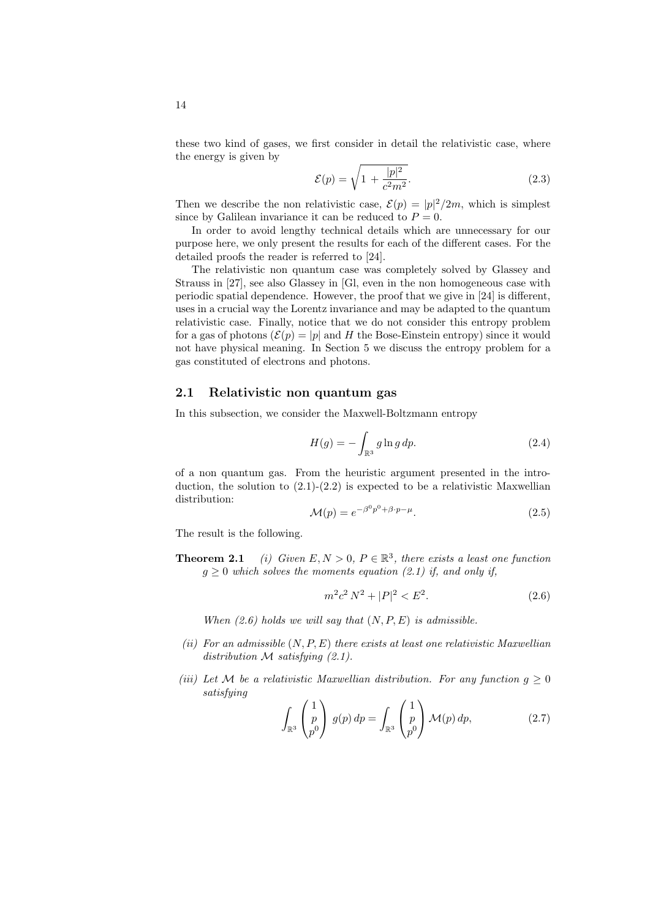these two kind of gases, we first consider in detail the relativistic case, where the energy is given by

$$
\mathcal{E}(p) = \sqrt{1 + \frac{|p|^2}{c^2 m^2}}.
$$
\n(2.3)

Then we describe the non relativistic case,  $\mathcal{E}(p) = |p|^2/2m$ , which is simplest since by Galilean invariance it can be reduced to  $P = 0$ .

In order to avoid lengthy technical details which are unnecessary for our purpose here, we only present the results for each of the different cases. For the detailed proofs the reader is referred to [24].

The relativistic non quantum case was completely solved by Glassey and Strauss in [27], see also Glassey in [Gl, even in the non homogeneous case with periodic spatial dependence. However, the proof that we give in [24] is different, uses in a crucial way the Lorentz invariance and may be adapted to the quantum relativistic case. Finally, notice that we do not consider this entropy problem for a gas of photons  $(\mathcal{E}(p) = |p|)$  and H the Bose-Einstein entropy) since it would not have physical meaning. In Section 5 we discuss the entropy problem for a gas constituted of electrons and photons.

# 2.1 Relativistic non quantum gas

In this subsection, we consider the Maxwell-Boltzmann entropy

$$
H(g) = -\int_{\mathbb{R}^3} g \ln g \, dp. \tag{2.4}
$$

of a non quantum gas. From the heuristic argument presented in the introduction, the solution to  $(2.1)-(2.2)$  is expected to be a relativistic Maxwellian distribution:  $\overline{a}$ 

$$
\mathcal{M}(p) = e^{-\beta^0 p^0 + \beta \cdot p - \mu}.\tag{2.5}
$$

The result is the following.

**Theorem 2.1** (i) Given  $E, N > 0, P \in \mathbb{R}^3$ , there exists a least one function  $g \geq 0$  which solves the moments equation (2.1) if, and only if,

$$
m^2c^2N^2 + |P|^2 < E^2. \tag{2.6}
$$

When  $(2.6)$  holds we will say that  $(N, P, E)$  is admissible.

- (ii) For an admissible  $(N, P, E)$  there exists at least one relativistic Maxwellian distribution  $\mathcal M$  satisfying (2.1).
- (iii) Let M be a relativistic Maxwellian distribution. For any function  $q > 0$ satisfying

$$
\int_{\mathbb{R}^3} \begin{pmatrix} 1 \\ p \\ p^0 \end{pmatrix} g(p) dp = \int_{\mathbb{R}^3} \begin{pmatrix} 1 \\ p \\ p^0 \end{pmatrix} \mathcal{M}(p) dp, \tag{2.7}
$$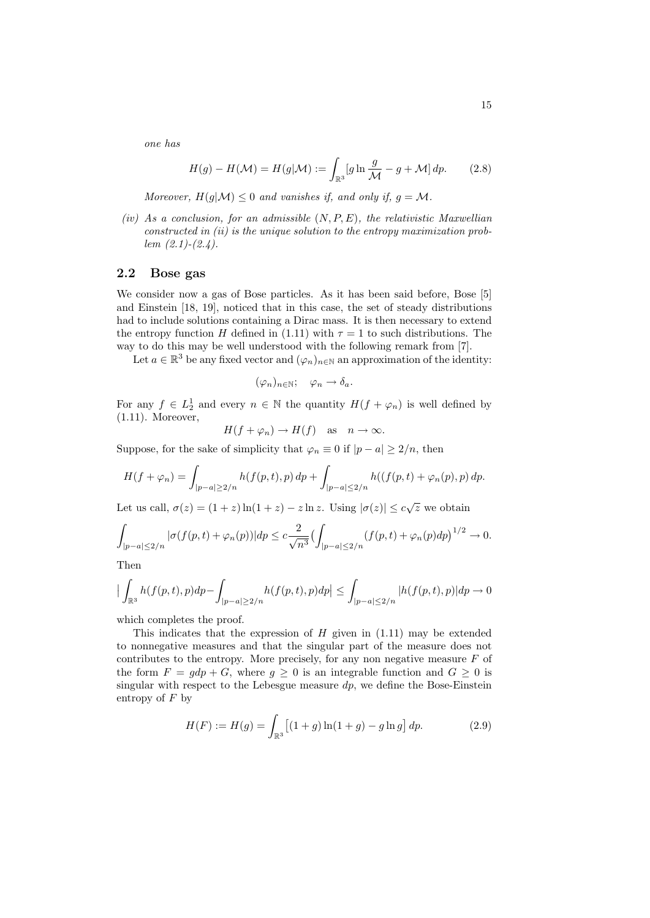one has

$$
H(g) - H(\mathcal{M}) = H(g|\mathcal{M}) := \int_{\mathbb{R}^3} [g \ln \frac{g}{\mathcal{M}} - g + \mathcal{M}] \, dp. \tag{2.8}
$$

Moreover,  $H(q|\mathcal{M}) \leq 0$  and vanishes if, and only if,  $q = \mathcal{M}$ .

(iv) As a conclusion, for an admissible  $(N, P, E)$ , the relativistic Maxwellian constructed in (ii) is the unique solution to the entropy maximization prob $lem (2.1)-(2.4).$ 

# 2.2 Bose gas

We consider now a gas of Bose particles. As it has been said before, Bose [5] and Einstein [18, 19], noticed that in this case, the set of steady distributions had to include solutions containing a Dirac mass. It is then necessary to extend the entropy function H defined in (1.11) with  $\tau = 1$  to such distributions. The way to do this may be well understood with the following remark from [7].

Let  $a \in \mathbb{R}^3$  be any fixed vector and  $(\varphi_n)_{n \in \mathbb{N}}$  an approximation of the identity:

$$
(\varphi_n)_{n \in \mathbb{N}}; \quad \varphi_n \to \delta_a.
$$

For any  $f \in L_2^1$  and every  $n \in \mathbb{N}$  the quantity  $H(f + \varphi_n)$  is well defined by (1.11). Moreover,

$$
H(f + \varphi_n) \to H(f)
$$
 as  $n \to \infty$ .

Suppose, for the sake of simplicity that  $\varphi_n \equiv 0$  if  $|p - a| \geq 2/n$ , then

$$
H(f + \varphi_n) = \int_{|p-a| \ge 2/n} h(f(p, t), p) dp + \int_{|p-a| \le 2/n} h((f(p, t) + \varphi_n(p), p) dp.
$$

Let us call,  $\sigma(z) = (1+z) \ln(1+z) - z \ln z$ . Using  $|\sigma(z)| \leq c\sqrt{z}$  we obtain

$$
\int_{|p-a|\leq 2/n} |\sigma(f(p,t)+\varphi_n(p))|dp \leq c \frac{2}{\sqrt{n^3}} \Bigl(\int_{|p-a|\leq 2/n} (f(p,t)+\varphi_n(p)dp\Bigr)^{1/2} \to 0.
$$

Then

$$
\big|\int_{\mathbb{R}^3}h(f(p,t),p)dp-\int_{|p-a|\geq 2/n}h(f(p,t),p)dp\big|\leq \int_{|p-a|\leq 2/n}|h(f(p,t),p)|dp\rightarrow 0
$$

which completes the proof.

This indicates that the expression of  $H$  given in  $(1.11)$  may be extended to nonnegative measures and that the singular part of the measure does not contributes to the entropy. More precisely, for any non negative measure  $F$  of the form  $F = gdp + G$ , where  $g \ge 0$  is an integrable function and  $G \ge 0$  is singular with respect to the Lebesgue measure  $dp$ , we define the Bose-Einstein entropy of  $F$  by

$$
H(F) := H(g) = \int_{\mathbb{R}^3} \left[ (1+g) \ln(1+g) - g \ln g \right] dp.
$$
 (2.9)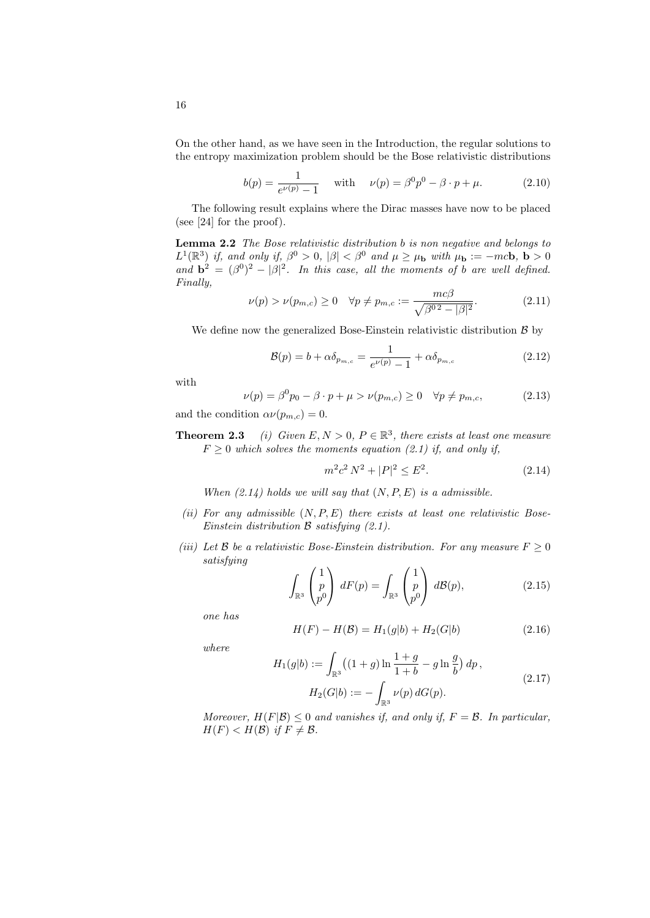On the other hand, as we have seen in the Introduction, the regular solutions to the entropy maximization problem should be the Bose relativistic distributions

$$
b(p) = \frac{1}{e^{\nu(p)} - 1} \quad \text{with} \quad \nu(p) = \beta^0 p^0 - \beta \cdot p + \mu. \tag{2.10}
$$

The following result explains where the Dirac masses have now to be placed (see [24] for the proof).

Lemma 2.2 The Bose relativistic distribution b is non negative and belongs to  $L^1(\mathbb{R}^3)$  if, and only if,  $\beta^0 > 0$ ,  $|\beta| < \beta^0$  and  $\mu \ge \mu_\mathbf{b}$  with  $\mu_\mathbf{b} := -mc\mathbf{b}$ ,  $\mathbf{b} > 0$ and  $\mathbf{b}^2 = (\beta^0)^2 - |\beta|^2$ . In this case, all the moments of b are well defined. Finally,

$$
\nu(p) > \nu(p_{m,c}) \ge 0 \quad \forall p \neq p_{m,c} := \frac{mc\beta}{\sqrt{\beta^{0.2} - |\beta|^2}}.
$$
\n(2.11)

We define now the generalized Bose-Einstein relativistic distribution  $\beta$  by

$$
\mathcal{B}(p) = b + \alpha \delta_{p_{m,c}} = \frac{1}{e^{\nu(p)} - 1} + \alpha \delta_{p_{m,c}} \tag{2.12}
$$

with

$$
\nu(p) = \beta^0 p_0 - \beta \cdot p + \mu > \nu(p_{m,c}) \ge 0 \quad \forall p \neq p_{m,c}, \tag{2.13}
$$

and the condition  $\alpha \nu(p_{m,c}) = 0$ .

**Theorem 2.3** (i) Given  $E, N > 0, P \in \mathbb{R}^3$ , there exists at least one measure  $F \geq 0$  which solves the moments equation (2.1) if, and only if,

$$
m^2c^2N^2 + |P|^2 \le E^2. \tag{2.14}
$$

When  $(2.14)$  holds we will say that  $(N, P, E)$  is a admissible.

- (ii) For any admissible  $(N, P, E)$  there exists at least one relativistic Bose-Einstein distribution  $\beta$  satisfying (2.1).
- (iii) Let B be a relativistic Bose-Einstein distribution. For any measure  $F \geq 0$ satisfying

$$
\int_{\mathbb{R}^3} \begin{pmatrix} 1 \\ p \\ p^0 \end{pmatrix} dF(p) = \int_{\mathbb{R}^3} \begin{pmatrix} 1 \\ p \\ p^0 \end{pmatrix} d\mathcal{B}(p), \tag{2.15}
$$

one has

$$
H(F) - H(\mathcal{B}) = H_1(g|b) + H_2(G|b)
$$
\n(2.16)

where

$$
H_1(g|b) := \int_{\mathbb{R}^3} ((1+g)\ln\frac{1+g}{1+b} - g\ln\frac{g}{b}) dp,
$$
  

$$
H_2(G|b) := -\int_{\mathbb{R}^3} \nu(p) dG(p).
$$
 (2.17)

Moreover,  $H(F|\mathcal{B}) \leq 0$  and vanishes if, and only if,  $F = \mathcal{B}$ . In particular,  $H(F) < H(\mathcal{B})$  if  $F \neq \mathcal{B}$ .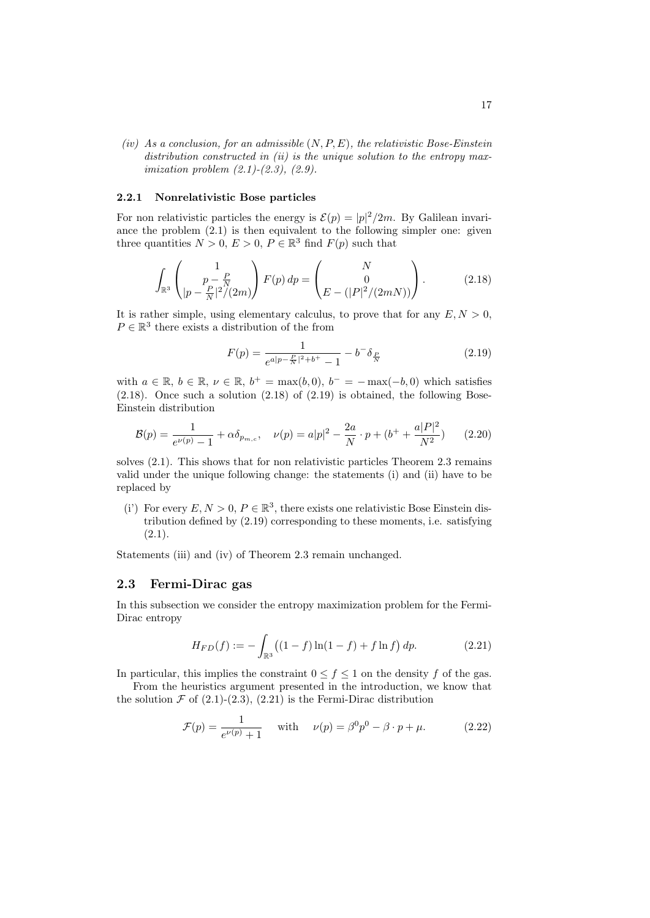(iv) As a conclusion, for an admissible  $(N, P, E)$ , the relativistic Bose-Einstein distribution constructed in  $(ii)$  is the unique solution to the entropy max*imization problem*  $(2.1)-(2.3)$ *,*  $(2.9)$ *.* 

#### 2.2.1 Nonrelativistic Bose particles

For non relativistic particles the energy is  $\mathcal{E}(p) = |p|^2/2m$ . By Galilean invariance the problem (2.1) is then equivalent to the following simpler one: given three quantities  $N > 0, E > 0, P \in \mathbb{R}^3$  find  $F(p)$  such that

$$
\int_{\mathbb{R}^3} \begin{pmatrix} 1 \\ p - \frac{P}{N} \\ |p - \frac{P}{N}|^2/(2m) \end{pmatrix} F(p) \, dp = \begin{pmatrix} N \\ 0 \\ E - (|P|^2/(2mN)) \end{pmatrix} . \tag{2.18}
$$

It is rather simple, using elementary calculus, to prove that for any  $E, N > 0$ ,  $P \in \mathbb{R}^3$  there exists a distribution of the from

$$
F(p) = \frac{1}{e^{a|p - \frac{P}{N}|^2 + b^+} - 1} - b^- \delta_{\frac{P}{N}}
$$
\n(2.19)

with  $a \in \mathbb{R}, b \in \mathbb{R}, \nu \in \mathbb{R}, b^+ = \max(b, 0), b^- = -\max(-b, 0)$  which satisfies  $(2.18)$ . Once such a solution  $(2.18)$  of  $(2.19)$  is obtained, the following Bose-Einstein distribution

$$
\mathcal{B}(p) = \frac{1}{e^{\nu(p)} - 1} + \alpha \delta_{p_{m,c}}, \quad \nu(p) = a|p|^2 - \frac{2a}{N} \cdot p + (b^+ + \frac{a|P|^2}{N^2}) \tag{2.20}
$$

solves (2.1). This shows that for non relativistic particles Theorem 2.3 remains valid under the unique following change: the statements (i) and (ii) have to be replaced by

(i') For every  $E, N > 0, P \in \mathbb{R}^3$ , there exists one relativistic Bose Einstein distribution defined by (2.19) corresponding to these moments, i.e. satisfying  $(2.1).$ 

Statements (iii) and (iv) of Theorem 2.3 remain unchanged.

### 2.3 Fermi-Dirac gas

In this subsection we consider the entropy maximization problem for the Fermi-Dirac entropy

$$
H_{FD}(f) := -\int_{\mathbb{R}^3} ((1 - f) \ln(1 - f) + f \ln f) dp.
$$
 (2.21)

In particular, this implies the constraint  $0 \le f \le 1$  on the density f of the gas.

From the heuristics argument presented in the introduction, we know that the solution  $\mathcal F$  of (2.1)-(2.3), (2.21) is the Fermi-Dirac distribution

$$
\mathcal{F}(p) = \frac{1}{e^{\nu(p)} + 1} \quad \text{with} \quad \nu(p) = \beta^0 p^0 - \beta \cdot p + \mu. \tag{2.22}
$$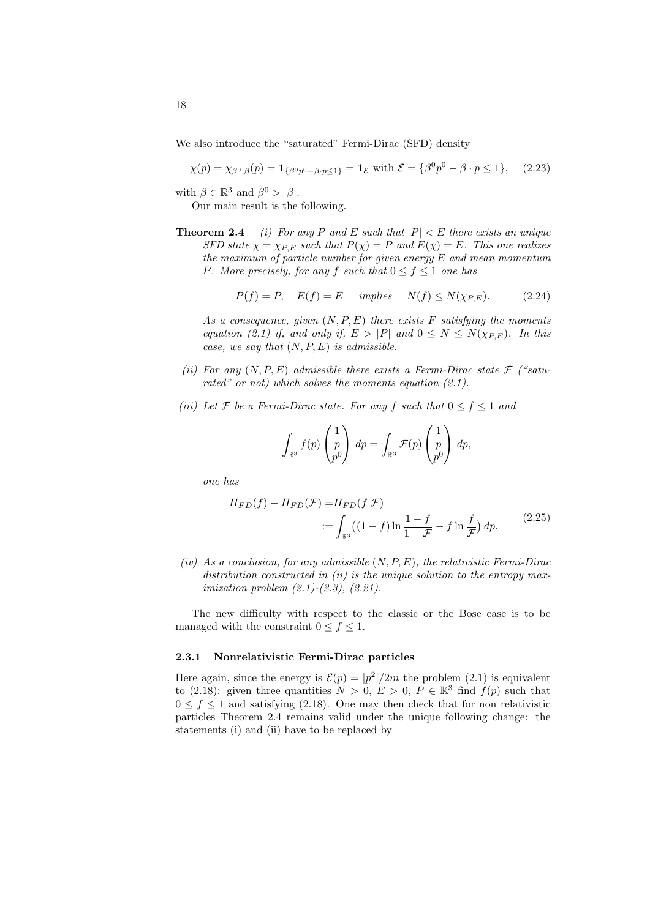We also introduce the "saturated" Fermi-Dirac (SFD) density

$$
\chi(p) = \chi_{\beta^0, \beta}(p) = \mathbf{1}_{\{\beta^0 p^0 - \beta \cdot p \le 1\}} = \mathbf{1}_{\mathcal{E}} \text{ with } \mathcal{E} = \{\beta^0 p^0 - \beta \cdot p \le 1\}, \quad (2.23)
$$

with  $\beta \in \mathbb{R}^3$  and  $\beta^0 > |\beta|$ .

Our main result is the following.

**Theorem 2.4** (i) For any P and E such that  $|P| \leq E$  there exists an unique SFD state  $\chi = \chi_{P,E}$  such that  $P(\chi) = P$  and  $E(\chi) = E$ . This one realizes the maximum of particle number for given energy E and mean momentum P. More precisely, for any f such that  $0 \le f \le 1$  one has

$$
P(f) = P, \quad E(f) = E \quad implies \quad N(f) \le N(\chi_{P,E}). \tag{2.24}
$$

As a consequence, given  $(N, P, E)$  there exists F satisfying the moments equation (2.1) if, and only if,  $E > |P|$  and  $0 \le N \le N(\chi_{P,E})$ . In this case, we say that  $(N, P, E)$  is admissible.

- (ii) For any  $(N, P, E)$  admissible there exists a Fermi-Dirac state  $\mathcal F$  ("saturated" or not) which solves the moments equation  $(2.1)$ .
- (iii) Let F be a Fermi-Dirac state. For any f such that  $0 \le f \le 1$  and

$$
\int_{\mathbb{R}^3} f(p) \begin{pmatrix} 1 \\ p \\ p^0 \end{pmatrix} dp = \int_{\mathbb{R}^3} \mathcal{F}(p) \begin{pmatrix} 1 \\ p \\ p^0 \end{pmatrix} dp,
$$

one has

$$
H_{FD}(f) - H_{FD}(\mathcal{F}) = H_{FD}(f|\mathcal{F})
$$
  

$$
:= \int_{\mathbb{R}^3} \left( (1 - f) \ln \frac{1 - f}{1 - \mathcal{F}} - f \ln \frac{f}{\mathcal{F}} \right) dp.
$$
 (2.25)

(iv) As a conclusion, for any admissible  $(N, P, E)$ , the relativistic Fermi-Dirac distribution constructed in (ii) is the unique solution to the entropy max*imization problem*  $(2.1)$ *-* $(2.3)$ *,*  $(2.21)$ *.* 

The new difficulty with respect to the classic or the Bose case is to be managed with the constraint  $0 \leq f \leq 1$ .

#### 2.3.1 Nonrelativistic Fermi-Dirac particles

Here again, since the energy is  $\mathcal{E}(p) = |p^2|/2m$  the problem (2.1) is equivalent to (2.18): given three quantities  $N > 0$ ,  $E > 0$ ,  $P \in \mathbb{R}^3$  find  $f(p)$  such that  $0 \le f \le 1$  and satisfying (2.18). One may then check that for non relativistic particles Theorem 2.4 remains valid under the unique following change: the statements (i) and (ii) have to be replaced by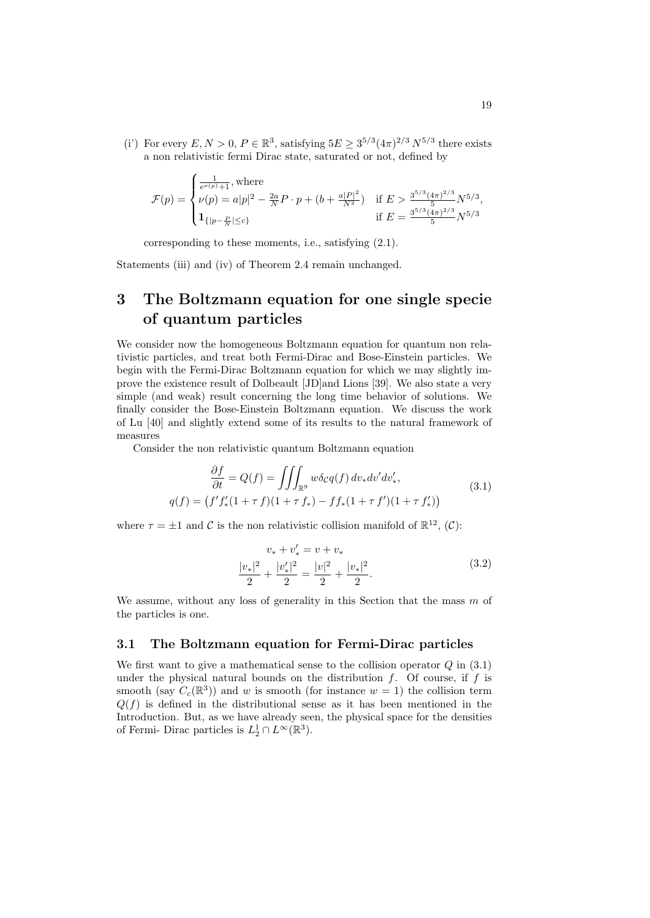(i) For every  $E, N > 0, P \in \mathbb{R}^3$ , satisfying  $5E \geq 3^{5/3} (4\pi)^{2/3} N^{5/3}$  there exists a non relativistic fermi Dirac state, saturated or not, defined by

$$
\mathcal{F}(p) = \begin{cases} \frac{1}{e^{\nu(p)} + 1}, \text{where} \\ \nu(p) = a|p|^2 - \frac{2a}{N}P \cdot p + (b + \frac{a|P|^2}{N^2}) & \text{if } E > \frac{3^{5/3}(4\pi)^{2/3}}{5} N^{5/3}, \\ \mathbf{1}_{\{|p - \frac{P}{N}| \le c\}} & \text{if } E = \frac{3^{5/3}(4\pi)^{2/3}}{5} N^{5/3} \end{cases}
$$

corresponding to these moments, i.e., satisfying (2.1).

Statements (iii) and (iv) of Theorem 2.4 remain unchanged.

# 3 The Boltzmann equation for one single specie of quantum particles

We consider now the homogeneous Boltzmann equation for quantum non relativistic particles, and treat both Fermi-Dirac and Bose-Einstein particles. We begin with the Fermi-Dirac Boltzmann equation for which we may slightly improve the existence result of Dolbeault [JD]and Lions [39]. We also state a very simple (and weak) result concerning the long time behavior of solutions. We finally consider the Bose-Einstein Boltzmann equation. We discuss the work of Lu [40] and slightly extend some of its results to the natural framework of measures

Consider the non relativistic quantum Boltzmann equation

$$
\frac{\partial f}{\partial t} = Q(f) = \iiint_{\mathbb{R}^9} w \delta_{\mathcal{C}} q(f) \, dv_* dv' dv'_*,
$$
\n
$$
q(f) = \left( f' f'_*(1 + \tau f)(1 + \tau f_*) - f f_*(1 + \tau f')(1 + \tau f'_*)) \right)
$$
\n(3.1)

where  $\tau = \pm 1$  and C is the non relativistic collision manifold of  $\mathbb{R}^{12}$ , (C):

$$
v_* + v'_* = v + v_*
$$
  

$$
\frac{|v_*|^2}{2} + \frac{|v'_*|^2}{2} = \frac{|v|^2}{2} + \frac{|v_*|^2}{2}.
$$
 (3.2)

We assume, without any loss of generality in this Section that the mass  $m$  of the particles is one.

# 3.1 The Boltzmann equation for Fermi-Dirac particles

We first want to give a mathematical sense to the collision operator  $Q$  in  $(3.1)$ under the physical natural bounds on the distribution  $f$ . Of course, if  $f$  is smooth (say  $C_c(\mathbb{R}^3)$ ) and w is smooth (for instance  $w = 1$ ) the collision term  $Q(f)$  is defined in the distributional sense as it has been mentioned in the Introduction. But, as we have already seen, the physical space for the densities of Fermi- Dirac particles is  $L_2^1 \cap L^\infty(\mathbb{R}^3)$ .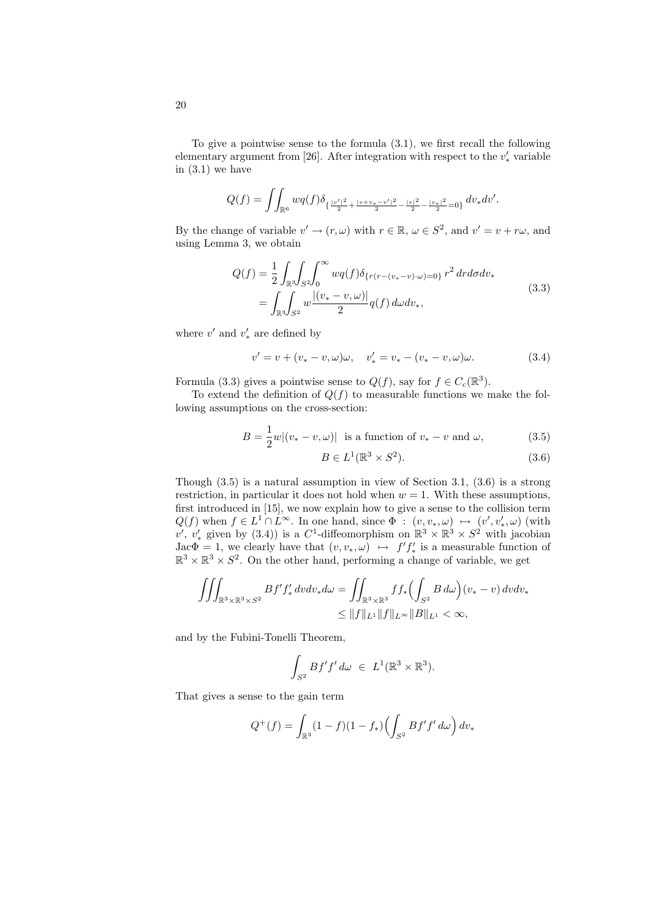To give a pointwise sense to the formula (3.1), we first recall the following elementary argument from [26]. After integration with respect to the  $v'_*$  variable in (3.1) we have

$$
Q(f) = \iint_{\mathbb{R}^6} wq(f) \delta_{\left\{\frac{|v'|^2}{2} + \frac{|v + v_* - v'|^2}{2} - \frac{|v|^2}{2} - \frac{|v_*|^2}{2} = 0\right\}} dv_* dv'.
$$

By the change of variable  $v' \to (r, \omega)$  with  $r \in \mathbb{R}$ ,  $\omega \in S^2$ , and  $v' = v + r\omega$ , and using Lemma 3, we obtain

$$
Q(f) = \frac{1}{2} \int_{\mathbb{R}^3} \int_{S^2} \int_0^\infty wq(f) \delta_{\{r(r - (v_* - v) \cdot \omega) = 0\}} r^2 dr d\sigma dv_*
$$
  
= 
$$
\int_{\mathbb{R}^3} \int_{S^2} w \frac{|(v_* - v, \omega)|}{2} q(f) d\omega dv_*,
$$
 (3.3)

where  $v'$  and  $v'_*$  are defined by

$$
v' = v + (v_* - v, \omega)\omega, \quad v'_* = v_* - (v_* - v, \omega)\omega.
$$
 (3.4)

Formula (3.3) gives a pointwise sense to  $Q(f)$ , say for  $f \in C_c(\mathbb{R}^3)$ .

To extend the definition of  $Q(f)$  to measurable functions we make the following assumptions on the cross-section:

$$
B = \frac{1}{2}w|(v_* - v, \omega)| \text{ is a function of } v_* - v \text{ and } \omega,
$$
 (3.5)

$$
B \in L^1(\mathbb{R}^3 \times S^2). \tag{3.6}
$$

Though (3.5) is a natural assumption in view of Section 3.1, (3.6) is a strong restriction, in particular it does not hold when  $w = 1$ . With these assumptions, first introduced in [15], we now explain how to give a sense to the collision term  $Q(f)$  when  $f \in L^1 \cap L^{\infty}$ . In one hand, since  $\Phi : (v, v_*, \omega) \mapsto (v', v'_*, \omega)$  (with  $v', v'_*$  given by (3.4)) is a C<sup>1</sup>-diffeomorphism on  $\mathbb{R}^3 \times \mathbb{R}^3 \times S^2$  with jacobian  $Jac\Phi = 1$ , we clearly have that  $(v, v_*, \omega) \mapsto f'f'_*$  is a measurable function of  $\mathbb{R}^3 \times \mathbb{R}^3 \times S^2$ . On the other hand, performing a change of variable, we get

$$
\iiint_{\mathbb{R}^3 \times \mathbb{R}^3 \times S^2} Bf' f'_* dv dv_* d\omega = \iint_{\mathbb{R}^3 \times \mathbb{R}^3} f f_* \left( \int_{S^2} B d\omega \right) (v_* - v) dv dv_* \leq \|f\|_{L^1} \|f\|_{L^\infty} \|B\|_{L^1} < \infty,
$$

and by the Fubini-Tonelli Theorem,

$$
\int_{S^2} Bf' f' d\omega \in L^1(\mathbb{R}^3 \times \mathbb{R}^3).
$$

That gives a sense to the gain term

$$
Q^+(f) = \int_{\mathbb{R}^3} (1 - f)(1 - f_*) \Big( \int_{S^2} Bf' f' d\omega \Big) dv_*
$$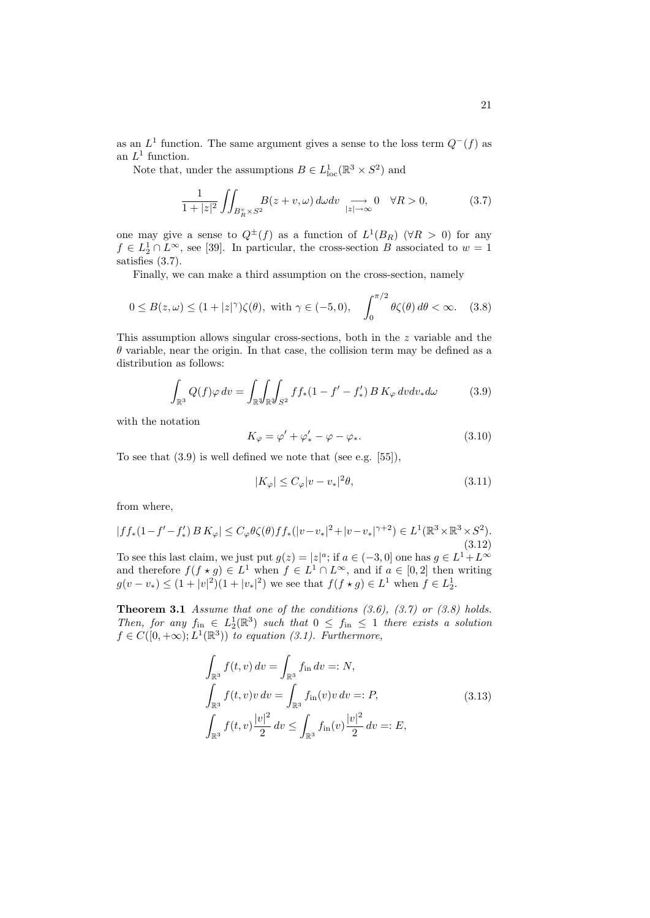as an  $L^1$  function. The same argument gives a sense to the loss term  $Q^-(f)$  as an  $L^1$  function.

Note that, under the assumptions  $B \in L^1_{loc}(\mathbb{R}^3 \times S^2)$  and

$$
\frac{1}{1+|z|^2} \iint_{B_R^v \times S^2} B(z+v,\omega) \, d\omega \, dv \underset{|z| \to \infty}{\longrightarrow} 0 \quad \forall R > 0,\tag{3.7}
$$

one may give a sense to  $Q^{\pm}(f)$  as a function of  $L^{1}(B_R)$  ( $\forall R > 0$ ) for any  $f \in L_2^1 \cap L^{\infty}$ , see [39]. In particular, the cross-section B associated to  $w = 1$ satisfies (3.7).

Finally, we can make a third assumption on the cross-section, namely

$$
0 \le B(z,\omega) \le (1+|z|^\gamma)\zeta(\theta), \text{ with } \gamma \in (-5,0), \quad \int_0^{\pi/2} \theta \zeta(\theta) \, d\theta < \infty. \tag{3.8}
$$

This assumption allows singular cross-sections, both in the z variable and the  $\theta$  variable, near the origin. In that case, the collision term may be defined as a distribution as follows:

$$
\int_{\mathbb{R}^3} Q(f)\varphi \, dv = \int_{\mathbb{R}} \int_{\mathbb{R}} \int_{S^2} f f_*(1 - f' - f'_*) \, B \, K_{\varphi} \, dv dv_* d\omega \tag{3.9}
$$

with the notation

$$
K_{\varphi} = \varphi' + \varphi'_{*} - \varphi - \varphi_{*}.
$$
\n(3.10)

To see that (3.9) is well defined we note that (see e.g. [55]),

$$
|K_{\varphi}| \le C_{\varphi}|v - v_*|^2 \theta,\tag{3.11}
$$

from where,

$$
|ff_*(1 - f' - f'_*)\,B\,K_{\varphi}| \le C_{\varphi}\theta \zeta(\theta) ff_*(|v - v_*|^2 + |v - v_*|^{\gamma + 2}) \in L^1(\mathbb{R}^3 \times \mathbb{R}^3 \times S^2).
$$
\n(3.12)

To see this last claim, we just put  $g(z) = |z|^a$ ; if  $a \in (-3,0]$  one has  $g \in L^1 + L^\infty$ and therefore  $f(f \star g) \in L^1$  when  $f \in L^1 \cap L^{\infty}$ , and if  $a \in [0,2]$  then writing  $g(v - v_*) \leq (1 + |v|^2)(1 + |v_*|^2)$  we see that  $f(f \star g) \in L^1$  when  $f \in L_2^1$ .

**Theorem 3.1** Assume that one of the conditions  $(3.6)$ ,  $(3.7)$  or  $(3.8)$  holds. Then, for any  $f_{\text{in}} \in L_2^1(\mathbb{R}^3)$  such that  $0 \leq f_{\text{in}} \leq 1$  there exists a solution  $f \in C([0, +\infty); L^1(\mathbb{R}^3))$  to equation (3.1). Furthermore,

$$
\int_{\mathbb{R}^3} f(t, v) dv = \int_{\mathbb{R}^3} f_{\text{in}} dv =: N,
$$
\n
$$
\int_{\mathbb{R}^3} f(t, v) v dv = \int_{\mathbb{R}^3} f_{\text{in}}(v) v dv =: P,
$$
\n
$$
\int_{\mathbb{R}^3} f(t, v) \frac{|v|^2}{2} dv \le \int_{\mathbb{R}^3} f_{\text{in}}(v) \frac{|v|^2}{2} dv =: E,
$$
\n(3.13)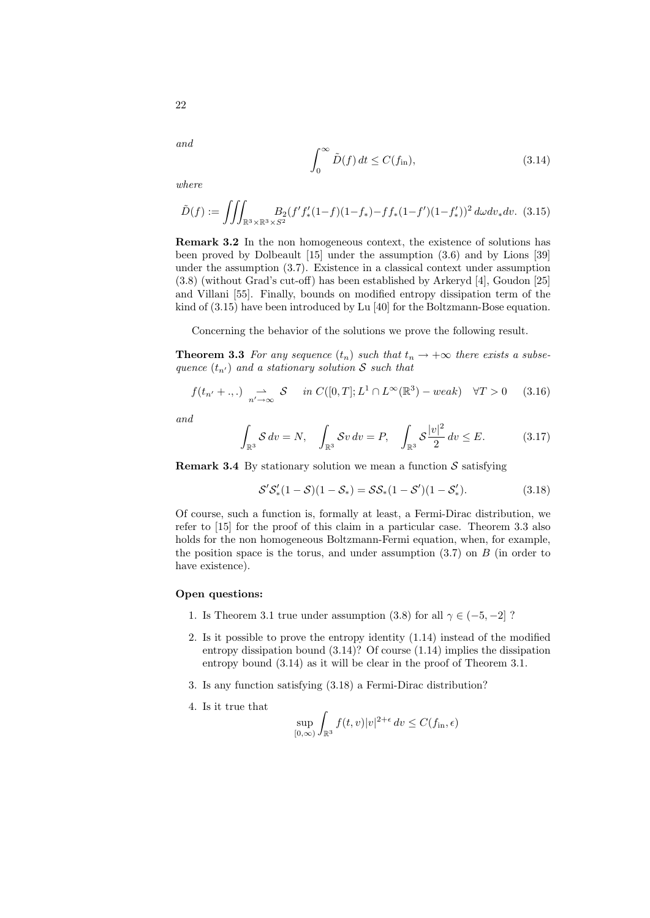$$
\int_0^\infty \tilde{D}(f) dt \le C(f_{\rm in}),\tag{3.14}
$$

where

$$
\tilde{D}(f) := \iiint_{\mathbb{R}^3 \times \mathbb{R}^3 \times S^2} B_2(f'f'_*(1-f)(1-f_*) - ff_*(1-f')(1-f'_*))^2 d\omega dv_* dv. \tag{3.15}
$$

Remark 3.2 In the non homogeneous context, the existence of solutions has been proved by Dolbeault [15] under the assumption (3.6) and by Lions [39] under the assumption (3.7). Existence in a classical context under assumption (3.8) (without Grad's cut-off) has been established by Arkeryd [4], Goudon [25] and Villani [55]. Finally, bounds on modified entropy dissipation term of the kind of (3.15) have been introduced by Lu [40] for the Boltzmann-Bose equation.

Concerning the behavior of the solutions we prove the following result.

**Theorem 3.3** For any sequence  $(t_n)$  such that  $t_n \to +\infty$  there exists a subsequence  $(t_{n'})$  and a stationary solution S such that

$$
f(t_{n'} + \ldots) \underset{n' \to \infty}{\to} \mathcal{S} \quad in \ C([0, T]; L^1 \cap L^{\infty}(\mathbb{R}^3) - weak) \quad \forall T > 0 \quad (3.16)
$$

and

$$
\int_{\mathbb{R}^3} \mathcal{S} \, dv = N, \quad \int_{\mathbb{R}^3} \mathcal{S}v \, dv = P, \quad \int_{\mathbb{R}^3} \mathcal{S} \frac{|v|^2}{2} \, dv \le E. \tag{3.17}
$$

**Remark 3.4** By stationary solution we mean a function  $S$  satisfying

$$
S'S'_{*}(1 - S)(1 - S_{*}) = SS_{*}(1 - S')(1 - S'_{*}).
$$
\n(3.18)

Of course, such a function is, formally at least, a Fermi-Dirac distribution, we refer to [15] for the proof of this claim in a particular case. Theorem 3.3 also holds for the non homogeneous Boltzmann-Fermi equation, when, for example, the position space is the torus, and under assumption  $(3.7)$  on B (in order to have existence).

# Open questions:

- 1. Is Theorem 3.1 true under assumption (3.8) for all  $\gamma \in (-5, -2]$ ?
- 2. Is it possible to prove the entropy identity (1.14) instead of the modified entropy dissipation bound (3.14)? Of course (1.14) implies the dissipation entropy bound (3.14) as it will be clear in the proof of Theorem 3.1.
- 3. Is any function satisfying (3.18) a Fermi-Dirac distribution?
- 4. Is it true that

$$
\sup_{[0,\infty)} \int_{\mathbb{R}^3} f(t,v)|v|^{2+\epsilon} dv \le C(f_{\text{in}}, \epsilon)
$$

22

and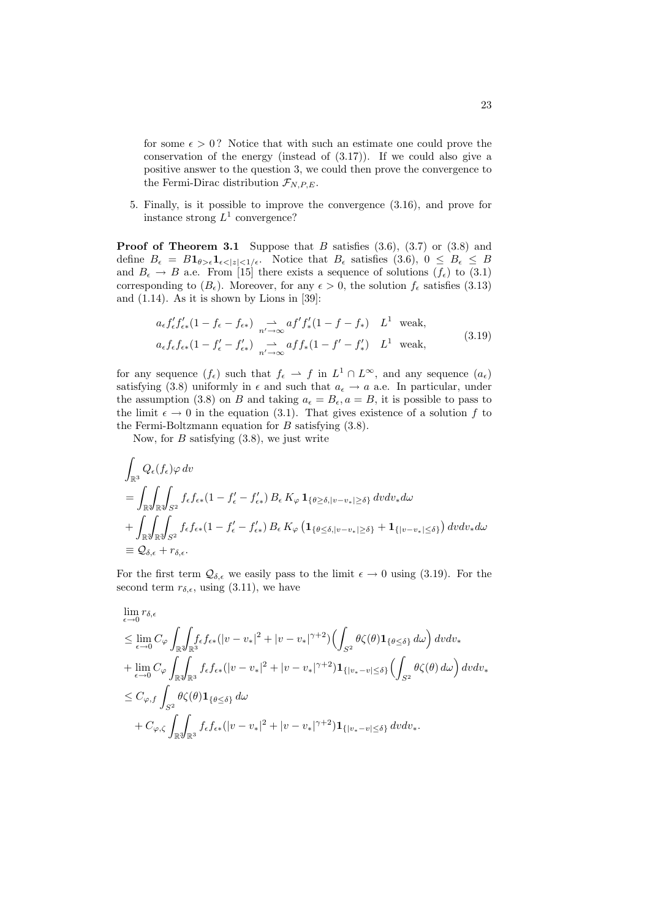for some  $\epsilon > 0$ ? Notice that with such an estimate one could prove the conservation of the energy (instead of  $(3.17)$ ). If we could also give a positive answer to the question 3, we could then prove the convergence to the Fermi-Dirac distribution  $\mathcal{F}_{N,P,E}$ .

5. Finally, is it possible to improve the convergence (3.16), and prove for instance strong  $L^1$  convergence?

**Proof of Theorem 3.1** Suppose that B satisfies  $(3.6)$ ,  $(3.7)$  or  $(3.8)$  and define  $B_{\epsilon} = B \mathbf{1}_{\theta > \epsilon} \mathbf{1}_{\epsilon < |z| < 1/\epsilon}$ . Notice that  $B_{\epsilon}$  satisfies  $(3.6), 0 \leq B_{\epsilon} \leq B$ and  $B_{\epsilon} \to B$  a.e. From [15] there exists a sequence of solutions  $(f_{\epsilon})$  to (3.1) corresponding to  $(B_{\epsilon})$ . Moreover, for any  $\epsilon > 0$ , the solution  $f_{\epsilon}$  satisfies (3.13) and (1.14). As it is shown by Lions in [39]:

$$
a_{\epsilon} f_{\epsilon}' f_{\epsilon*}' (1 - f_{\epsilon} - f_{\epsilon*}) \underset{n' \to \infty}{\to} a f' f'_{*} (1 - f - f_{*}) \quad L^{1} \text{ weak},
$$
  
\n
$$
a_{\epsilon} f_{\epsilon} f_{\epsilon*} (1 - f'_{\epsilon} - f'_{\epsilon*}) \underset{n' \to \infty}{\to} a f f_{*} (1 - f' - f'_{*}) \quad L^{1} \text{ weak},
$$
\n(3.19)

for any sequence  $(f_{\epsilon})$  such that  $f_{\epsilon} \to f$  in  $L^1 \cap L^{\infty}$ , and any sequence  $(a_{\epsilon})$ satisfying (3.8) uniformly in  $\epsilon$  and such that  $a_{\epsilon} \to a$  a.e. In particular, under the assumption (3.8) on B and taking  $a_{\epsilon} = B_{\epsilon}, a = B$ , it is possible to pass to the limit  $\epsilon \to 0$  in the equation (3.1). That gives existence of a solution f to the Fermi-Boltzmann equation for  $B$  satisfying  $(3.8)$ .

Now, for  $B$  satisfying  $(3.8)$ , we just write

$$
\int_{\mathbb{R}^3} Q_{\epsilon}(f_{\epsilon}) \varphi \, dv
$$
\n
$$
= \int_{\mathbb{R}^3} \int_{\mathbb{R}^3} f_{\epsilon} f_{\epsilon*} (1 - f'_{\epsilon} - f'_{\epsilon*}) B_{\epsilon} K_{\varphi} \mathbf{1}_{\{\theta \ge \delta, |v - v_*| \ge \delta\}} \, dv dv_* d\omega
$$
\n
$$
+ \int_{\mathbb{R}^3} \int_{\mathbb{R}^3} f_{\epsilon} f_{\epsilon*} (1 - f'_{\epsilon} - f'_{\epsilon*}) B_{\epsilon} K_{\varphi} \left( \mathbf{1}_{\{\theta \le \delta, |v - v_*| \ge \delta\}} + \mathbf{1}_{\{|v - v_*| \le \delta\}} \right) dv dv_* d\omega
$$
\n
$$
\equiv \mathcal{Q}_{\delta, \epsilon} + r_{\delta, \epsilon}.
$$

For the first term  $\mathcal{Q}_{\delta,\epsilon}$  we easily pass to the limit  $\epsilon \to 0$  using (3.19). For the second term  $r_{\delta,\epsilon}$ , using (3.11), we have

$$
\lim_{\epsilon \to 0} r_{\delta,\epsilon}
$$
\n
$$
\leq \lim_{\epsilon \to 0} C_{\varphi} \int_{\mathbb{R}^{3}} \int_{\mathbb{R}^{3}} f_{\epsilon} f_{\epsilon^{*}}(|v - v_{*}|^{2} + |v - v_{*}|^{\gamma+2}) \Big( \int_{S^{2}} \theta \zeta(\theta) \mathbf{1}_{\{\theta \leq \delta\}} d\omega \Big) dv dv_{*}
$$
\n
$$
+ \lim_{\epsilon \to 0} C_{\varphi} \int_{\mathbb{R}^{3}} \int_{\mathbb{R}^{3}} f_{\epsilon} f_{\epsilon^{*}}(|v - v_{*}|^{2} + |v - v_{*}|^{\gamma+2}) \mathbf{1}_{\{|v_{*} - v| \leq \delta\}} \Big( \int_{S^{2}} \theta \zeta(\theta) d\omega \Big) dv dv_{*}
$$
\n
$$
\leq C_{\varphi, f} \int_{S^{2}} \theta \zeta(\theta) \mathbf{1}_{\{\theta \leq \delta\}} d\omega
$$
\n
$$
+ C_{\varphi, \zeta} \int_{\mathbb{R}^{3}} \int_{\mathbb{R}^{3}} f_{\epsilon} f_{\epsilon^{*}}(|v - v_{*}|^{2} + |v - v_{*}|^{\gamma+2}) \mathbf{1}_{\{|v_{*} - v| \leq \delta\}} dv dv_{*}.
$$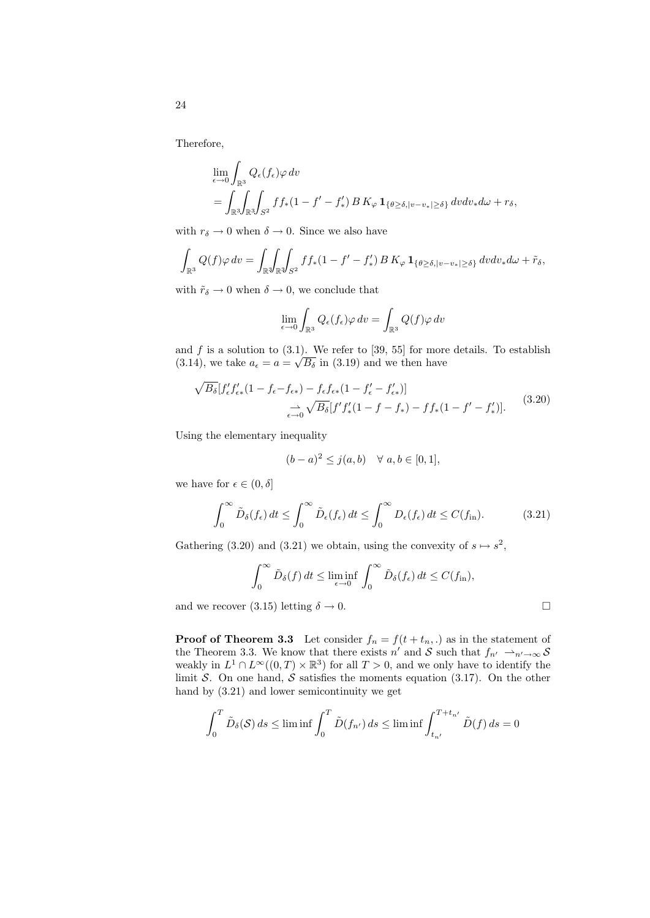Therefore,

$$
\lim_{\epsilon \to 0} \int_{\mathbb{R}^3} Q_{\epsilon}(f_{\epsilon}) \varphi \, dv
$$
\n
$$
= \int_{\mathbb{R}^3} \int_{\mathbb{R}^3} \int_{S^2} f f_*(1 - f' - f'_*) \, B \, K_{\varphi} \, \mathbf{1}_{\{\theta \ge \delta, |v - v_*| \ge \delta\}} \, dv dv_* d\omega + r_{\delta},
$$

with  $r_{\delta} \rightarrow 0$  when  $\delta \rightarrow 0$ . Since we also have

$$
\int_{\mathbb{R}^3} Q(f)\varphi \, dv = \int_{\mathbb{R}^3} \int_{\mathbb{R}^3} \int_{S^2} f f_*(1 - f' - f'_*) \, B \, K_{\varphi} \, \mathbf{1}_{\{\theta \ge \delta, |v - v_*| \ge \delta\}} \, dv dv_* d\omega + \tilde{r}_{\delta},
$$

with  $\tilde{r}_{\delta} \to 0$  when  $\delta \to 0$ , we conclude that

$$
\lim_{\epsilon \to 0} \int_{\mathbb{R}^3} Q_{\epsilon}(f_{\epsilon}) \varphi \, dv = \int_{\mathbb{R}^3} Q(f) \varphi \, dv
$$

and f is a solution to (3.1). We refer to [39, 55] for more details. To establish  $(3.14)$ , we take  $a_{\epsilon} = a = \sqrt{B_{\delta}}$  in  $(3.19)$  and we then have

$$
\sqrt{B_{\delta}}[f'_{\epsilon}f'_{\epsilon*}(1-f_{\epsilon}-f_{\epsilon*})-f_{\epsilon}f_{\epsilon*}(1-f'_{\epsilon}-f'_{\epsilon*})]
$$
  
\n
$$
\rightarrow \sqrt{B_{\delta}}[f'f'_{*}(1-f-f_{*})-f'_{*}(1-f'-f'_{*})].
$$
\n(3.20)

Using the elementary inequality

$$
(b-a)^2 \le j(a,b) \quad \forall \ a,b \in [0,1],
$$

we have for  $\epsilon \in (0, \delta]$ 

$$
\int_0^\infty \tilde{D}_\delta(f_\epsilon) dt \le \int_0^\infty \tilde{D}_\epsilon(f_\epsilon) dt \le \int_0^\infty D_\epsilon(f_\epsilon) dt \le C(f_{\rm in}).\tag{3.21}
$$

Gathering (3.20) and (3.21) we obtain, using the convexity of  $s \mapsto s^2$ ,

$$
\int_0^\infty \tilde{D}_\delta(f) dt \le \liminf_{\epsilon \to 0} \int_0^\infty \tilde{D}_\delta(f_\epsilon) dt \le C(f_{\rm in}),
$$

and we recover (3.15) letting  $\delta \to 0$ .

**Proof of Theorem 3.3** Let consider  $f_n = f(t + t_n,.)$  as in the statement of the Theorem 3.3. We know that there exists n' and S such that  $f_{n'} \rightharpoonup_{n' \to \infty} S$ weakly in  $L^1 \cap L^\infty((0,T) \times \mathbb{R}^3)$  for all  $T > 0$ , and we only have to identify the limit S. On one hand, S satisfies the moments equation  $(3.17)$ . On the other hand by (3.21) and lower semicontinuity we get

$$
\int_0^T \tilde{D}_{\delta}(\mathcal{S}) ds \le \liminf \int_0^T \tilde{D}(f_{n'}) ds \le \liminf \int_{t_{n'}}^{T+t_{n'}} \tilde{D}(f) ds = 0
$$

24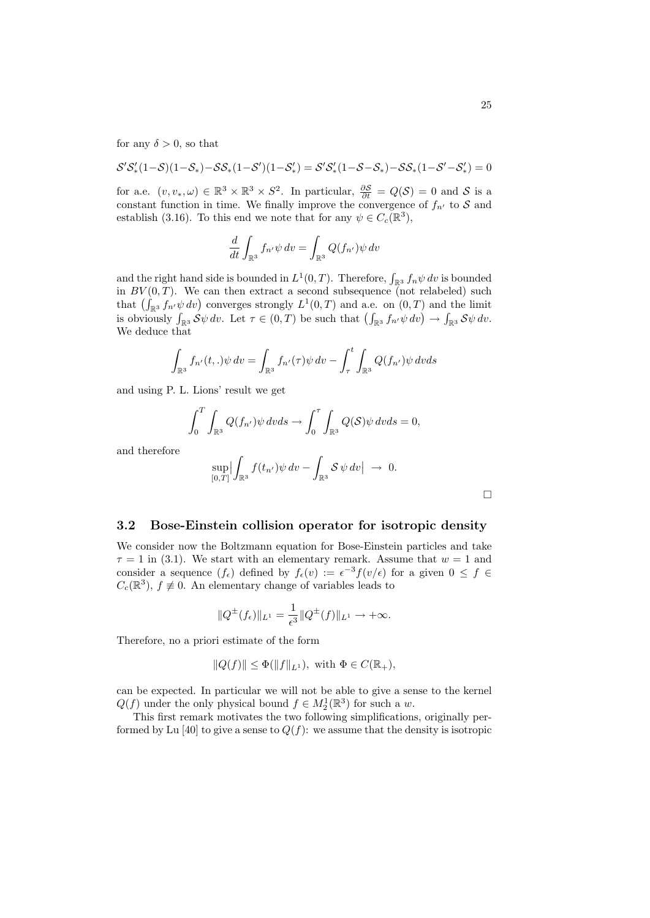for any  $\delta > 0$ , so that

$$
\mathcal{S}'\mathcal{S}'_* (1-\mathcal{S})(1-\mathcal{S}_*) - \mathcal{S}\mathcal{S}_* (1-\mathcal{S}') (1-\mathcal{S}'_*) = \mathcal{S}'\mathcal{S}'_* (1-\mathcal{S}-\mathcal{S}_*) - \mathcal{S}\mathcal{S}_* (1-\mathcal{S}'-\mathcal{S}'_*) = 0
$$

for a.e.  $(v, v_*, \omega) \in \mathbb{R}^3 \times \mathbb{R}^3 \times S^2$ . In particular,  $\frac{\partial \mathcal{S}}{\partial t} = Q(\mathcal{S}) = 0$  and  $\mathcal{S}$  is a constant function in time. We finally improve the convergence of  $f_{n'}$  to S and establish (3.16). To this end we note that for any  $\psi \in C_c(\mathbb{R}^3)$ ,

$$
\frac{d}{dt} \int_{\mathbb{R}^3} f_{n'} \psi \, dv = \int_{\mathbb{R}^3} Q(f_{n'}) \psi \, dv
$$

and the right hand side is bounded in  $L^1(0,T)$ . Therefore,  $\int_{\mathbb{R}^3} f_n \psi \, dv$  is bounded in  $BV(0,T)$ . We can then extract a second subsequence (not relabeled) such that  $\left(\int_{\mathbb{R}^3} f_{n'} \psi \, dv\right)$  converges strongly  $L^1(0,T)$  and a.e. on  $(0,T)$  and the limit is obviously  $\int_{\mathbb{R}^3} S\psi \, dv$ . Let  $\tau \in (0, T)$  be such that  $\left( \int_{\mathbb{R}^3} f_{n'} \psi \, dv \right) \to \int_{\mathbb{R}^3} S\psi \, dv$ . We deduce that

$$
\int_{\mathbb{R}^3} f_{n'}(t,.) \psi \, dv = \int_{\mathbb{R}^3} f_{n'}(\tau) \psi \, dv - \int_{\tau}^t \int_{\mathbb{R}^3} Q(f_{n'}) \psi \, dv ds
$$

and using P. L. Lions' result we get

$$
\int_0^T \int_{\mathbb{R}^3} Q(f_{n'}) \psi \, dvds \to \int_0^{\tau} \int_{\mathbb{R}^3} Q(\mathcal{S}) \psi \, dvds = 0,
$$

and therefore

$$
\sup_{[0,T]}\Bigl|\int_{\mathbb{R}^3} f(t_{n'})\psi\,dv - \int_{\mathbb{R}^3} \mathcal{S}\,\psi\,dv\Bigr| \;\to\; 0.
$$

 $\Box$ 

### 3.2 Bose-Einstein collision operator for isotropic density

We consider now the Boltzmann equation for Bose-Einstein particles and take  $\tau = 1$  in (3.1). We start with an elementary remark. Assume that  $w = 1$  and consider a sequence  $(f_{\epsilon})$  defined by  $f_{\epsilon}(v) := \epsilon^{-3} f(v/\epsilon)$  for a given  $0 \leq f \in$  $C_c(\mathbb{R}^3)$ ,  $f \neq 0$ . An elementary change of variables leads to

$$
||Q^{\pm}(f_{\epsilon})||_{L^{1}} = \frac{1}{\epsilon^{3}}||Q^{\pm}(f)||_{L^{1}} \to +\infty.
$$

Therefore, no a priori estimate of the form

$$
||Q(f)|| \le \Phi(||f||_{L^1}),
$$
 with  $\Phi \in C(\mathbb{R}_+),$ 

can be expected. In particular we will not be able to give a sense to the kernel  $Q(f)$  under the only physical bound  $f \in M_2^1(\mathbb{R}^3)$  for such a w.

This first remark motivates the two following simplifications, originally performed by Lu [40] to give a sense to  $Q(f)$ : we assume that the density is isotropic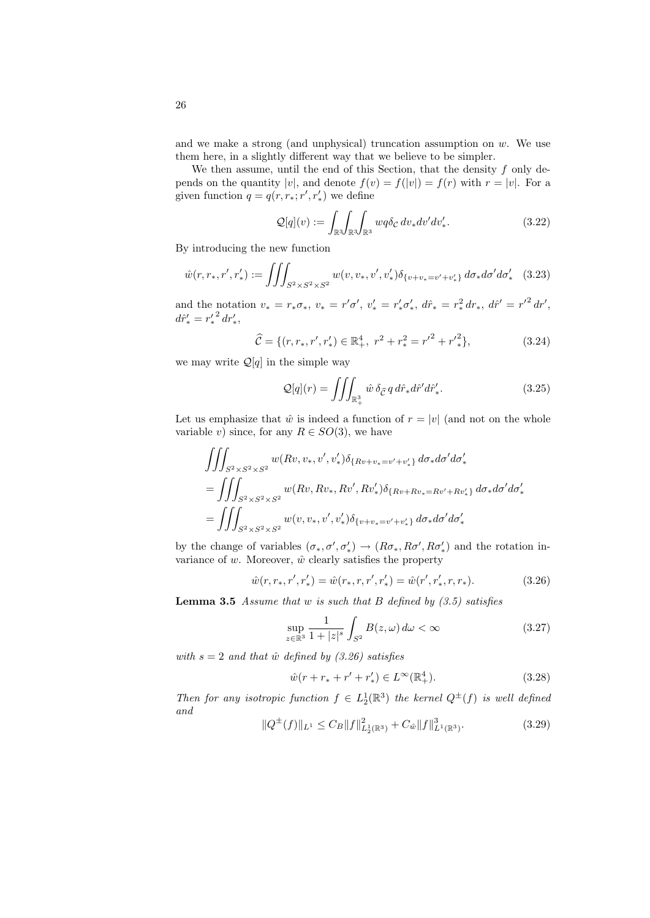and we make a strong (and unphysical) truncation assumption on  $w$ . We use them here, in a slightly different way that we believe to be simpler.

We then assume, until the end of this Section, that the density  $f$  only depends on the quantity |v|, and denote  $f(v) = f(|v|) = f(r)$  with  $r = |v|$ . For a given function  $q = q(r, r_*, r', r'_*)$  we define

$$
\mathcal{Q}[q](v) := \int_{\mathbb{R}^3} \int_{\mathbb{R}^3} w q \delta_{\mathcal{C}} \, dv_* dv' dv'_*.
$$
 (3.22)

By introducing the new function

$$
\hat{w}(r, r_*, r', r'_*) := \iiint_{S^2 \times S^2 \times S^2} w(v, v_*, v', v'_*) \delta_{\{v + v_* = v' + v'_* \}} d\sigma_* d\sigma' d\sigma'_* \quad (3.23)
$$

and the notation  $v_* = r_* \sigma_*, v_* = r' \sigma', v'_* = r'_* \sigma'_*, d\hat{r}_* = r_*^2 dr_*, d\hat{r}' = r'^2 dr',$  $d\hat{r}'_* = {r'_*}^2 dr'_*,$ 

$$
\widehat{\mathcal{C}} = \{ (r, r_*, r', r'_*) \in \mathbb{R}_+^4, r^2 + r_*^2 = r'^2 + r'^2_* \},\tag{3.24}
$$

we may write  $\mathcal{Q}[q]$  in the simple way

$$
\mathcal{Q}[q](r) = \iiint_{\mathbb{R}^3_+} \hat{w} \, \delta_{\widehat{\mathcal{C}}} q \, d\hat{r}_* d\hat{r}' d\hat{r}'_*. \tag{3.25}
$$

Let us emphasize that  $\hat{w}$  is indeed a function of  $r = |v|$  (and not on the whole variable v) since, for any  $R \in SO(3)$ , we have

$$
\iiint_{S^2 \times S^2 \times S^2} w(Rv, v_*, v', v'_*) \delta_{\{Rv + v_* = v' + v'_* \}} d\sigma_* d\sigma' d\sigma'_*
$$
  
= 
$$
\iiint_{S^2 \times S^2 \times S^2} w(Rv, Rv_*, Rv', Rv'_*) \delta_{\{Rv + Rv_* = Rv' + Rv'_* \}} d\sigma_* d\sigma' d\sigma'_*
$$
  
= 
$$
\iiint_{S^2 \times S^2 \times S^2} w(v, v_*, v', v'_*) \delta_{\{v + v_* = v' + v'_* \}} d\sigma_* d\sigma' d\sigma'_*
$$

by the change of variables  $(\sigma_*, \sigma', \sigma'_*) \to (R\sigma_*, R\sigma', R\sigma'_*)$  and the rotation invariance of w. Moreover,  $\hat{w}$  clearly satisfies the property

$$
\hat{w}(r, r_*, r', r'_*) = \hat{w}(r_*, r, r', r'_*) = \hat{w}(r', r'_*, r, r_*). \tag{3.26}
$$

**Lemma 3.5** Assume that w is such that B defined by  $(3.5)$  satisfies

$$
\sup_{z \in \mathbb{R}^3} \frac{1}{1+|z|^s} \int_{S^2} B(z,\omega) \, d\omega < \infty \tag{3.27}
$$

with  $s = 2$  and that  $\hat{w}$  defined by (3.26) satisfies

$$
\hat{w}(r + r_* + r' + r'_*) \in L^{\infty}(\mathbb{R}^4_+).
$$
\n(3.28)

Then for any isotropic function  $f \in L_2^1(\mathbb{R}^3)$  the kernel  $Q^{\pm}(f)$  is well defined and

$$
||Q^{\pm}(f)||_{L^{1}} \leq C_{B}||f||_{L_{2}^{1}(\mathbb{R}^{3})}^{2} + C_{\hat{w}}||f||_{L^{1}(\mathbb{R}^{3})}^{3}.
$$
\n(3.29)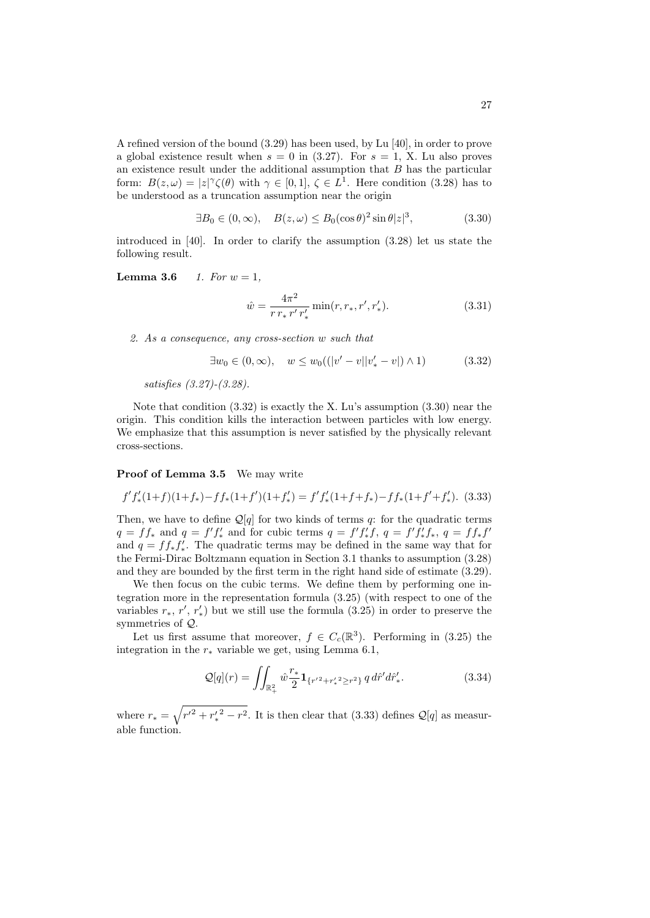A refined version of the bound (3.29) has been used, by Lu [40], in order to prove a global existence result when  $s = 0$  in (3.27). For  $s = 1$ , X. Lu also proves an existence result under the additional assumption that  $B$  has the particular form:  $B(z,\omega) = |z|^\gamma \zeta(\theta)$  with  $\gamma \in [0,1], \zeta \in L^1$ . Here condition (3.28) has to be understood as a truncation assumption near the origin

$$
\exists B_0 \in (0, \infty), \quad B(z, \omega) \le B_0(\cos \theta)^2 \sin \theta |z|^3,\tag{3.30}
$$

introduced in [40]. In order to clarify the assumption (3.28) let us state the following result.

**Lemma 3.6** 1. For  $w = 1$ ,

$$
\hat{w} = \frac{4\pi^2}{r r_* r' r'_*} \min(r, r_*, r', r'_*). \tag{3.31}
$$

2. As a consequence, any cross-section w such that

$$
\exists w_0 \in (0, \infty), \quad w \le w_0((|v' - v||v'_* - v|) \wedge 1) \tag{3.32}
$$

satisfies (3.27)-(3.28).

Note that condition  $(3.32)$  is exactly the X. Lu's assumption  $(3.30)$  near the origin. This condition kills the interaction between particles with low energy. We emphasize that this assumption is never satisfied by the physically relevant cross-sections.

#### Proof of Lemma 3.5 We may write

$$
f'f'_{*}(1+f)(1+f_{*})-ff_{*}(1+f')(1+f'_{*}) = f'f'_{*}(1+f+f_{*})-ff_{*}(1+f'+f'_{*}). \tag{3.33}
$$

Then, we have to define  $\mathcal{Q}[q]$  for two kinds of terms q: for the quadratic terms  $q = ff_*$  and  $q = f' f'_*$  and for cubic terms  $q = f' f'_* f$ ,  $q = f' f'_* f_*,$   $q = f f_* f'$ and  $q = ff_*f'_*.$  The quadratic terms may be defined in the same way that for the Fermi-Dirac Boltzmann equation in Section 3.1 thanks to assumption (3.28) and they are bounded by the first term in the right hand side of estimate (3.29).

We then focus on the cubic terms. We define them by performing one integration more in the representation formula (3.25) (with respect to one of the variables  $r_*, r', r'_*)$  but we still use the formula (3.25) in order to preserve the symmetries of Q.

Let us first assume that moreover,  $f \in C_c(\mathbb{R}^3)$ . Performing in (3.25) the integration in the  $r_*$  variable we get, using Lemma 6.1,

$$
\mathcal{Q}[q](r) = \iint_{\mathbb{R}^2_+} \hat{w} \frac{r_*}{2} \mathbf{1}_{\{r'^2 + r'_*^2 \ge r^2\}} q \, d\hat{r}' d\hat{r}'_*. \tag{3.34}
$$

where  $r_* = \sqrt{{r'}^2 + {r'_*}^2 - r^2}$ . It is then clear that (3.33) defines  $\mathcal{Q}[q]$  as measurable function.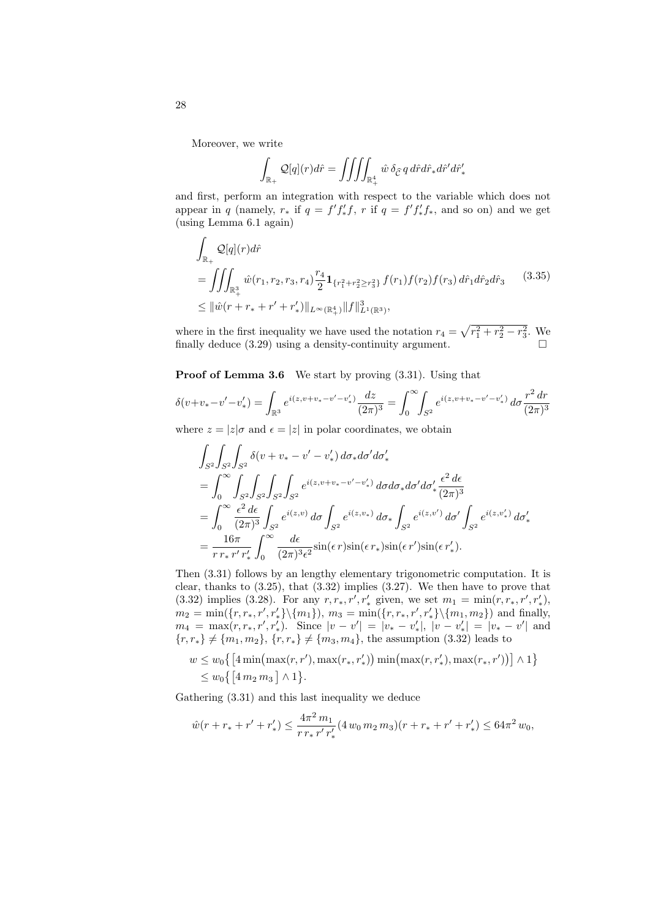Moreover, we write

$$
\int_{\mathbb{R}_+} \mathcal{Q}[q](r) d\hat{r} = \iiint_{\mathbb{R}_+^4} \hat{w} \, \delta_{\widehat{\mathcal{C}}} \, q \, d\hat{r} d\hat{r}_* d\hat{r}' d\hat{r}'_*
$$

and first, perform an integration with respect to the variable which does not appear in q (namely,  $r_*$  if  $q = f' f'_* f$ , r if  $q = f' f'_* f_*$ , and so on) and we get (using Lemma 6.1 again)

$$
\int_{\mathbb{R}_+} \mathcal{Q}[q](r) d\hat{r} \n= \iiint_{\mathbb{R}_+^3} \hat{w}(r_1, r_2, r_3, r_4) \frac{r_4}{2} \mathbf{1}_{\{r_1^2 + r_2^2 \ge r_3^2\}} f(r_1) f(r_2) f(r_3) d\hat{r}_1 d\hat{r}_2 d\hat{r}_3
$$
\n
$$
\leq \| \hat{w}(r + r_* + r' + r'_*) \|_{L^\infty(\mathbb{R}_+^4)} \| f \|_{L^1(\mathbb{R}^3)}^3,
$$
\n(3.35)

where in the first inequality we have used the notation  $r_4 = \sqrt{r_1^2 + r_2^2 - r_3^2}$ . We finally deduce  $(3.29)$  using a density-continuity argument.

Proof of Lemma 3.6 We start by proving  $(3.31)$ . Using that

$$
\delta(v+v_*-v'-v'_*) = \int_{\mathbb{R}^3} e^{i(z,v+v_*-v'-v'_*)} \frac{dz}{(2\pi)^3} = \int_0^\infty \int_{S^2} e^{i(z,v+v_*-v'-v'_*)} d\sigma \frac{r^2 dr}{(2\pi)^3}
$$

where  $z = |z|\sigma$  and  $\epsilon = |z|$  in polar coordinates, we obtain

$$
\int_{S^2} \int_{S^2} \int_{S^2} \delta(v + v_* - v' - v'_*) d\sigma_* d\sigma' d\sigma'_*
$$
\n
$$
= \int_0^\infty \int_{S^2} \int_{S^2} \int_{S^2} \int_{S^2} e^{i(z, v + v_* - v' - v'_*)} d\sigma d\sigma_* d\sigma' d\sigma'_* \frac{\epsilon^2 d\epsilon}{(2\pi)^3}
$$
\n
$$
= \int_0^\infty \frac{\epsilon^2 d\epsilon}{(2\pi)^3} \int_{S^2} e^{i(z, v)} d\sigma \int_{S^2} e^{i(z, v_*)} d\sigma_* \int_{S^2} e^{i(z, v')} d\sigma' \int_{S^2} e^{i(z, v'_*)} d\sigma'_*
$$
\n
$$
= \frac{16\pi}{r r_* r' r'_*} \int_0^\infty \frac{d\epsilon}{(2\pi)^3 \epsilon^2} \sin(\epsilon r) \sin(\epsilon r_*) \sin(\epsilon r') \sin(\epsilon r'_*).
$$

Then (3.31) follows by an lengthy elementary trigonometric computation. It is clear, thanks to (3.25), that (3.32) implies (3.27). We then have to prove that (3.32) implies (3.28). For any  $r, r_*, r', r'_*$  given, we set  $m_1 = \min(r, r_*, r', r'_*)$ ,  $m_2 = \min({r, r_*, r', r'_*} \setminus {m_1}), m_3 = \min({r, r_*, r', r'_*} \setminus {m_1, m_2})$  and finally,  $m_4 = \max(r, r_*, r', r'_*)$ . Since  $|v - v'| = |v_* - v'_*|, |v - v'_*| = |v_* - v'|$  and  ${r, r_* } \neq {m_1, m_2 }$ ,  ${r, r_* } \neq {m_3, m_4 }$ , the assumption  $(3.32)$  leads to

$$
w \le w_0 \{ \left[ 4\min\left( \max(r, r'), \max(r_*, r'_*) \right) \min\left( \max(r, r'_*), \max(r_*, r') \right) \right] \wedge 1 \} \\ \le w_0 \{ \left[ 4\,m_2\,m_3 \right] \wedge 1 \}.
$$

Gathering (3.31) and this last inequality we deduce

$$
\hat{w}(r + r_* + r' + r'_*) \le \frac{4\pi^2 m_1}{r r_* r' r'_*} (4 w_0 m_2 m_3)(r + r_* + r' + r'_*) \le 64\pi^2 w_0,
$$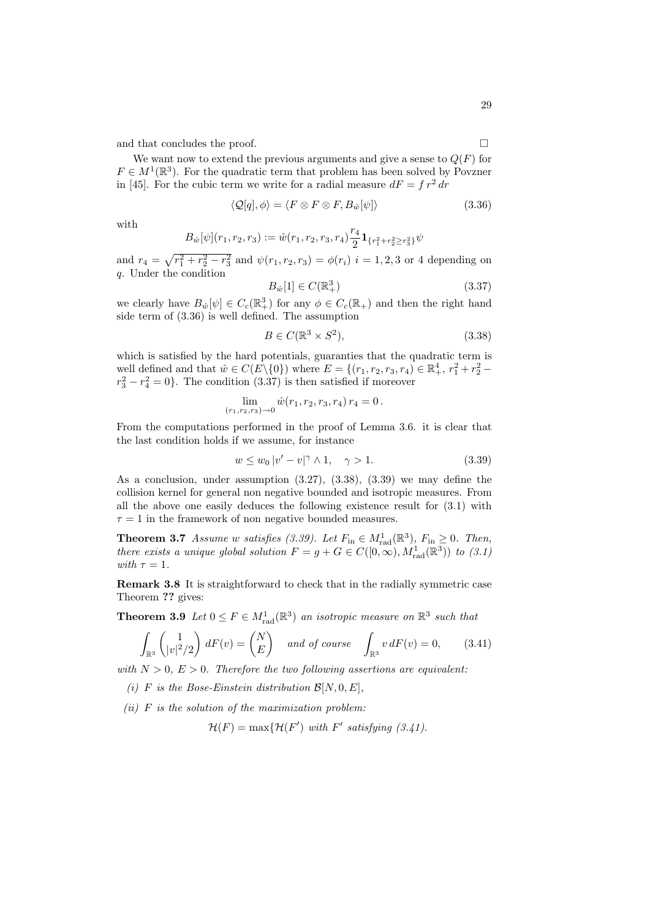and that concludes the proof.

We want now to extend the previous arguments and give a sense to  $Q(F)$  for  $F \in M^1(\mathbb{R}^3)$ . For the quadratic term that problem has been solved by Povzner in [45]. For the cubic term we write for a radial measure  $dF = f r^2 dr$ 

$$
\langle \mathcal{Q}[q], \phi \rangle = \langle F \otimes F \otimes F, B_{\hat{w}}[\psi] \rangle \tag{3.36}
$$

with

$$
B_{\hat{w}}[\psi](r_1,r_2,r_3):=\hat{w}(r_1,r_2,r_3,r_4)\frac{r_4}{2}\mathbf{1}_{\{r_1^2+r_2^2\geq r_3^2\}}\psi
$$

and  $r_4 = \sqrt{r_1^2 + r_2^2 - r_3^2}$  and  $\psi(r_1, r_2, r_3) = \phi(r_i)$   $i = 1, 2, 3$  or 4 depending on q. Under the condition

$$
B_{\hat{w}}[1] \in C(\mathbb{R}^3_+) \tag{3.37}
$$

we clearly have  $B_{\hat{w}}[\psi] \in C_c(\mathbb{R}^3_+)$  for any  $\phi \in C_c(\mathbb{R}_+)$  and then the right hand side term of (3.36) is well defined. The assumption

$$
B \in C(\mathbb{R}^3 \times S^2),\tag{3.38}
$$

which is satisfied by the hard potentials, guaranties that the quadratic term is well defined and that  $\hat{w} \in C(E \setminus \{0\})$  where  $E = \{(r_1, r_2, r_3, r_4) \in \mathbb{R}_+^4, r_1^2 + r_2^2$  $r_3^2 - r_4^2 = 0$ . The condition (3.37) is then satisfied if moreover

$$
\lim_{(r_1,r_2,r_3)\to 0} \hat{w}(r_1,r_2,r_3,r_4) r_4 = 0.
$$

From the computations performed in the proof of Lemma 3.6. it is clear that the last condition holds if we assume, for instance

$$
w \le w_0 |v'-v|^\gamma \wedge 1, \quad \gamma > 1. \tag{3.39}
$$

As a conclusion, under assumption (3.27), (3.38), (3.39) we may define the collision kernel for general non negative bounded and isotropic measures. From all the above one easily deduces the following existence result for (3.1) with  $\tau = 1$  in the framework of non negative bounded measures.

**Theorem 3.7** Assume w satisfies (3.39). Let  $F_{\text{in}} \in M_{\text{rad}}^1(\mathbb{R}^3)$ ,  $F_{\text{in}} \geq 0$ . Then, there exists a unique global solution  $F = g + G \in C([0,\infty), M_{\text{rad}}^1(\mathbb{R}^3))$  to  $(3.1)$ with  $\tau = 1$ .

Remark 3.8 It is straightforward to check that in the radially symmetric case Theorem ?? gives:

**Theorem 3.9** Let  $0 \leq F \in M_{rad}^1(\mathbb{R}^3)$  an isotropic measure on  $\mathbb{R}^3$  such that

$$
\int_{\mathbb{R}^3} \binom{1}{|v|^2/2} dF(v) = \binom{N}{E} \quad \text{and of course} \quad \int_{\mathbb{R}^3} v dF(v) = 0,\tag{3.41}
$$

with  $N > 0$ ,  $E > 0$ . Therefore the two following assertions are equivalent:

(i) F is the Bose-Einstein distribution  $\mathcal{B}[N,0,E]$ ,

 $(ii)$  F is the solution of the maximization problem:

 $\mathcal{H}(F) = \max \{ \mathcal{H}(F') \text{ with } F' \text{ satisfying } (3.41).$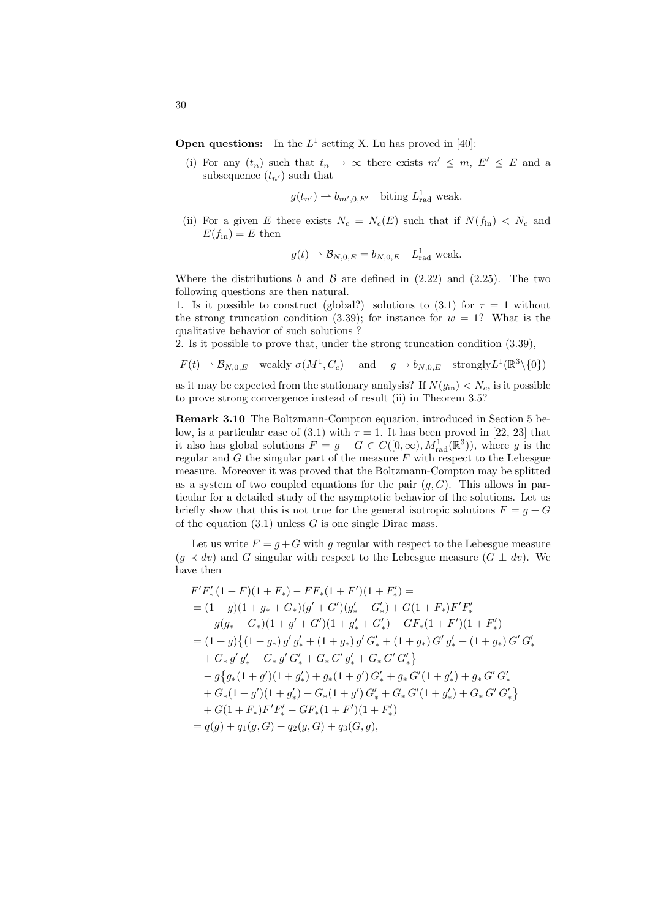**Open questions:** In the  $L^1$  setting X. Lu has proved in [40]:

(i) For any  $(t_n)$  such that  $t_n \to \infty$  there exists  $m' \leq m, E' \leq E$  and a subsequence  $(t_{n})$  such that

$$
g(t_{n'}) \to b_{m',0,E'}
$$
 biting  $L_{\text{rad}}^1$  weak.

(ii) For a given E there exists  $N_c = N_c(E)$  such that if  $N(f_{\text{in}}) < N_c$  and  $E(f_{\text{in}}) = E$  then

$$
g(t) \rightarrow \mathcal{B}_{N,0,E} = b_{N,0,E} L_{\text{rad}}^1
$$
 weak.

Where the distributions b and  $\beta$  are defined in (2.22) and (2.25). The two following questions are then natural.

1. Is it possible to construct (global?) solutions to (3.1) for  $\tau = 1$  without the strong truncation condition (3.39); for instance for  $w = 1$ ? What is the qualitative behavior of such solutions ?

2. Is it possible to prove that, under the strong truncation condition (3.39),

$$
F(t) \to \mathcal{B}_{N,0,E}
$$
 weakly  $\sigma(M^1, C_c)$  and  $g \to b_{N,0,E}$  strongly  $L^1(\mathbb{R}^3 \setminus \{0\})$ 

as it may be expected from the stationary analysis? If  $N(g_{\text{in}}) < N_c$ , is it possible to prove strong convergence instead of result (ii) in Theorem 3.5?

Remark 3.10 The Boltzmann-Compton equation, introduced in Section 5 below, is a particular case of (3.1) with  $\tau = 1$ . It has been proved in [22, 23] that it also has global solutions  $F = g + G \in C([0,\infty), M_{rad}^1(\mathbb{R}^3))$ , where g is the regular and  $G$  the singular part of the measure  $F$  with respect to the Lebesgue measure. Moreover it was proved that the Boltzmann-Compton may be splitted as a system of two coupled equations for the pair  $(g, G)$ . This allows in particular for a detailed study of the asymptotic behavior of the solutions. Let us briefly show that this is not true for the general isotropic solutions  $F = g + G$ of the equation  $(3.1)$  unless G is one single Dirac mass.

Let us write  $F = q + G$  with q regular with respect to the Lebesgue measure  $(g \prec dv)$  and G singular with respect to the Lebesgue measure  $(G \perp dv)$ . We have then

$$
F'F'_{*}(1 + F)(1 + F_{*}) - FF_{*}(1 + F')(1 + F'_{*}) =
$$
  
= (1 + g)(1 + g\_{\*} + G\_{\*})(g' + G')(g'\_{\*} + G'\_{\*}) + G(1 + F\_{\*})F'F'\_{\*}  
- g(g\_{\*} + G\_{\*})(1 + g' + G')(1 + g'\_{\*} + G'\_{\*}) - GF\_{\*}(1 + F')(1 + F'\_{\*})  
= (1 + g)\{(1 + g\_{\*}) g' g'\_{\*} + (1 + g\_{\*}) g' G'\_{\*} + (1 + g\_{\*}) G' g'\_{\*} + (1 + g\_{\*}) G' G'\_{\*}  
+ G\_{\*} g' g'\_{\*} + G\_{\*} g' G'\_{\*} + G\_{\*} G' g'\_{\*} + G\_{\*} G' G'\_{\*}\}  
- g\{g\_{\*}(1 + g')(1 + g'\_{\*}) + g\_{\*}(1 + g') G'\_{\*} + g\_{\*} G'(1 + g'\_{\*}) + g\_{\*} G' G'\_{\*}  
+ G\_{\*}(1 + g')(1 + g'\_{\*}) + G\_{\*}(1 + g') G'\_{\*} + G\_{\*} G'(1 + g'\_{\*}) + G\_{\*} G' G'\_{\*}\}  
+ G(1 + F\_{\*})F'F'\_{\*} - GF\_{\*}(1 + F')(1 + F'\_{\*})  
= q(g) + q\_{1}(g, G) + q\_{2}(g, G) + q\_{3}(G, g),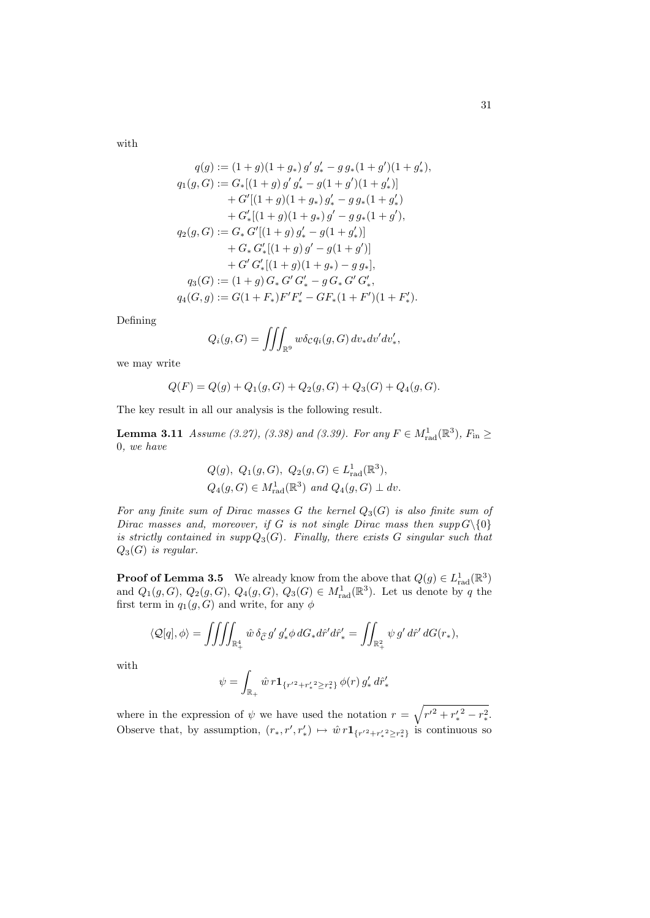with

$$
q(g) := (1+g)(1+g_*) g' g'_* - g g_*(1+g')(1+g'_*),
$$
  
\n
$$
q_1(g,G) := G_*[(1+g) g' g'_* - g(1+g')(1+g'_*)]
$$
  
\n
$$
+ G'[(1+g)(1+g_*) g'_* - g g_*(1+g'_*)
$$
  
\n
$$
+ G'_*[(1+g)(1+g_*) g' - g g_*(1+g'),
$$
  
\n
$$
q_2(g,G) := G_* G'[(1+g) g'_* - g(1+g'_*)]
$$
  
\n
$$
+ G_* G'_*[(1+g) g' - g(1+g')]
$$
  
\n
$$
+ G' G'_*[(1+g)(1+g_*) - g g_*],
$$
  
\n
$$
q_3(G) := (1+g) G_* G' G'_* - g G_* G' G'_*,
$$
  
\n
$$
q_4(G,g) := G(1+g_*) F' F'_* - G F_* (1+F')(1+F'_*).
$$

Defining

$$
Q_i(g, G) = \iiint_{\mathbb{R}^9} w \delta_C q_i(g, G) dv_* dv' dv'_*,
$$

we may write

$$
Q(F) = Q(g) + Q_1(g, G) + Q_2(g, G) + Q_3(G) + Q_4(g, G).
$$

The key result in all our analysis is the following result.

**Lemma 3.11** Assume (3.27), (3.38) and (3.39). For any  $F \in M_{rad}^1(\mathbb{R}^3)$ ,  $F_{\text{in}} \geq$ 0, we have

$$
Q(g), Q_1(g, G), Q_2(g, G) \in L^1_{\text{rad}}(\mathbb{R}^3),
$$
  

$$
Q_4(g, G) \in M^1_{\text{rad}}(\mathbb{R}^3) \text{ and } Q_4(g, G) \perp dv.
$$

For any finite sum of Dirac masses G the kernel  $Q_3(G)$  is also finite sum of Dirac masses and, moreover, if G is not single Dirac mass then  $supp G \setminus \{0\}$ is strictly contained in supp  $Q_3(G)$ . Finally, there exists G singular such that  $Q_3(G)$  is regular.

**Proof of Lemma 3.5** We already know from the above that  $Q(g) \in L^1_{rad}(\mathbb{R}^3)$ and  $Q_1(g, G)$ ,  $Q_2(g, G)$ ,  $Q_4(g, G)$ ,  $Q_3(G) \in M_{rad}^1(\mathbb{R}^3)$ . Let us denote by q the first term in  $q_1(g, G)$  and write, for any  $\phi$ 

$$
\langle \mathcal{Q}[q], \phi \rangle = \iiint_{\mathbb{R}^4_+} \hat{w} \, \delta_{\widehat{\mathcal{C}}} g' \, g'_* \phi \, dG_* d\hat{r}' d\hat{r}'_* = \iint_{\mathbb{R}^2_+} \psi \, g' \, d\hat{r}' \, dG(r_*),
$$

with

$$
\psi = \int_{\mathbb{R}_+} \hat{w} \, r \mathbf{1}_{\{r'^2 + r'_*^2 \ge r_*^2\}} \, \phi(r) \, g'_* \, d\hat{r}'_*
$$

where in the expression of  $\psi$  we have used the notation  $r = \sqrt{{r'}^2 + {r'_*}^2 - r_*^2}$ . Observe that, by assumption,  $(r_*, r', r'_*) \mapsto \hat{w} r \mathbf{1}_{\{r'^2+r'_*^2\geq r_*^2\}}$  is continuous so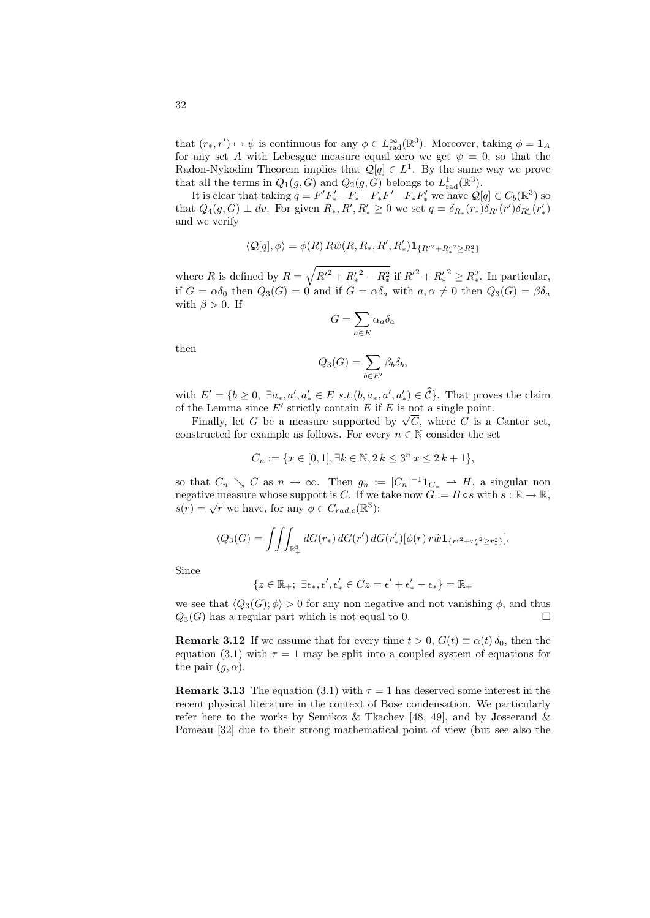that  $(r_*, r') \mapsto \psi$  is continuous for any  $\phi \in L_{\text{rad}}^{\infty}(\mathbb{R}^3)$ . Moreover, taking  $\phi = \mathbf{1}_A$ for any set A with Lebesgue measure equal zero we get  $\psi = 0$ , so that the Radon-Nykodim Theorem implies that  $\mathcal{Q}[q] \in L^1$ . By the same way we prove that all the terms in  $Q_1(g, G)$  and  $Q_2(g, G)$  belongs to  $L^1_{rad}(\mathbb{R}^3)$ .

It is clear that taking  $q = F'F'_{*} - F_{*}F' - F_{*}F'_{*}$  we have  $\mathcal{Q}[q] \in C_b(\mathbb{R}^3)$  so that  $Q_4(g, G) \perp dv$ . For given  $R_*, R', R'_* \geq 0$  we set  $q = \delta_{R_*}(r_*)\delta_{R'}(r')\delta_{R'_*}(r'_*)$ and we verify

$$
\langle \mathcal{Q}[q], \phi \rangle = \phi(R) \, R \hat{w}(R, R_*, R', R'_*) \mathbf{1}_{\{R'^2 + R'_*{}^2 \geq R_*^2\}}
$$

where R is defined by  $R = \sqrt{R'^2 + {R'_*}^2 - R_*^2}$  if  ${R'}^2 + {R'_*}^2 \ge R_*^2$ . In particular, if  $G = \alpha \delta_0$  then  $Q_3(G) = 0$  and if  $G = \alpha \delta_a$  with  $a, \alpha \neq 0$  then  $Q_3(G) = \beta \delta_a$ with  $\beta > 0$ . If

$$
G=\sum_{a\in E}\alpha_a\delta_a
$$

then

$$
Q_3(G) = \sum_{b \in E'} \beta_b \delta_b,
$$

with  $E' = \{b \geq 0, \exists a_*, a', a'_* \in E \text{ s.t.} (b, a_*, a', a'_*) \in \widehat{C} \}.$  That proves the claim of the Lemma since  $E'$  strictly contain  $E$  if  $E$  is not a single point.

ne Lemma since E strictly contain E if E is not a single point.<br>Finally, let G be a measure supported by  $\sqrt{C}$ , where C is a Cantor set, constructed for example as follows. For every  $n \in \mathbb{N}$  consider the set

$$
C_n := \{ x \in [0,1], \exists k \in \mathbb{N}, 2k \le 3^n \, x \le 2k + 1 \},\
$$

so that  $C_n \searrow C$  as  $n \to \infty$ . Then  $g_n := |C_n|^{-1} \mathbf{1}_{C_n} \to H$ , a singular non negative measure whose support is C. If we take now  $G := H \circ s$  with  $s : \mathbb{R} \to \mathbb{R}$ , s(r) =  $\sqrt{r}$  we have, for any  $\phi \in C_{rad,c}(\mathbb{R}^3)$ :

$$
\langle Q_3(G) = \iiint_{\mathbb{R}^3_+} dG(r_*) dG(r') dG(r'_*) [\phi(r) r \hat{w} \mathbf{1}_{\{r'^2 + r'_*^2 \ge r_*^2\}}].
$$

Since

$$
\{z\in\mathbb{R}_+;~\exists \epsilon_*,\epsilon',\epsilon'_*\in Cz=\epsilon'+\epsilon'_*-\epsilon_*\}=\mathbb{R}_+
$$

we see that  $\langle Q_3(G); \phi \rangle > 0$  for any non negative and not vanishing  $\phi$ , and thus  $Q_3(G)$  has a regular part which is not equal to 0.

**Remark 3.12** If we assume that for every time  $t > 0$ ,  $G(t) \equiv \alpha(t) \delta_0$ , then the equation (3.1) with  $\tau = 1$  may be split into a coupled system of equations for the pair  $(g, \alpha)$ .

**Remark 3.13** The equation (3.1) with  $\tau = 1$  has deserved some interest in the recent physical literature in the context of Bose condensation. We particularly refer here to the works by Semikoz & Tkachev [48, 49], and by Josserand & Pomeau [32] due to their strong mathematical point of view (but see also the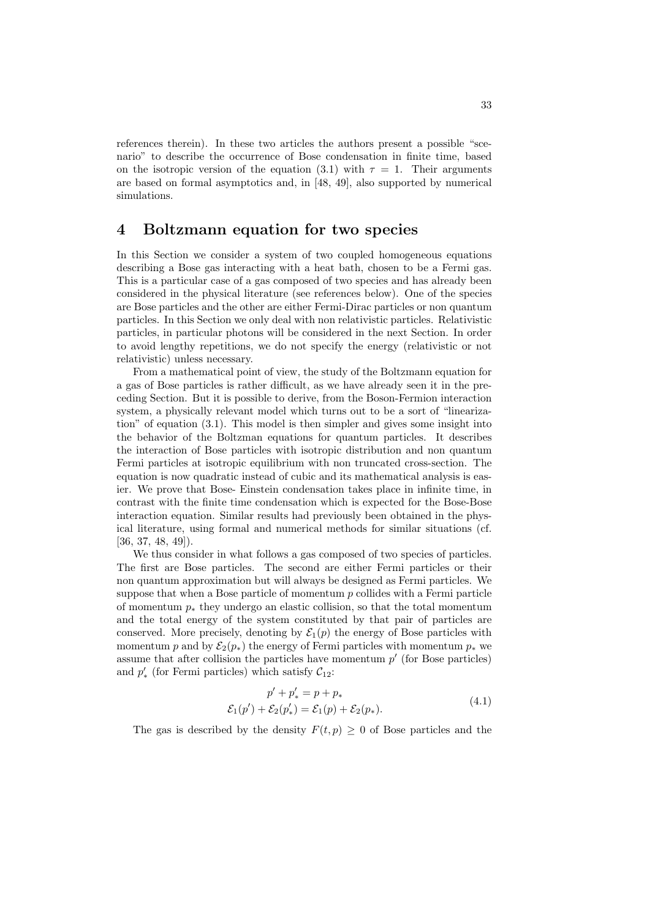references therein). In these two articles the authors present a possible "scenario" to describe the occurrence of Bose condensation in finite time, based on the isotropic version of the equation (3.1) with  $\tau = 1$ . Their arguments are based on formal asymptotics and, in [48, 49], also supported by numerical simulations.

# 4 Boltzmann equation for two species

In this Section we consider a system of two coupled homogeneous equations describing a Bose gas interacting with a heat bath, chosen to be a Fermi gas. This is a particular case of a gas composed of two species and has already been considered in the physical literature (see references below). One of the species are Bose particles and the other are either Fermi-Dirac particles or non quantum particles. In this Section we only deal with non relativistic particles. Relativistic particles, in particular photons will be considered in the next Section. In order to avoid lengthy repetitions, we do not specify the energy (relativistic or not relativistic) unless necessary.

From a mathematical point of view, the study of the Boltzmann equation for a gas of Bose particles is rather difficult, as we have already seen it in the preceding Section. But it is possible to derive, from the Boson-Fermion interaction system, a physically relevant model which turns out to be a sort of "linearization" of equation (3.1). This model is then simpler and gives some insight into the behavior of the Boltzman equations for quantum particles. It describes the interaction of Bose particles with isotropic distribution and non quantum Fermi particles at isotropic equilibrium with non truncated cross-section. The equation is now quadratic instead of cubic and its mathematical analysis is easier. We prove that Bose- Einstein condensation takes place in infinite time, in contrast with the finite time condensation which is expected for the Bose-Bose interaction equation. Similar results had previously been obtained in the physical literature, using formal and numerical methods for similar situations (cf. [36, 37, 48, 49]).

We thus consider in what follows a gas composed of two species of particles. The first are Bose particles. The second are either Fermi particles or their non quantum approximation but will always be designed as Fermi particles. We suppose that when a Bose particle of momentum  $p$  collides with a Fermi particle of momentum p<sup>∗</sup> they undergo an elastic collision, so that the total momentum and the total energy of the system constituted by that pair of particles are conserved. More precisely, denoting by  $\mathcal{E}_1(p)$  the energy of Bose particles with momentum p and by  $\mathcal{E}_2(p_*)$  the energy of Fermi particles with momentum  $p_*$  we assume that after collision the particles have momentum  $p'$  (for Bose particles) and  $p'_{*}$  (for Fermi particles) which satisfy  $C_{12}$ :

$$
p' + p'_{*} = p + p_{*}
$$
  
\n
$$
\mathcal{E}_{1}(p') + \mathcal{E}_{2}(p'_{*}) = \mathcal{E}_{1}(p) + \mathcal{E}_{2}(p_{*}).
$$
\n(4.1)

The gas is described by the density  $F(t, p) \geq 0$  of Bose particles and the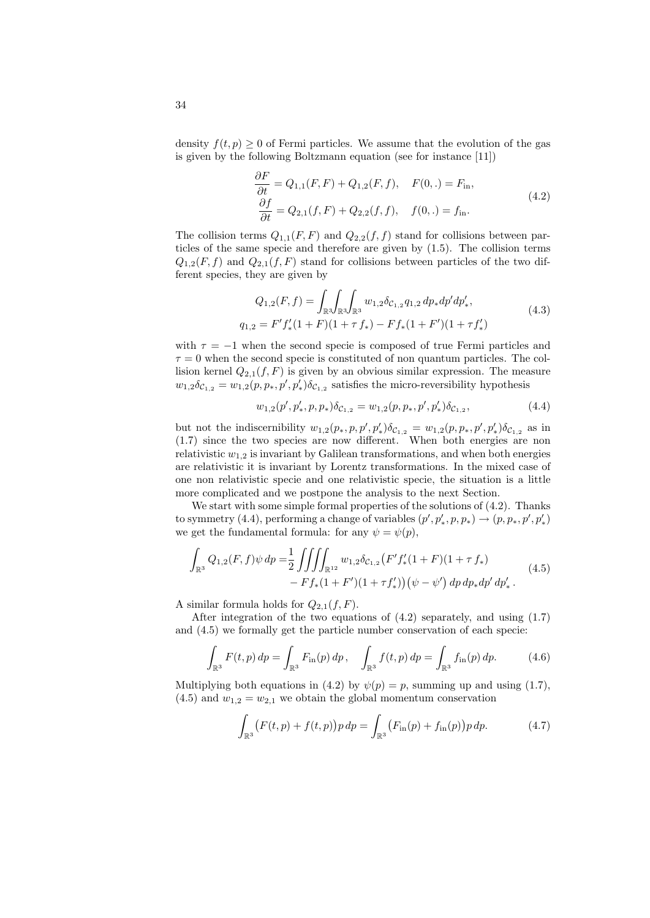density  $f(t, p) \geq 0$  of Fermi particles. We assume that the evolution of the gas is given by the following Boltzmann equation (see for instance [11])

$$
\frac{\partial F}{\partial t} = Q_{1,1}(F, F) + Q_{1,2}(F, f), \quad F(0,.) = F_{\text{in}},
$$
  
\n
$$
\frac{\partial f}{\partial t} = Q_{2,1}(f, F) + Q_{2,2}(f, f), \quad f(0,.) = f_{\text{in}}.
$$
\n(4.2)

The collision terms  $Q_{1,1}(F, F)$  and  $Q_{2,2}(f, f)$  stand for collisions between particles of the same specie and therefore are given by (1.5). The collision terms  $Q_{1,2}(F, f)$  and  $Q_{2,1}(f, F)$  stand for collisions between particles of the two different species, they are given by

$$
Q_{1,2}(F,f) = \int_{\mathbb{R}^3} \int_{\mathbb{R}^3} w_{1,2} \delta_{\mathcal{C}_{1,2}} q_{1,2} dp_* dp' dp'_*,
$$
  
\n
$$
q_{1,2} = F' f'_*(1+F)(1+\tau f_*) - F f_*(1+F')(1+\tau f'_*)
$$
\n(4.3)

with  $\tau = -1$  when the second specie is composed of true Fermi particles and  $\tau = 0$  when the second specie is constituted of non quantum particles. The collision kernel  $Q_{2,1}(f, F)$  is given by an obvious similar expression. The measure  $w_{1,2}\delta_{\mathcal{C}_{1,2}} = w_{1,2}(p,p_*,p',p'_*)\delta_{\mathcal{C}_{1,2}}$  satisfies the micro-reversibility hypothesis

$$
w_{1,2}(p',p'_*,p,p_*)\delta_{\mathcal{C}_{1,2}} = w_{1,2}(p,p_*,p',p'_*)\delta_{\mathcal{C}_{1,2}},\tag{4.4}
$$

but not the indiscernibility  $w_{1,2}(p_*,p,p',p'_*)\delta_{\mathcal{C}_{1,2}} = w_{1,2}(p,p_*,p',p'_*)\delta_{\mathcal{C}_{1,2}}$  as in (1.7) since the two species are now different. When both energies are non relativistic  $w_{1,2}$  is invariant by Galilean transformations, and when both energies are relativistic it is invariant by Lorentz transformations. In the mixed case of one non relativistic specie and one relativistic specie, the situation is a little more complicated and we postpone the analysis to the next Section.

We start with some simple formal properties of the solutions of  $(4.2)$ . Thanks to symmetry (4.4), performing a change of variables  $(p', p'_*, p, p_*) \rightarrow (p, p_*, p', p'_*)$ we get the fundamental formula: for any  $\psi = \psi(p)$ ,

$$
\int_{\mathbb{R}^3} Q_{1,2}(F,f)\psi \, dp = \frac{1}{2} \iiint_{\mathbb{R}^{12}} w_{1,2} \delta_{\mathcal{C}_{1,2}}(F'f'_{*}(1+F)(1+\tau f_{*}) - Ff_{*}(1+F')(1+\tau f'_{*}))(\psi - \psi') \, dp \, dp_{*} dp' \, dp'_{*}.
$$
\n(4.5)

A similar formula holds for  $Q_{2,1}(f, F)$ .

After integration of the two equations of (4.2) separately, and using (1.7) and (4.5) we formally get the particle number conservation of each specie:

$$
\int_{\mathbb{R}^3} F(t, p) \, dp = \int_{\mathbb{R}^3} F_{\text{in}}(p) \, dp \, , \quad \int_{\mathbb{R}^3} f(t, p) \, dp = \int_{\mathbb{R}^3} f_{\text{in}}(p) \, dp. \tag{4.6}
$$

Multiplying both equations in (4.2) by  $\psi(p) = p$ , summing up and using (1.7),  $(4.5)$  and  $w_{1,2} = w_{2,1}$  we obtain the global momentum conservation

$$
\int_{\mathbb{R}^3} (F(t, p) + f(t, p)) p \, dp = \int_{\mathbb{R}^3} (F_{\text{in}}(p) + f_{\text{in}}(p)) p \, dp. \tag{4.7}
$$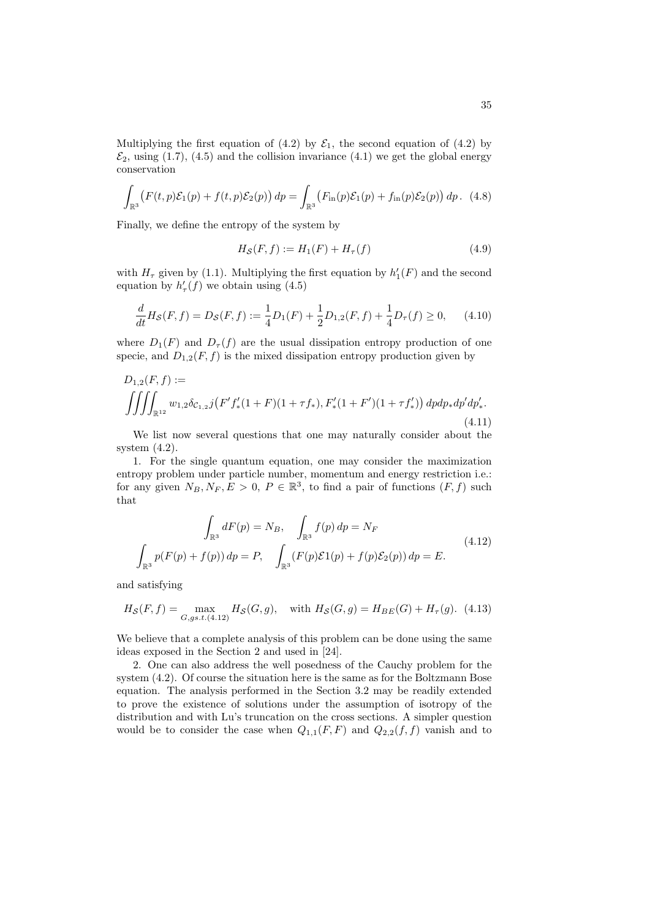Multiplying the first equation of (4.2) by  $\mathcal{E}_1$ , the second equation of (4.2) by  $\mathcal{E}_2$ , using (1.7), (4.5) and the collision invariance (4.1) we get the global energy conservation

$$
\int_{\mathbb{R}^3} \left( F(t, p)\mathcal{E}_1(p) + f(t, p)\mathcal{E}_2(p) \right) dp = \int_{\mathbb{R}^3} \left( F_{\text{in}}(p)\mathcal{E}_1(p) + f_{\text{in}}(p)\mathcal{E}_2(p) \right) dp. \tag{4.8}
$$

Finally, we define the entropy of the system by

$$
H_{\mathcal{S}}(F, f) := H_1(F) + H_{\tau}(f)
$$
\n(4.9)

with  $H_{\tau}$  given by (1.1). Multiplying the first equation by  $h'_1(F)$  and the second equation by  $h'_{\tau}(f)$  we obtain using (4.5)

$$
\frac{d}{dt}H_{\mathcal{S}}(F,f) = D_{\mathcal{S}}(F,f) := \frac{1}{4}D_1(F) + \frac{1}{2}D_{1,2}(F,f) + \frac{1}{4}D_{\tau}(f) \ge 0,\tag{4.10}
$$

where  $D_1(F)$  and  $D_{\tau}(f)$  are the usual dissipation entropy production of one specie, and  $D_{1,2}(F, f)$  is the mixed dissipation entropy production given by

$$
D_{1,2}(F,f) := \int \int \int \int_{\mathbb{R}^{12}} w_{1,2} \delta_{\mathcal{C}_{1,2}} j\big(F'f'_{*}(1+F)(1+\tau f_{*}), F'_{*}(1+F')(1+\tau f'_{*})\big) dp dp_{*} dp' dp'_{*}.
$$
\n(4.11)

We list now several questions that one may naturally consider about the system (4.2).

1. For the single quantum equation, one may consider the maximization entropy problem under particle number, momentum and energy restriction i.e.: for any given  $N_B, N_F, E > 0, P \in \mathbb{R}^3$ , to find a pair of functions  $(F, f)$  such that

$$
\int_{\mathbb{R}^3} dF(p) = N_B, \quad \int_{\mathbb{R}^3} f(p) \, dp = N_F
$$
\n
$$
\int_{\mathbb{R}^3} p(F(p) + f(p)) \, dp = P, \quad \int_{\mathbb{R}^3} (F(p)\mathcal{E}1(p) + f(p)\mathcal{E}_2(p)) \, dp = E.
$$
\n(4.12)

and satisfying

$$
H_{\mathcal{S}}(F, f) = \max_{G, g s.t. (4.12)} H_{\mathcal{S}}(G, g), \text{ with } H_{\mathcal{S}}(G, g) = H_{BE}(G) + H_{\tau}(g). \tag{4.13}
$$

We believe that a complete analysis of this problem can be done using the same ideas exposed in the Section 2 and used in [24].

2. One can also address the well posedness of the Cauchy problem for the system (4.2). Of course the situation here is the same as for the Boltzmann Bose equation. The analysis performed in the Section 3.2 may be readily extended to prove the existence of solutions under the assumption of isotropy of the distribution and with Lu's truncation on the cross sections. A simpler question would be to consider the case when  $Q_{1,1}(F, F)$  and  $Q_{2,2}(f, f)$  vanish and to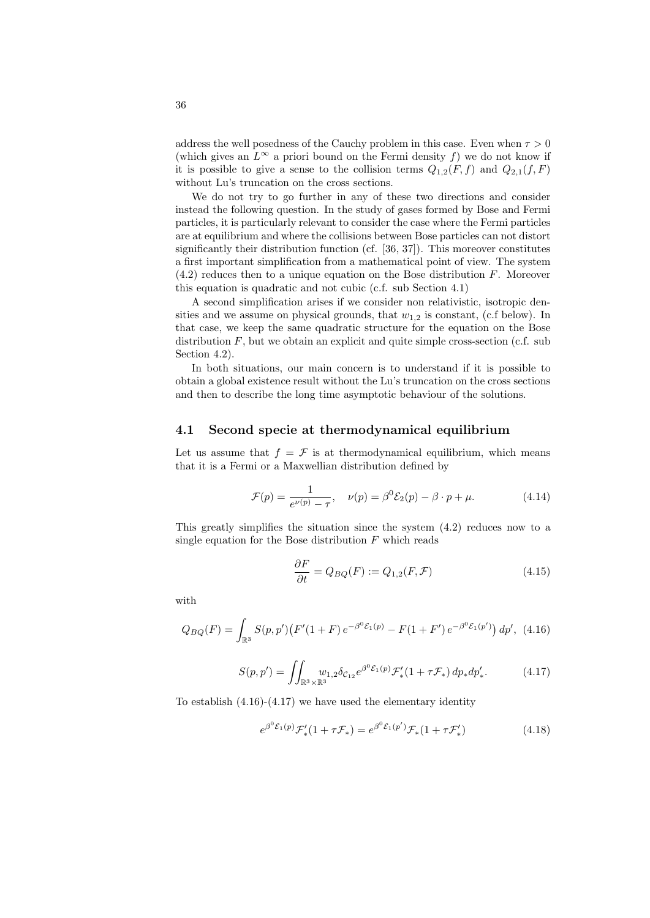address the well posedness of the Cauchy problem in this case. Even when  $\tau > 0$ (which gives an  $L^{\infty}$  a priori bound on the Fermi density f) we do not know if it is possible to give a sense to the collision terms  $Q_{1,2}(F, f)$  and  $Q_{2,1}(f, F)$ without Lu's truncation on the cross sections.

We do not try to go further in any of these two directions and consider instead the following question. In the study of gases formed by Bose and Fermi particles, it is particularly relevant to consider the case where the Fermi particles are at equilibrium and where the collisions between Bose particles can not distort significantly their distribution function (cf. [36, 37]). This moreover constitutes a first important simplification from a mathematical point of view. The system  $(4.2)$  reduces then to a unique equation on the Bose distribution F. Moreover this equation is quadratic and not cubic (c.f. sub Section 4.1)

A second simplification arises if we consider non relativistic, isotropic densities and we assume on physical grounds, that  $w_{1,2}$  is constant, (c.f below). In that case, we keep the same quadratic structure for the equation on the Bose distribution  $F$ , but we obtain an explicit and quite simple cross-section (c.f. sub Section 4.2).

In both situations, our main concern is to understand if it is possible to obtain a global existence result without the Lu's truncation on the cross sections and then to describe the long time asymptotic behaviour of the solutions.

### 4.1 Second specie at thermodynamical equilibrium

Let us assume that  $f = \mathcal{F}$  is at thermodynamical equilibrium, which means that it is a Fermi or a Maxwellian distribution defined by

$$
\mathcal{F}(p) = \frac{1}{e^{\nu(p)} - \tau}, \quad \nu(p) = \beta^0 \mathcal{E}_2(p) - \beta \cdot p + \mu. \tag{4.14}
$$

This greatly simplifies the situation since the system (4.2) reduces now to a single equation for the Bose distribution  $F$  which reads

$$
\frac{\partial F}{\partial t} = Q_{BQ}(F) := Q_{1,2}(F, \mathcal{F}) \tag{4.15}
$$

with

$$
Q_{BQ}(F) = \int_{\mathbb{R}^3} S(p, p') \big( F'(1 + F) e^{-\beta^0 \mathcal{E}_1(p)} - F(1 + F') e^{-\beta^0 \mathcal{E}_1(p')} \big) dp', \tag{4.16}
$$

$$
S(p, p') = \iint_{\mathbb{R}^3 \times \mathbb{R}^3} w_{1,2} \delta_{\mathcal{C}_{12}} e^{\beta^0 \mathcal{E}_1(p)} \mathcal{F}'_*(1 + \tau \mathcal{F}_*) \, dp_* dp'_*.
$$
 (4.17)

To establish  $(4.16)-(4.17)$  we have used the elementary identity

$$
e^{\beta^{0}\mathcal{E}_{1}(p)}\mathcal{F}'_{*}(1+\tau\mathcal{F}_{*}) = e^{\beta^{0}\mathcal{E}_{1}(p')}\mathcal{F}_{*}(1+\tau\mathcal{F}'_{*})
$$
(4.18)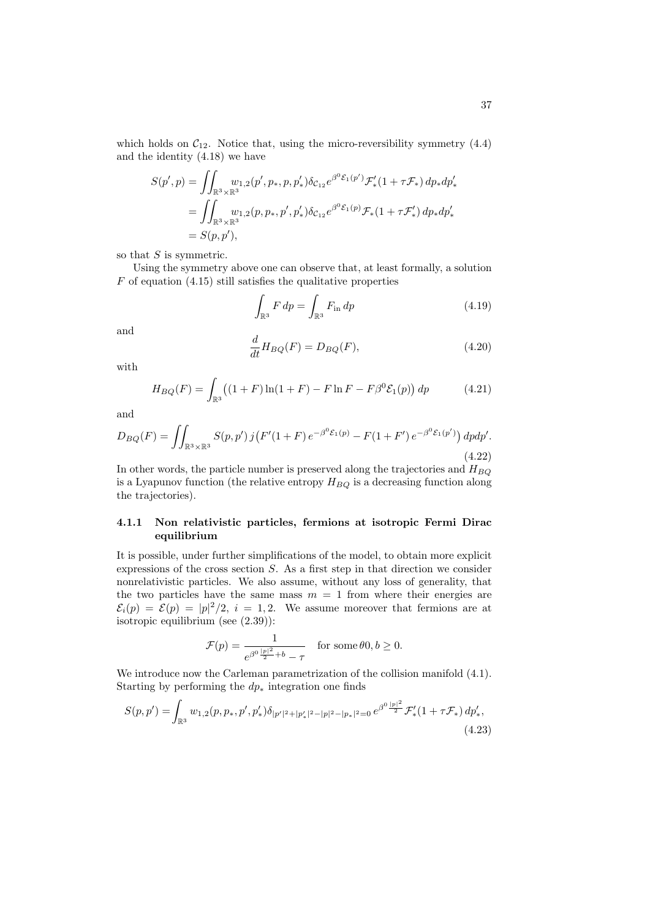which holds on  $C_{12}$ . Notice that, using the micro-reversibility symmetry (4.4) and the identity (4.18) we have

$$
S(p', p) = \iint_{\mathbb{R}^3 \times \mathbb{R}^3} w_{1,2}(p', p_*, p, p'_*) \delta_{\mathcal{C}_{12}} e^{\beta^0 \mathcal{E}_1(p')} \mathcal{F}'_*(1 + \tau \mathcal{F}_*) dp_* dp'_*
$$
  
= 
$$
\iint_{\mathbb{R}^3 \times \mathbb{R}^3} w_{1,2}(p, p_*, p', p'_*) \delta_{\mathcal{C}_{12}} e^{\beta^0 \mathcal{E}_1(p)} \mathcal{F}_*(1 + \tau \mathcal{F}'_*) dp_* dp'_*
$$
  
= 
$$
S(p, p'),
$$

so that  $S$  is symmetric.

Using the symmetry above one can observe that, at least formally, a solution  $F$  of equation (4.15) still satisfies the qualitative properties

$$
\int_{\mathbb{R}^3} F \, dp = \int_{\mathbb{R}^3} F_{\text{in}} \, dp \tag{4.19}
$$

and

$$
\frac{d}{dt}H_{BQ}(F) = D_{BQ}(F),\tag{4.20}
$$

with

$$
H_{BQ}(F) = \int_{\mathbb{R}^3} \left( (1+F)\ln(1+F) - F\ln F - F\beta^0 \mathcal{E}_1(p) \right) dp \tag{4.21}
$$

and

$$
D_{BQ}(F) = \iint_{\mathbb{R}^3 \times \mathbb{R}^3} S(p, p') \, j \big( F'(1+F) \, e^{-\beta^0 \mathcal{E}_1(p)} - F(1+F') \, e^{-\beta^0 \mathcal{E}_1(p')}\big) \, dp dp'.
$$
\n(4.22)

In other words, the particle number is preserved along the trajectories and  $H_{BQ}$ is a Lyapunov function (the relative entropy  $H_{BQ}$  is a decreasing function along the trajectories).

### 4.1.1 Non relativistic particles, fermions at isotropic Fermi Dirac equilibrium

It is possible, under further simplifications of the model, to obtain more explicit expressions of the cross section S. As a first step in that direction we consider nonrelativistic particles. We also assume, without any loss of generality, that the two particles have the same mass  $m = 1$  from where their energies are  $\mathcal{E}_i(p) = \mathcal{E}(p) = |p|^2/2$ ,  $i = 1, 2$ . We assume moreover that fermions are at isotropic equilibrium (see (2.39)):

$$
\mathcal{F}(p) = \frac{1}{e^{\beta^0 \frac{|p|^2}{2} + b} - \tau} \quad \text{for some } \theta 0, b \ge 0.
$$

We introduce now the Carleman parametrization of the collision manifold (4.1). Starting by performing the  $dp_*$  integration one finds

$$
S(p, p') = \int_{\mathbb{R}^3} w_{1,2}(p, p_*, p', p'_*) \delta_{|p'|^2 + |p'_*|^2 - |p|^2 - |p_*|^2 = 0} e^{\beta^0 \frac{|p|^2}{2}} \mathcal{F}'_*(1 + \tau \mathcal{F}_*) dp'_*,
$$
\n(4.23)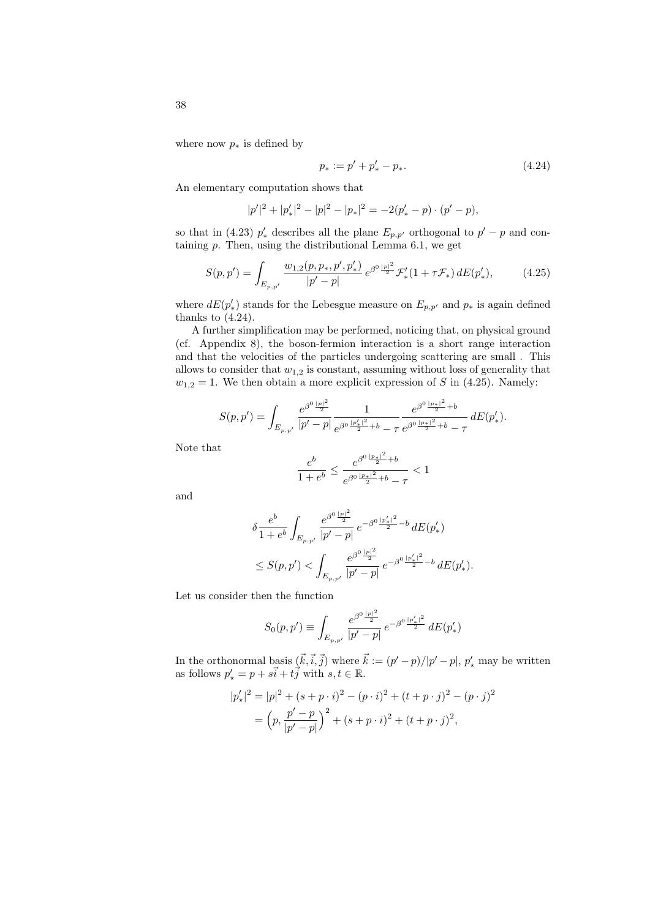where now  $p_*$  is defined by

$$
p_* := p' + p'_* - p_*.
$$
\n(4.24)

An elementary computation shows that

$$
|p'|^2 + |p'_*|^2 - |p|^2 - |p_*|^2 = -2(p'_* - p) \cdot (p' - p),
$$

so that in (4.23)  $p'_{*}$  describes all the plane  $E_{p,p'}$  orthogonal to  $p'-p$  and containing  $p$ . Then, using the distributional Lemma 6.1, we get

$$
S(p, p') = \int_{E_{p, p'}} \frac{w_{1, 2}(p, p_*, p', p'_*)}{|p' - p|} e^{\beta^0 \frac{|p|^2}{2}} \mathcal{F}'_*(1 + \tau \mathcal{F}_*) dE(p'_*), \tag{4.25}
$$

where  $dE(p'_{*})$  stands for the Lebesgue measure on  $E_{p,p'}$  and  $p_{*}$  is again defined thanks to  $(4.24)$ .

A further simplification may be performed, noticing that, on physical ground (cf. Appendix 8), the boson-fermion interaction is a short range interaction and that the velocities of the particles undergoing scattering are small . This allows to consider that  $w_{1,2}$  is constant, assuming without loss of generality that  $w_{1,2} = 1$ . We then obtain a more explicit expression of S in (4.25). Namely:

$$
S(p, p') = \int_{E_{p, p'}} \frac{e^{\beta^0 \frac{|p|^2}{2}}}{|p' - p|} \frac{1}{e^{\beta^0 \frac{|p'_*|^2}{2} + b} - \tau} \frac{e^{\beta^0 \frac{|p_*|^2}{2} + b}}{e^{\beta^0 \frac{|p_*|^2}{2} + b} - \tau} dE(p'_*).
$$

Note that

$$
\frac{e^b}{1+e^b} \leq \frac{e^{\beta^0 \frac{|p_*|^2}{2}+b}}{e^{\beta^0 \frac{|p_*|^2}{2}+b}-\tau} < 1
$$

and

$$
\begin{aligned} &\delta \frac{e^b}{1+e^b} \int_{E_{p,p'}} \frac{e^{\beta^0 \frac{|p|^2}{2}}}{|p'-p|}\, e^{-\beta^0 \frac{|p'_*|^2}{2}-b}\, dE(p'_*)\\ &\leq S(p,p')< \int_{E_{p,p'}} \frac{e^{\beta^0 \frac{|p|^2}{2}}}{|p'-p|}\, e^{-\beta^0 \frac{|p'_*|^2}{2}-b}\, dE(p'_*). \end{aligned}
$$

Let us consider then the function

$$
S_0(p, p') \equiv \int_{E_{p, p'}} \frac{e^{\beta^0 \frac{|p|^2}{2}}}{|p' - p|} e^{-\beta^0 \frac{|p'_*|^2}{2}} dE(p'_*)
$$

In the orthonormal basis  $(\vec{k}, \vec{i}, \vec{j})$  where  $\vec{k} := (p' - p)/|p' - p|$ ,  $p'_{\star}$  may be written as follows  $p'_{\star} = p + s\vec{i} + t\vec{j}$  with  $s, t \in \mathbb{R}$ .

$$
|p'_\star|^2 = |p|^2 + (s + p \cdot i)^2 - (p \cdot i)^2 + (t + p \cdot j)^2 - (p \cdot j)^2
$$
  
= 
$$
\left(p, \frac{p' - p}{|p' - p|}\right)^2 + (s + p \cdot i)^2 + (t + p \cdot j)^2,
$$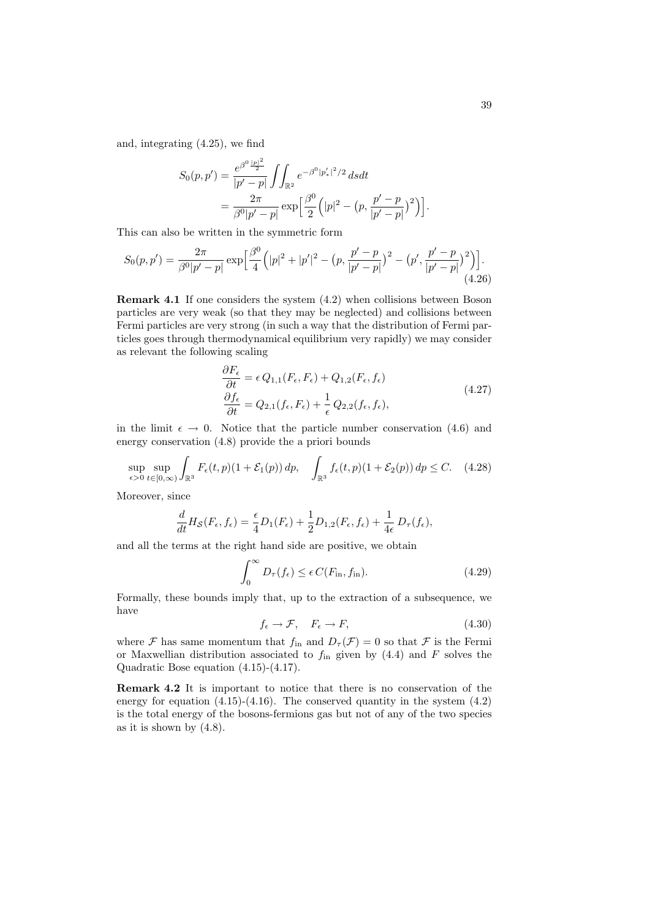and, integrating (4.25), we find

$$
S_0(p, p') = \frac{e^{\beta^0 \frac{|p|^2}{2}}}{|p' - p|} \iint_{\mathbb{R}^2} e^{-\beta^0 |p'_*|^2/2} ds dt
$$
  
= 
$$
\frac{2\pi}{\beta^0 |p' - p|} \exp \left[ \frac{\beta^0}{2} \left( |p|^2 - (p, \frac{p' - p}{|p' - p|})^2 \right) \right].
$$

This can also be written in the symmetric form

$$
S_0(p, p') = \frac{2\pi}{\beta^0 |p' - p|} \exp\left[\frac{\beta^0}{4} \left(|p|^2 + |p'|^2 - \left(p, \frac{p' - p}{|p' - p|}\right)^2 - \left(p', \frac{p' - p}{|p' - p|}\right)^2\right)\right].
$$
\n(4.26)

Remark 4.1 If one considers the system (4.2) when collisions between Boson particles are very weak (so that they may be neglected) and collisions between Fermi particles are very strong (in such a way that the distribution of Fermi particles goes through thermodynamical equilibrium very rapidly) we may consider as relevant the following scaling

$$
\begin{aligned} \frac{\partial F_{\epsilon}}{\partial t} &= \epsilon \, Q_{1,1}(F_{\epsilon}, F_{\epsilon}) + Q_{1,2}(F_{\epsilon}, f_{\epsilon})\\ \frac{\partial f_{\epsilon}}{\partial t} &= Q_{2,1}(f_{\epsilon}, F_{\epsilon}) + \frac{1}{\epsilon} \, Q_{2,2}(f_{\epsilon}, f_{\epsilon}), \end{aligned} \tag{4.27}
$$

in the limit  $\epsilon \to 0$ . Notice that the particle number conservation (4.6) and energy conservation (4.8) provide the a priori bounds

$$
\sup_{\epsilon>0} \sup_{t\in[0,\infty)} \int_{\mathbb{R}^3} F_{\epsilon}(t,p)(1+\mathcal{E}_1(p)) dp, \quad \int_{\mathbb{R}^3} f_{\epsilon}(t,p)(1+\mathcal{E}_2(p)) dp \le C. \quad (4.28)
$$

Moreover, since

$$
\frac{d}{dt}H_{\mathcal{S}}(F_{\epsilon}, f_{\epsilon}) = \frac{\epsilon}{4}D_1(F_{\epsilon}) + \frac{1}{2}D_{1,2}(F_{\epsilon}, f_{\epsilon}) + \frac{1}{4\epsilon}D_{\tau}(f_{\epsilon}),
$$

and all the terms at the right hand side are positive, we obtain

$$
\int_0^\infty D_\tau(f_\epsilon) \le \epsilon C(F_{\rm in}, f_{\rm in}).\tag{4.29}
$$

Formally, these bounds imply that, up to the extraction of a subsequence, we have

$$
f_{\epsilon} \to \mathcal{F}, \quad F_{\epsilon} \to F,\tag{4.30}
$$

where F has same momentum that  $f_{\text{in}}$  and  $D_{\tau}(\mathcal{F}) = 0$  so that F is the Fermi or Maxwellian distribution associated to  $f_{\text{in}}$  given by (4.4) and F solves the Quadratic Bose equation (4.15)-(4.17).

Remark 4.2 It is important to notice that there is no conservation of the energy for equation  $(4.15)-(4.16)$ . The conserved quantity in the system  $(4.2)$ is the total energy of the bosons-fermions gas but not of any of the two species as it is shown by (4.8).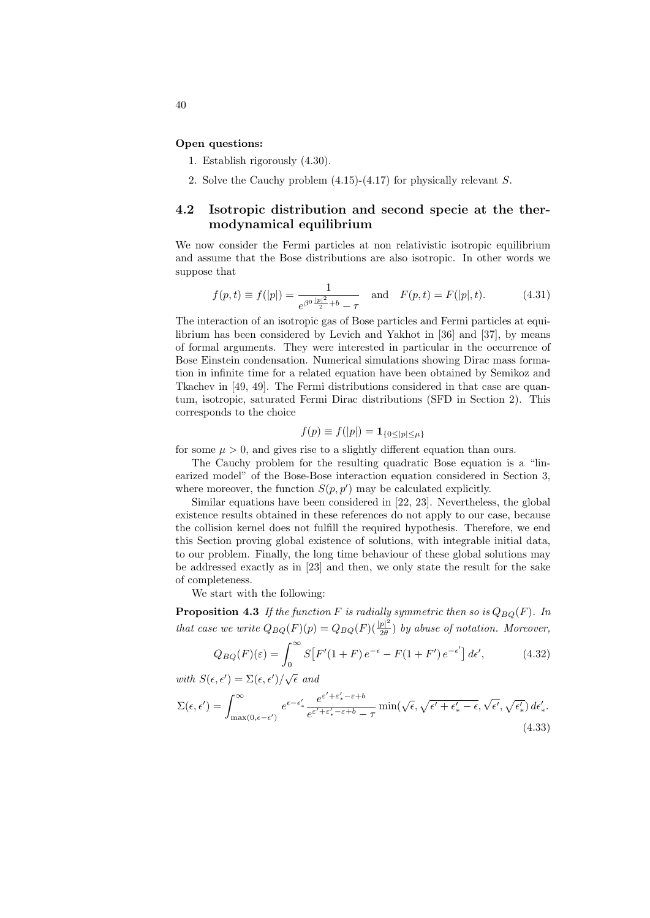#### Open questions:

- 1. Establish rigorously (4.30).
- 2. Solve the Cauchy problem (4.15)-(4.17) for physically relevant S.

# 4.2 Isotropic distribution and second specie at the thermodynamical equilibrium

We now consider the Fermi particles at non relativistic isotropic equilibrium and assume that the Bose distributions are also isotropic. In other words we suppose that

$$
f(p,t) \equiv f(|p|) = \frac{1}{e^{\beta^0 \frac{|p|^2}{2} + b} - \tau} \quad \text{and} \quad F(p,t) = F(|p|,t). \tag{4.31}
$$

The interaction of an isotropic gas of Bose particles and Fermi particles at equilibrium has been considered by Levich and Yakhot in [36] and [37], by means of formal arguments. They were interested in particular in the occurrence of Bose Einstein condensation. Numerical simulations showing Dirac mass formation in infinite time for a related equation have been obtained by Semikoz and Tkachev in [49, 49]. The Fermi distributions considered in that case are quantum, isotropic, saturated Fermi Dirac distributions (SFD in Section 2). This corresponds to the choice

$$
f(p) \equiv f(|p|) = \mathbf{1}_{\{0 \le |p| \le \mu\}}
$$

for some  $\mu > 0$ , and gives rise to a slightly different equation than ours.

The Cauchy problem for the resulting quadratic Bose equation is a "linearized model" of the Bose-Bose interaction equation considered in Section 3, where moreover, the function  $S(p, p')$  may be calculated explicitly.

Similar equations have been considered in [22, 23]. Nevertheless, the global existence results obtained in these references do not apply to our case, because the collision kernel does not fulfill the required hypothesis. Therefore, we end this Section proving global existence of solutions, with integrable initial data, to our problem. Finally, the long time behaviour of these global solutions may be addressed exactly as in [23] and then, we only state the result for the sake of completeness.

We start with the following:

**Proposition 4.3** If the function F is radially symmetric then so is  $Q_{BQ}(F)$ . In that case we write  $Q_{BQ}(F)(p) = Q_{BQ}(F)(\frac{|p|^2}{2\theta})$  $\frac{p_{\parallel}}{2\theta}$ ) by abuse of notation. Moreover,

$$
Q_{BQ}(F)(\varepsilon) = \int_0^\infty S[F'(1+F) e^{-\epsilon} - F(1+F') e^{-\epsilon'}] d\epsilon',
$$
 (4.32)

with  $S(\epsilon, \epsilon') = \Sigma(\epsilon, \epsilon') / \sqrt{\epsilon}$  and

$$
\Sigma(\epsilon,\epsilon') = \int_{\max(0,\epsilon-\epsilon')}^{\infty} e^{\epsilon-\epsilon'_{*}} \frac{e^{\epsilon'+\epsilon'_{*}-\epsilon+b}}{e^{\epsilon'+\epsilon'_{*}-\epsilon+b}-\tau} \min(\sqrt{\epsilon}, \sqrt{\epsilon'+\epsilon'_{*}-\epsilon}, \sqrt{\epsilon'}, \sqrt{\epsilon'_{*}}) d\epsilon'_{*}.
$$
\n(4.33)

40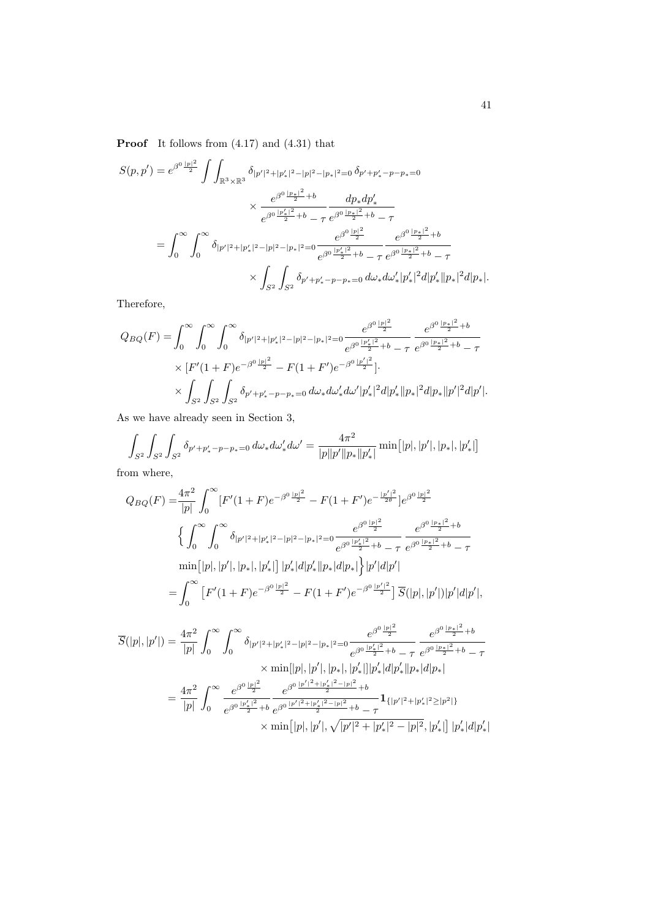Proof It follows from  $(4.17)$  and  $(4.31)$  that

$$
S(p, p') = e^{\beta^{0}\frac{|p|^2}{2}} \int \int_{\mathbb{R}^3 \times \mathbb{R}^3} \delta_{|p'|^2 + |p'_*|^2 - |p|^2 - |p_*|^2 = 0} \delta_{p' + p'_* - p - p_* = 0}
$$
  

$$
\times \frac{e^{\beta^{0}\frac{|p_*|^2}{2} + b}}{e^{\beta^{0}\frac{|p'_*|^2}{2} + b} - \tau} \frac{dp_* dp'_*}{e^{\beta^{0}\frac{|p_*|^2}{2} + b} - \tau}
$$
  

$$
= \int_0^\infty \int_0^\infty \delta_{|p'|^2 + |p'_*|^2 - |p|^2 - |p_*|^2 = 0} \frac{e^{\beta^{0}\frac{|p|^2}{2}}}{e^{\beta^{0}\frac{|p'_*|^2}{2} + b} - \tau} \frac{e^{\beta^{0}\frac{|p_*|^2}{2} + b}}{e^{\beta^{0}\frac{|p_*|^2}{2} + b} - \tau}
$$
  

$$
\times \int_{S^2} \int_{S^2} \delta_{p' + p'_* - p - p_* = 0} d\omega_* d\omega'_* |p'_*|^2 d|p'_*|p_*|^2 d|p_*|.
$$

Therefore,

$$
Q_{BQ}(F) = \int_0^\infty \int_0^\infty \int_0^\infty \delta_{|p'|^2 + |p'_*|^2 - |p|^2 - |p_*|^2} \frac{e^{\beta^0 \frac{|p|^2}{2}}}{e^{\beta^0 \frac{|p'_*|^2}{2} + b} - \tau} \frac{e^{\beta^0 \frac{|p_*|^2}{2} + b}}{e^{\beta^0 \frac{|p_*|^2}{2} + b} - \tau}
$$
  
 
$$
\times [F'(1 + F)e^{-\beta^0 \frac{|p|^2}{2}} - F(1 + F')e^{-\beta^0 \frac{|p'|^2}{2}}].
$$
  
 
$$
\times \int_{S^2} \int_{S^2} \int_{S^2} \delta_{p' + p'_* - p - p_* = 0} d\omega_* d\omega'_* d\omega' |p'_*|^2 d|p'_*| |p_*|^2 d|p_*||p'|^2 d|p'|.
$$

As we have already seen in Section 3,

$$
\int_{S^2}\int_{S^2}\int_{S^2}\delta_{p'+p'_*-p-p_*=0}\,d\omega_*d\omega'_*d\omega'=\frac{4\pi^2}{|p||p'||p_*||p'_*|}\min\big[|p|,|p'|,|p_*|,|p'_*|\big]
$$

from where,

$$
Q_{BQ}(F) = \frac{4\pi^2}{|p|} \int_0^\infty [F'(1+F)e^{-\beta^0 \frac{|p|^2}{2}} - F(1+F')e^{-\frac{|p'|^2}{2\theta}}]e^{\beta^0 \frac{|p|^2}{2}}
$$
  

$$
\left\{ \int_0^\infty \int_0^\infty \delta_{|p'|^2 + |p'_*|^2 - |p|^2 - |p_*|^2} e^{\beta^0 \frac{|p|^2}{2}} - \frac{e^{\beta^0 \frac{|p_*|^2}{2}}}{e^{\beta^0 \frac{|p_*|^2}{2} + b} - \tau} e^{\beta^0 \frac{|p_*|^2}{2} + b} - \tau
$$
  

$$
\min[|p|, |p'|, |p_*|, |p'_*|] |p'_*|d|p'_*||p_*|d|p_*| \right\} |p'|d|p'|
$$
  

$$
= \int_0^\infty [F'(1+F)e^{-\beta^0 \frac{|p|^2}{2}} - F(1+F')e^{-\beta^0 \frac{|p'|^2}{2}}] \overline{S}(|p|, |p'|)|p'|d|p'|,
$$

$$
\overline{S}(|p|, |p'|) = \frac{4\pi^2}{|p|} \int_0^\infty \int_0^\infty \delta_{|p'|^2 + |p'_*|^2 - |p|^2 - |p_*|^2} \frac{e^{\beta^0 \frac{|p'|^2}{2}}}{e^{\beta^0 \frac{|p'_*|^2}{2} + b} - \tau} \frac{e^{\beta^0 \frac{|p_*|^2}{2} + b}}{e^{\beta^0 \frac{|p_*|^2}{2} + b} - \tau}
$$
\n
$$
\times \min[|p|, |p'|, |p_*|, |p'_*|] |p'_*|d|p'_*|p_k|d|p_k|
$$
\n
$$
= \frac{4\pi^2}{|p|} \int_0^\infty \frac{e^{\beta^0 \frac{|p'|^2}{2}}}{e^{\beta^0 \frac{|p'_*|^2}{2} + b} e^{\beta^0 \frac{|p'|^2 + |p'_*|^2 - |p|^2}{2} + b}} \frac{e^{\beta^0 \frac{|p'|^2 + |p'_*|^2 - |p|^2}{2} + b}}{e^{\beta^0 \frac{|p'|^2 + |p'_*|^2 - |p|^2}{2} + b} - \tau} \frac{\mathbf{1}_{\{|p'|^2 + |p'_*|^2 \ge |p^2|\}}}{\times \min[|p|, |p'|, \sqrt{|p'|^2 + |p'_*|^2 - |p|^2}, |p'_*|] |p'_*|d|p'_*|
$$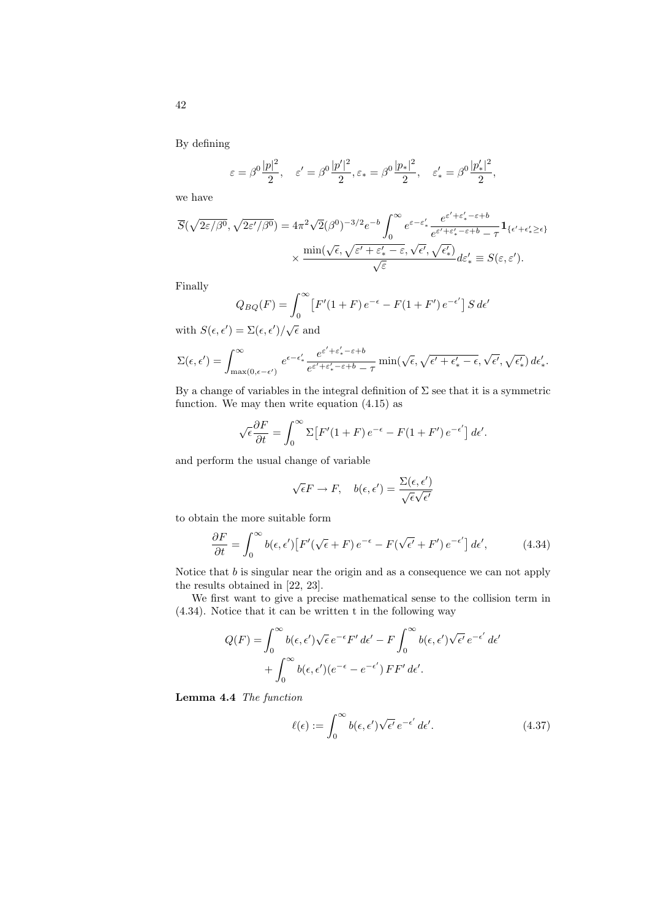By defining

$$
\varepsilon = \beta^0 \frac{|p|^2}{2}, \quad \varepsilon' = \beta^0 \frac{|p'|^2}{2}, \varepsilon_* = \beta^0 \frac{|p_*|^2}{2}, \quad \varepsilon'_* = \beta^0 \frac{|p'_*|^2}{2},
$$

we have

$$
\overline{S}(\sqrt{2\varepsilon/\beta^0}, \sqrt{2\varepsilon'/\beta^0}) = 4\pi^2\sqrt{2}(\beta^0)^{-3/2}e^{-b} \int_0^\infty e^{\varepsilon-\varepsilon'_*} \frac{e^{\varepsilon'+\varepsilon'_*-\varepsilon+b}}{e^{\varepsilon'+\varepsilon'_*-\varepsilon+b}-\tau} \mathbf{1}_{\{\epsilon'+\epsilon'_* \geq \epsilon\}} \times \frac{\min(\sqrt{\epsilon}, \sqrt{\varepsilon'+\varepsilon'_*-\varepsilon}, \sqrt{\epsilon'}, \sqrt{\epsilon'_*})}{\sqrt{\varepsilon}} d\varepsilon'_* \equiv S(\varepsilon, \varepsilon').
$$

Finally

$$
Q_{BQ}(F) = \int_0^\infty [F'(1+F) e^{-\epsilon} - F(1+F') e^{-\epsilon'}] S d\epsilon'
$$

with  $S(\epsilon, \epsilon') = \Sigma(\epsilon, \epsilon') / \sqrt{\epsilon}$  and

$$
\Sigma(\epsilon,\epsilon') = \int_{\max(0,\epsilon-\epsilon')}^{\infty} e^{\epsilon-\epsilon'_{*}} \frac{e^{\epsilon'+\epsilon'_{*}-\epsilon+b}}{e^{\epsilon'+\epsilon'_{*}-\epsilon+b}-\tau} \min(\sqrt{\epsilon},\sqrt{\epsilon'+\epsilon'_{*}-\epsilon},\sqrt{\epsilon'},\sqrt{\epsilon'_{*}}) d\epsilon'_{*}.
$$

By a change of variables in the integral definition of  $\Sigma$  see that it is a symmetric function. We may then write equation (4.15) as

$$
\sqrt{\epsilon} \frac{\partial F}{\partial t} = \int_0^\infty \Sigma \left[ F'(1+F) e^{-\epsilon} - F(1+F') e^{-\epsilon'} \right] d\epsilon'.
$$

and perform the usual change of variable

$$
\sqrt{\epsilon}F \to F, \quad b(\epsilon, \epsilon') = \frac{\Sigma(\epsilon, \epsilon')}{\sqrt{\epsilon}\sqrt{\epsilon'}}
$$

to obtain the more suitable form

$$
\frac{\partial F}{\partial t} = \int_0^\infty b(\epsilon, \epsilon') \left[ F'(\sqrt{\epsilon} + F) e^{-\epsilon} - F(\sqrt{\epsilon'} + F') e^{-\epsilon'} \right] d\epsilon', \tag{4.34}
$$

Notice that b is singular near the origin and as a consequence we can not apply the results obtained in [22, 23].

We first want to give a precise mathematical sense to the collision term in (4.34). Notice that it can be written t in the following way

$$
Q(F) = \int_0^\infty b(\epsilon, \epsilon') \sqrt{\epsilon} e^{-\epsilon} F' d\epsilon' - F \int_0^\infty b(\epsilon, \epsilon') \sqrt{\epsilon'} e^{-\epsilon'} d\epsilon' + \int_0^\infty b(\epsilon, \epsilon') (e^{-\epsilon} - e^{-\epsilon'}) F F' d\epsilon'.
$$

Lemma 4.4 The function

$$
\ell(\epsilon) := \int_0^\infty b(\epsilon, \epsilon') \sqrt{\epsilon'} e^{-\epsilon'} d\epsilon'. \tag{4.37}
$$

42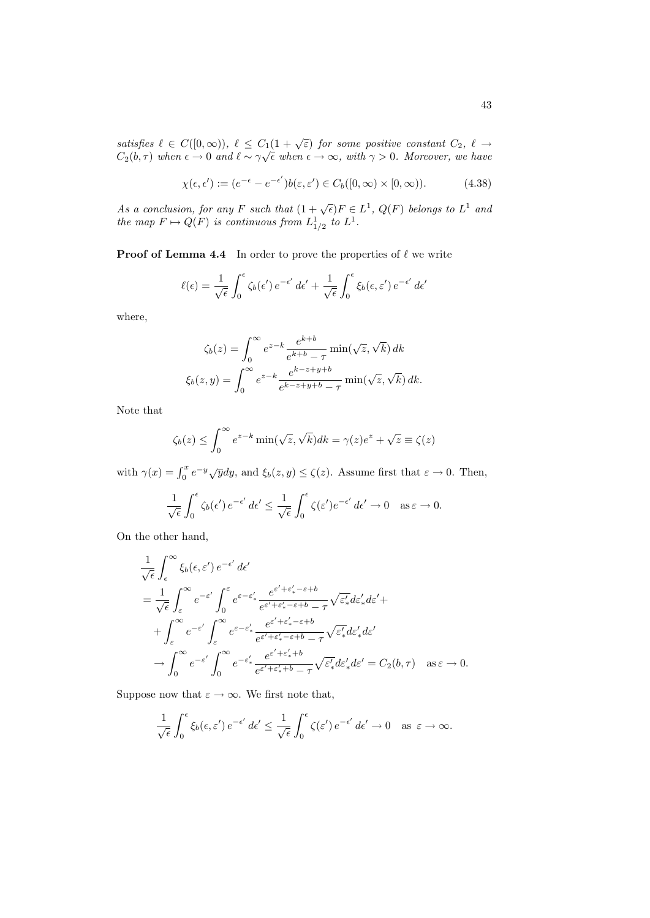satisfies  $\ell \in C([0,\infty)), \ell \leq C_1(1+\sqrt{\varepsilon})$  for some positive constant  $C_2, \ell \to$ survatives  $\ell \in C([0,\infty))$ ,  $\ell \leq C_1(1+\sqrt{\epsilon})$  for some positive constant  $C_2$ ,  $\ell \to C_2(b,\tau)$  when  $\epsilon \to 0$  and  $\ell \sim \gamma\sqrt{\epsilon}$  when  $\epsilon \to \infty$ , with  $\gamma > 0$ . Moreover, we have

$$
\chi(\epsilon, \epsilon') := (e^{-\epsilon} - e^{-\epsilon'})b(\epsilon, \epsilon') \in C_b([0, \infty) \times [0, \infty)).
$$
\n(4.38)

As a conclusion, for any F such that  $(1 + \sqrt{\epsilon})F \in L^1$ ,  $Q(F)$  belongs to  $L^1$  and the map  $F \mapsto Q(F)$  is continuous from  $L^1_{1/2}$  to  $L^1$ .

**Proof of Lemma 4.4** In order to prove the properties of  $\ell$  we write

$$
\ell(\epsilon) = \frac{1}{\sqrt{\epsilon}} \int_0^{\epsilon} \zeta_b(\epsilon') e^{-\epsilon'} d\epsilon' + \frac{1}{\sqrt{\epsilon}} \int_0^{\epsilon} \xi_b(\epsilon, \epsilon') e^{-\epsilon'} d\epsilon'
$$

where,

$$
\zeta_b(z) = \int_0^\infty e^{z-k} \frac{e^{k+b}}{e^{k+b} - \tau} \min(\sqrt{z}, \sqrt{k}) dk
$$
  

$$
\xi_b(z, y) = \int_0^\infty e^{z-k} \frac{e^{k-z+y+b}}{e^{k-z+y+b} - \tau} \min(\sqrt{z}, \sqrt{k}) dk.
$$

Note that

$$
\zeta_b(z) \le \int_0^\infty e^{z-k} \min(\sqrt{z}, \sqrt{k}) dk = \gamma(z) e^z + \sqrt{z} \equiv \zeta(z)
$$

with  $\gamma(x) = \int_0^x e^{-y} \sqrt{y} dy$ , and  $\xi_b(z, y) \le \zeta(z)$ . Assume first that  $\varepsilon \to 0$ . Then,

$$
\frac{1}{\sqrt{\epsilon}} \int_0^{\epsilon} \zeta_b(\epsilon') e^{-\epsilon'} d\epsilon' \le \frac{1}{\sqrt{\epsilon}} \int_0^{\epsilon} \zeta(\epsilon') e^{-\epsilon'} d\epsilon' \to 0 \quad \text{as } \epsilon \to 0.
$$

On the other hand,

$$
\frac{1}{\sqrt{\epsilon}} \int_{\epsilon}^{\infty} \xi_b(\epsilon, \varepsilon') e^{-\epsilon'} d\epsilon'
$$
\n
$$
= \frac{1}{\sqrt{\epsilon}} \int_{\varepsilon}^{\infty} e^{-\varepsilon'} \int_{0}^{\varepsilon} e^{\varepsilon - \varepsilon'_{*}} \frac{e^{\varepsilon' + \varepsilon'_{*} - \varepsilon + b}}{e^{\varepsilon' + \varepsilon'_{*} - \varepsilon + b} - \tau} \sqrt{\varepsilon'_{*}} d\varepsilon'_{*} d\varepsilon' +
$$
\n
$$
+ \int_{\varepsilon}^{\infty} e^{-\varepsilon'} \int_{\varepsilon}^{\infty} e^{\varepsilon - \varepsilon'_{*}} \frac{e^{\varepsilon' + \varepsilon'_{*} - \varepsilon + b}}{e^{\varepsilon' + \varepsilon'_{*} - \varepsilon + b} - \tau} \sqrt{\varepsilon'_{*}} d\varepsilon'_{*} d\varepsilon'
$$
\n
$$
\to \int_{0}^{\infty} e^{-\varepsilon'} \int_{0}^{\infty} e^{-\varepsilon'_{*}} \frac{e^{\varepsilon' + \varepsilon'_{*} + b}}{e^{\varepsilon' + \varepsilon'_{*} + b} - \tau} \sqrt{\varepsilon'_{*}} d\varepsilon'_{*} d\varepsilon' = C_{2}(b, \tau) \quad \text{as } \varepsilon \to 0.
$$

Suppose now that  $\varepsilon \to \infty$ . We first note that,

$$
\frac{1}{\sqrt{\epsilon}}\int_0^{\epsilon}\xi_b(\epsilon,\varepsilon')\,e^{-\epsilon'}\,d\epsilon'\leq \frac{1}{\sqrt{\epsilon}}\int_0^{\epsilon}\zeta(\varepsilon')\,e^{-\epsilon'}\,d\epsilon'\to 0\quad\text{as }\varepsilon\to\infty.
$$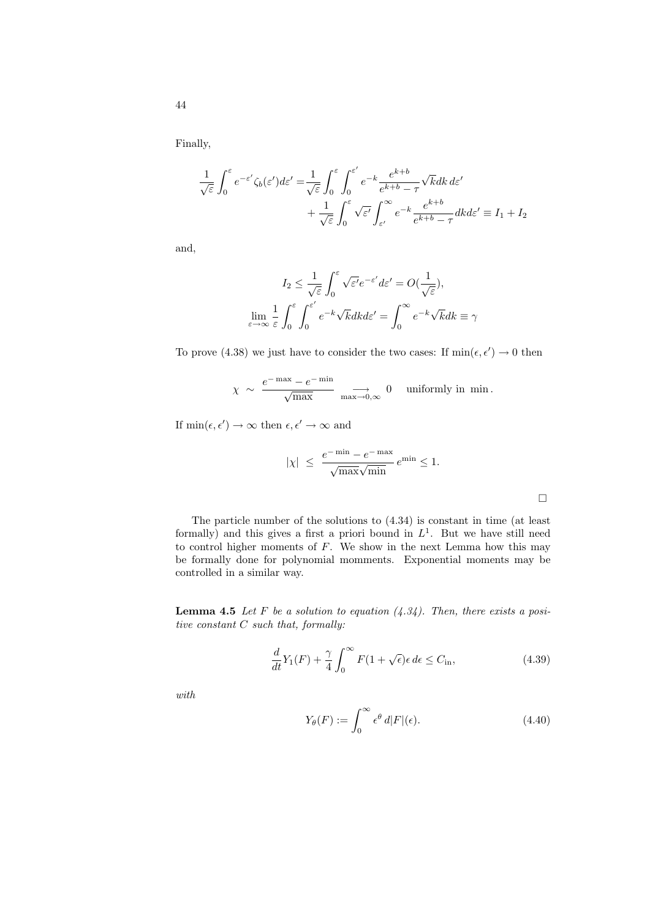Finally,

$$
\frac{1}{\sqrt{\varepsilon}} \int_0^{\varepsilon} e^{-\varepsilon'} \zeta_b(\varepsilon') d\varepsilon' = \frac{1}{\sqrt{\varepsilon}} \int_0^{\varepsilon} \int_0^{\varepsilon'} e^{-k} \frac{e^{k+b}}{e^{k+b} - \tau} \sqrt{k} dk \, d\varepsilon'
$$

$$
+ \frac{1}{\sqrt{\varepsilon}} \int_0^{\varepsilon} \sqrt{\varepsilon'} \int_{\varepsilon'}^{\infty} e^{-k} \frac{e^{k+b}}{e^{k+b} - \tau} dk \, d\varepsilon' \equiv I_1 + I_2
$$

and,

$$
I_2 \le \frac{1}{\sqrt{\varepsilon}} \int_0^{\varepsilon} \sqrt{\varepsilon'} e^{-\varepsilon'} d\varepsilon' = O(\frac{1}{\sqrt{\varepsilon}}),
$$
  

$$
\lim_{\varepsilon \to \infty} \frac{1}{\varepsilon} \int_0^{\varepsilon} \int_0^{\varepsilon'} e^{-k} \sqrt{k} dk d\varepsilon' = \int_0^{\infty} e^{-k} \sqrt{k} dk \equiv \gamma
$$

To prove (4.38) we just have to consider the two cases: If  $\min(\epsilon, \epsilon') \to 0$  then

$$
\chi \sim \frac{e^{-\max} - e^{-\min}}{\sqrt{\max}}
$$
  $\longrightarrow$   $\longrightarrow$  0 uniformly in min.

If  $\min(\epsilon, \epsilon') \to \infty$  then  $\epsilon, \epsilon' \to \infty$  and

$$
|\chi| \le \frac{e^{-\min} - e^{-\max}}{\sqrt{\max} \sqrt{\min}} e^{\min} \le 1.
$$

The particle number of the solutions to (4.34) is constant in time (at least formally) and this gives a first a priori bound in  $L^1$ . But we have still need to control higher moments of  $F$ . We show in the next Lemma how this may be formally done for polynomial momments. Exponential moments may be controlled in a similar way.

**Lemma 4.5** Let F be a solution to equation  $(4.34)$ . Then, there exists a positive constant C such that, formally:

$$
\frac{d}{dt}Y_1(F) + \frac{\gamma}{4} \int_0^\infty F(1+\sqrt{\epsilon})\epsilon \, d\epsilon \le C_{\rm in},\tag{4.39}
$$

with

$$
Y_{\theta}(F) := \int_0^\infty \epsilon^{\theta} d|F|(\epsilon). \tag{4.40}
$$

44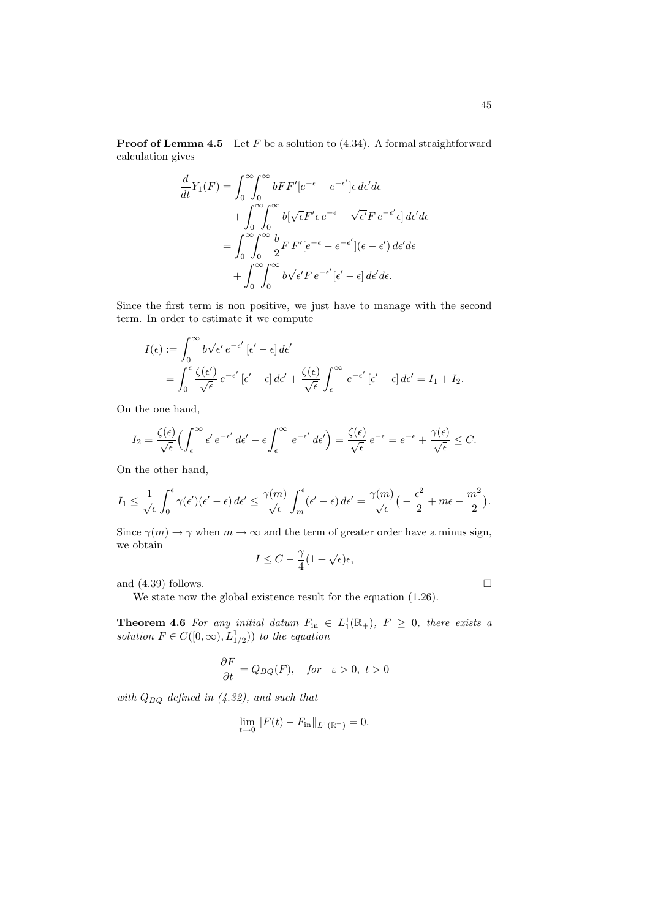**Proof of Lemma 4.5** Let  $F$  be a solution to (4.34). A formal straightforward calculation gives

$$
\frac{d}{dt}Y_1(F) = \int_0^\infty \int_0^\infty bFF'[e^{-\epsilon} - e^{-\epsilon'}]\epsilon \,d\epsilon' d\epsilon \n+ \int_0^\infty \int_0^\infty b[\sqrt{\epsilon}F'\epsilon \,e^{-\epsilon} - \sqrt{\epsilon'}F \,e^{-\epsilon'}\epsilon] \,d\epsilon' d\epsilon \n= \int_0^\infty \int_0^\infty \frac{b}{2}F F'[e^{-\epsilon} - e^{-\epsilon'}](\epsilon - \epsilon') \,d\epsilon' d\epsilon \n+ \int_0^\infty \int_0^\infty b\sqrt{\epsilon'}F \,e^{-\epsilon'}[\epsilon' - \epsilon] \,d\epsilon' d\epsilon.
$$

Since the first term is non positive, we just have to manage with the second term. In order to estimate it we compute

$$
I(\epsilon) := \int_0^\infty b\sqrt{\epsilon'} e^{-\epsilon'} [\epsilon' - \epsilon] d\epsilon' = \int_0^\epsilon \frac{\zeta(\epsilon')}{\sqrt{\epsilon}} e^{-\epsilon'} [\epsilon' - \epsilon] d\epsilon' + \frac{\zeta(\epsilon)}{\sqrt{\epsilon}} \int_\epsilon^\infty e^{-\epsilon'} [\epsilon' - \epsilon] d\epsilon' = I_1 + I_2.
$$

On the one hand,

$$
I_2 = \frac{\zeta(\epsilon)}{\sqrt{\epsilon}} \Bigl(\int_{\epsilon}^{\infty} \epsilon' e^{-\epsilon'} d\epsilon' - \epsilon \int_{\epsilon}^{\infty} e^{-\epsilon'} d\epsilon' \Bigr) = \frac{\zeta(\epsilon)}{\sqrt{\epsilon}} e^{-\epsilon} = e^{-\epsilon} + \frac{\gamma(\epsilon)}{\sqrt{\epsilon}} \leq C.
$$

On the other hand,

$$
I_1 \leq \frac{1}{\sqrt{\epsilon}} \int_0^{\epsilon} \gamma(\epsilon')(\epsilon' - \epsilon) d\epsilon' \leq \frac{\gamma(m)}{\sqrt{\epsilon}} \int_m^{\epsilon} (\epsilon' - \epsilon) d\epsilon' = \frac{\gamma(m)}{\sqrt{\epsilon}} \Big( -\frac{\epsilon^2}{2} + m\epsilon - \frac{m^2}{2} \Big).
$$

Since  $\gamma(m) \to \gamma$  when  $m \to \infty$  and the term of greater order have a minus sign, we obtain

$$
I \leq C - \frac{\gamma}{4}(1+\sqrt{\epsilon})\epsilon,
$$

and  $(4.39)$  follows.

We state now the global existence result for the equation (1.26).

**Theorem 4.6** For any initial datum  $F_{\text{in}} \in L_1^1(\mathbb{R}_+), F \geq 0$ , there exists a solution  $F \in C([0,\infty), L^1_{1/2})$  to the equation

$$
\frac{\partial F}{\partial t} = Q_{BQ}(F), \quad \text{for} \quad \varepsilon > 0, \ t > 0
$$

with  $Q_{BQ}$  defined in (4.32), and such that

$$
\lim_{t \to 0} ||F(t) - F_{\text{in}}||_{L^1(\mathbb{R}^+)} = 0.
$$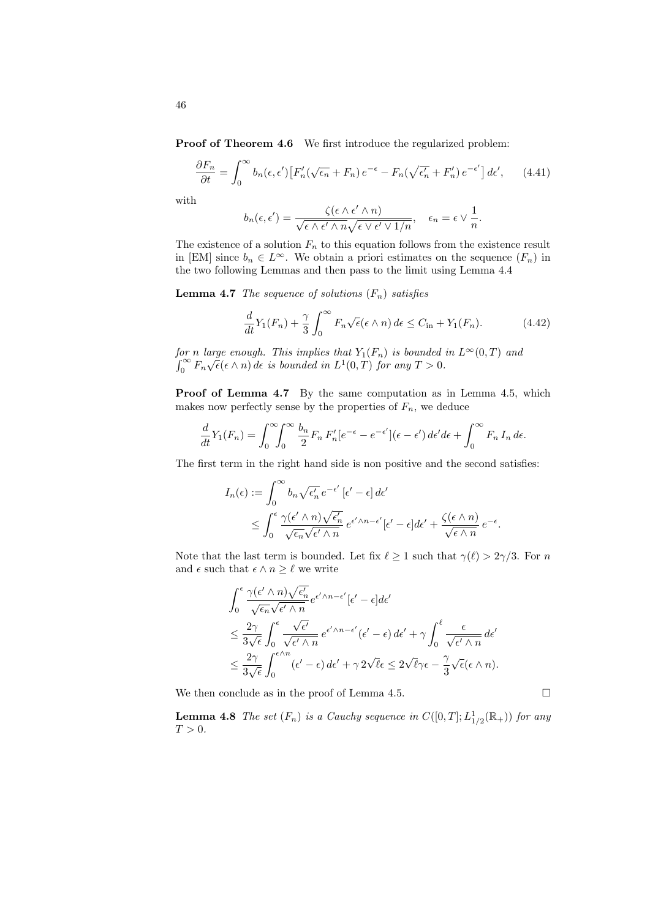Proof of Theorem 4.6 We first introduce the regularized problem:

$$
\frac{\partial F_n}{\partial t} = \int_0^\infty b_n(\epsilon, \epsilon') \left[ F'_n(\sqrt{\epsilon_n} + F_n) e^{-\epsilon} - F_n(\sqrt{\epsilon_n'} + F'_n) e^{-\epsilon'} \right] d\epsilon', \qquad (4.41)
$$

with

$$
b_n(\epsilon, \epsilon') = \frac{\zeta(\epsilon \wedge \epsilon' \wedge n)}{\sqrt{\epsilon \wedge \epsilon' \wedge n} \sqrt{\epsilon \vee \epsilon' \vee 1/n}}, \quad \epsilon_n = \epsilon \vee \frac{1}{n}
$$

The existence of a solution  $F_n$  to this equation follows from the existence result in [EM] since  $b_n \in L^{\infty}$ . We obtain a priori estimates on the sequence  $(F_n)$  in the two following Lemmas and then pass to the limit using Lemma 4.4

**Lemma 4.7** The sequence of solutions  $(F_n)$  satisfies

$$
\frac{d}{dt}Y_1(F_n) + \frac{\gamma}{3} \int_0^\infty F_n \sqrt{\epsilon} (\epsilon \wedge n) d\epsilon \le C_{\text{in}} + Y_1(F_n). \tag{4.42}
$$

.

for n large enough. This implies that  $Y_1(F_n)$  is bounded in  $L^{\infty}(0,T)$  and for *n* targe enough. This implies that  $T_1(F_n)$  is bounded  $\int_0^\infty F_n \sqrt{\epsilon}(\epsilon \wedge n) d\epsilon$  is bounded in  $L^1(0,T)$  for any  $T > 0$ .

Proof of Lemma 4.7 By the same computation as in Lemma 4.5, which makes now perfectly sense by the properties of  $F_n$ , we deduce

$$
\frac{d}{dt}Y_1(F_n) = \int_0^\infty \int_0^\infty \frac{b_n}{2} F_n F'_n [e^{-\epsilon} - e^{-\epsilon'}] (\epsilon - \epsilon') d\epsilon' d\epsilon + \int_0^\infty F_n I_n d\epsilon.
$$

The first term in the right hand side is non positive and the second satisfies:

$$
I_n(\epsilon) := \int_0^\infty b_n \sqrt{\epsilon'_n} e^{-\epsilon'} [\epsilon' - \epsilon] d\epsilon'
$$
  

$$
\leq \int_0^\epsilon \frac{\gamma(\epsilon' \wedge n) \sqrt{\epsilon'_n}}{\sqrt{\epsilon_n} \sqrt{\epsilon' \wedge n}} e^{\epsilon' \wedge n - \epsilon'} [\epsilon' - \epsilon] d\epsilon' + \frac{\zeta(\epsilon \wedge n)}{\sqrt{\epsilon \wedge n}} e^{-\epsilon}.
$$

Note that the last term is bounded. Let fix  $\ell \geq 1$  such that  $\gamma(\ell) > 2\gamma/3$ . For n and  $\epsilon$  such that  $\epsilon \wedge n \geq \ell$  we write

$$
\int_{0}^{\epsilon} \frac{\gamma(\epsilon' \wedge n)\sqrt{\epsilon'_{n}}}{\sqrt{\epsilon_{n}}\sqrt{\epsilon' \wedge n}} e^{\epsilon' \wedge n - \epsilon'}[\epsilon' - \epsilon] d\epsilon'
$$
\n
$$
\leq \frac{2\gamma}{3\sqrt{\epsilon}} \int_{0}^{\epsilon} \frac{\sqrt{\epsilon'}}{\sqrt{\epsilon' \wedge n}} e^{\epsilon' \wedge n - \epsilon'}(\epsilon' - \epsilon) d\epsilon' + \gamma \int_{0}^{\ell} \frac{\epsilon}{\sqrt{\epsilon' \wedge n}} d\epsilon'
$$
\n
$$
\leq \frac{2\gamma}{3\sqrt{\epsilon}} \int_{0}^{\epsilon \wedge n} (\epsilon' - \epsilon) d\epsilon' + \gamma 2\sqrt{\ell \epsilon} \leq 2\sqrt{\ell \gamma \epsilon} - \frac{\gamma}{3} \sqrt{\epsilon} (\epsilon \wedge n).
$$

We then conclude as in the proof of Lemma 4.5.  $\Box$ 

**Lemma 4.8** The set  $(F_n)$  is a Cauchy sequence in  $C([0,T];L^1_{1/2}(\mathbb{R}_+))$  for any  $T>0.$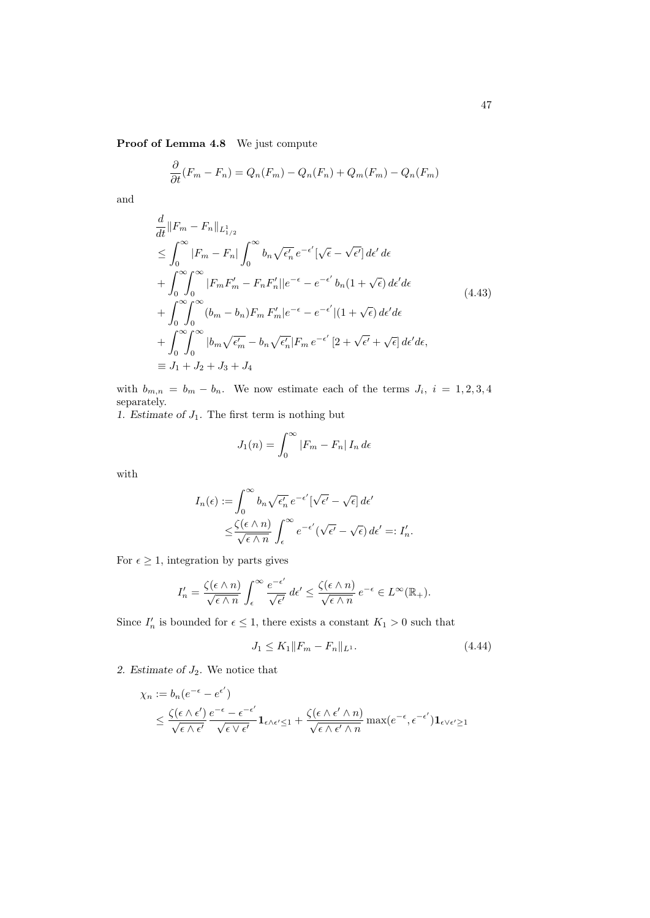## Proof of Lemma 4.8 We just compute

$$
\frac{\partial}{\partial t}(F_m - F_n) = Q_n(F_m) - Q_n(F_n) + Q_m(F_m) - Q_n(F_m)
$$

and

$$
\frac{d}{dt}||F_m - F_n||_{L^1_{1/2}}\n\leq \int_0^\infty |F_m - F_n| \int_0^\infty b_n \sqrt{\epsilon'_n} e^{-\epsilon'} [\sqrt{\epsilon} - \sqrt{\epsilon'}] d\epsilon' d\epsilon\n+ \int_0^\infty \int_0^\infty |F_m F'_m - F_n F'_n||e^{-\epsilon} - e^{-\epsilon'} b_n (1 + \sqrt{\epsilon}) d\epsilon' d\epsilon\n+ \int_0^\infty \int_0^\infty (b_m - b_n) F_m F'_m |e^{-\epsilon} - e^{-\epsilon'} |(1 + \sqrt{\epsilon}) d\epsilon' d\epsilon\n+ \int_0^\infty \int_0^\infty |b_m \sqrt{\epsilon'_m} - b_n \sqrt{\epsilon'_n}|F_m e^{-\epsilon'} |2 + \sqrt{\epsilon'} + \sqrt{\epsilon}| d\epsilon' d\epsilon,\n\equiv J_1 + J_2 + J_3 + J_4
$$
\n(4.43)

with  $b_{m,n} = b_m - b_n$ . We now estimate each of the terms  $J_i$ ,  $i = 1, 2, 3, 4$ separately.

1. Estimate of  $J_1$ . The first term is nothing but

$$
J_1(n) = \int_0^\infty |F_m - F_n| I_n d\epsilon
$$

with

$$
I_n(\epsilon) := \int_0^\infty b_n \sqrt{\epsilon'_n} e^{-\epsilon'} [\sqrt{\epsilon'} - \sqrt{\epsilon}] d\epsilon' \n\leq \frac{\zeta(\epsilon \wedge n)}{\sqrt{\epsilon \wedge n}} \int_{\epsilon}^\infty e^{-\epsilon'} (\sqrt{\epsilon'} - \sqrt{\epsilon}) d\epsilon' =: I'_n.
$$

For  $\epsilon \geq 1$ , integration by parts gives

$$
I'_n = \frac{\zeta(\epsilon \wedge n)}{\sqrt{\epsilon \wedge n}} \int_{\epsilon}^{\infty} \frac{e^{-\epsilon'}}{\sqrt{\epsilon'}} \, d\epsilon' \le \frac{\zeta(\epsilon \wedge n)}{\sqrt{\epsilon \wedge n}} \, e^{-\epsilon} \in L^{\infty}(\mathbb{R}_+).
$$

Since  $I'_n$  is bounded for  $\epsilon \leq 1$ , there exists a constant  $K_1 > 0$  such that

$$
J_1 \le K_1 \|F_m - F_n\|_{L^1}.
$$
\n(4.44)

2. Estimate of  $J_2$ . We notice that

$$
\chi_n := b_n(e^{-\epsilon} - e^{\epsilon'})
$$
  
\n
$$
\leq \frac{\zeta(\epsilon \wedge \epsilon')}{\sqrt{\epsilon \wedge \epsilon'}} e^{-\epsilon} - \epsilon^{-\epsilon'}
$$
  
\n
$$
\mathbf{1}_{\epsilon \wedge \epsilon' \leq 1} + \frac{\zeta(\epsilon \wedge \epsilon' \wedge n)}{\sqrt{\epsilon \wedge \epsilon' \wedge n}} \max(e^{-\epsilon}, e^{-\epsilon'}) \mathbf{1}_{\epsilon \vee \epsilon' \geq 1}
$$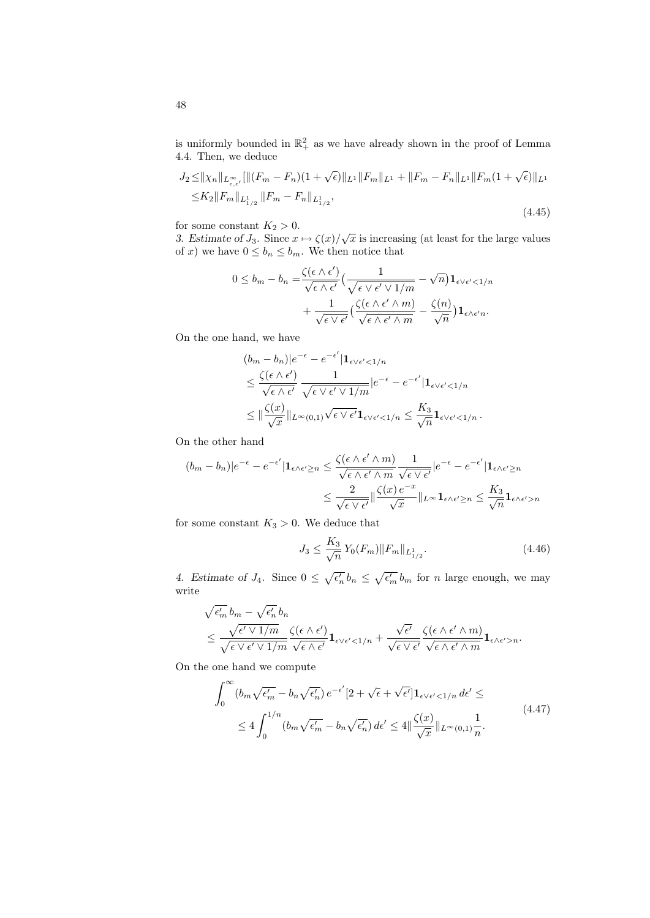is uniformly bounded in  $\mathbb{R}^2_+$  as we have already shown in the proof of Lemma 4.4. Then, we deduce

$$
J_2 \leq ||\chi_n||_{L^{\infty}_{\epsilon,\epsilon'}} [||(F_m - F_n)(1 + \sqrt{\epsilon})||_{L^1}||F_m||_{L^1} + ||F_m - F_n||_{L^1}||F_m(1 + \sqrt{\epsilon})||_{L^1}
$$
  
\n
$$
\leq K_2 ||F_m||_{L^1_{1/2}} ||F_m - F_n||_{L^1_{1/2}},
$$
\n(4.45)

for some constant  $K_2 > 0$ .

3. Estimate of  $J_3$ . Since  $x \mapsto \zeta(x)/\sqrt{x}$  is increasing (at least for the large values of x) we have  $0 \le b_n \le b_m$ . We then notice that

$$
0 \le b_m - b_n = \frac{\zeta(\epsilon \wedge \epsilon')}{\sqrt{\epsilon \wedge \epsilon'}} \left( \frac{1}{\sqrt{\epsilon \vee \epsilon' \vee 1/m}} - \sqrt{n} \right) \mathbf{1}_{\epsilon \vee \epsilon' < 1/n} + \frac{1}{\sqrt{\epsilon \vee \epsilon'}} \left( \frac{\zeta(\epsilon \wedge \epsilon' \wedge m)}{\sqrt{\epsilon \wedge \epsilon' \wedge m}} - \frac{\zeta(n)}{\sqrt{n}} \right) \mathbf{1}_{\epsilon \wedge \epsilon'n}.
$$

On the one hand, we have

$$
(b_m - b_n)|e^{-\epsilon} - e^{-\epsilon'}| \mathbf{1}_{\epsilon \vee \epsilon' < 1/n}
$$
  
\n
$$
\leq \frac{\zeta(\epsilon \wedge \epsilon')}{\sqrt{\epsilon \wedge \epsilon'}} \frac{1}{\sqrt{\epsilon \vee \epsilon' \vee 1/m}}|e^{-\epsilon} - e^{-\epsilon'}| \mathbf{1}_{\epsilon \vee \epsilon' < 1/n}
$$
  
\n
$$
\leq \|\frac{\zeta(x)}{\sqrt{x}}\|_{L^{\infty}(0,1)} \sqrt{\epsilon \vee \epsilon'} \mathbf{1}_{\epsilon \vee \epsilon' < 1/n} \leq \frac{K_3}{\sqrt{n}} \mathbf{1}_{\epsilon \vee \epsilon' < 1/n}.
$$

On the other hand

$$
(b_m - b_n)|e^{-\epsilon} - e^{-\epsilon'}| \mathbf{1}_{\epsilon \wedge \epsilon' \ge n} \le \frac{\zeta(\epsilon \wedge \epsilon' \wedge m)}{\sqrt{\epsilon \wedge \epsilon' \wedge m}} \frac{1}{\sqrt{\epsilon \vee \epsilon'}} |e^{-\epsilon} - e^{-\epsilon'}| \mathbf{1}_{\epsilon \wedge \epsilon' \ge n}
$$

$$
\le \frac{2}{\sqrt{\epsilon \vee \epsilon'}} \|\frac{\zeta(x) e^{-x}}{\sqrt{x}}\|_{L^\infty} \mathbf{1}_{\epsilon \wedge \epsilon' \ge n} \le \frac{K_3}{\sqrt{n}} \mathbf{1}_{\epsilon \wedge \epsilon' > n}
$$

for some constant  $K_3 > 0$ . We deduce that

$$
J_3 \le \frac{K_3}{\sqrt{n}} Y_0(F_m) \|F_m\|_{L^1_{1/2}}.
$$
\n(4.46)

4. Estimate of  $J_4$ . Since  $0 \leq \sqrt{\epsilon'_n} b_n \leq \sqrt{\epsilon'_m} b_m$  for n large enough, we may write

$$
\sqrt{\epsilon'_m} b_m - \sqrt{\epsilon'_n} b_n
$$
\n
$$
\leq \frac{\sqrt{\epsilon' \vee 1/m}}{\sqrt{\epsilon \vee \epsilon' \vee 1/m}} \frac{\zeta(\epsilon \wedge \epsilon')}{\sqrt{\epsilon \wedge \epsilon'}} \mathbf{1}_{\epsilon \vee \epsilon' < 1/n} + \frac{\sqrt{\epsilon'}}{\sqrt{\epsilon \vee \epsilon'}} \frac{\zeta(\epsilon \wedge \epsilon' \wedge m)}{\sqrt{\epsilon \wedge \epsilon' \wedge m}} \mathbf{1}_{\epsilon \wedge \epsilon' > n}.
$$

On the one hand we compute

$$
\int_0^\infty (b_m \sqrt{\epsilon'_m} - b_n \sqrt{\epsilon'_n}) e^{-\epsilon'} [2 + \sqrt{\epsilon} + \sqrt{\epsilon'}] \mathbf{1}_{\epsilon \vee \epsilon' < 1/n} d\epsilon' \le
$$
\n
$$
\le 4 \int_0^{1/n} (b_m \sqrt{\epsilon'_m} - b_n \sqrt{\epsilon'_n}) d\epsilon' \le 4 \|\frac{\zeta(x)}{\sqrt{x}}\|_{L^\infty(0,1)} \frac{1}{n}.\tag{4.47}
$$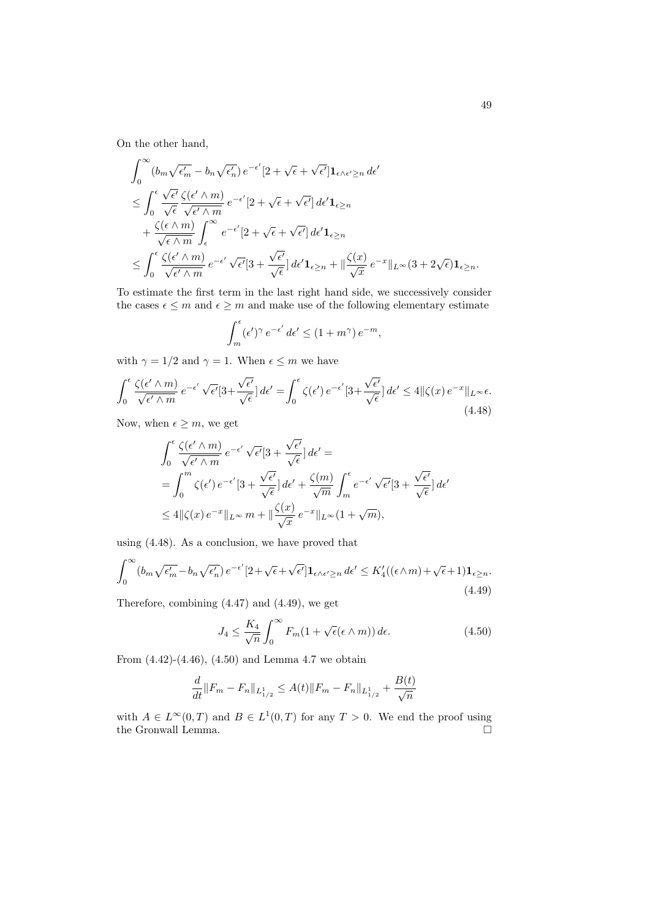On the other hand,

$$
\int_0^\infty (b_m \sqrt{\epsilon'_m} - b_n \sqrt{\epsilon'_n}) e^{-\epsilon'} [2 + \sqrt{\epsilon} + \sqrt{\epsilon'}] \mathbf{1}_{\epsilon \wedge \epsilon' \geq n} d\epsilon'
$$
\n
$$
\leq \int_0^\epsilon \frac{\sqrt{\epsilon'}}{\sqrt{\epsilon}} \frac{\zeta(\epsilon' \wedge m)}{\sqrt{\epsilon' \wedge m}} e^{-\epsilon'} [2 + \sqrt{\epsilon} + \sqrt{\epsilon'}] d\epsilon' \mathbf{1}_{\epsilon \geq n} + \frac{\zeta(\epsilon \wedge m)}{\sqrt{\epsilon \wedge m}} \int_{\epsilon}^\infty e^{-\epsilon'} [2 + \sqrt{\epsilon} + \sqrt{\epsilon'}] d\epsilon' \mathbf{1}_{\epsilon \geq n} + \frac{\zeta(x)}{\sqrt{\epsilon' \wedge m}} e^{-\epsilon'} \sqrt{\epsilon'} [3 + \frac{\sqrt{\epsilon'}}{\sqrt{\epsilon}}] d\epsilon' \mathbf{1}_{\epsilon \geq n} + \| \frac{\zeta(x)}{\sqrt{x}} e^{-x} \|_{L^\infty} (3 + 2\sqrt{\epsilon}) \mathbf{1}_{\epsilon \geq n}.
$$

To estimate the first term in the last right hand side, we successively consider the cases  $\epsilon \leq m$  and  $\epsilon \geq m$  and make use of the following elementary estimate

$$
\int_m^{\epsilon} (\epsilon')^{\gamma} e^{-\epsilon'} d\epsilon' \le (1+m^{\gamma}) e^{-m},
$$

with  $\gamma = 1/2$  and  $\gamma = 1$ . When  $\epsilon \leq m$  we have

$$
\int_0^{\epsilon} \frac{\zeta(\epsilon' \wedge m)}{\sqrt{\epsilon' \wedge m}} e^{-\epsilon'} \sqrt{\epsilon'} [3 + \frac{\sqrt{\epsilon'}}{\sqrt{\epsilon}}] d\epsilon' = \int_0^{\epsilon} \zeta(\epsilon') e^{-\epsilon'} [3 + \frac{\sqrt{\epsilon'}}{\sqrt{\epsilon}}] d\epsilon' \le 4 \| \zeta(x) e^{-x} \|_{L^{\infty}} \epsilon.
$$
\n(4.48)

Now, when  $\epsilon \geq m$ , we get

$$
\int_0^{\epsilon} \frac{\zeta(\epsilon' \wedge m)}{\sqrt{\epsilon' \wedge m}} e^{-\epsilon'} \sqrt{\epsilon'} [3 + \frac{\sqrt{\epsilon'}}{\sqrt{\epsilon}}] d\epsilon' =
$$
\n
$$
= \int_0^m \zeta(\epsilon') e^{-\epsilon'} [3 + \frac{\sqrt{\epsilon'}}{\sqrt{\epsilon}}] d\epsilon' + \frac{\zeta(m)}{\sqrt{m}} \int_m^{\epsilon} e^{-\epsilon'} \sqrt{\epsilon'} [3 + \frac{\sqrt{\epsilon'}}{\sqrt{\epsilon}}] d\epsilon'
$$
\n
$$
\leq 4 \| \zeta(x) e^{-x} \|_{L^\infty} m + \| \frac{\zeta(x)}{\sqrt{x}} e^{-x} \|_{L^\infty} (1 + \sqrt{m}),
$$

using (4.48). As a conclusion, we have proved that

$$
\int_0^\infty (b_m \sqrt{\epsilon'_m} - b_n \sqrt{\epsilon'_n}) e^{-\epsilon'} [2 + \sqrt{\epsilon} + \sqrt{\epsilon'}] \mathbf{1}_{\epsilon \wedge \epsilon' \ge n} d\epsilon' \le K_4'((\epsilon \wedge m) + \sqrt{\epsilon} + 1) \mathbf{1}_{\epsilon \ge n}.
$$
\n(4.49)

Therefore, combining (4.47) and (4.49), we get

$$
J_4 \le \frac{K_4}{\sqrt{n}} \int_0^\infty F_m(1 + \sqrt{\epsilon}(\epsilon \wedge m)) \, d\epsilon. \tag{4.50}
$$

From (4.42)-(4.46), (4.50) and Lemma 4.7 we obtain

$$
\frac{d}{dt} ||F_m - F_n||_{L^1_{1/2}} \le A(t) ||F_m - F_n||_{L^1_{1/2}} + \frac{B(t)}{\sqrt{n}}
$$

with  $A \in L^{\infty}(0,T)$  and  $B \in L^1(0,T)$  for any  $T > 0$ . We end the proof using the Gronwall Lemma.  $\hfill \Box$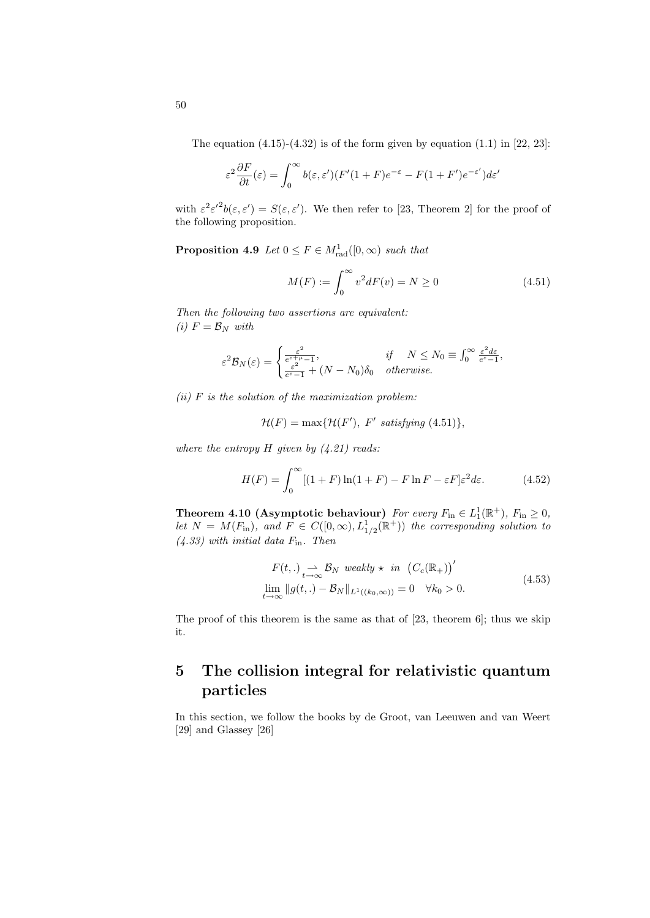The equation  $(4.15)-(4.32)$  is of the form given by equation  $(1.1)$  in  $[22, 23]$ :

$$
\varepsilon^2 \frac{\partial F}{\partial t}(\varepsilon) = \int_0^\infty b(\varepsilon, \varepsilon') (F'(1+F)e^{-\varepsilon} - F(1+F')e^{-\varepsilon'}) d\varepsilon'
$$

with  $\varepsilon^2 \varepsilon'^2 b(\varepsilon, \varepsilon') = S(\varepsilon, \varepsilon')$ . We then refer to [23, Theorem 2] for the proof of the following proposition.

**Proposition 4.9** Let  $0 \leq F \in M_{rad}^1([0,\infty))$  such that

$$
M(F) := \int_0^\infty v^2 dF(v) = N \ge 0
$$
\n(4.51)

Then the following two assertions are equivalent: (i)  $F = B_N$  with

$$
\varepsilon^2 \mathcal{B}_N(\varepsilon) = \begin{cases} \frac{\varepsilon^2}{e^{\varepsilon + \mu} - 1}, & \text{if} \quad N \le N_0 \equiv \int_0^\infty \frac{\varepsilon^2 d\varepsilon}{e^{\varepsilon} - 1}, \\ \frac{\varepsilon^2}{e^{\varepsilon} - 1} + (N - N_0) \delta_0 & \text{otherwise.} \end{cases}
$$

(ii)  $F$  is the solution of the maximization problem:

$$
\mathcal{H}(F) = \max\{\mathcal{H}(F'),\ F'\ satisfying\ (4.51)\},\
$$

where the entropy  $H$  given by  $(4.21)$  reads:

$$
H(F) = \int_0^\infty [(1+F)\ln(1+F) - F\ln F - \varepsilon F]\varepsilon^2 d\varepsilon.
$$
 (4.52)

Theorem 4.10 (Asymptotic behaviour) For every  $F_{\text{in}} \in L_1^1(\mathbb{R}^+), F_{\text{in}} \geq 0$ , let  $N = M(F_{\text{in}})$ , and  $F \in C([0,\infty), L^1_{1/2}(\mathbb{R}^+))$  the corresponding solution to  $(4.33)$  with initial data  $F_{\text{in}}$ . Then

$$
F(t,.)\underset{t\to\infty}{\to} \mathcal{B}_N \text{ weakly} \star \text{ in } (C_c(\mathbb{R}_+))'
$$
  

$$
\lim_{t\to\infty} ||g(t,.) - \mathcal{B}_N||_{L^1((k_0,\infty))} = 0 \quad \forall k_0 > 0.
$$
 (4.53)

The proof of this theorem is the same as that of [23, theorem 6]; thus we skip it.

# 5 The collision integral for relativistic quantum particles

In this section, we follow the books by de Groot, van Leeuwen and van Weert [29] and Glassey [26]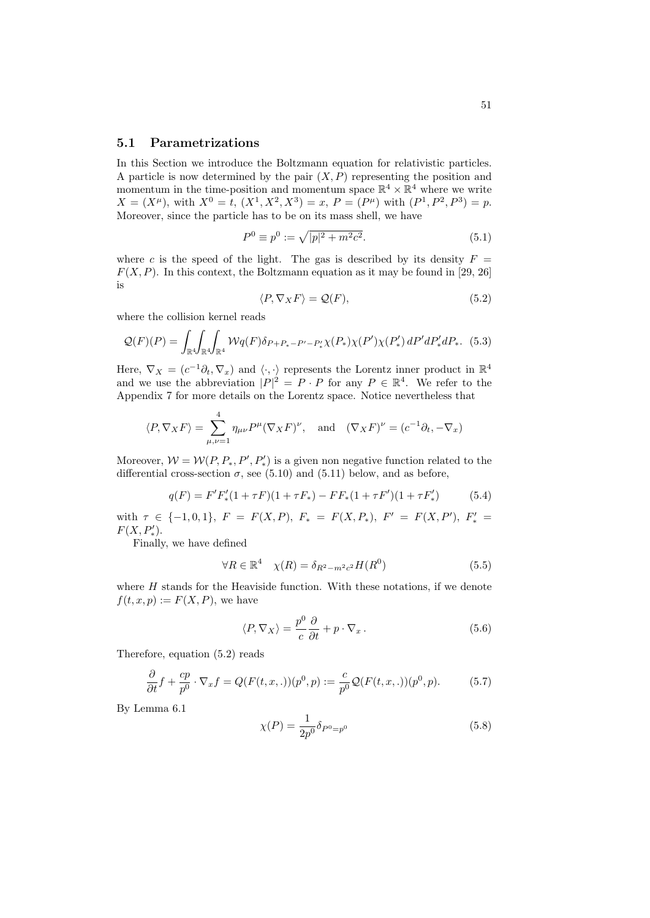### 5.1 Parametrizations

In this Section we introduce the Boltzmann equation for relativistic particles. A particle is now determined by the pair  $(X, P)$  representing the position and momentum in the time-position and momentum space  $\mathbb{R}^4 \times \mathbb{R}^4$  where we write  $X = (X^{\mu})$ , with  $X^0 = t$ ,  $(X^1, X^2, X^3) = x$ ,  $P = (P^{\mu})$  with  $(P^1, P^2, P^3) = p$ . Moreover, since the particle has to be on its mass shell, we have

$$
P^{0} \equiv p^{0} := \sqrt{|p|^{2} + m^{2}c^{2}}.
$$
\n(5.1)

where c is the speed of the light. The gas is described by its density  $F =$  $F(X, P)$ . In this context, the Boltzmann equation as it may be found in [29, 26] is

$$
\langle P, \nabla_X F \rangle = \mathcal{Q}(F),\tag{5.2}
$$

where the collision kernel reads

$$
\mathcal{Q}(F)(P) = \int_{\mathbb{R}^4} \int_{\mathbb{R}^4} \int_{\mathbb{R}^4} Wq(F)\delta_{P+P_*-P'-P'_*}\chi(P_*)\chi(P')\chi(P'_*)\,dP'dP'_*dP_*. \tag{5.3}
$$

Here,  $\nabla_X = (c^{-1}\partial_t, \nabla_x)$  and  $\langle \cdot, \cdot \rangle$  represents the Lorentz inner product in  $\mathbb{R}^4$ and we use the abbreviation  $|P|^2 = P \cdot P$  for any  $P \in \mathbb{R}^4$ . We refer to the Appendix 7 for more details on the Lorentz space. Notice nevertheless that

$$
\langle P, \nabla_X F \rangle = \sum_{\mu,\nu=1}^4 \eta_{\mu\nu} P^{\mu} (\nabla_X F)^{\nu}, \text{ and } (\nabla_X F)^{\nu} = (c^{-1} \partial_t, -\nabla_x)
$$

Moreover,  $W = W(P, P_*, P', P'_*)$  is a given non negative function related to the differential cross-section  $\sigma$ , see (5.10) and (5.11) below, and as before,

$$
q(F) = F'F'_{*}(1+\tau F)(1+\tau F_{*}) - FF_{*}(1+\tau F')(1+\tau F'_{*})
$$
\n(5.4)

with  $\tau \in \{-1,0,1\}, F = F(X, P), F_* = F(X, P_*)$ ,  $F' = F(X, P'), F'_* =$  $F(X, P'_*)$ .

Finally, we have defined

$$
\forall R \in \mathbb{R}^4 \quad \chi(R) = \delta_{R^2 - m^2 c^2} H(R^0)
$$
\n(5.5)

where  $H$  stands for the Heaviside function. With these notations, if we denote  $f(t, x, p) := F(X, P)$ , we have

$$
\langle P, \nabla_X \rangle = \frac{p^0}{c} \frac{\partial}{\partial t} + p \cdot \nabla_x \,. \tag{5.6}
$$

Therefore, equation (5.2) reads

$$
\frac{\partial}{\partial t}f + \frac{cp}{p^0} \cdot \nabla_x f = Q(F(t, x, .))(p^0, p) := \frac{c}{p^0} Q(F(t, x, .))(p^0, p). \tag{5.7}
$$

By Lemma 6.1

$$
\chi(P) = \frac{1}{2p^0} \delta_{P^0 = p^0} \tag{5.8}
$$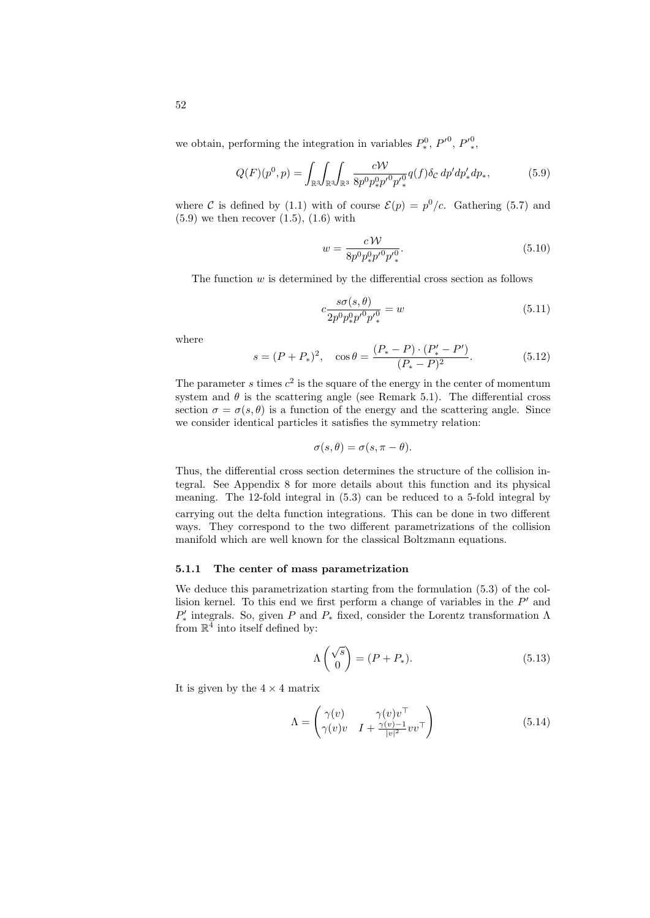we obtain, performing the integration in variables  $P^0_*, P'^0, P'^0_*, P''$ 

$$
Q(F)(p^0, p) = \int_{\mathbb{R}^3} \int_{\mathbb{R}^3} \int_{\mathbb{R}^3} \frac{c\mathcal{W}}{8p^0 p^0_* p'^0 p'^0_*} q(f) \delta_{\mathcal{C}} \, dp' dp'_* dp_*, \tag{5.9}
$$

where C is defined by (1.1) with of course  $\mathcal{E}(p) = p^0/c$ . Gathering (5.7) and  $(5.9)$  we then recover  $(1.5)$ ,  $(1.6)$  with

$$
w = \frac{c\,\mathcal{W}}{8p^0p^0_*p'^0p'^0_*}.\tag{5.10}
$$

The function  $w$  is determined by the differential cross section as follows

$$
c \frac{s\sigma(s,\theta)}{2p^0p^0\psi^0p'^0r_*} = w \tag{5.11}
$$

where

$$
s = (P + P_*)^2, \quad \cos \theta = \frac{(P_* - P) \cdot (P'_* - P')}{(P_* - P)^2}.
$$
 (5.12)

The parameter s times  $c^2$  is the square of the energy in the center of momentum system and  $\theta$  is the scattering angle (see Remark 5.1). The differential cross section  $\sigma = \sigma(s, \theta)$  is a function of the energy and the scattering angle. Since we consider identical particles it satisfies the symmetry relation:

$$
\sigma(s,\theta) = \sigma(s,\pi-\theta).
$$

Thus, the differential cross section determines the structure of the collision integral. See Appendix 8 for more details about this function and its physical meaning. The 12-fold integral in (5.3) can be reduced to a 5-fold integral by carrying out the delta function integrations. This can be done in two different ways. They correspond to the two different parametrizations of the collision manifold which are well known for the classical Boltzmann equations.

#### 5.1.1 The center of mass parametrization

We deduce this parametrization starting from the formulation (5.3) of the collision kernel. To this end we first perform a change of variables in the  $P'$  and  $P'_{*}$  integrals. So, given P and  $P_{*}$  fixed, consider the Lorentz transformation Λ from  $\mathbb{R}^4$  into itself defined by:

$$
\Lambda\begin{pmatrix} \sqrt{s} \\ 0 \end{pmatrix} = (P + P_*). \tag{5.13}
$$

It is given by the  $4 \times 4$  matrix

$$
\Lambda = \begin{pmatrix} \gamma(v) & \gamma(v)v^{\top} \\ \gamma(v)v & I + \frac{\gamma(v)-1}{|v|^2}vv^{\top} \end{pmatrix}
$$
\n(5.14)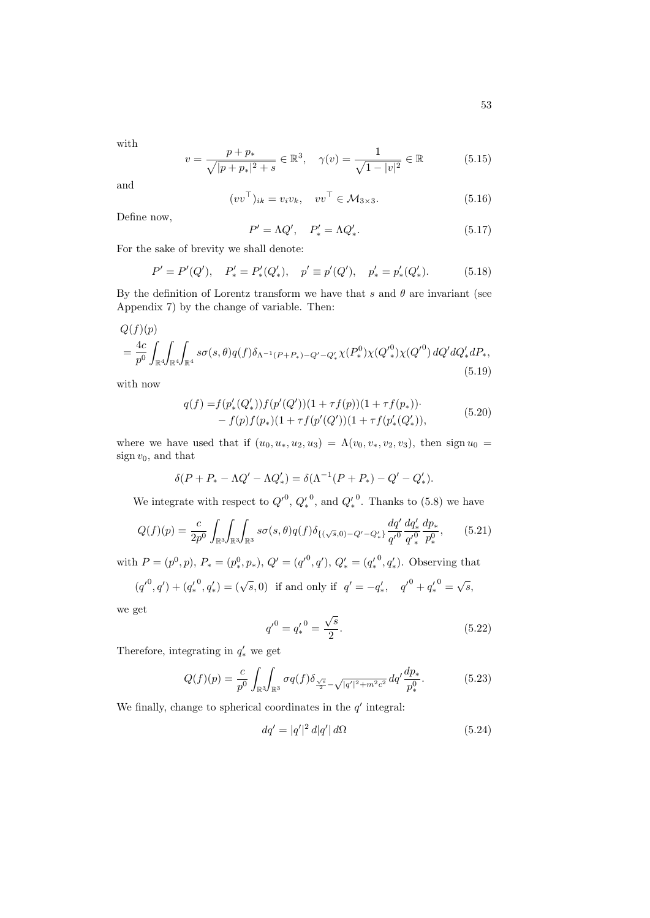with

$$
v = \frac{p + p_*}{\sqrt{|p + p_*|^2 + s}} \in \mathbb{R}^3, \quad \gamma(v) = \frac{1}{\sqrt{1 - |v|^2}} \in \mathbb{R} \tag{5.15}
$$

and

$$
(vv\top)ik = vivk, \quad vv\top \in \mathcal{M}_{3\times 3}.
$$
 (5.16)

Define now,

$$
P' = \Lambda Q', \quad P'_* = \Lambda Q'_*.
$$
\n
$$
(5.17)
$$

For the sake of brevity we shall denote:

$$
P' = P'(Q'), \quad P'_* = P'_*(Q'_*), \quad p' \equiv p'(Q'), \quad p'_* = p'_*(Q'_*).
$$
 (5.18)

By the definition of Lorentz transform we have that s and  $\theta$  are invariant (see Appendix 7) by the change of variable. Then:

$$
Q(f)(p)
$$
  
=  $\frac{4c}{p^0} \int_{\mathbb{R}^4} \int_{\mathbb{R}^4} \int_{\mathbb{R}^4} s \sigma(s,\theta) q(f) \delta_{\Lambda^{-1}(P+P_*)-Q'-Q'_*} \chi(P^0_*) \chi(Q'^0_*) \chi(Q'^0) dQ' dQ'_* dP_*,$   
(5.19)

with now

$$
q(f) = f(p'_{*}(Q'_{*}))f(p'(Q'))(1 + \tau f(p))(1 + \tau f(p_{*}))
$$
  
-  $f(p)f(p_{*})(1 + \tau f(p'(Q'))(1 + \tau f(p'_{*}(Q'_{*}))),$  (5.20)

where we have used that if  $(u_0, u_*, u_2, u_3) = \Lambda(v_0, v_*, v_2, v_3)$ , then sign  $u_0$ sign  $v_0$ , and that

$$
\delta(P + P_* - \Lambda Q' - \Lambda Q'_*) = \delta(\Lambda^{-1}(P + P_*) - Q' - Q'_*).
$$

We integrate with respect to  $Q'^{0}$ ,  $Q'_{*}^{0}$ , and  $Q'_{*}^{0}$ . Thanks to (5.8) we have

$$
Q(f)(p) = \frac{c}{2p^0} \int_{\mathbb{R}^3} \int_{\mathbb{R}^3} \int_{\mathbb{R}^3} s\sigma(s,\theta) q(f) \delta_{\{(\sqrt{s},0) - Q' - Q'_\ast\}} \frac{dq'}{q'^0} \frac{dq'_\ast}{q'^0} \frac{dp_\ast}{p^0_\ast},\tag{5.21}
$$

with  $P = (p^0, p)$ ,  $P_* = (p^0_*, p_*)$ ,  $Q' = (q'^0, q')$ ,  $Q'_* = (q'_*, q'_*)$ . Observing that

$$
(q'^0, q') + (q'_*, q'_*) = (\sqrt{s}, 0)
$$
 if and only if  $q' = -q'_*, \quad q'^0 + q'_*{}^0 = \sqrt{s},$ 

we get

$$
q'^0 = q'_*^0 = \frac{\sqrt{s}}{2}.\tag{5.22}
$$

Therefore, integrating in  $q'_{*}$  we get

$$
Q(f)(p) = \frac{c}{p^0} \int_{\mathbb{R}^3} \int_{\mathbb{R}^3} \sigma q(f) \delta_{\frac{\sqrt{s}}{2} - \sqrt{|q'|^2 + m^2 c^2}} \, dq' \frac{dp_*}{p_*^0}.
$$
 (5.23)

We finally, change to spherical coordinates in the  $q'$  integral:

$$
dq' = |q'|^2 d|q'| d\Omega \tag{5.24}
$$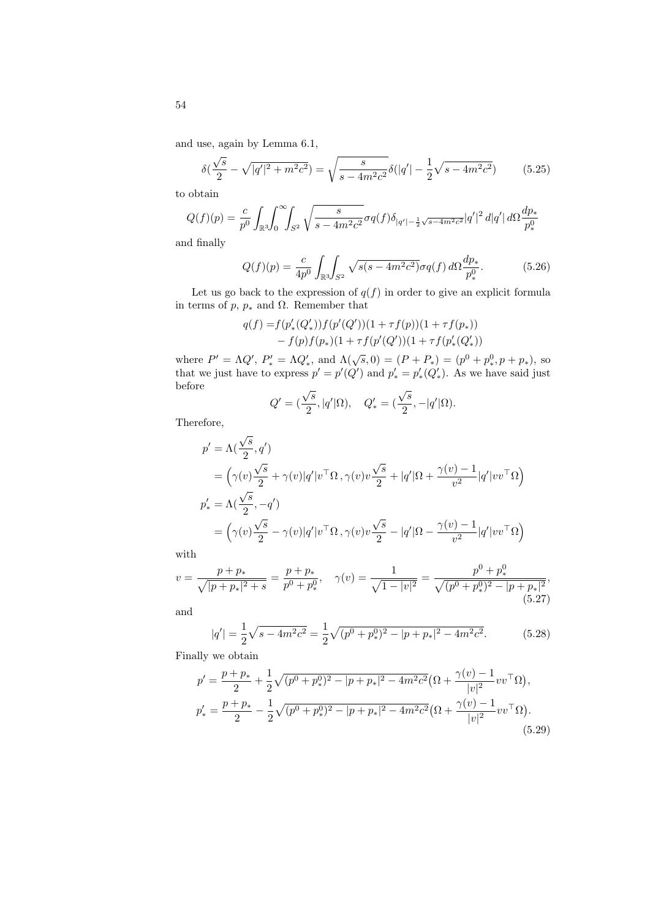and use, again by Lemma 6.1,

$$
\delta\left(\frac{\sqrt{s}}{2} - \sqrt{|q'|^2 + m^2 c^2}\right) = \sqrt{\frac{s}{s - 4m^2 c^2}} \delta\left(|q'| - \frac{1}{2}\sqrt{s - 4m^2 c^2}\right) \tag{5.25}
$$

to obtain

$$
Q(f)(p) = \frac{c}{p^0} \int_{\mathbb{R}^3} \int_0^{\infty} \int_{S^2} \sqrt{\frac{s}{s - 4m^2 c^2}} \sigma q(f) \delta_{|q'| - \frac{1}{2}\sqrt{s - 4m^2 c^2}} |q'|^2 d|q'| d\Omega \frac{dp_*}{p_*^0}
$$

and finally

$$
Q(f)(p) = \frac{c}{4p^0} \int_{\mathbb{R}^3} \int_{S^2} \sqrt{s(s - 4m^2c^2)} \sigma q(f) d\Omega \frac{dp_*}{p_*^0}.
$$
 (5.26)

Let us go back to the expression of  $q(f)$  in order to give an explicit formula in terms of  $p, p_*$  and  $Ω$ . Remember that

$$
q(f) = f(p'_{*}(Q'_{*})) f(p'(Q')) (1 + \tau f(p)) (1 + \tau f(p_{*}))
$$
  
-  $f(p) f(p_{*}) (1 + \tau f(p'(Q')) (1 + \tau f(p'_{*}(Q'_{*}))$ 

where  $P' = \Lambda Q'$ ,  $P'_* = \Lambda Q'_*$ , and  $\Lambda(\sqrt{s}, 0) = (P + P_*) = (p^0 + p^0_*, p + p_*)$ , so that we just have to express  $p' = p'(Q')$  and  $p'_{*} = p'_{*}(Q'_{*})$ . As we have said just before √ √

$$
Q' = (\frac{\sqrt{s}}{2}, |q'|\Omega), \quad Q'_* = (\frac{\sqrt{s}}{2}, -|q'|\Omega).
$$

Therefore,

$$
p' = \Lambda(\frac{\sqrt{s}}{2}, q')
$$
  
=  $\left(\gamma(v)\frac{\sqrt{s}}{2} + \gamma(v)|q'|v^{\top}\Omega, \gamma(v)v\frac{\sqrt{s}}{2} + |q'|\Omega + \frac{\gamma(v) - 1}{v^2}|q'|vv^{\top}\Omega\right)$   

$$
p'_{*} = \Lambda(\frac{\sqrt{s}}{2}, -q')
$$
  
=  $\left(\gamma(v)\frac{\sqrt{s}}{2} - \gamma(v)|q'|v^{\top}\Omega, \gamma(v)v\frac{\sqrt{s}}{2} - |q'|\Omega - \frac{\gamma(v) - 1}{v^2}|q'|vv^{\top}\Omega\right)$ 

with

$$
v = \frac{p + p_*}{\sqrt{|p + p_*|^2 + s}} = \frac{p + p_*}{p^0 + p_*^0}, \quad \gamma(v) = \frac{1}{\sqrt{1 - |v|^2}} = \frac{p^0 + p_*^0}{\sqrt{(p^0 + p_*^0)^2 - |p + p_*|^2}},\tag{5.27}
$$

and

$$
|q'| = \frac{1}{2}\sqrt{s - 4m^2c^2} = \frac{1}{2}\sqrt{(p^0 + p^0_*)^2 - |p + p_*|^2 - 4m^2c^2}.
$$
 (5.28)

Finally we obtain

$$
p' = \frac{p + p_*}{2} + \frac{1}{2} \sqrt{(p^0 + p^0_*)^2 - |p + p_*|^2 - 4m^2 c^2} \Big( \Omega + \frac{\gamma(v) - 1}{|v|^2} v v^\top \Omega \Big),
$$
  
\n
$$
p'_* = \frac{p + p_*}{2} - \frac{1}{2} \sqrt{(p^0 + p^0_*)^2 - |p + p_*|^2 - 4m^2 c^2} \Big( \Omega + \frac{\gamma(v) - 1}{|v|^2} v v^\top \Omega \Big).
$$
\n(5.29)

54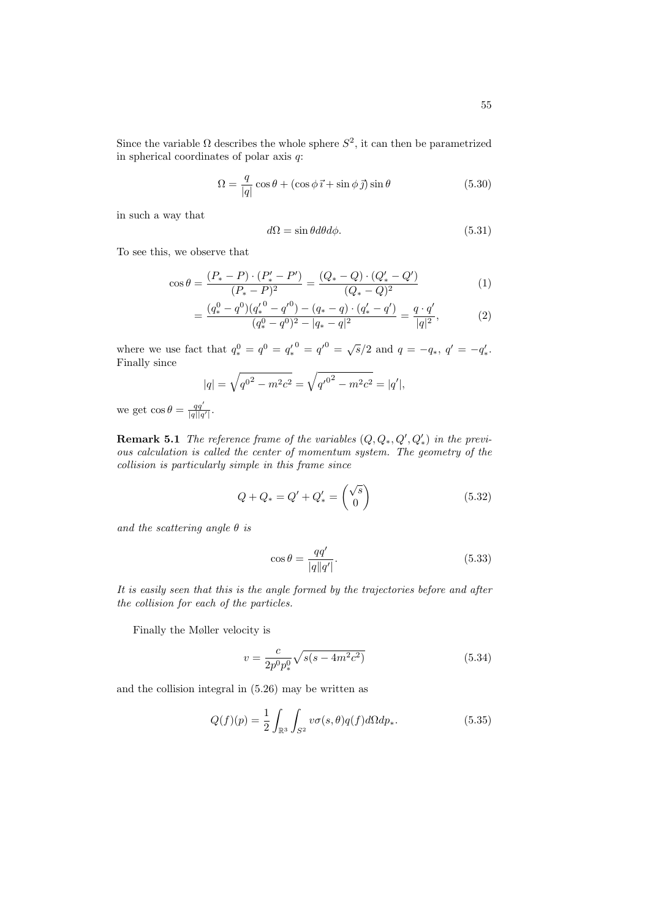Since the variable  $\Omega$  describes the whole sphere  $S^2$ , it can then be parametrized in spherical coordinates of polar axis  $q$ :

$$
\Omega = \frac{q}{|q|} \cos \theta + (\cos \phi \, \vec{\imath} + \sin \phi \, \vec{\jmath}) \sin \theta \tag{5.30}
$$

in such a way that

$$
d\Omega = \sin\theta d\theta d\phi. \tag{5.31}
$$

To see this, we observe that

$$
\cos \theta = \frac{(P_* - P) \cdot (P'_* - P')}{(P_* - P)^2} = \frac{(Q_* - Q) \cdot (Q'_* - Q')}{(Q_* - Q)^2} \tag{1}
$$

$$
= \frac{(q_*^0 - q^0)(q_*^{\prime 0} - q^{\prime 0}) - (q_* - q) \cdot (q_*^{\prime} - q^{\prime})}{(q_*^0 - q^0)^2 - |q_* - q|^2} = \frac{q \cdot q^{\prime}}{|q|^2},
$$
(2)

where we use fact that  $q_*^0 = q' = {q'_*}^0 = {q'_0}^0 = \sqrt{s}/2$  and  $q = -q_*, q' = -q'_*.$ Finally since

$$
|q| = \sqrt{q^{0^2} - m^2 c^2} = \sqrt{{q'}^{0^2} - m^2 c^2} = |q'|,
$$

we get  $\cos \theta = \frac{qq'}{|q||q'|}.$ 

**Remark 5.1** The reference frame of the variables  $(Q, Q_*, Q', Q'_*)$  in the previous calculation is called the center of momentum system. The geometry of the collision is particularly simple in this frame since

$$
Q + Q_* = Q' + Q'_* = \begin{pmatrix} \sqrt{s} \\ 0 \end{pmatrix}
$$
 (5.32)

and the scattering angle  $\theta$  is

$$
\cos \theta = \frac{qq'}{|q||q'|}.\tag{5.33}
$$

It is easily seen that this is the angle formed by the trajectories before and after the collision for each of the particles.

Finally the Møller velocity is

$$
v = \frac{c}{2p^0 p_*^0} \sqrt{s(s - 4m^2 c^2)}\tag{5.34}
$$

and the collision integral in (5.26) may be written as

$$
Q(f)(p) = \frac{1}{2} \int_{\mathbb{R}^3} \int_{S^2} v \sigma(s,\theta) q(f) d\Omega dp_*.
$$
 (5.35)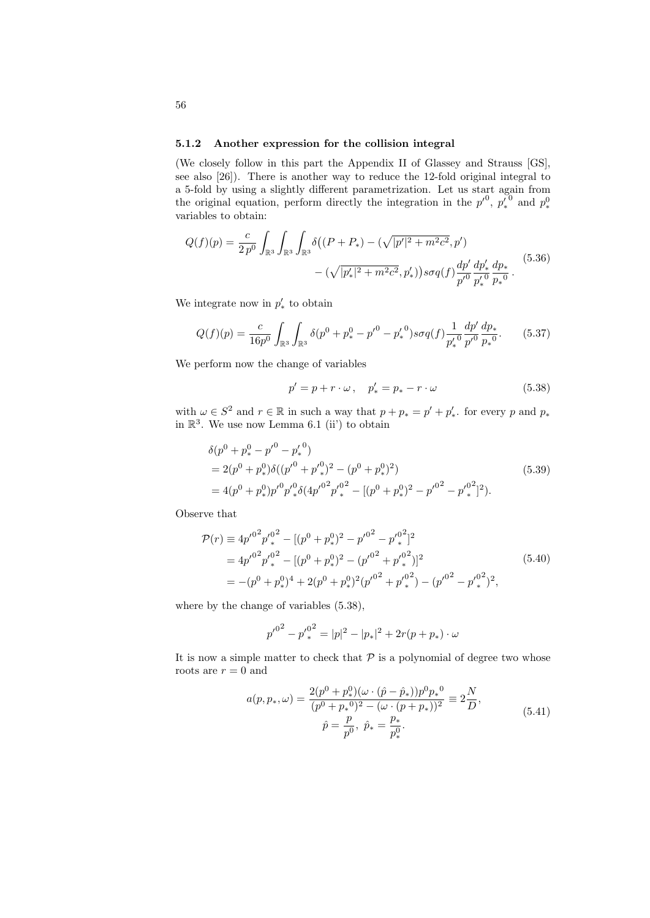#### 5.1.2 Another expression for the collision integral

(We closely follow in this part the Appendix II of Glassey and Strauss [GS], see also [26]). There is another way to reduce the 12-fold original integral to a 5-fold by using a slightly different parametrization. Let us start again from the original equation, perform directly the integration in the  $p^{0}$ ,  $p_{*}^{0}$  and  $p_{*}^{0}$ variables to obtain:

$$
Q(f)(p) = \frac{c}{2p^0} \int_{\mathbb{R}^3} \int_{\mathbb{R}^3} \int_{\mathbb{R}^3} \delta\big((P+P_*) - (\sqrt{|p'|^2 + m^2 c^2}, p') - (\sqrt{|p'|^2 + m^2 c^2}, p'_*)\big) s\sigma q(f) \frac{dp'}{p'^0} \frac{dp'_*}{p'^0} \frac{dp_*}{p_*^0}.
$$
 (5.36)

We integrate now in  $p'_{*}$  to obtain

$$
Q(f)(p) = \frac{c}{16p^0} \int_{\mathbb{R}^3} \int_{\mathbb{R}^3} \delta(p^0 + p^0_* - p'^0 - p'_*) s \sigma q(f) \frac{1}{p'_*} \frac{dp'}{p'^0} \frac{dp_*}{p_*^0}.
$$
 (5.37)

We perform now the change of variables

$$
p' = p + r \cdot \omega, \quad p'_* = p_* - r \cdot \omega \tag{5.38}
$$

with  $\omega \in S^2$  and  $r \in \mathbb{R}$  in such a way that  $p + p_* = p' + p'_*$  for every p and  $p_*$ in  $\mathbb{R}^3$ . We use now Lemma 6.1 (ii) to obtain

$$
\delta(p^{0} + p_{*}^{0} - p^{\prime 0} - p_{*}^{\prime 0})
$$
\n
$$
= 2(p^{0} + p_{*}^{0})\delta((p^{\prime 0} + p_{*}^{\prime 0})^{2} - (p^{0} + p_{*}^{0})^{2})
$$
\n
$$
= 4(p^{0} + p_{*}^{0})p^{\prime 0}p^{\prime 0}_{*}\delta(4p^{\prime 0^{2}}p^{\prime 0^{2}} - [(p^{0} + p_{*}^{0})^{2} - p^{\prime 0^{2}} - p^{\prime 0^{2}}]^{2}).
$$
\n(5.39)

Observe that

$$
\mathcal{P}(r) \equiv 4{p'}^{0} {p'}_{*}^{0} - [(p^{0} + p_{*}^{0})^{2} - {p'}_{*}^{0}]^{2}
$$
  
=  $4{p'}^{0} {p'}_{*}^{0} - [(p^{0} + p_{*}^{0})^{2} - (p'^{0} {p'}_{*}^{0})]^{2}$   
=  $-(p^{0} + p_{*}^{0})^{4} + 2(p^{0} + p_{*}^{0})^{2} (p'^{0} {p'}_{*}^{0}) - (p'^{0} {p'}_{*}^{0})^{2},$  (5.40)

where by the change of variables (5.38),

$$
{p'}^{0^2} - {p'}_*^{0^2} = |p|^2 - |p_*|^2 + 2r(p + p_*) \cdot \omega
$$

It is now a simple matter to check that  $P$  is a polynomial of degree two whose roots are  $r = 0$  and

$$
a(p, p_*, \omega) = \frac{2(p^0 + p_*^0)(\omega \cdot (\hat{p} - \hat{p}_*))p^0 p_*^0}{(p^0 + p_*^0)^2 - (\omega \cdot (p + p_*))^2} \equiv 2\frac{N}{D},
$$
  

$$
\hat{p} = \frac{p}{p^0}, \ \hat{p}_* = \frac{p_*}{p_*^0}.
$$
 (5.41)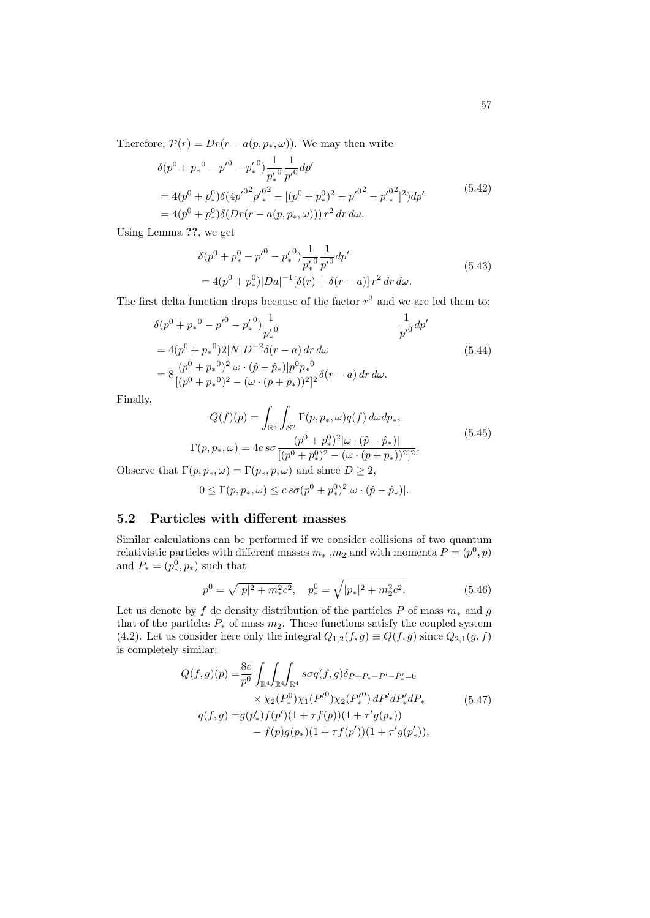Therefore,  $\mathcal{P}(r) = Dr(r - a(p, p_*, \omega))$ . We may then write

$$
\delta(p^{0} + p_{*}{}^{0} - p'^{0} - p'_{*}{}^{0}) \frac{1}{p'_{*}{}^{0}} \frac{1}{p'^{0}} dp'
$$
  
=  $4(p^{0} + p_{*}{}^{0}) \delta(4p'^{0^{2}} p'_{*}{}^{0^{2}} - [(p^{0} + p_{*}{}^{0})^{2} - p'^{0^{2}} - p'^{0^{2}}]^{2}) dp'$  (5.42)  
=  $4(p^{0} + p_{*}{}^{0}) \delta(Dr(r - a(p, p_{*}, \omega))) r^{2} dr d\omega.$ 

Using Lemma ??, we get

$$
\delta(p^{0} + p_{*}^{0} - {p'}^{0} - {p'_{*}}^{0}) \frac{1}{p'_{*}} \frac{1}{p'^{0}} dp'
$$
\n
$$
= 4(p^{0} + p_{*}^{0})|Da|^{-1}[\delta(r) + \delta(r - a)]r^{2} dr d\omega.
$$
\n(5.43)

The first delta function drops because of the factor  $r^2$  and we are led them to:

$$
\delta(p^{0} + p_{*}{}^{0} - p'^{0} - p'_{*}{}^{0}) \frac{1}{p'_{*}{}^{0}} \frac{1}{p'^{0}} dp'
$$
  
=  $4(p^{0} + p_{*}{}^{0}) 2|N|D^{-2}\delta(r - a) dr d\omega$   
=  $8 \frac{(p^{0} + p_{*}{}^{0})^{2}|\omega \cdot (\hat{p} - \hat{p}_{*})|p^{0}p_{*}{}^{0}}{[(p^{0} + p_{*}{}^{0})^{2} - (\omega \cdot (p + p_{*}))^{2}]^{2}} \delta(r - a) dr d\omega.$  (5.44)

Finally,

$$
Q(f)(p) = \int_{\mathbb{R}^3} \int_{\mathcal{S}^2} \Gamma(p, p_*, \omega) q(f) d\omega dp_*,
$$
  

$$
\Gamma(p, p_*, \omega) = 4c \operatorname{so} \frac{(p^0 + p_*^0)^2 |\omega \cdot (\hat{p} - \hat{p}_*)|}{[(p^0 + p_*^0)^2 - (\omega \cdot (p + p_*))^2]^2}.
$$
  
(5.45)

Observe that  $\Gamma(p, p_*, \omega) = \Gamma(p_*, p, \omega)$  and since  $D \geq 2$ ,

$$
0 \leq \Gamma(p, p_*, \omega) \leq c \, s \sigma (p^0 + p_*^0)^2 |\omega \cdot (\hat{p} - \hat{p}_*)|.
$$

# 5.2 Particles with different masses

Similar calculations can be performed if we consider collisions of two quantum relativistic particles with different masses  $m_*$ ,  $m_2$  and with momenta  $P = (p^0, p)$ and  $P_* = (p^0_*, p_*)$  such that

$$
p^{0} = \sqrt{|p|^{2} + m_{*}^{2}c^{2}}, \quad p_{*}^{0} = \sqrt{|p_{*}|^{2} + m_{2}^{2}c^{2}}.
$$
 (5.46)

Let us denote by f de density distribution of the particles P of mass  $m_*$  and g that of the particles  $P_*$  of mass  $m_2$ . These functions satisfy the coupled system (4.2). Let us consider here only the integral  $Q_{1,2}(f,g) \equiv Q(f,g)$  since  $Q_{2,1}(g,f)$ is completely similar:

$$
Q(f,g)(p) = \frac{8c}{p^0} \int_{\mathbb{R}^4} \int_{\mathbb{R}^4} s \sigma q(f,g) \delta_{P+P_*-P'-P'_*=0}
$$
  
\n
$$
\times \chi_2(P^0_*) \chi_1(P'^0) \chi_2(P^0_*) dP' dP'_* dP_*
$$
  
\n
$$
q(f,g) = g(p'_*) f(p')(1 + \tau f(p))(1 + \tau' g(p_*))
$$
  
\n
$$
- f(p) g(p_*) (1 + \tau f(p')) (1 + \tau' g(p'_*)),
$$
\n(5.47)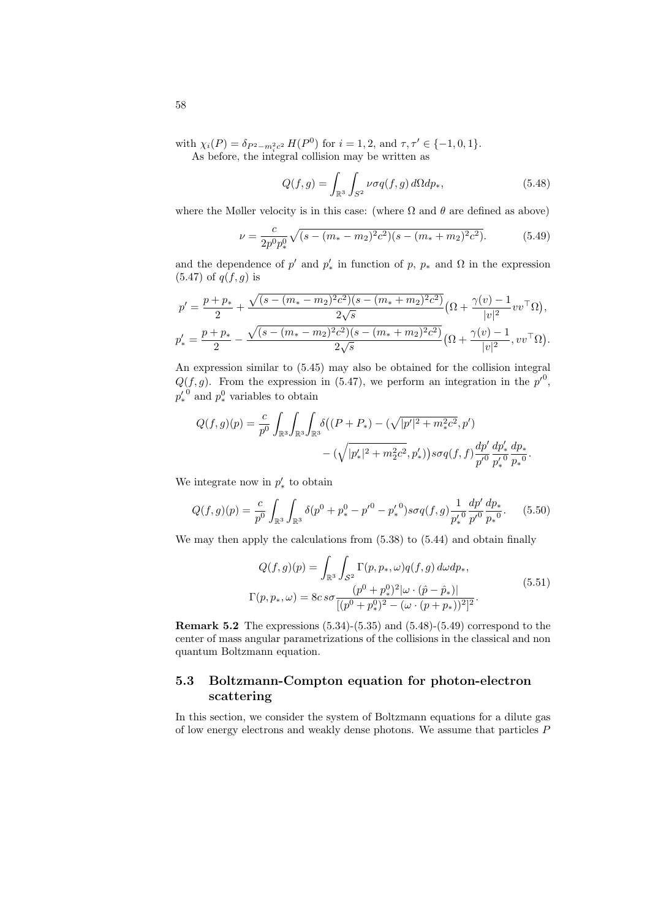with  $\chi_i(P) = \delta_{P^2 - m_i^2 c^2} H(P^0)$  for  $i = 1, 2$ , and  $\tau, \tau' \in \{-1, 0, 1\}$ . As before, the integral collision may be written as

$$
Q(f,g) = \int_{\mathbb{R}^3} \int_{S^2} \nu \sigma q(f,g) \, d\Omega \, dp_*,\tag{5.48}
$$

where the Møller velocity is in this case: (where  $\Omega$  and  $\theta$  are defined as above)

$$
\nu = \frac{c}{2p^0 p_*^0} \sqrt{(s - (m_* - m_2)^2 c^2)(s - (m_* + m_2)^2 c^2)}.
$$
 (5.49)

and the dependence of  $p'$  and  $p'_{*}$  in function of p,  $p_{*}$  and  $\Omega$  in the expression  $(5.47)$  of  $q(f, g)$  is

$$
p' = \frac{p + p_*}{2} + \frac{\sqrt{(s - (m_* - m_2)^2 c^2)(s - (m_* + m_2)^2 c^2)}}{2\sqrt{s}} (\Omega + \frac{\gamma(v) - 1}{|v|^2} vv^\top \Omega),
$$
  

$$
p'_* = \frac{p + p_*}{2} - \frac{\sqrt{(s - (m_* - m_2)^2 c^2)(s - (m_* + m_2)^2 c^2)}}{2\sqrt{s}} (\Omega + \frac{\gamma(v) - 1}{|v|^2}, vv^\top \Omega).
$$

An expression similar to (5.45) may also be obtained for the collision integral  $Q(f, g)$ . From the expression in (5.47), we perform an integration in the  $p^{\prime 0}$ ,  $p'_*$ <sup>0</sup> and  $p^0_*$  variables to obtain

$$
Q(f,g)(p) = \frac{c}{p^0} \int_{\mathbb{R}^3} \int_{\mathbb{R}^3} \int_{\mathbb{R}^3} \left( (P + P_*) - (\sqrt{|p'|^2 + m_*^2 c^2}, p') \right) \left( \sqrt{|p'|^2 + m_*^2 c^2}, p' \right) d\mu' d\mu' d\nu_* \frac{dp'_*}{p'_*} \frac{dp_*}{p_*^0}.
$$

We integrate now in  $p'_{*}$  to obtain

$$
Q(f,g)(p) = \frac{c}{p^0} \int_{\mathbb{R}^3} \int_{\mathbb{R}^3} \delta(p^0 + p^0_* - p'^0 - p'_*) s \sigma q(f,g) \frac{1}{p'_*} \frac{dp'}{p'^0} \frac{dp_*}{p_*^0}.
$$
 (5.50)

We may then apply the calculations from  $(5.38)$  to  $(5.44)$  and obtain finally

$$
Q(f,g)(p) = \int_{\mathbb{R}^3} \int_{\mathcal{S}^2} \Gamma(p, p_*, \omega) q(f, g) d\omega dp_*,
$$
  

$$
\Gamma(p, p_*, \omega) = 8c s \sigma \frac{(p^0 + p_*^0)^2 |\omega \cdot (\hat{p} - \hat{p}_*)|}{[(p^0 + p_*^0)^2 - (\omega \cdot (p + p_*))^2]^2}.
$$
 (5.51)

**Remark 5.2** The expressions  $(5.34)-(5.35)$  and  $(5.48)-(5.49)$  correspond to the center of mass angular parametrizations of the collisions in the classical and non quantum Boltzmann equation.

## 5.3 Boltzmann-Compton equation for photon-electron scattering

In this section, we consider the system of Boltzmann equations for a dilute gas of low energy electrons and weakly dense photons. We assume that particles P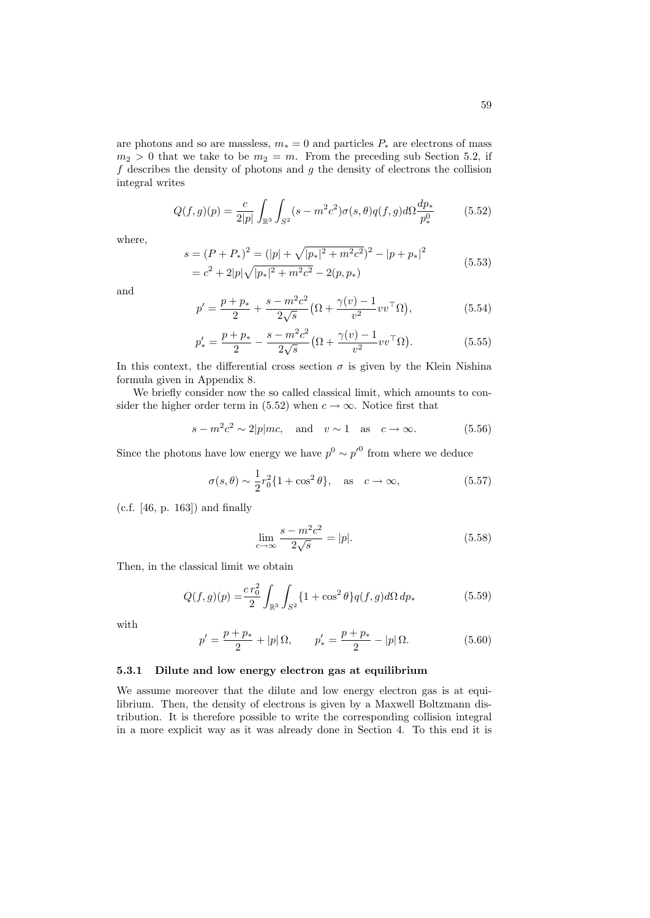are photons and so are massless,  $m_* = 0$  and particles  $P_*$  are electrons of mass  $m_2 > 0$  that we take to be  $m_2 = m$ . From the preceding sub Section 5.2, if  $f$  describes the density of photons and  $g$  the density of electrons the collision integral writes

$$
Q(f,g)(p) = \frac{c}{2|p|} \int_{\mathbb{R}^3} \int_{S^2} (s - m^2 c^2) \sigma(s,\theta) q(f,g) d\Omega \frac{dp_*}{p_*^0}
$$
(5.52)

where,

$$
s = (P + P_*)^2 = (|p| + \sqrt{|p_*|^2 + m^2 c^2})^2 - |p + p_*|^2
$$
  
=  $c^2 + 2|p|\sqrt{|p_*|^2 + m^2 c^2} - 2(p, p_*)$  (5.53)

and

$$
p' = \frac{p + p_*}{2} + \frac{s - m^2 c^2}{2\sqrt{s}} \left( \Omega + \frac{\gamma(v) - 1}{v^2} v v^\top \Omega \right),\tag{5.54}
$$

$$
p'_{*} = \frac{p + p_{*}}{2} - \frac{s - m^{2}c^{2}}{2\sqrt{s}} \left(\Omega + \frac{\gamma(v) - 1}{v^{2}} vv^{\top} \Omega\right).
$$
 (5.55)

In this context, the differential cross section  $\sigma$  is given by the Klein Nishina formula given in Appendix 8.

We briefly consider now the so called classical limit, which amounts to consider the higher order term in (5.52) when  $c \to \infty$ . Notice first that

$$
s - m^2 c^2 \sim 2|p|mc
$$
, and  $v \sim 1$  as  $c \to \infty$ . (5.56)

Since the photons have low energy we have  $p^0 \sim p'^0$  from where we deduce

$$
\sigma(s,\theta) \sim \frac{1}{2}r_0^2\{1 + \cos^2\theta\}, \quad \text{as} \quad c \to \infty,
$$
 (5.57)

 $(c.f. [46, p. 163])$  and finally

$$
\lim_{c \to \infty} \frac{s - m^2 c^2}{2\sqrt{s}} = |p|.
$$
\n(5.58)

Then, in the classical limit we obtain

$$
Q(f,g)(p) = \frac{c r_0^2}{2} \int_{\mathbb{R}^3} \int_{S^2} \{1 + \cos^2 \theta\} q(f,g) d\Omega \, dp_* \tag{5.59}
$$

with

$$
p' = \frac{p + p_*}{2} + |p|\Omega, \qquad p'_* = \frac{p + p_*}{2} - |p|\Omega. \tag{5.60}
$$

#### 5.3.1 Dilute and low energy electron gas at equilibrium

We assume moreover that the dilute and low energy electron gas is at equilibrium. Then, the density of electrons is given by a Maxwell Boltzmann distribution. It is therefore possible to write the corresponding collision integral in a more explicit way as it was already done in Section 4. To this end it is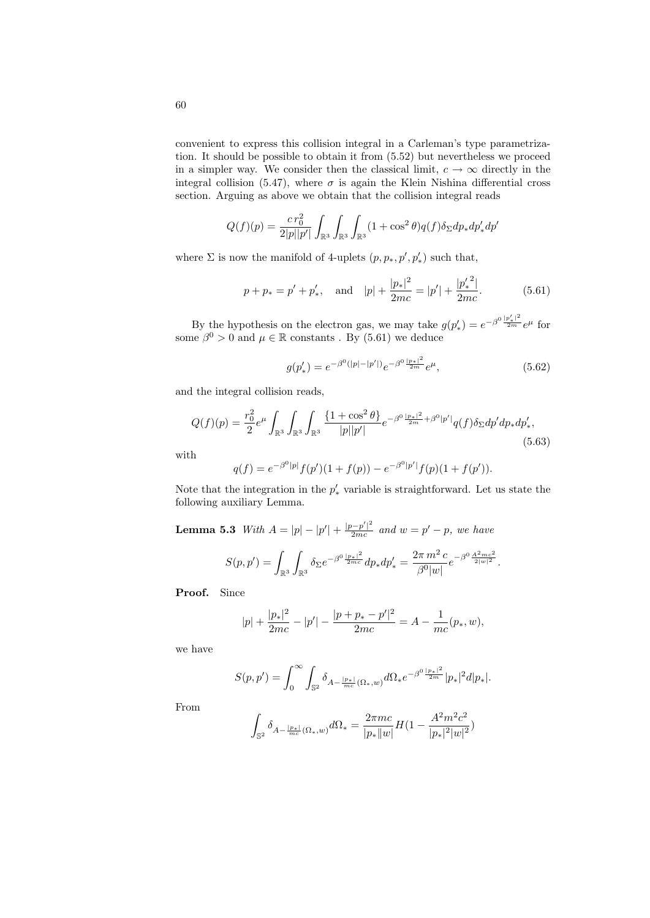convenient to express this collision integral in a Carleman's type parametrization. It should be possible to obtain it from (5.52) but nevertheless we proceed in a simpler way. We consider then the classical limit,  $c \to \infty$  directly in the integral collision (5.47), where  $\sigma$  is again the Klein Nishina differential cross section. Arguing as above we obtain that the collision integral reads

$$
Q(f)(p) = \frac{c r_0^2}{2|p||p'|} \int_{\mathbb{R}^3} \int_{\mathbb{R}^3} \int_{\mathbb{R}^3} (1 + \cos^2 \theta) q(f) \delta_{\Sigma} dp_* dp'_* dp'
$$

where  $\Sigma$  is now the manifold of 4-uplets  $(p, p_*, p', p'_*)$  such that,

$$
p + p_* = p' + p'_*,
$$
 and  $|p| + \frac{|p_*|^2}{2mc} = |p'| + \frac{|p'_*|^2}{2mc}.$  (5.61)

By the hypothesis on the electron gas, we may take  $g(p'_*) = e^{-\beta^0 \frac{|p'_*|^2}{2m}} e^{\mu}$  for some  $\beta^0 > 0$  and  $\mu \in \mathbb{R}$  constants . By (5.61) we deduce

$$
g(p'_*) = e^{-\beta^0(|p|-|p'|)}e^{-\beta^0 \frac{|p_*|^2}{2m}}e^{\mu},\tag{5.62}
$$

and the integral collision reads,

$$
Q(f)(p) = \frac{r_0^2}{2} e^{\mu} \int_{\mathbb{R}^3} \int_{\mathbb{R}^3} \frac{\{1 + \cos^2 \theta\}}{|p||p'|} e^{-\beta^0 \frac{|p_*|^2}{2m} + \beta^0 |p'|} q(f) \delta_{\Sigma} dp' dp_* dp'_*,
$$
\n(5.63)

with

$$
q(f) = e^{-\beta^{0}|p|} f(p')(1 + f(p)) - e^{-\beta^{0}|p'|} f(p)(1 + f(p')).
$$

Note that the integration in the  $p'_{*}$  variable is straightforward. Let us state the following auxiliary Lemma.

Lemma 5.3 With  $A = |p| - |p'| + \frac{|p-p'|^2}{2mc}$  $\frac{p-p'}{2mc}$  and  $w=p'-p$ , we have

$$
S(p, p') = \int_{\mathbb{R}^3} \int_{\mathbb{R}^3} \delta_{\Sigma} e^{-\beta^0 \frac{|p_*|^2}{2mc}} dp_* dp'_* = \frac{2\pi m^2 c}{\beta^0 |w|} e^{-\beta^0 \frac{A^2 mc^2}{2|w|^2}}.
$$

Proof. Since

$$
|p| + \frac{|p_*|^2}{2mc} - |p'| - \frac{|p + p_* - p'|^2}{2mc} = A - \frac{1}{mc}(p_*, w),
$$

we have

$$
S(p,p') = \int_0^\infty \int_{\mathbb{S}^2} \delta_{A-\frac{|p_*|}{mc}(\Omega_*,w)} d\Omega_* e^{-\beta^0 \frac{|p_*|^2}{2m}} |p_*|^2 d|p_*|.
$$

From

$$
\int_{\mathbb{S}^2} \delta_{A-\frac{|p_*|}{mc}(\Omega_*,w)} d\Omega_* = \frac{2\pi mc}{|p_*| |w|} H(1-\frac{A^2 m^2 c^2}{|p_*|^2 |w|^2})
$$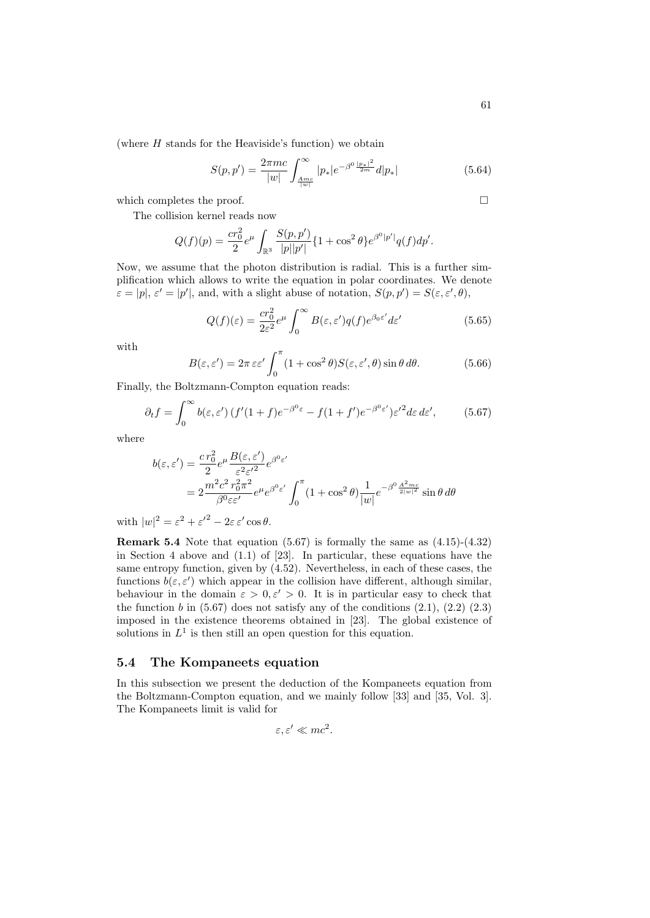(where  $H$  stands for the Heaviside's function) we obtain

$$
S(p, p') = \frac{2\pi mc}{|w|} \int_{\frac{Am}{|w|}}^{\infty} |p_*| e^{-\beta^0 \frac{|p_*|^2}{2m}} d|p_*|
$$
 (5.64)

which completes the proof.  $\Box$ 

The collision kernel reads now

$$
Q(f)(p) = \frac{cr_0^2}{2}e^{\mu} \int_{\mathbb{R}^3} \frac{S(p, p')}{|p||p'|} \{1 + \cos^2 \theta\} e^{\beta^0 |p'|} q(f) dp'.
$$

Now, we assume that the photon distribution is radial. This is a further simplification which allows to write the equation in polar coordinates. We denote  $\varepsilon = |p|, \, \varepsilon' = |p'|$ , and, with a slight abuse of notation,  $S(p, p') = S(\varepsilon, \varepsilon', \theta)$ ,

$$
Q(f)(\varepsilon) = \frac{cr_0^2}{2\varepsilon^2} e^{\mu} \int_0^{\infty} B(\varepsilon, \varepsilon') q(f) e^{\beta_0 \varepsilon'} d\varepsilon' \tag{5.65}
$$

with

$$
B(\varepsilon, \varepsilon') = 2\pi \,\varepsilon \varepsilon' \int_0^\pi (1 + \cos^2 \theta) S(\varepsilon, \varepsilon', \theta) \sin \theta \, d\theta. \tag{5.66}
$$

Finally, the Boltzmann-Compton equation reads:

$$
\partial_t f = \int_0^\infty b(\varepsilon, \varepsilon') \left( f'(1+f)e^{-\beta^0 \varepsilon} - f(1+f')e^{-\beta^0 \varepsilon'} \right) \varepsilon'^2 d\varepsilon d\varepsilon', \tag{5.67}
$$

where

$$
b(\varepsilon, \varepsilon') = \frac{c r_0^2}{2} e^{\mu} \frac{B(\varepsilon, \varepsilon')}{\varepsilon^2 \varepsilon'^2} e^{\beta^0 \varepsilon'}
$$
  
= 
$$
2 \frac{m^2 c^2 r_0^2 \pi^2}{\beta^0 \varepsilon \varepsilon'} e^{\mu} e^{\beta^0 \varepsilon'} \int_0^{\pi} (1 + \cos^2 \theta) \frac{1}{|w|} e^{-\beta^0 \frac{A^2 m \varepsilon}{2|w|^2}} \sin \theta d\theta
$$

with  $|w|^2 = \varepsilon^2 + {\varepsilon'}^2 - 2\varepsilon \varepsilon' \cos \theta$ .

**Remark 5.4** Note that equation  $(5.67)$  is formally the same as  $(4.15)-(4.32)$ in Section 4 above and (1.1) of [23]. In particular, these equations have the same entropy function, given by (4.52). Nevertheless, in each of these cases, the functions  $b(\varepsilon, \varepsilon')$  which appear in the collision have different, although similar, behaviour in the domain  $\varepsilon > 0, \varepsilon' > 0$ . It is in particular easy to check that the function b in  $(5.67)$  does not satisfy any of the conditions  $(2.1)$ ,  $(2.2)$   $(2.3)$ imposed in the existence theorems obtained in [23]. The global existence of solutions in  $L^1$  is then still an open question for this equation.

#### 5.4 The Kompaneets equation

In this subsection we present the deduction of the Kompaneets equation from the Boltzmann-Compton equation, and we mainly follow [33] and [35, Vol. 3]. The Kompaneets limit is valid for

$$
\varepsilon, \varepsilon' \ll mc^2.
$$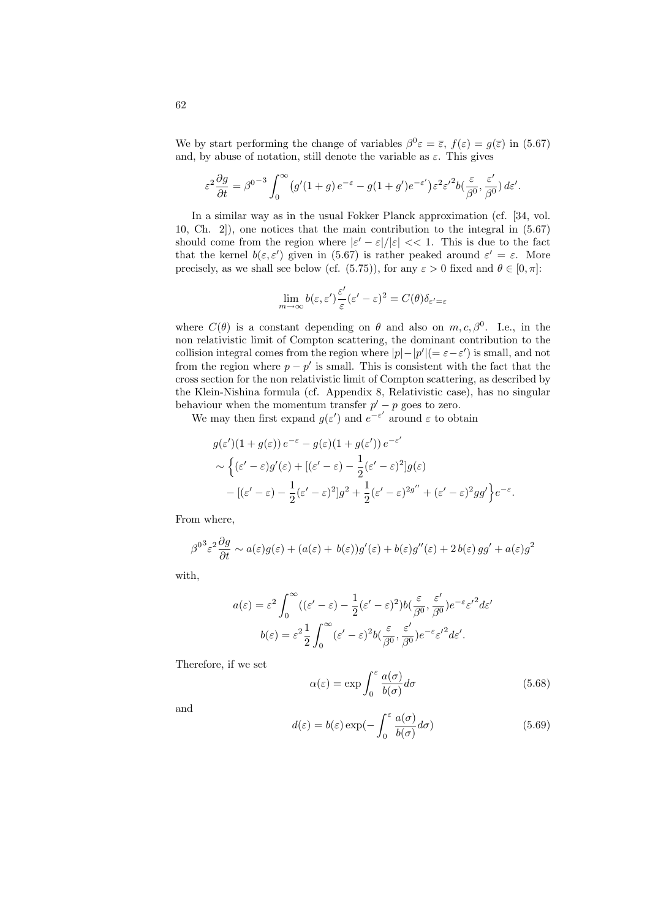We by start performing the change of variables  $\beta^0 \varepsilon = \overline{\varepsilon}$ ,  $f(\varepsilon) = g(\overline{\varepsilon})$  in (5.67) and, by abuse of notation, still denote the variable as  $\varepsilon$ . This gives

$$
\varepsilon^2 \frac{\partial g}{\partial t} = \beta^{0-3} \int_0^\infty \left( g'(1+g) \, e^{-\varepsilon} - g(1+g') e^{-\varepsilon'} \right) \varepsilon^2 \varepsilon'^2 b\left(\frac{\varepsilon}{\beta^0}, \frac{\varepsilon'}{\beta^0}\right) d\varepsilon'.
$$

In a similar way as in the usual Fokker Planck approximation (cf. [34, vol. 10, Ch. 2]), one notices that the main contribution to the integral in (5.67) should come from the region where  $|\varepsilon'-\varepsilon|/|\varepsilon| << 1$ . This is due to the fact that the kernel  $b(\varepsilon, \varepsilon')$  given in (5.67) is rather peaked around  $\varepsilon' = \varepsilon$ . More precisely, as we shall see below (cf. (5.75)), for any  $\varepsilon > 0$  fixed and  $\theta \in [0, \pi]$ :

$$
\lim_{m \to \infty} b(\varepsilon, \varepsilon') \frac{\varepsilon'}{\varepsilon} (\varepsilon' - \varepsilon)^2 = C(\theta) \delta_{\varepsilon' = \varepsilon}
$$

where  $C(\theta)$  is a constant depending on  $\theta$  and also on  $m, c, \beta^0$ . I.e., in the non relativistic limit of Compton scattering, the dominant contribution to the collision integral comes from the region where  $|p| - |p'| (= \varepsilon - \varepsilon')$  is small, and not from the region where  $p - p'$  is small. This is consistent with the fact that the cross section for the non relativistic limit of Compton scattering, as described by the Klein-Nishina formula (cf. Appendix 8, Relativistic case), has no singular behaviour when the momentum transfer  $p'-p$  goes to zero.

We may then first expand  $g(\varepsilon')$  and  $e^{-\varepsilon'}$  around  $\varepsilon$  to obtain

$$
g(\varepsilon')(1+g(\varepsilon))e^{-\varepsilon} - g(\varepsilon)(1+g(\varepsilon'))e^{-\varepsilon'}
$$
  
 
$$
\sim \left\{ (\varepsilon' - \varepsilon)g'(\varepsilon) + [(\varepsilon' - \varepsilon) - \frac{1}{2}(\varepsilon' - \varepsilon)^2]g(\varepsilon) - [(\varepsilon' - \varepsilon) - \frac{1}{2}(\varepsilon' - \varepsilon)^2]g^2 + \frac{1}{2}(\varepsilon' - \varepsilon)^{2g''} + (\varepsilon' - \varepsilon)^2 gg' \right\}e^{-\varepsilon}.
$$

From where,

$$
\beta^{0^3} \varepsilon^2 \frac{\partial g}{\partial t} \sim a(\varepsilon)g(\varepsilon) + (a(\varepsilon) + b(\varepsilon))g'(\varepsilon) + b(\varepsilon)g''(\varepsilon) + 2b(\varepsilon)gg' + a(\varepsilon)g^2
$$

with,

$$
a(\varepsilon) = \varepsilon^2 \int_0^\infty ((\varepsilon' - \varepsilon) - \frac{1}{2} (\varepsilon' - \varepsilon)^2) b(\frac{\varepsilon}{\beta^0}, \frac{\varepsilon'}{\beta^0}) e^{-\varepsilon} {\varepsilon'}^2 d\varepsilon'
$$

$$
b(\varepsilon) = \varepsilon^2 \frac{1}{2} \int_0^\infty (\varepsilon' - \varepsilon)^2 b(\frac{\varepsilon}{\beta^0}, \frac{\varepsilon'}{\beta^0}) e^{-\varepsilon} {\varepsilon'}^2 d\varepsilon'.
$$

Therefore, if we set

$$
\alpha(\varepsilon) = \exp \int_0^{\varepsilon} \frac{a(\sigma)}{b(\sigma)} d\sigma \tag{5.68}
$$

and

$$
d(\varepsilon) = b(\varepsilon) \exp(-\int_0^\varepsilon \frac{a(\sigma)}{b(\sigma)} d\sigma)
$$
 (5.69)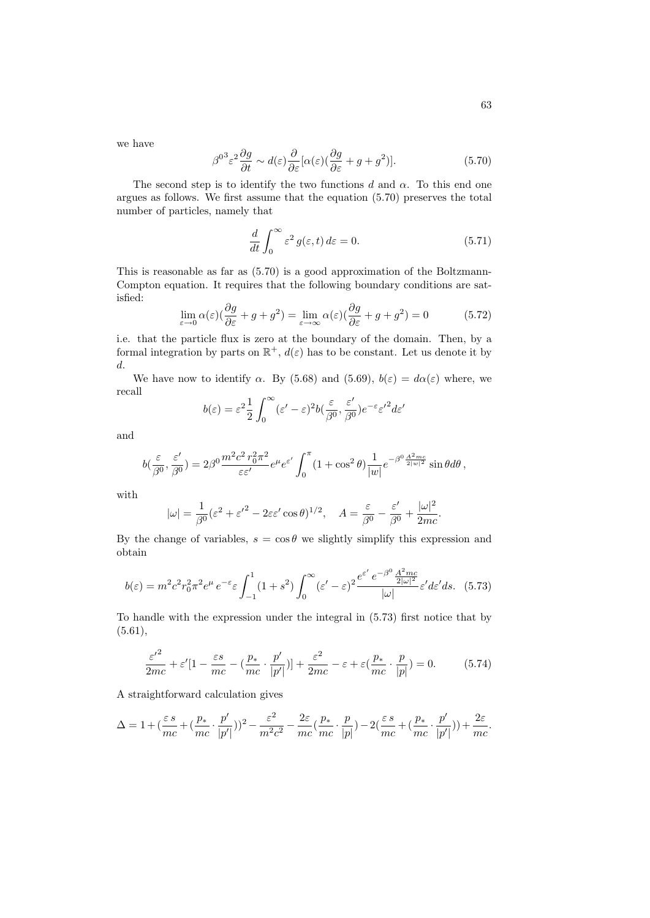we have

$$
\beta^{0^3} \varepsilon^2 \frac{\partial g}{\partial t} \sim d(\varepsilon) \frac{\partial}{\partial \varepsilon} [\alpha(\varepsilon) (\frac{\partial g}{\partial \varepsilon} + g + g^2)]. \tag{5.70}
$$

The second step is to identify the two functions d and  $\alpha$ . To this end one argues as follows. We first assume that the equation (5.70) preserves the total number of particles, namely that

$$
\frac{d}{dt} \int_0^\infty \varepsilon^2 g(\varepsilon, t) d\varepsilon = 0.
$$
\n(5.71)

This is reasonable as far as (5.70) is a good approximation of the Boltzmann-Compton equation. It requires that the following boundary conditions are satisfied:

$$
\lim_{\varepsilon \to 0} \alpha(\varepsilon) \left(\frac{\partial g}{\partial \varepsilon} + g + g^2\right) = \lim_{\varepsilon \to \infty} \alpha(\varepsilon) \left(\frac{\partial g}{\partial \varepsilon} + g + g^2\right) = 0 \tag{5.72}
$$

i.e. that the particle flux is zero at the boundary of the domain. Then, by a formal integration by parts on  $\mathbb{R}^+$ ,  $d(\varepsilon)$  has to be constant. Let us denote it by d.

We have now to identify  $\alpha$ . By (5.68) and (5.69),  $b(\varepsilon) = d\alpha(\varepsilon)$  where, we recall

$$
b(\varepsilon) = \varepsilon^2 \frac{1}{2} \int_0^\infty (\varepsilon' - \varepsilon)^2 b(\frac{\varepsilon}{\beta^0}, \frac{\varepsilon'}{\beta^0}) e^{-\varepsilon} {\varepsilon'}^2 d\varepsilon'
$$

and

$$
b(\frac{\varepsilon}{\beta^0}, \frac{\varepsilon'}{\beta^0}) = 2\beta^0 \frac{m^2 c^2 r_0^2 \pi^2}{\varepsilon \varepsilon'} e^{\mu} e^{\varepsilon'} \int_0^{\pi} (1 + \cos^2 \theta) \frac{1}{|w|} e^{-\beta^0 \frac{A^2 mc}{2|w|^2}} \sin \theta d\theta,
$$

with

$$
|\omega| = \frac{1}{\beta^0} (\varepsilon^2 + {\varepsilon'}^2 - 2\varepsilon \varepsilon' \cos \theta)^{1/2}, \quad A = \frac{\varepsilon}{\beta^0} - \frac{\varepsilon'}{\beta^0} + \frac{|\omega|^2}{2mc}.
$$

By the change of variables,  $s = \cos \theta$  we slightly simplify this expression and obtain

$$
b(\varepsilon) = m^2 c^2 r_0^2 \pi^2 e^{\mu} e^{-\varepsilon} \varepsilon \int_{-1}^1 (1+s^2) \int_0^\infty (\varepsilon' - \varepsilon)^2 \frac{e^{\varepsilon'} e^{-\beta^0} \frac{A^2 m c}{2|\omega|^2}}{|\omega|} \varepsilon' d\varepsilon' ds. \tag{5.73}
$$

To handle with the expression under the integral in (5.73) first notice that by  $(5.61),$ 

$$
\frac{{\varepsilon'}^2}{2mc} + {\varepsilon'}[1 - \frac{{\varepsilon} s}{mc} - (\frac{p_*}{mc} \cdot \frac{p'}{|p'|})] + \frac{{\varepsilon}^2}{2mc} - {\varepsilon} + {\varepsilon}(\frac{p_*}{mc} \cdot \frac{p}{|p|}) = 0.
$$
 (5.74)

A straightforward calculation gives

$$
\Delta = 1 + (\frac{\varepsilon \,s}{mc} + (\frac{p_\ast}{mc}\cdot\frac{p'}{|p'|}))^2 - \frac{\varepsilon^2}{m^2c^2} - \frac{2\varepsilon}{mc}(\frac{p_\ast}{mc}\cdot\frac{p}{|p|}) - 2(\frac{\varepsilon \,s}{mc} + (\frac{p_\ast}{mc}\cdot\frac{p'}{|p'|}))+ \frac{2\varepsilon}{mc}.
$$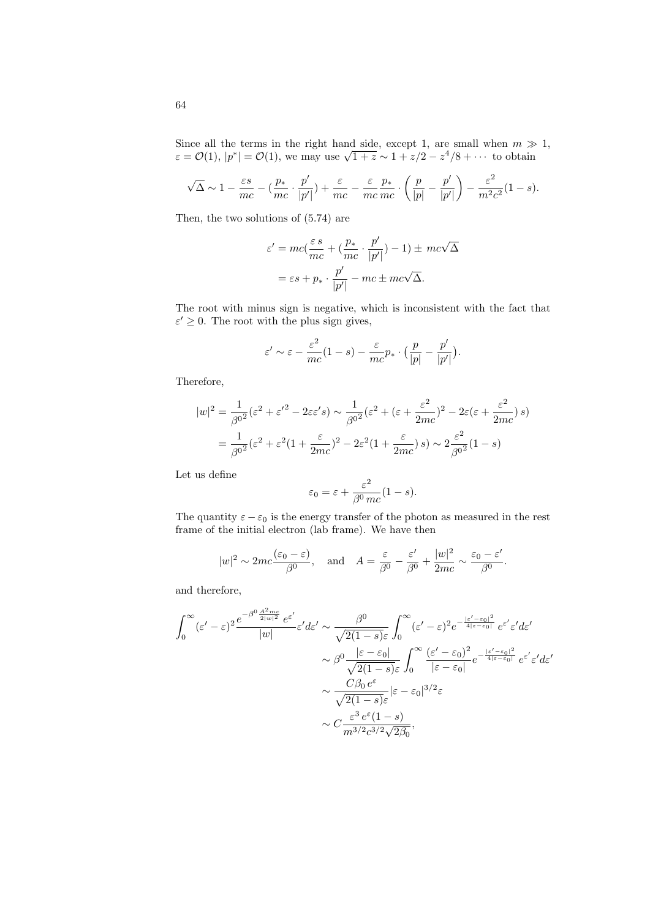Since all the terms in the right hand side, except 1, are small when  $m \gg 1$ , Since all the terms in the right hand side, except 1, are small when  $m \gg \varepsilon = \mathcal{O}(1)$ ,  $|p^*| = \mathcal{O}(1)$ , we may use  $\sqrt{1+z} \sim 1 + z/2 - z^4/8 + \cdots$  to obtain

$$
\sqrt{\Delta} \sim 1 - \frac{\varepsilon s}{mc} - \big( \frac{p_*}{mc} \cdot \frac{p'}{|p'|} \big) + \frac{\varepsilon}{mc} - \frac{\varepsilon}{mc} \frac{p_*}{mc} \cdot \left( \frac{p}{|p|} - \frac{p'}{|p'|} \right) - \frac{\varepsilon^2}{m^2 c^2} (1-s).
$$

Then, the two solutions of (5.74) are

$$
\varepsilon' = mc(\frac{\varepsilon s}{mc} + (\frac{p_*}{mc} \cdot \frac{p'}{|p'|}) - 1) \pm mc\sqrt{\Delta}
$$

$$
= \varepsilon s + p_* \cdot \frac{p'}{|p'|} - mc \pm mc\sqrt{\Delta}.
$$

The root with minus sign is negative, which is inconsistent with the fact that  $\varepsilon' \geq 0$ . The root with the plus sign gives,

$$
\varepsilon' \sim \varepsilon - \frac{\varepsilon^2}{mc}(1-s) - \frac{\varepsilon}{mc} p_* \cdot \big(\frac{p}{|p|} - \frac{p'}{|p'|}\big).
$$

Therefore,

$$
|w|^2 = \frac{1}{\beta^{02}} (\varepsilon^2 + {\varepsilon'}^2 - 2\varepsilon \varepsilon' s) \sim \frac{1}{\beta^{02}} (\varepsilon^2 + (\varepsilon + \frac{\varepsilon^2}{2mc})^2 - 2\varepsilon (\varepsilon + \frac{\varepsilon^2}{2mc}) s)
$$
  
= 
$$
\frac{1}{\beta^{02}} (\varepsilon^2 + \varepsilon^2 (1 + \frac{\varepsilon}{2mc})^2 - 2\varepsilon^2 (1 + \frac{\varepsilon}{2mc}) s) \sim 2 \frac{\varepsilon^2}{\beta^{02}} (1 - s)
$$

Let us define

$$
\varepsilon_0 = \varepsilon + \frac{\varepsilon^2}{\beta^0 m c} (1 - s).
$$

The quantity  $\varepsilon - \varepsilon_0$  is the energy transfer of the photon as measured in the rest frame of the initial electron (lab frame). We have then

$$
|w|^2 \sim 2mc \frac{(\varepsilon_0 - \varepsilon)}{\beta^0}
$$
, and  $A = \frac{\varepsilon}{\beta^0} - \frac{\varepsilon'}{\beta^0} + \frac{|w|^2}{2mc} \sim \frac{\varepsilon_0 - \varepsilon'}{\beta^0}$ .

and therefore,

$$
\int_0^\infty (\varepsilon' - \varepsilon)^2 \frac{e^{-\beta \frac{a^2 m c}{2|w|^2}} e^{\varepsilon'}}{|w|} \varepsilon' d\varepsilon' \sim \frac{\beta^0}{\sqrt{2(1-s)} \varepsilon} \int_0^\infty (\varepsilon' - \varepsilon)^2 e^{-\frac{|\varepsilon' - \varepsilon_0|^2}{4|\varepsilon - \varepsilon_0|}} e^{\varepsilon'} \varepsilon' d\varepsilon'
$$

$$
\sim \beta^0 \frac{|\varepsilon - \varepsilon_0|}{\sqrt{2(1-s)} \varepsilon} \int_0^\infty \frac{(\varepsilon' - \varepsilon_0)^2}{|\varepsilon - \varepsilon_0|} e^{-\frac{|\varepsilon' - \varepsilon_0|^2}{4|\varepsilon - \varepsilon_0|}} e^{\varepsilon'} \varepsilon' d\varepsilon'
$$

$$
\sim \frac{C \beta_0 e^{\varepsilon}}{\sqrt{2(1-s)} \varepsilon} |\varepsilon - \varepsilon_0|^{3/2} \varepsilon
$$

$$
\sim C \frac{\varepsilon^3 e^{\varepsilon} (1 - s)}{m^{3/2} c^{3/2} \sqrt{2\beta_0}},
$$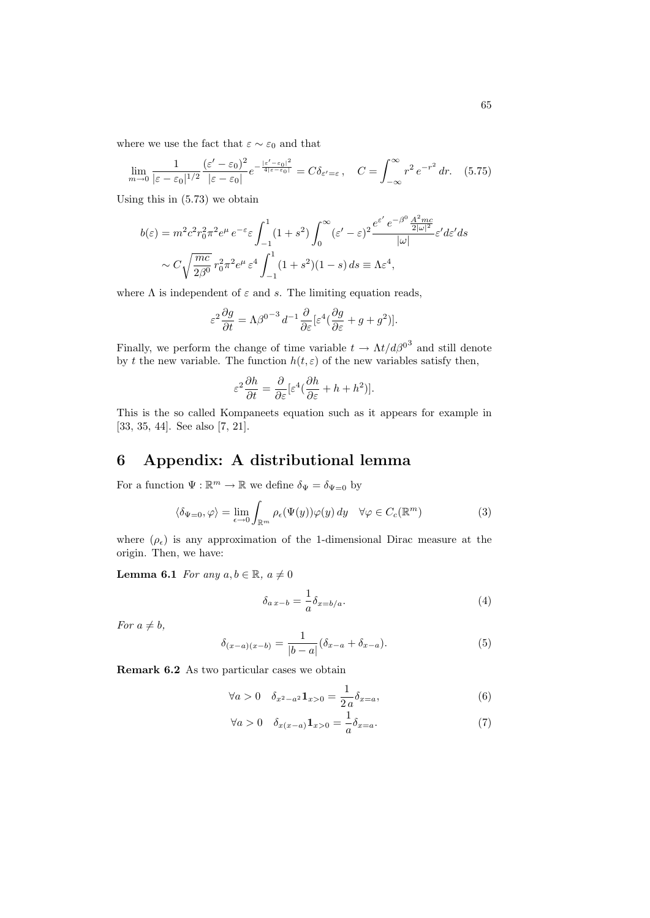where we use the fact that  $\varepsilon \sim \varepsilon_0$  and that

$$
\lim_{m \to 0} \frac{1}{|\varepsilon - \varepsilon_0|^{1/2}} \frac{(\varepsilon' - \varepsilon_0)^2}{|\varepsilon - \varepsilon_0|} e^{-\frac{|\varepsilon' - \varepsilon_0|^2}{4|\varepsilon - \varepsilon_0|}} = C \delta_{\varepsilon' = \varepsilon}, \quad C = \int_{-\infty}^{\infty} r^2 e^{-r^2} dr. \tag{5.75}
$$

Using this in (5.73) we obtain

$$
b(\varepsilon) = m^2 c^2 r_0^2 \pi^2 e^{\mu} e^{-\varepsilon} \varepsilon \int_{-1}^1 (1+s^2) \int_0^{\infty} (\varepsilon' - \varepsilon)^2 \frac{e^{\varepsilon'} e^{-\beta^0} \frac{A^2 mc}{2|\omega|^2}}{|\omega|} \varepsilon' d\varepsilon' ds
$$
  
 
$$
\sim C \sqrt{\frac{mc}{2\beta^0}} r_0^2 \pi^2 e^{\mu} \varepsilon^4 \int_{-1}^1 (1+s^2)(1-s) ds \equiv \Lambda \varepsilon^4,
$$

where  $\Lambda$  is independent of  $\varepsilon$  and  $s$ . The limiting equation reads,

$$
\varepsilon^2 \frac{\partial g}{\partial t} = \Lambda \beta^{0-3} d^{-1} \frac{\partial}{\partial \varepsilon} [\varepsilon^4 (\frac{\partial g}{\partial \varepsilon} + g + g^2)].
$$

Finally, we perform the change of time variable  $t \to \Lambda t/d\beta^{03}$  and still denote by t the new variable. The function  $h(t, \varepsilon)$  of the new variables satisfy then,

$$
\varepsilon^2 \frac{\partial h}{\partial t} = \frac{\partial}{\partial \varepsilon} [\varepsilon^4 (\frac{\partial h}{\partial \varepsilon} + h + h^2)].
$$

This is the so called Kompaneets equation such as it appears for example in [33, 35, 44]. See also [7, 21].

# 6 Appendix: A distributional lemma

For a function  $\Psi : \mathbb{R}^m \to \mathbb{R}$  we define  $\delta_{\Psi} = \delta_{\Psi=0}$  by

$$
\langle \delta_{\Psi=0}, \varphi \rangle = \lim_{\epsilon \to 0} \int_{\mathbb{R}^m} \rho_{\epsilon}(\Psi(y)) \varphi(y) \, dy \quad \forall \varphi \in C_c(\mathbb{R}^m)
$$
 (3)

where  $(\rho_{\epsilon})$  is any approximation of the 1-dimensional Dirac measure at the origin. Then, we have:

**Lemma 6.1** For any  $a, b \in \mathbb{R}$ ,  $a \neq 0$ 

$$
\delta_{a\,x-b} = \frac{1}{a} \delta_{x=b/a}.\tag{4}
$$

For  $a \neq b$ ,

$$
\delta_{(x-a)(x-b)} = \frac{1}{|b-a|} (\delta_{x-a} + \delta_{x-a}).
$$
\n(5)

Remark 6.2 As two particular cases we obtain

$$
\forall a > 0 \quad \delta_{x^2 - a^2} \mathbf{1}_{x>0} = \frac{1}{2a} \delta_{x=a},\tag{6}
$$

$$
\forall a > 0 \quad \delta_{x(x-a)} \mathbf{1}_{x>0} = \frac{1}{a} \delta_{x=a}.\tag{7}
$$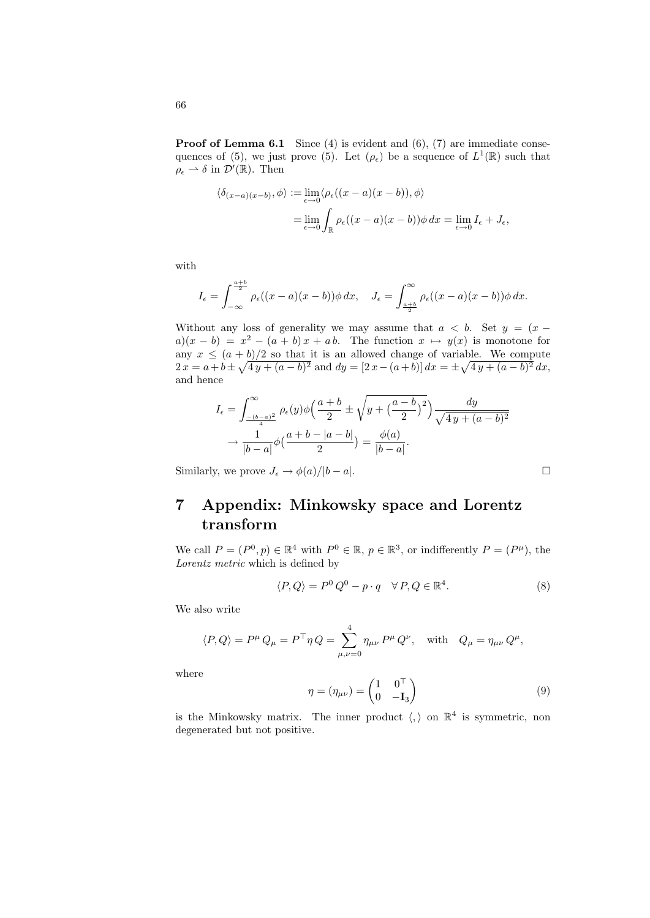**Proof of Lemma 6.1** Since  $(4)$  is evident and  $(6)$ ,  $(7)$  are immediate consequences of (5), we just prove (5). Let  $(\rho_{\epsilon})$  be a sequence of  $L^{1}(\mathbb{R})$  such that  $\rho_{\epsilon} \rightharpoonup \delta$  in  $\mathcal{D}'(\mathbb{R})$ . Then

$$
\langle \delta_{(x-a)(x-b)}, \phi \rangle := \lim_{\epsilon \to 0} \langle \rho_{\epsilon}((x-a)(x-b)), \phi \rangle
$$
  
= 
$$
\lim_{\epsilon \to 0} \int_{\mathbb{R}} \rho_{\epsilon}((x-a)(x-b)) \phi \, dx = \lim_{\epsilon \to 0} I_{\epsilon} + J_{\epsilon},
$$

with

$$
I_{\epsilon} = \int_{-\infty}^{\frac{a+b}{2}} \rho_{\epsilon}((x-a)(x-b))\phi \,dx, \quad J_{\epsilon} = \int_{\frac{a+b}{2}}^{\infty} \rho_{\epsilon}((x-a)(x-b))\phi \,dx.
$$

Without any loss of generality we may assume that  $a < b$ . Set  $y = (x$  $a(x - b) = x^2 - (a + b)x + ab$ . The function  $x \mapsto y(x)$  is monotone for any  $x \leq (a + b)/2$  so that it is an allowed change of variable. We compute  $2x = a + b \pm \sqrt{4y + (a - b)^2}$  and  $dy = [2x - (a + b)] dx = \pm \sqrt{4y + (a - b)^2} dx$ , and hence

$$
I_{\epsilon} = \int_{\frac{-(b-a)^2}{4}}^{\infty} \rho_{\epsilon}(y)\phi\left(\frac{a+b}{2} \pm \sqrt{y + \left(\frac{a-b}{2}\right)^2}\right) \frac{dy}{\sqrt{4y + (a-b)^2}}
$$

$$
\to \frac{1}{|b-a|}\phi\left(\frac{a+b-|a-b|}{2}\right) = \frac{\phi(a)}{|b-a|}.
$$

Similarly, we prove  $J_{\epsilon} \rightarrow \phi(a)/|b-a|$ .

# 7 Appendix: Minkowsky space and Lorentz transform

We call  $P = (P^0, p) \in \mathbb{R}^4$  with  $P^0 \in \mathbb{R}$ ,  $p \in \mathbb{R}^3$ , or indifferently  $P = (P^{\mu})$ , the Lorentz metric which is defined by

$$
\langle P, Q \rangle = P^0 Q^0 - p \cdot q \quad \forall P, Q \in \mathbb{R}^4.
$$
 (8)

We also write

$$
\langle P, Q \rangle = P^{\mu} Q_{\mu} = P^{\top} \eta Q = \sum_{\mu, \nu = 0}^{4} \eta_{\mu\nu} P^{\mu} Q^{\nu}, \text{ with } Q_{\mu} = \eta_{\mu\nu} Q^{\mu},
$$

where

$$
\eta = (\eta_{\mu\nu}) = \begin{pmatrix} 1 & 0^{\top} \\ 0 & -\mathbf{I}_3 \end{pmatrix}
$$
 (9)

is the Minkowsky matrix. The inner product  $\langle, \rangle$  on  $\mathbb{R}^4$  is symmetric, non degenerated but not positive.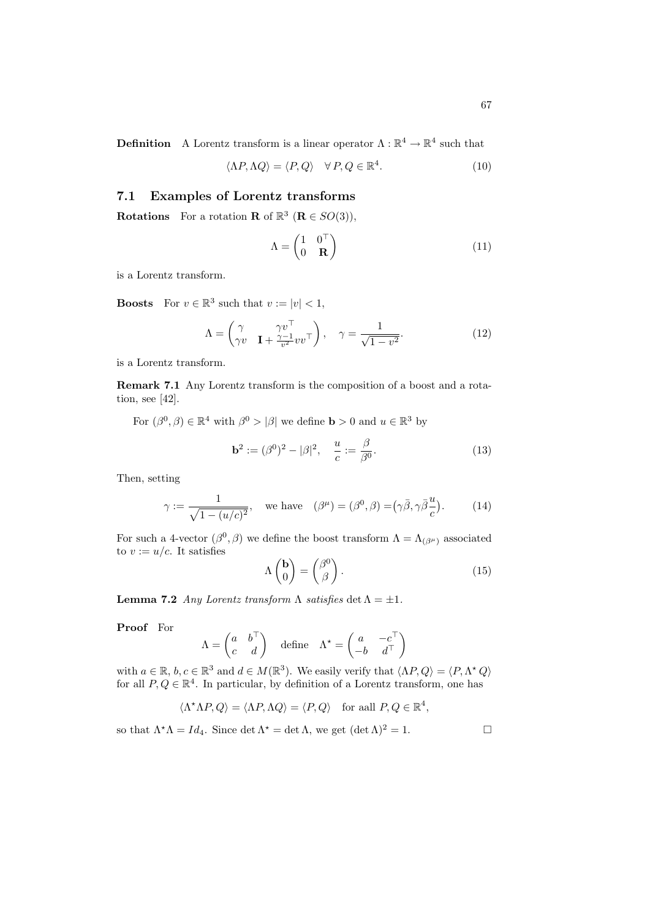**Definition** A Lorentz transform is a linear operator  $\Lambda : \mathbb{R}^4 \to \mathbb{R}^4$  such that

$$
\langle \Lambda P, \Lambda Q \rangle = \langle P, Q \rangle \quad \forall P, Q \in \mathbb{R}^4. \tag{10}
$$

### 7.1 Examples of Lorentz transforms

**Rotations** For a rotation **R** of  $\mathbb{R}^3$  (**R**  $\in SO(3)$ ),

$$
\Lambda = \begin{pmatrix} 1 & 0^{\top} \\ 0 & \mathbf{R} \end{pmatrix} \tag{11}
$$

is a Lorentz transform.

**Boosts** For  $v \in \mathbb{R}^3$  such that  $v := |v| < 1$ ,

$$
\Lambda = \begin{pmatrix} \gamma & \gamma v^{\top} \\ \gamma v & \mathbf{I} + \frac{\gamma - 1}{v^2} v v^{\top} \end{pmatrix}, \quad \gamma = \frac{1}{\sqrt{1 - v^2}}.
$$
 (12)

is a Lorentz transform.

Remark 7.1 Any Lorentz transform is the composition of a boost and a rotation, see [42].

For  $(\beta^0, \beta) \in \mathbb{R}^4$  with  $\beta^0 > |\beta|$  we define  $\mathbf{b} > 0$  and  $u \in \mathbb{R}^3$  by

$$
\mathbf{b}^2 := (\beta^0)^2 - |\beta|^2, \quad \frac{u}{c} := \frac{\beta}{\beta^0}.
$$
 (13)

Then, setting

$$
\gamma := \frac{1}{\sqrt{1 - (u/c)^2}}, \quad \text{we have} \quad (\beta^{\mu}) = (\beta^0, \beta) = (\gamma \overline{\beta}, \gamma \overline{\beta}^{\mu}) . \tag{14}
$$

For such a 4-vector  $(\beta^0, \beta)$  we define the boost transform  $\Lambda = \Lambda_{(\beta^{\mu})}$  associated to  $v := u/c$ . It satisfies

$$
\Lambda \begin{pmatrix} \mathbf{b} \\ 0 \end{pmatrix} = \begin{pmatrix} \beta^0 \\ \beta \end{pmatrix} . \tag{15}
$$

Lemma 7.2 Any Lorentz transform  $\Lambda$  satisfies det  $\Lambda = \pm 1$ .

Proof For

$$
\Lambda = \begin{pmatrix} a & b^{\top} \\ c & d \end{pmatrix} \quad \text{define} \quad \Lambda^{\star} = \begin{pmatrix} a & -c^{\top} \\ -b & d^{\top} \end{pmatrix}
$$

with  $a \in \mathbb{R}, b, c \in \mathbb{R}^3$  and  $d \in M(\mathbb{R}^3)$ . We easily verify that  $\langle \Lambda P, Q \rangle = \langle P, \Lambda^* Q \rangle$ for all  $P, Q \in \mathbb{R}^4$ . In particular, by definition of a Lorentz transform, one has

$$
\langle \Lambda^{\star}\Lambda P,Q\rangle = \langle \Lambda P,\Lambda Q\rangle = \langle P,Q\rangle \quad \text{for all } P,Q \in \mathbb{R}^4,
$$

so that  $\Lambda^*\Lambda = Id_4$ . Since det  $\Lambda^* = \det \Lambda$ , we get  $(\det \Lambda)^2 = 1$ .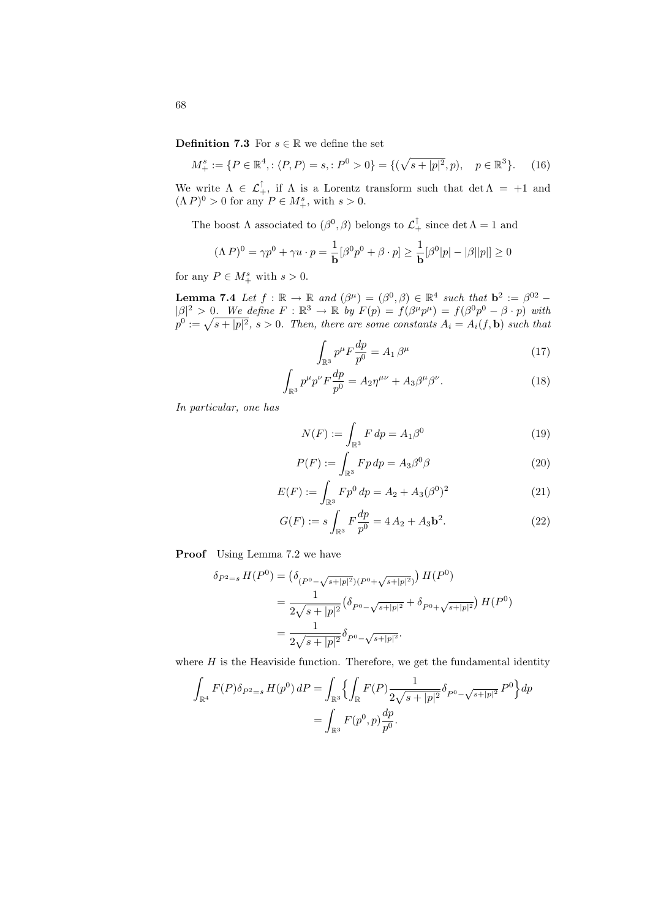**Definition 7.3** For  $s \in \mathbb{R}$  we define the set

$$
M^s_+ := \{ P \in \mathbb{R}^4, : \langle P, P \rangle = s, : P^0 > 0 \} = \{ (\sqrt{s + |p|^2}, p), \quad p \in \mathbb{R}^3 \}. \tag{16}
$$

We write  $\Lambda \in \mathcal{L}_{+}^{\uparrow}$ , if  $\Lambda$  is a Lorentz transform such that  $\det \Lambda = +1$  and  $(\Lambda P)^0 > 0$  for any  $P \in M^s_+$ , with  $s > 0$ .

The boost  $\Lambda$  associated to  $(\beta^0, \beta)$  belongs to  $\mathcal{L}_+^{\uparrow}$  since  $\det \Lambda = 1$  and

$$
(\Lambda P)^0 = \gamma p^0 + \gamma u \cdot p = \frac{1}{\mathbf{b}} [\beta^0 p^0 + \beta \cdot p] \ge \frac{1}{\mathbf{b}} [\beta^0 |p| - |\beta| |p|] \ge 0
$$

for any  $P \in M^s_+$  with  $s > 0$ .

**Lemma 7.4** Let  $f : \mathbb{R} \to \mathbb{R}$  and  $(\beta^{\mu}) = (\beta^0, \beta) \in \mathbb{R}^4$  such that  $\mathbf{b}^2 := \beta^{02} - \beta^0$  $|\beta|^2 > 0$ . We define  $F : \mathbb{R}^3 \to \mathbb{R}$  by  $F(p) = f(\beta^{\mu}p^{\mu}) = f(\beta^0p^0 - \beta \cdot p)$  with  $p^0 := \sqrt{s+|p|^2}$ ,  $s > 0$ . Then, there are some constants  $A_i = A_i(f, \mathbf{b})$  such that

$$
\int_{\mathbb{R}^3} p^{\mu} F \frac{dp}{p^0} = A_1 \beta^{\mu} \tag{17}
$$

$$
\int_{\mathbb{R}^3} p^{\mu} p^{\nu} F \frac{dp}{p^0} = A_2 \eta^{\mu \nu} + A_3 \beta^{\mu} \beta^{\nu}.
$$
 (18)

In particular, one has

$$
N(F) := \int_{\mathbb{R}^3} F \, dp = A_1 \beta^0 \tag{19}
$$

$$
P(F) := \int_{\mathbb{R}^3} F p \, dp = A_3 \beta^0 \beta \tag{20}
$$

$$
E(F) := \int_{\mathbb{R}^3} F p^0 \, dp = A_2 + A_3 (\beta^0)^2 \tag{21}
$$

$$
G(F) := s \int_{\mathbb{R}^3} F \frac{dp}{p^0} = 4A_2 + A_3 \mathbf{b}^2.
$$
 (22)

Proof Using Lemma 7.2 we have

$$
\delta_{P^2=s} H(P^0) = (\delta_{(P^0 - \sqrt{s+|p|^2})(P^0 + \sqrt{s+|p|^2})}) H(P^0)
$$
  
= 
$$
\frac{1}{2\sqrt{s+|p|^2}} (\delta_{P^0 - \sqrt{s+|p|^2}} + \delta_{P^0 + \sqrt{s+|p|^2}}) H(P^0)
$$
  
= 
$$
\frac{1}{2\sqrt{s+|p|^2}} \delta_{P^0 - \sqrt{s+|p|^2}}.
$$

where  $H$  is the Heaviside function. Therefore, we get the fundamental identity

$$
\int_{\mathbb{R}^4} F(P) \delta_{P^2=s} H(p^0) dP = \int_{\mathbb{R}^3} \left\{ \int_{\mathbb{R}} F(P) \frac{1}{2\sqrt{s+|p|^2}} \delta_{P^0-\sqrt{s+|p|^2}} P^0 \right\} dp
$$
  
= 
$$
\int_{\mathbb{R}^3} F(p^0, p) \frac{dp}{p^0}.
$$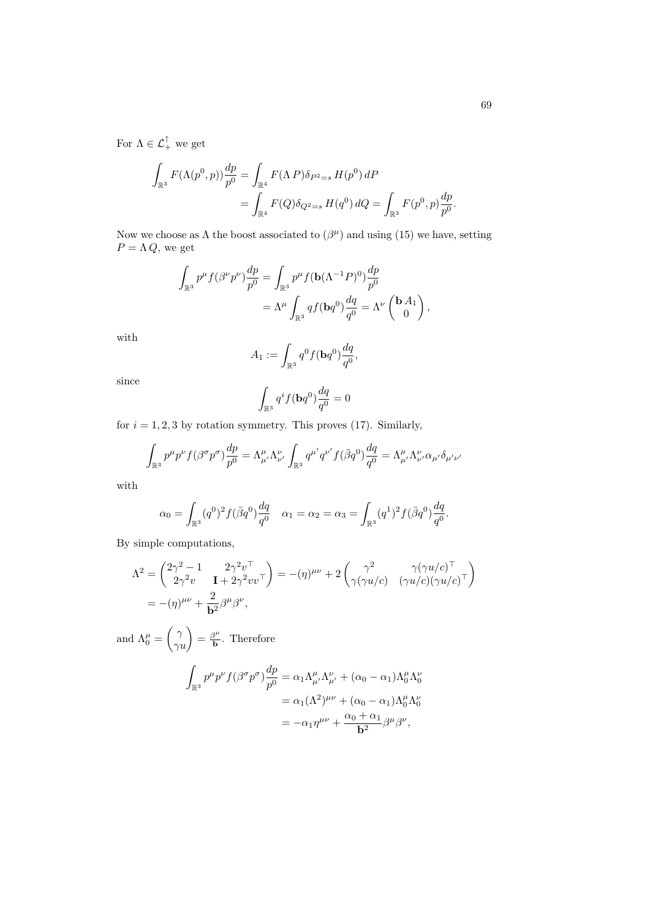For  $\Lambda \in \mathcal{L}_+^{\uparrow}$  we get

$$
\int_{\mathbb{R}^3} F(\Lambda(p^0, p)) \frac{dp}{p^0} = \int_{\mathbb{R}^4} F(\Lambda P) \delta_{P^2 = s} H(p^0) dP
$$
  
= 
$$
\int_{\mathbb{R}^4} F(Q) \delta_{Q^2 = s} H(q^0) dQ = \int_{\mathbb{R}^3} F(p^0, p) \frac{dp}{p^0}.
$$

Now we choose as  $\Lambda$  the boost associated to  $(\beta^{\mu})$  and using (15) we have, setting  $P = \Lambda Q$ , we get

$$
\int_{\mathbb{R}^3} p^{\mu} f(\beta^{\nu} p^{\nu}) \frac{dp}{p^0} = \int_{\mathbb{R}^3} p^{\mu} f(\mathbf{b} (\Lambda^{-1} P)^0) \frac{dp}{p^0}
$$

$$
= \Lambda^{\mu} \int_{\mathbb{R}^3} q f(\mathbf{b} q^0) \frac{dq}{q^0} = \Lambda^{\nu} \begin{pmatrix} \mathbf{b} A_1 \\ 0 \end{pmatrix},
$$

with

$$
A_1 := \int_{\mathbb{R}^3} q^0 f(\mathbf{b} q^0) \frac{dq}{q^0},
$$

since

$$
\int_{\mathbb{R}^3} q^i f(\mathbf{b} q^0) \frac{dq}{q^0} = 0
$$

for  $i = 1, 2, 3$  by rotation symmetry. This proves (17). Similarly,

$$
\int_{\mathbb{R}^3} p^{\mu} p^{\nu} f(\beta^{\sigma} p^{\sigma}) \frac{dp}{p^0} = \Lambda^{\mu}_{\mu'} \Lambda^{\nu}_{\nu'} \int_{\mathbb{R}^3} q^{\mu'} q^{\nu'} f(\bar{\beta} q^0) \frac{dq}{q^0} = \Lambda^{\mu}_{\mu'} \Lambda^{\nu}_{\nu'} \alpha_{\mu'} \delta_{\mu'\nu'}
$$

with

$$
\alpha_0 = \int_{\mathbb{R}^3} (q^0)^2 f(\bar{\beta}q^0) \frac{dq}{q^0} \quad \alpha_1 = \alpha_2 = \alpha_3 = \int_{\mathbb{R}^3} (q^1)^2 f(\bar{\beta}q^0) \frac{dq}{q^0}.
$$

By simple computations,

$$
\Lambda^{2} = \begin{pmatrix} 2\gamma^{2} - 1 & 2\gamma^{2}v^{\top} \\ 2\gamma^{2}v & \mathbf{I} + 2\gamma^{2}vv^{\top} \end{pmatrix} = -(\eta)^{\mu\nu} + 2\begin{pmatrix} \gamma^{2} & \gamma(\gamma u/c)^{\top} \\ \gamma(\gamma u/c) & (\gamma u/c)(\gamma u/c)^{\top} \end{pmatrix}
$$
  
= -(\eta)^{\mu\nu} + \frac{2}{\mathbf{b}^{2}}\beta^{\mu}\beta^{\nu},

and  $\Lambda_0^{\mu} = \begin{pmatrix} \gamma \\ \gamma u \end{pmatrix} = \frac{\beta^{\mu}}{\mathbf{b}}$  $\frac{3^r}{b}$ . Therefore

$$
\int_{\mathbb{R}^3} p^{\mu} p^{\nu} f(\beta^{\sigma} p^{\sigma}) \frac{dp}{p^0} = \alpha_1 \Lambda^{\mu}_{\mu'} \Lambda^{\nu}_{\mu'} + (\alpha_0 - \alpha_1) \Lambda^{\mu}_0 \Lambda^{\nu}_0
$$

$$
= \alpha_1 (\Lambda^2)^{\mu \nu} + (\alpha_0 - \alpha_1) \Lambda^{\mu}_0 \Lambda^{\nu}_0
$$

$$
= -\alpha_1 \eta^{\mu \nu} + \frac{\alpha_0 + \alpha_1}{\mathbf{b}^2} \beta^{\mu} \beta^{\nu},
$$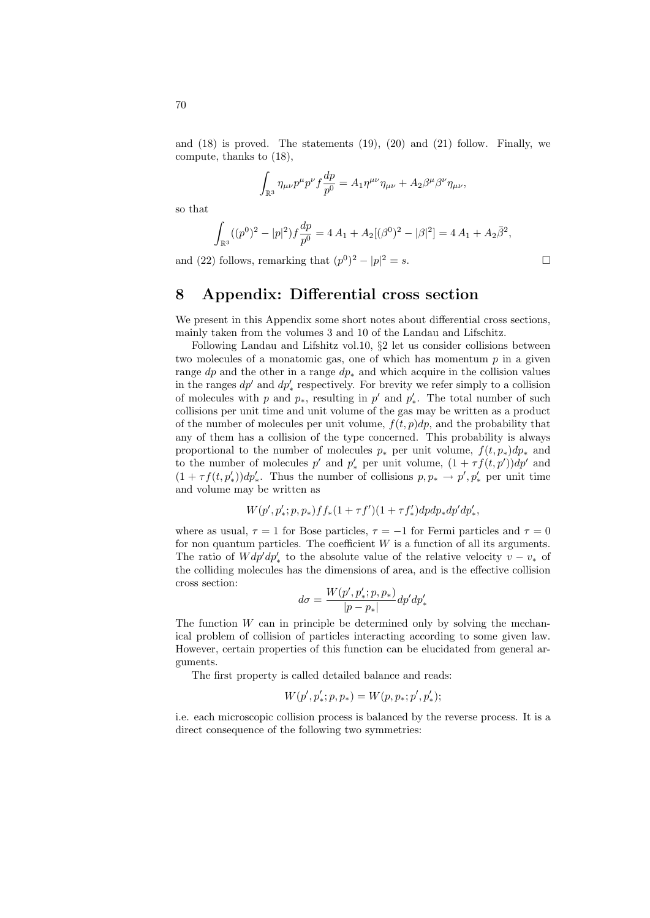and  $(18)$  is proved. The statements  $(19)$ ,  $(20)$  and  $(21)$  follow. Finally, we compute, thanks to (18),

$$
\int_{\mathbb{R}^3} \eta_{\mu\nu} p^{\mu} p^{\nu} f \frac{dp}{p^0} = A_1 \eta^{\mu\nu} \eta_{\mu\nu} + A_2 \beta^{\mu} \beta^{\nu} \eta_{\mu\nu},
$$

so that

$$
\int_{\mathbb{R}^3} ((p^0)^2 - |p|^2) f \frac{dp}{p^0} = 4A_1 + A_2 [(\beta^0)^2 - |\beta|^2] = 4A_1 + A_2 \overline{\beta}^2,
$$

and (22) follows, remarking that  $(p^0)^2 - |p|^2 = s$ .

# 8 Appendix: Differential cross section

We present in this Appendix some short notes about differential cross sections, mainly taken from the volumes 3 and 10 of the Landau and Lifschitz.

Following Landau and Lifshitz vol.10, §2 let us consider collisions between two molecules of a monatomic gas, one of which has momentum  $p$  in a given range dp and the other in a range  $dp_*$  and which acquire in the collision values in the ranges  $dp'$  and  $dp'_{*}$  respectively. For brevity we refer simply to a collision of molecules with  $p$  and  $p_*$ , resulting in  $p'$  and  $p'_*$ . The total number of such collisions per unit time and unit volume of the gas may be written as a product of the number of molecules per unit volume,  $f(t, p)dp$ , and the probability that any of them has a collision of the type concerned. This probability is always proportional to the number of molecules  $p_*$  per unit volume,  $f(t, p_*)dp_*$  and to the number of molecules  $p'$  and  $p'_{*}$  per unit volume,  $(1 + \tau f(t, p'))dp'$  and  $(1 + \tau f(t, p'_*))dp'_*.$  Thus the number of collisions  $p, p_* \to p', p'_*$  per unit time and volume may be written as

$$
W(p',p'_*;p,p_*)ff_*(1+\tau f')(1+\tau f'_*)dpdp_*dp'dp'_*,
$$

where as usual,  $\tau = 1$  for Bose particles,  $\tau = -1$  for Fermi particles and  $\tau = 0$ for non quantum particles. The coefficient  $W$  is a function of all its arguments. The ratio of  $W dp' dp'_{*}$  to the absolute value of the relative velocity  $v - v_{*}$  of the colliding molecules has the dimensions of area, and is the effective collision cross section:

$$
d\sigma=\frac{W(p',p_*';p,p_*)}{|p-p_*|}dp'dp_*'
$$

The function  $W$  can in principle be determined only by solving the mechanical problem of collision of particles interacting according to some given law. However, certain properties of this function can be elucidated from general arguments.

The first property is called detailed balance and reads:

$$
W(p',p'_*; p,p_*) = W(p,p_*;p',p'_*);
$$

i.e. each microscopic collision process is balanced by the reverse process. It is a direct consequence of the following two symmetries: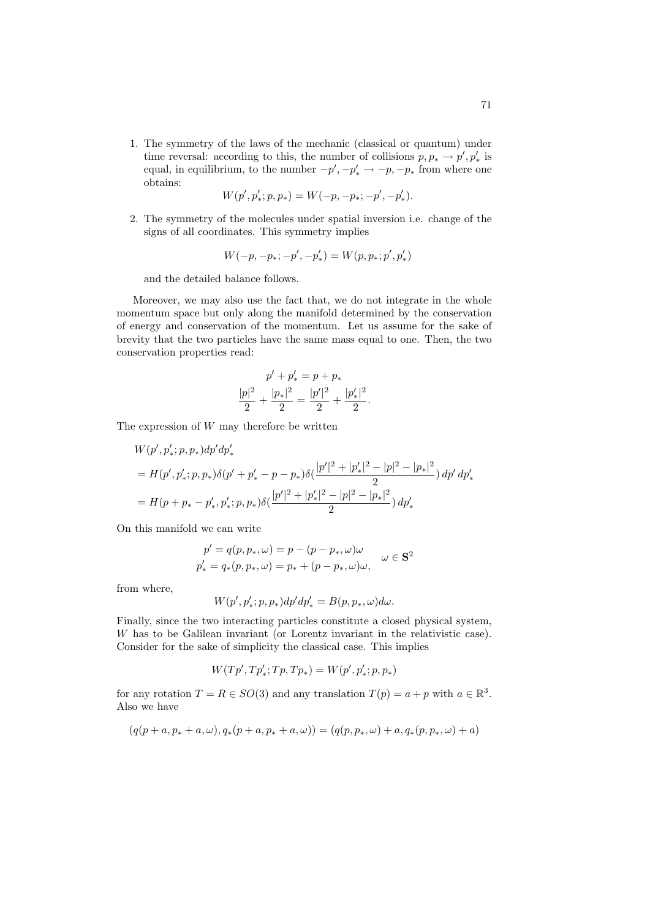1. The symmetry of the laws of the mechanic (classical or quantum) under time reversal: according to this, the number of collisions  $p, p_* \to p', p'_*$  is equal, in equilibrium, to the number  $-p', -p'_* \to -p, -p_*$  from where one obtains:

$$
W(p', p'_{*}; p, p_{*}) = W(-p, -p_{*}; -p', -p'_{*}).
$$

2. The symmetry of the molecules under spatial inversion i.e. change of the signs of all coordinates. This symmetry implies

$$
W(-p,-p_*;-p',-p'_*) = W(p,p_*;p',p'_*)
$$

and the detailed balance follows.

Moreover, we may also use the fact that, we do not integrate in the whole momentum space but only along the manifold determined by the conservation of energy and conservation of the momentum. Let us assume for the sake of brevity that the two particles have the same mass equal to one. Then, the two conservation properties read:

$$
\frac{p'+p'_* = p + p_*}{2} + \frac{|p_*|^2}{2} = \frac{|p'|^2}{2} + \frac{|p'_*|^2}{2}.
$$

The expression of  $W$  may therefore be written

$$
W(p', p'_*; p, p_*) dp' dp'_*
$$
  
=  $H(p', p'_*; p, p_*) \delta(p' + p'_* - p - p_*) \delta(\frac{|p'|^2 + |p'_*|^2 - |p|^2 - |p_*|^2}{2}) dp' dp'_*$   
=  $H(p + p_* - p'_*, p'_*; p, p_*) \delta(\frac{|p'|^2 + |p'_*|^2 - |p|^2 - |p_*|^2}{2}) dp'_*$ 

On this manifold we can write

$$
\begin{aligned} p' = q(p,p_*,\omega) &= p - (p-p_*,\omega)\omega \\ p'_* &= q_*(p,p_*,\omega) &= p_* + (p-p_*,\omega)\omega, \end{aligned} \quad \omega \in \mathbf{S}^2
$$

from where,

$$
W(p',p'_*;p,p_*)dp'dp'_* = B(p,p_*,\omega)d\omega.
$$

Finally, since the two interacting particles constitute a closed physical system, W has to be Galilean invariant (or Lorentz invariant in the relativistic case). Consider for the sake of simplicity the classical case. This implies

$$
W(Tp', Tp'_{*}; Tp, Tp_{*}) = W(p', p'_{*}; p, p_{*})
$$

for any rotation  $T = R \in SO(3)$  and any translation  $T(p) = a + p$  with  $a \in \mathbb{R}^3$ . Also we have

$$
(q(p+a, p_*+a, \omega), q_*(p+a, p_*+a, \omega)) = (q(p, p_*, \omega) + a, q_*(p, p_*, \omega) + a)
$$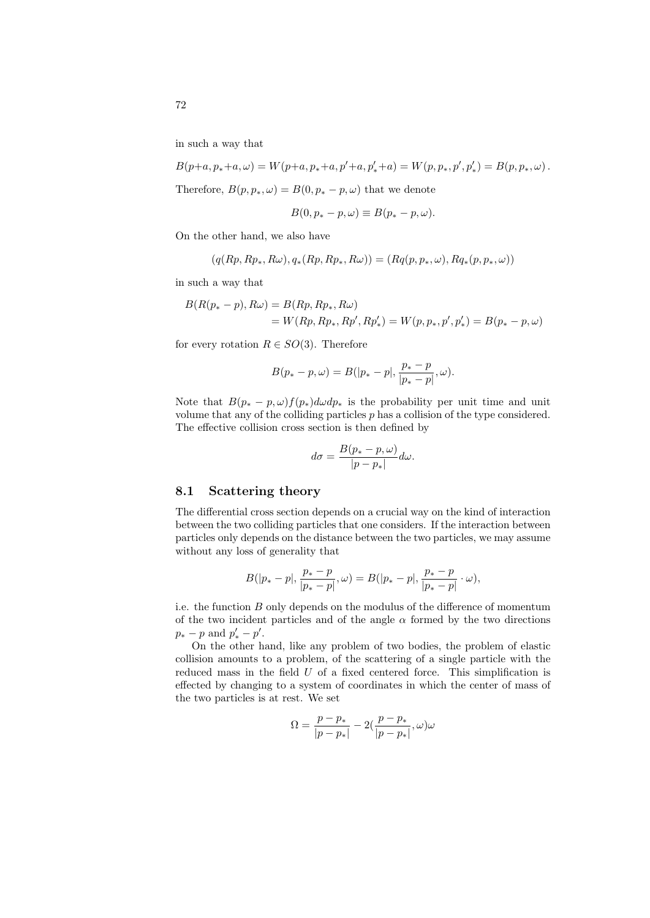in such a way that

$$
B(p+a, p_*+a, \omega) = W(p+a, p_*+a, p'+a, p'_*+a) = W(p, p_*, p', p'_*) = B(p, p_*, \omega).
$$

Therefore,  $B(p, p_*, \omega) = B(0, p_* - p, \omega)$  that we denote

$$
B(0, p_* - p, \omega) \equiv B(p_* - p, \omega).
$$

On the other hand, we also have

$$
(q(Rp, Rp_*, R\omega), q_*(Rp, Rp_*, R\omega)) = (Rq(p, p_*, \omega), Rq_*(p, p_*, \omega))
$$

in such a way that

$$
B(R(p_* - p), R\omega) = B(Rp, Rp_*, R\omega)
$$
  
=  $W(Rp, Rp_*, Rp', Rp'_*) = W(p, p_*, p', p'_*) = B(p_* - p, \omega)$ 

for every rotation  $R \in SO(3)$ . Therefore

$$
B(p_{*}-p, \omega) = B(|p_{*}-p|, \frac{p_{*}-p}{|p_{*}-p|}, \omega).
$$

Note that  $B(p_* - p, \omega) f(p_*) d\omega dp_*$  is the probability per unit time and unit volume that any of the colliding particles  $p$  has a collision of the type considered. The effective collision cross section is then defined by

$$
d\sigma = \frac{B(p_* - p, \omega)}{|p - p_*|} d\omega.
$$

### 8.1 Scattering theory

The differential cross section depends on a crucial way on the kind of interaction between the two colliding particles that one considers. If the interaction between particles only depends on the distance between the two particles, we may assume without any loss of generality that

$$
B(|p_{*}-p|, \frac{p_{*}-p}{|p_{*}-p|}, \omega) = B(|p_{*}-p|, \frac{p_{*}-p}{|p_{*}-p|} \cdot \omega),
$$

i.e. the function  $B$  only depends on the modulus of the difference of momentum of the two incident particles and of the angle  $\alpha$  formed by the two directions  $p_* - p$  and  $p'_* - p'$ .

On the other hand, like any problem of two bodies, the problem of elastic collision amounts to a problem, of the scattering of a single particle with the reduced mass in the field U of a fixed centered force. This simplification is effected by changing to a system of coordinates in which the center of mass of the two particles is at rest. We set

$$
\Omega=\frac{p-p_*}{|p-p_*|}-2(\frac{p-p_*}{|p-p_*|},\omega)\omega
$$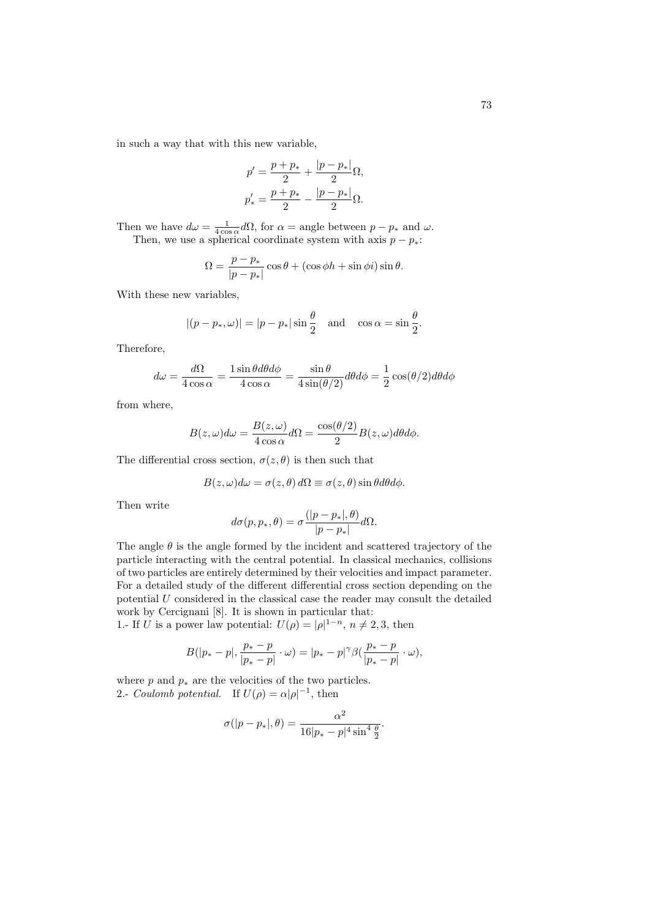in such a way that with this new variable,

$$
p' = \frac{p + p_*}{2} + \frac{|p - p_*|}{2} \Omega,
$$
  

$$
p'_* = \frac{p + p_*}{2} - \frac{|p - p_*|}{2} \Omega.
$$

Then we have  $d\omega = \frac{1}{4 \cos \alpha} d\Omega$ , for  $\alpha =$  angle between  $p - p_*$  and  $\omega$ . Then, we use a spherical coordinate system with axis  $p - p_*$ :

$$
\Omega = \frac{p - p_*}{|p - p_*|} \cos \theta + (\cos \phi h + \sin \phi i) \sin \theta.
$$

With these new variables,

$$
|(p-p_*,\omega)| = |p-p_*| \sin \frac{\theta}{2}
$$
 and  $\cos \alpha = \sin \frac{\theta}{2}$ .

Therefore,

$$
d\omega = \frac{d\Omega}{4\cos\alpha} = \frac{1\sin\theta d\theta d\phi}{4\cos\alpha} = \frac{\sin\theta}{4\sin(\theta/2)}d\theta d\phi = \frac{1}{2}\cos(\theta/2)d\theta d\phi
$$

from where,

$$
B(z,\omega)d\omega = \frac{B(z,\omega)}{4\cos\alpha}d\Omega = \frac{\cos(\theta/2)}{2}B(z,\omega)d\theta d\phi.
$$

The differential cross section,  $\sigma(z, \theta)$  is then such that

$$
B(z,\omega)d\omega = \sigma(z,\theta) d\Omega \equiv \sigma(z,\theta)\sin\theta d\theta d\phi.
$$

Then write

$$
d\sigma(p, p_*, \theta) = \sigma \frac{(|p-p_*|, \theta)}{|p-p_*|} d\Omega.
$$

The angle  $\theta$  is the angle formed by the incident and scattered trajectory of the particle interacting with the central potential. In classical mechanics, collisions of two particles are entirely determined by their velocities and impact parameter. For a detailed study of the different differential cross section depending on the potential U considered in the classical case the reader may consult the detailed work by Cercignani [8]. It is shown in particular that:

1.- If U is a power law potential:  $U(\rho) = |\rho|^{1-n}, n \neq 2, 3$ , then

$$
B(|p_{*}-p|, \frac{p_{*}-p}{|p_{*}-p|} \cdot \omega) = |p_{*}-p|^{\gamma} \beta(\frac{p_{*}-p}{|p_{*}-p|} \cdot \omega),
$$

where  $p$  and  $p_*$  are the velocities of the two particles. 2.- Coulomb potential. If  $U(\rho) = \alpha |\rho|^{-1}$ , then

$$
\sigma(|p-p_*|,\theta) = \frac{\alpha^2}{16|p_*-p|^4\sin^4\frac{\theta}{2}}.
$$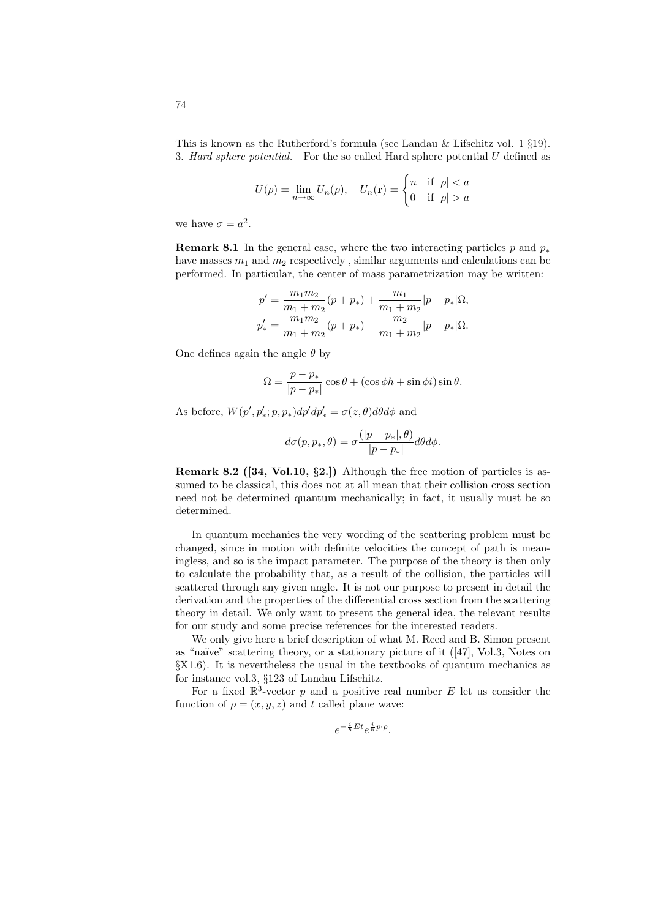This is known as the Rutherford's formula (see Landau & Lifschitz vol. 1 §19). 3. Hard sphere potential. For the so called Hard sphere potential  $U$  defined as

$$
U(\rho) = \lim_{n \to \infty} U_n(\rho), \quad U_n(\mathbf{r}) = \begin{cases} n & \text{if } |\rho| < a \\ 0 & \text{if } |\rho| > a \end{cases}
$$

we have  $\sigma = a^2$ .

**Remark 8.1** In the general case, where the two interacting particles p and  $p_*$ have masses  $m_1$  and  $m_2$  respectively, similar arguments and calculations can be performed. In particular, the center of mass parametrization may be written:

$$
\begin{aligned} p' & = \frac{m_1 m_2}{m_1 + m_2} (p + p_*) + \frac{m_1}{m_1 + m_2} |p - p_*| \Omega, \\ p'_* & = \frac{m_1 m_2}{m_1 + m_2} (p + p_*) - \frac{m_2}{m_1 + m_2} |p - p_*| \Omega. \end{aligned}
$$

One defines again the angle  $\theta$  by

$$
\Omega = \frac{p - p_*}{|p - p_*|} \cos \theta + (\cos \phi h + \sin \phi i) \sin \theta.
$$

As before,  $W(p', p'_{*}; p, p_{*}) dp' dp'_{*} = \sigma(z, \theta) d\theta d\phi$  and

$$
d\sigma(p, p_*, \theta) = \sigma \frac{(|p-p_*|, \theta)}{|p-p_*|} d\theta d\phi.
$$

Remark 8.2 ([34, Vol.10, §2.]) Although the free motion of particles is assumed to be classical, this does not at all mean that their collision cross section need not be determined quantum mechanically; in fact, it usually must be so determined.

In quantum mechanics the very wording of the scattering problem must be changed, since in motion with definite velocities the concept of path is meaningless, and so is the impact parameter. The purpose of the theory is then only to calculate the probability that, as a result of the collision, the particles will scattered through any given angle. It is not our purpose to present in detail the derivation and the properties of the differential cross section from the scattering theory in detail. We only want to present the general idea, the relevant results for our study and some precise references for the interested readers.

We only give here a brief description of what M. Reed and B. Simon present as "naïve" scattering theory, or a stationary picture of it  $(47)$ , Vol.3, Notes on  $\S$ X1.6). It is nevertheless the usual in the textbooks of quantum mechanics as for instance vol.3, §123 of Landau Lifschitz.

For a fixed  $\mathbb{R}^3$ -vector p and a positive real number E let us consider the function of  $\rho = (x, y, z)$  and t called plane wave:

 $e^{-\frac{i}{\hbar}Et}e^{\frac{i}{\hbar}p\cdot\rho}.$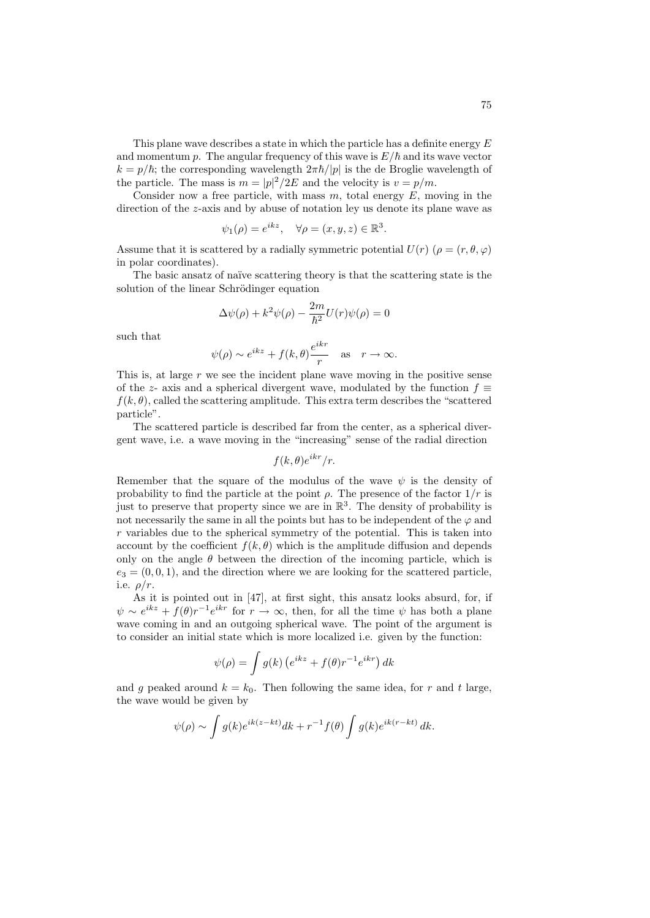This plane wave describes a state in which the particle has a definite energy E and momentum p. The angular frequency of this wave is  $E/\hbar$  and its wave vector  $k = p/\hbar$ ; the corresponding wavelength  $2\pi\hbar/|p|$  is the de Broglie wavelength of the particle. The mass is  $m = |p|^2/2E$  and the velocity is  $v = p/m$ .

Consider now a free particle, with mass  $m$ , total energy  $E$ , moving in the direction of the z-axis and by abuse of notation ley us denote its plane wave as

$$
\psi_1(\rho) = e^{ikz}, \quad \forall \rho = (x, y, z) \in \mathbb{R}^3.
$$

Assume that it is scattered by a radially symmetric potential  $U(r)$  ( $\rho = (r, \theta, \varphi)$ ) in polar coordinates).

The basic ansatz of naïve scattering theory is that the scattering state is the solution of the linear Schrödinger equation

$$
\Delta \psi(\rho)+k^2\psi(\rho)-\frac{2m}{\hbar^2}U(r)\psi(\rho)=0
$$

such that

$$
\psi(\rho) \sim e^{ikz} + f(k,\theta) \frac{e^{ikr}}{r}
$$
 as  $r \to \infty$ .

This is, at large  $r$  we see the incident plane wave moving in the positive sense of the z- axis and a spherical divergent wave, modulated by the function  $f \equiv$  $f(k, \theta)$ , called the scattering amplitude. This extra term describes the "scattered" particle".

The scattered particle is described far from the center, as a spherical divergent wave, i.e. a wave moving in the "increasing" sense of the radial direction

$$
f(k, \theta)e^{ikr}/r
$$
.

Remember that the square of the modulus of the wave  $\psi$  is the density of probability to find the particle at the point  $\rho$ . The presence of the factor  $1/r$  is just to preserve that property since we are in  $\mathbb{R}^3$ . The density of probability is not necessarily the same in all the points but has to be independent of the  $\varphi$  and r variables due to the spherical symmetry of the potential. This is taken into account by the coefficient  $f(k, \theta)$  which is the amplitude diffusion and depends only on the angle  $\theta$  between the direction of the incoming particle, which is  $e_3 = (0, 0, 1)$ , and the direction where we are looking for the scattered particle, i.e.  $\rho/r$ .

As it is pointed out in [47], at first sight, this ansatz looks absurd, for, if  $\psi \sim e^{ikz} + f(\theta)r^{-1}e^{ikr}$  for  $r \to \infty$ , then, for all the time  $\psi$  has both a plane wave coming in and an outgoing spherical wave. The point of the argument is to consider an initial state which is more localized i.e. given by the function:

$$
\psi(\rho) = \int g(k) \left( e^{ikz} + f(\theta) r^{-1} e^{ikr} \right) dk
$$

and g peaked around  $k = k_0$ . Then following the same idea, for r and t large, the wave would be given by

$$
\psi(\rho) \sim \int g(k)e^{ik(z-kt)}dk + r^{-1}f(\theta) \int g(k)e^{ik(r-kt)}dk.
$$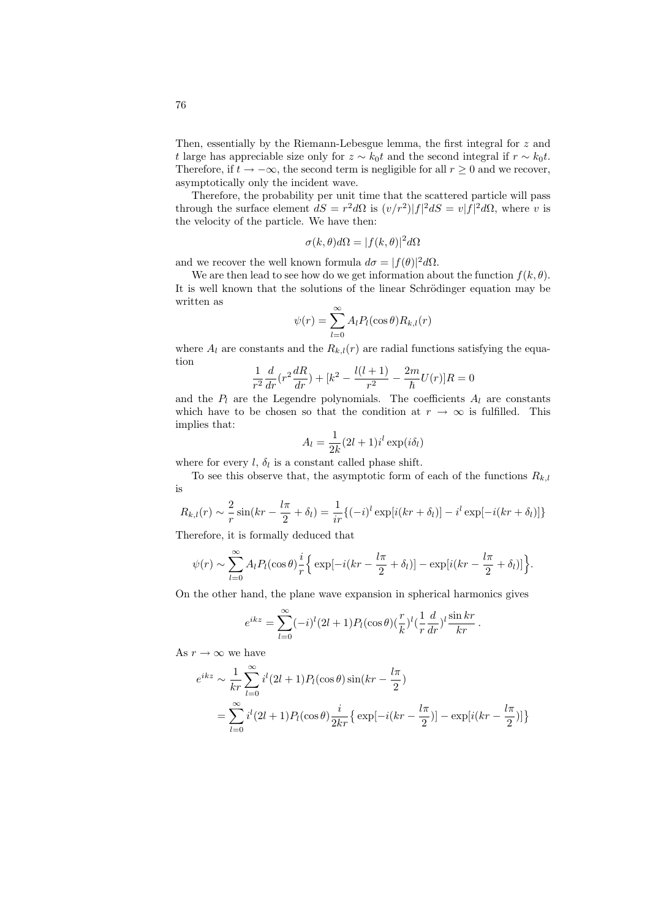Then, essentially by the Riemann-Lebesgue lemma, the first integral for z and t large has appreciable size only for  $z \sim k_0 t$  and the second integral if  $r \sim k_0 t$ . Therefore, if  $t \to -\infty$ , the second term is negligible for all  $r \geq 0$  and we recover, asymptotically only the incident wave.

Therefore, the probability per unit time that the scattered particle will pass through the surface element  $dS = r^2 d\Omega$  is  $(v/r^2)|f|^2 dS = v|f|^2 d\Omega$ , where v is the velocity of the particle. We have then:

$$
\sigma(k,\theta)d\Omega = |f(k,\theta)|^2 d\Omega
$$

and we recover the well known formula  $d\sigma = |f(\theta)|^2 d\Omega$ .

We are then lead to see how do we get information about the function  $f(k, \theta)$ . It is well known that the solutions of the linear Schrödinger equation may be written as

$$
\psi(r) = \sum_{l=0}^{\infty} A_l P_l(\cos \theta) R_{k,l}(r)
$$

where  $A_l$  are constants and the  $R_{k,l}(r)$  are radial functions satisfying the equation

$$
\frac{1}{r^2}\frac{d}{dr}(r^2\frac{dR}{dr}) + [k^2 - \frac{l(l+1)}{r^2} - \frac{2m}{\hbar}U(r)]R = 0
$$

and the  $P_l$  are the Legendre polynomials. The coefficients  $A_l$  are constants which have to be chosen so that the condition at  $r \to \infty$  is fulfilled. This implies that:

$$
A_l = \frac{1}{2k}(2l+1)i^l \exp(i\delta_l)
$$

where for every  $l, \delta_l$  is a constant called phase shift.

To see this observe that, the asymptotic form of each of the functions  $R_{k,l}$ is

$$
R_{k,l}(r) \sim \frac{2}{r} \sin(kr - \frac{l\pi}{2} + \delta_l) = \frac{1}{ir} \{(-i)^l \exp[i(kr + \delta_l)] - i^l \exp[-i(kr + \delta_l)]\}
$$

Therefore, it is formally deduced that

$$
\psi(r) \sim \sum_{l=0}^{\infty} A_l P_l(\cos \theta) \frac{i}{r} \Big\{ \exp[-i(kr - \frac{l\pi}{2} + \delta_l)] - \exp[i(kr - \frac{l\pi}{2} + \delta_l)] \Big\}.
$$

On the other hand, the plane wave expansion in spherical harmonics gives

$$
e^{ikz} = \sum_{l=0}^{\infty} (-i)^l (2l+1) P_l(\cos \theta) (\frac{r}{k})^l (\frac{1}{r} \frac{d}{dr})^l \frac{\sin kr}{kr}.
$$

As  $r \to \infty$  we have

$$
e^{ikz} \sim \frac{1}{kr} \sum_{l=0}^{\infty} i^l (2l+1) P_l(\cos \theta) \sin(kr - \frac{l\pi}{2})
$$
  
= 
$$
\sum_{l=0}^{\infty} i^l (2l+1) P_l(\cos \theta) \frac{i}{2kr} {\exp[-i(kr - \frac{l\pi}{2})] - \exp[i(kr - \frac{l\pi}{2})]}
$$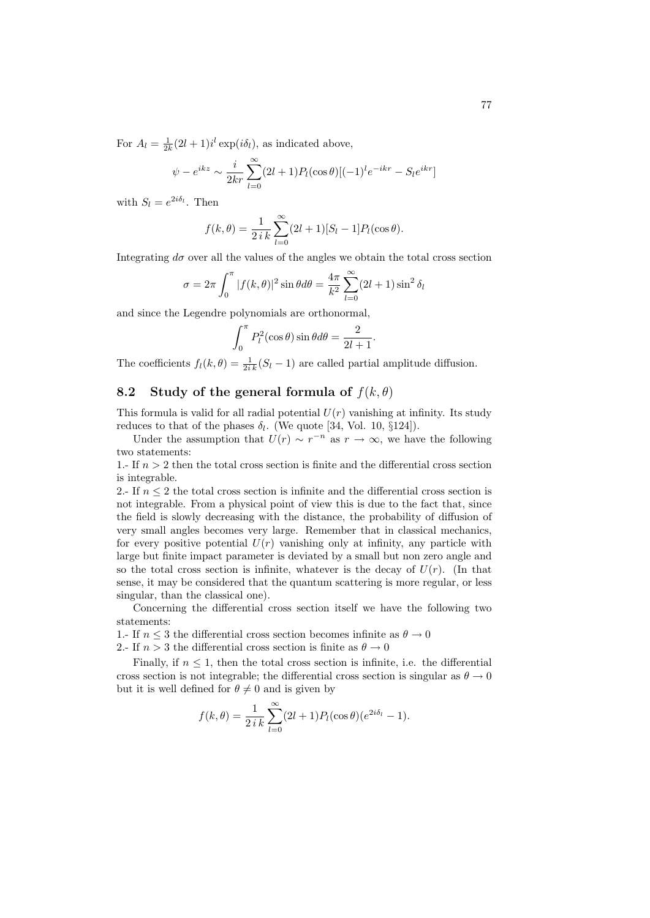For  $A_l = \frac{1}{2k}(2l+1)i^l \exp(i\delta_l)$ , as indicated above,

$$
\psi - e^{ikz} \sim \frac{i}{2kr} \sum_{l=0}^{\infty} (2l+1) P_l(\cos \theta) [(-1)^l e^{-ikr} - S_l e^{ikr}]
$$

with  $S_l = e^{2i\delta_l}$ . Then

$$
f(k, \theta) = \frac{1}{2 i k} \sum_{l=0}^{\infty} (2l+1) [S_l - 1] P_l(\cos \theta).
$$

Integrating  $d\sigma$  over all the values of the angles we obtain the total cross section

$$
\sigma = 2\pi \int_0^{\pi} |f(k,\theta)|^2 \sin\theta d\theta = \frac{4\pi}{k^2} \sum_{l=0}^{\infty} (2l+1) \sin^2 \delta_l
$$

and since the Legendre polynomials are orthonormal,

$$
\int_0^{\pi} P_l^2(\cos \theta) \sin \theta d\theta = \frac{2}{2l+1}.
$$

The coefficients  $f_l(k, \theta) = \frac{1}{2ik}(S_l - 1)$  are called partial amplitude diffusion.

## 8.2 Study of the general formula of  $f(k, \theta)$

This formula is valid for all radial potential  $U(r)$  vanishing at infinity. Its study reduces to that of the phases  $\delta_l$ . (We quote [34, Vol. 10, §124]).

Under the assumption that  $U(r) \sim r^{-n}$  as  $r \to \infty$ , we have the following two statements:

1.- If  $n > 2$  then the total cross section is finite and the differential cross section is integrable.

2.- If  $n \leq 2$  the total cross section is infinite and the differential cross section is not integrable. From a physical point of view this is due to the fact that, since the field is slowly decreasing with the distance, the probability of diffusion of very small angles becomes very large. Remember that in classical mechanics, for every positive potential  $U(r)$  vanishing only at infinity, any particle with large but finite impact parameter is deviated by a small but non zero angle and so the total cross section is infinite, whatever is the decay of  $U(r)$ . (In that sense, it may be considered that the quantum scattering is more regular, or less singular, than the classical one).

Concerning the differential cross section itself we have the following two statements:

1.- If  $n \leq 3$  the differential cross section becomes infinite as  $\theta \to 0$ 

2.- If  $n > 3$  the differential cross section is finite as  $\theta \to 0$ 

Finally, if  $n \leq 1$ , then the total cross section is infinite, i.e. the differential cross section is not integrable; the differential cross section is singular as  $\theta \to 0$ but it is well defined for  $\theta \neq 0$  and is given by

$$
f(k,\theta) = \frac{1}{2ik} \sum_{l=0}^{\infty} (2l+1) P_l(\cos\theta) (e^{2i\delta_l} - 1).
$$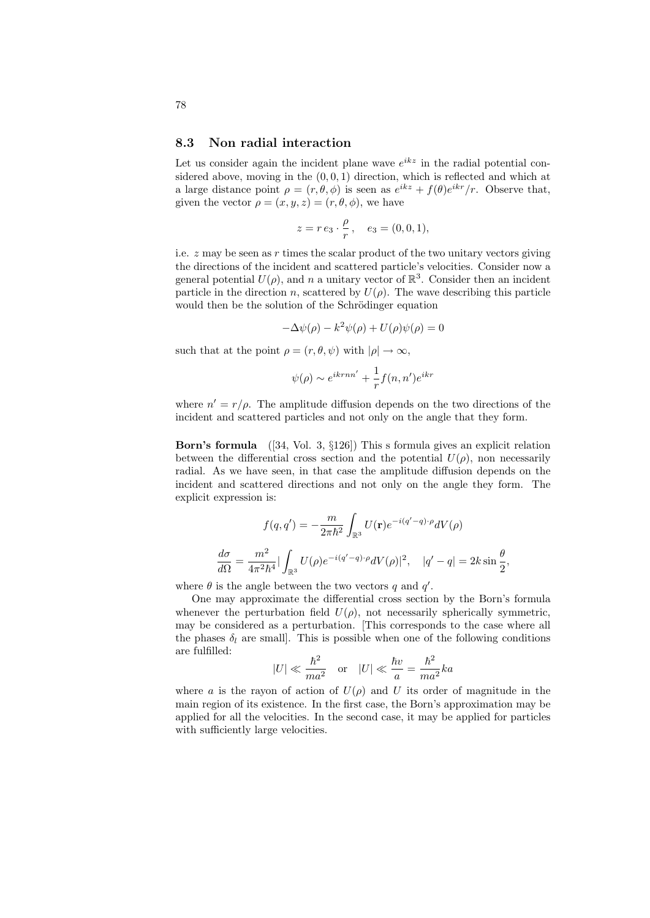## 8.3 Non radial interaction

Let us consider again the incident plane wave  $e^{ikz}$  in the radial potential considered above, moving in the  $(0, 0, 1)$  direction, which is reflected and which at a large distance point  $\rho = (r, \theta, \phi)$  is seen as  $e^{ikz} + f(\theta)e^{ikr}/r$ . Observe that, given the vector  $\rho = (x, y, z) = (r, \theta, \phi)$ , we have

$$
z = r e_3 \cdot \frac{\rho}{r}, \quad e_3 = (0, 0, 1),
$$

i.e.  $z$  may be seen as r times the scalar product of the two unitary vectors giving the directions of the incident and scattered particle's velocities. Consider now a general potential  $U(\rho)$ , and n a unitary vector of  $\mathbb{R}^3$ . Consider then an incident particle in the direction n, scattered by  $U(\rho)$ . The wave describing this particle would then be the solution of the Schrödinger equation

$$
-\Delta\psi(\rho) - k^2\psi(\rho) + U(\rho)\psi(\rho) = 0
$$

such that at the point  $\rho = (r, \theta, \psi)$  with  $|\rho| \to \infty$ ,

$$
\psi(\rho) \sim e^{ikrnn'} + \frac{1}{r} f(n, n')e^{ikr}
$$

where  $n' = r/\rho$ . The amplitude diffusion depends on the two directions of the incident and scattered particles and not only on the angle that they form.

Born's formula ([34, Vol. 3, §126]) This s formula gives an explicit relation between the differential cross section and the potential  $U(\rho)$ , non necessarily radial. As we have seen, in that case the amplitude diffusion depends on the incident and scattered directions and not only on the angle they form. The explicit expression is:

$$
f(q, q') = -\frac{m}{2\pi\hbar^2} \int_{\mathbb{R}^3} U(\mathbf{r}) e^{-i(q'-q)\cdot\rho} dV(\rho)
$$

$$
\frac{d\sigma}{d\Omega} = \frac{m^2}{4\pi^2\hbar^4} |\int_{\mathbb{R}^3} U(\rho) e^{-i(q'-q)\cdot\rho} dV(\rho)|^2, \quad |q'-q| = 2k \sin\frac{\theta}{2},
$$

where  $\theta$  is the angle between the two vectors q and  $q'$ .

One may approximate the differential cross section by the Born's formula whenever the perturbation field  $U(\rho)$ , not necessarily spherically symmetric, may be considered as a perturbation. [This corresponds to the case where all the phases  $\delta_l$  are small]. This is possible when one of the following conditions are fulfilled:

$$
|U| \ll \frac{\hbar^2}{ma^2} \quad \text{or} \quad |U| \ll \frac{\hbar v}{a} = \frac{\hbar^2}{ma^2}ka
$$

where a is the rayon of action of  $U(\rho)$  and U its order of magnitude in the main region of its existence. In the first case, the Born's approximation may be applied for all the velocities. In the second case, it may be applied for particles with sufficiently large velocities.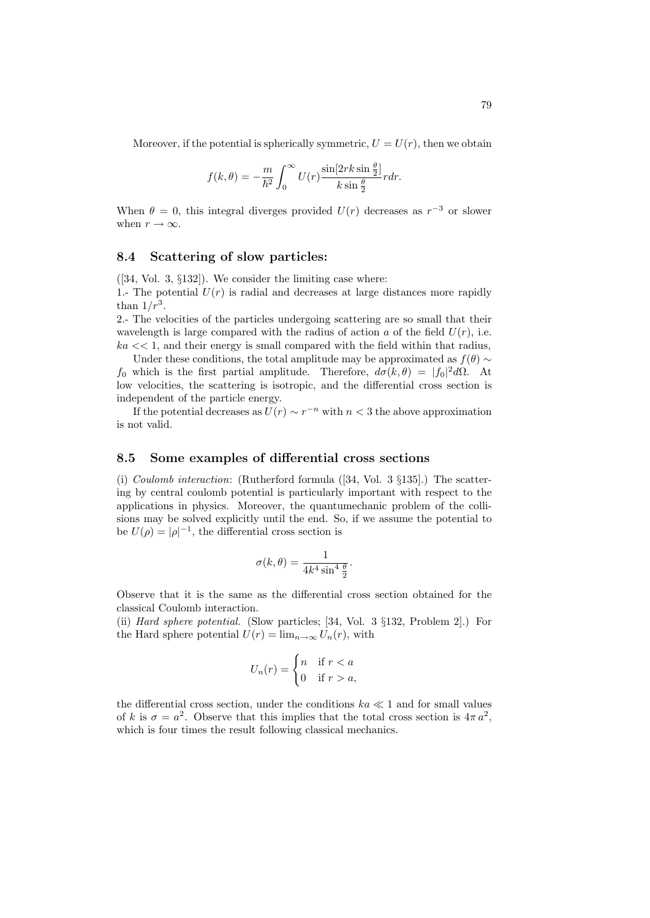Moreover, if the potential is spherically symmetric,  $U = U(r)$ , then we obtain

$$
f(k,\theta) = -\frac{m}{\hbar^2} \int_0^\infty U(r) \frac{\sin[2rk\sin\frac{\theta}{2}]}{k\sin\frac{\theta}{2}} r dr.
$$

When  $\theta = 0$ , this integral diverges provided  $U(r)$  decreases as  $r^{-3}$  or slower when  $r \to \infty$ .

## 8.4 Scattering of slow particles:

 $([34, Vol. 3, §132])$ . We consider the limiting case where: 1.- The potential  $U(r)$  is radial and decreases at large distances more rapidly than  $1/r^3$ .

2.- The velocities of the particles undergoing scattering are so small that their wavelength is large compared with the radius of action a of the field  $U(r)$ , i.e.  $ka \ll 1$ , and their energy is small compared with the field within that radius,

Under these conditions, the total amplitude may be approximated as  $f(\theta) \sim$  $f_0$  which is the first partial amplitude. Therefore,  $d\sigma(k,\theta) = |f_0|^2 d\Omega$ . At low velocities, the scattering is isotropic, and the differential cross section is independent of the particle energy.

If the potential decreases as  $U(r) \sim r^{-n}$  with  $n < 3$  the above approximation is not valid.

### 8.5 Some examples of differential cross sections

(i) Coulomb interaction: (Rutherford formula ([34, Vol. 3 §135].) The scattering by central coulomb potential is particularly important with respect to the applications in physics. Moreover, the quantumechanic problem of the collisions may be solved explicitly until the end. So, if we assume the potential to be  $U(\rho) = |\rho|^{-1}$ , the differential cross section is

$$
\sigma(k,\theta) = \frac{1}{4k^4 \sin^4 \frac{\theta}{2}}.
$$

Observe that it is the same as the differential cross section obtained for the classical Coulomb interaction.

(ii) Hard sphere potential. (Slow particles; [34, Vol. 3 §132, Problem 2].) For the Hard sphere potential  $U(r) = \lim_{n \to \infty} U_n(r)$ , with

$$
U_n(r) = \begin{cases} n & \text{if } r < a \\ 0 & \text{if } r > a, \end{cases}
$$

the differential cross section, under the conditions  $ka \ll 1$  and for small values of k is  $\sigma = a^2$ . Observe that this implies that the total cross section is  $4\pi a^2$ , which is four times the result following classical mechanics.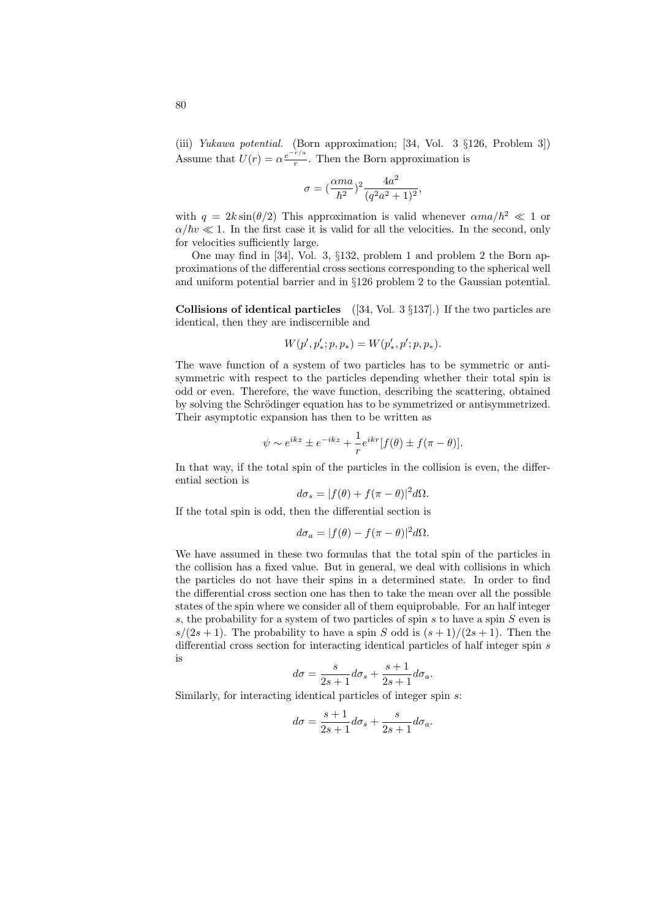(iii) Yukawa potential. (Born approximation; [34, Vol. 3 §126, Problem 3]) Assume that  $U(r) = \alpha \frac{e^{-r/a}}{r}$  $\frac{r}{r}$ . Then the Born approximation is

$$
\sigma = (\frac{\alpha m a}{\hbar^2})^2 \frac{4 a^2}{(q^2 a^2 + 1)^2},
$$

with  $q = 2k \sin(\theta/2)$  This approximation is valid whenever  $\alpha ma/\hbar^2 \ll 1$  or  $\alpha/\hbar v \ll 1$ . In the first case it is valid for all the velocities. In the second, only for velocities sufficiently large.

One may find in [34], Vol. 3, §132, problem 1 and problem 2 the Born approximations of the differential cross sections corresponding to the spherical well and uniform potential barrier and in §126 problem 2 to the Gaussian potential.

Collisions of identical particles ([34, Vol. 3 §137].) If the two particles are identical, then they are indiscernible and

$$
W(p',p'_*;p,p_*) = W(p'_*,p';p,p_*).
$$

The wave function of a system of two particles has to be symmetric or antisymmetric with respect to the particles depending whether their total spin is odd or even. Therefore, the wave function, describing the scattering, obtained by solving the Schrödinger equation has to be symmetrized or antisymmetrized. Their asymptotic expansion has then to be written as

$$
\psi \sim e^{ikz} \pm e^{-ikz} + \frac{1}{r} e^{ikr} [f(\theta) \pm f(\pi - \theta)].
$$

In that way, if the total spin of the particles in the collision is even, the differential section is

$$
d\sigma_s = |f(\theta) + f(\pi - \theta)|^2 d\Omega.
$$

If the total spin is odd, then the differential section is

$$
d\sigma_a = |f(\theta) - f(\pi - \theta)|^2 d\Omega.
$$

We have assumed in these two formulas that the total spin of the particles in the collision has a fixed value. But in general, we deal with collisions in which the particles do not have their spins in a determined state. In order to find the differential cross section one has then to take the mean over all the possible states of the spin where we consider all of them equiprobable. For an half integer s, the probability for a system of two particles of spin s to have a spin  $S$  even is  $s/(2s+1)$ . The probability to have a spin S odd is  $(s+1)/(2s+1)$ . Then the differential cross section for interacting identical particles of half integer spin s is

$$
d\sigma = \frac{s}{2s+1}d\sigma_s + \frac{s+1}{2s+1}d\sigma_a.
$$

Similarly, for interacting identical particles of integer spin s:

$$
d\sigma = \frac{s+1}{2s+1}d\sigma_s + \frac{s}{2s+1}d\sigma_a.
$$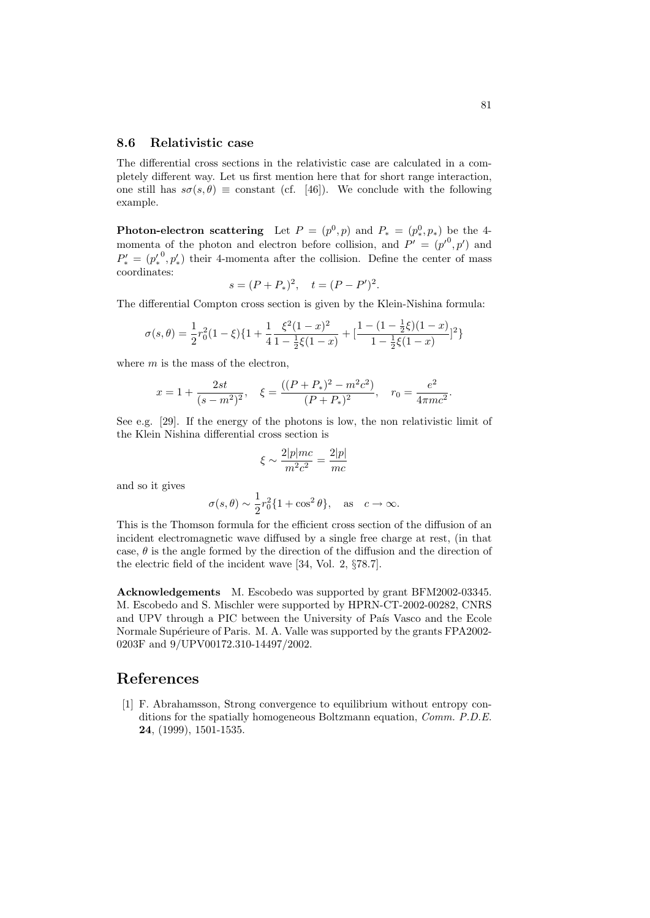#### 8.6 Relativistic case

The differential cross sections in the relativistic case are calculated in a completely different way. Let us first mention here that for short range interaction, one still has  $s\sigma(s,\theta) \equiv$  constant (cf. [46]). We conclude with the following example.

**Photon-electron scattering** Let  $P = (p^0, p)$  and  $P_* = (p^0_*, p_*)$  be the 4momenta of the photon and electron before collision, and  $P' = (p'^0, p')$  and  $P'_{*} = (p'_{*}^{0}, p'_{*})$  their 4-momenta after the collision. Define the center of mass coordinates:

$$
s = (P + P_*)^2, \quad t = (P - P')^2.
$$

The differential Compton cross section is given by the Klein-Nishina formula:

$$
\sigma(s,\theta) = \frac{1}{2}r_0^2(1-\xi)\left\{1+\frac{1}{4}\frac{\xi^2(1-x)^2}{1-\frac{1}{2}\xi(1-x)} + \left[\frac{1-(1-\frac{1}{2}\xi)(1-x)}{1-\frac{1}{2}\xi(1-x)}\right]^2\right\}
$$

where  $m$  is the mass of the electron,

$$
x = 1 + \frac{2st}{(s - m^2)^2}, \quad \xi = \frac{((P + P_*)^2 - m^2c^2)}{(P + P_*)^2}, \quad r_0 = \frac{e^2}{4\pi m c^2}.
$$

See e.g. [29]. If the energy of the photons is low, the non relativistic limit of the Klein Nishina differential cross section is

$$
\xi \sim \frac{2|p|mc}{m^2c^2} = \frac{2|p|}{mc}
$$

and so it gives

$$
\sigma(s,\theta) \sim \frac{1}{2}r_0^2\{1+\cos^2\theta\}, \text{ as } c \to \infty.
$$

This is the Thomson formula for the efficient cross section of the diffusion of an incident electromagnetic wave diffused by a single free charge at rest, (in that case,  $\theta$  is the angle formed by the direction of the diffusion and the direction of the electric field of the incident wave [34, Vol. 2, §78.7].

Acknowledgements M. Escobedo was supported by grant BFM2002-03345. M. Escobedo and S. Mischler were supported by HPRN-CT-2002-00282, CNRS and UPV through a PIC between the University of País Vasco and the Ecole Normale Supérieure of Paris. M. A. Valle was supported by the grants FPA2002-0203F and 9/UPV00172.310-14497/2002.

# References

[1] F. Abrahamsson, Strong convergence to equilibrium without entropy conditions for the spatially homogeneous Boltzmann equation, Comm. P.D.E. 24, (1999), 1501-1535.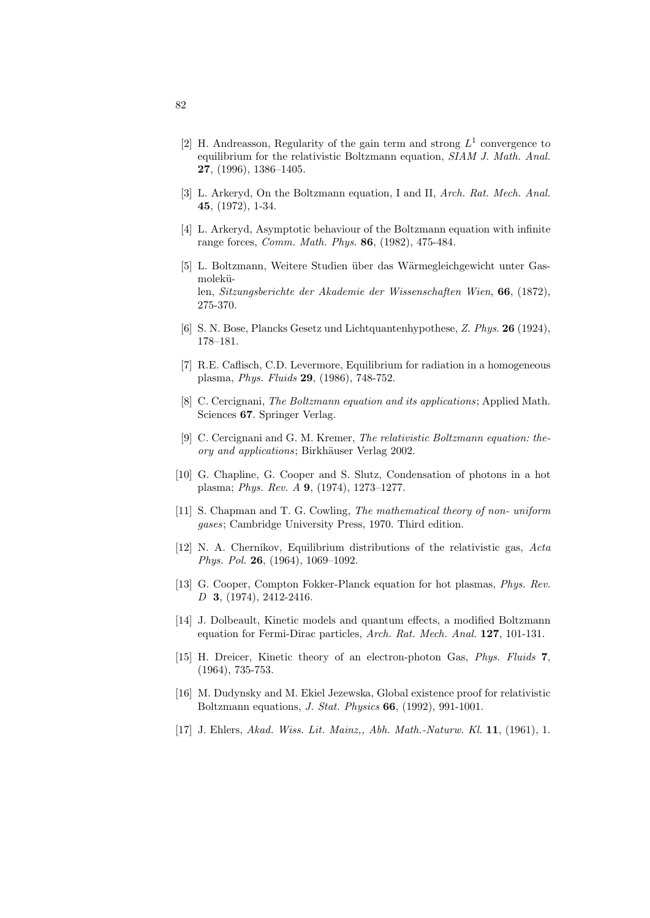- [2] H. Andreasson, Regularity of the gain term and strong  $L^1$  convergence to equilibrium for the relativistic Boltzmann equation, SIAM J. Math. Anal. 27, (1996), 1386–1405.
- [3] L. Arkeryd, On the Boltzmann equation, I and II, Arch. Rat. Mech. Anal. 45, (1972), 1-34.
- [4] L. Arkeryd, Asymptotic behaviour of the Boltzmann equation with infinite range forces, Comm. Math. Phys. 86, (1982), 475-484.
- [5] L. Boltzmann, Weitere Studien über das Wärmegleichgewicht unter Gasmolekülen, Sitzungsberichte der Akademie der Wissenschaften Wien, 66, (1872), 275-370.
- [6] S. N. Bose, Plancks Gesetz und Lichtquantenhypothese, Z. Phys. 26 (1924), 178–181.
- [7] R.E. Caflisch, C.D. Levermore, Equilibrium for radiation in a homogeneous plasma, Phys. Fluids 29, (1986), 748-752.
- [8] C. Cercignani, The Boltzmann equation and its applications; Applied Math. Sciences 67. Springer Verlag.
- [9] C. Cercignani and G. M. Kremer, The relativistic Boltzmann equation: theory and applications; Birkhäuser Verlag 2002.
- [10] G. Chapline, G. Cooper and S. Slutz, Condensation of photons in a hot plasma; Phys. Rev. A 9, (1974), 1273–1277.
- [11] S. Chapman and T. G. Cowling, The mathematical theory of non- uniform gases; Cambridge University Press, 1970. Third edition.
- [12] N. A. Chernikov, Equilibrium distributions of the relativistic gas, Acta Phys. Pol. 26, (1964), 1069–1092.
- [13] G. Cooper, Compton Fokker-Planck equation for hot plasmas, *Phys. Rev.* D 3, (1974), 2412-2416.
- [14] J. Dolbeault, Kinetic models and quantum effects, a modified Boltzmann equation for Fermi-Dirac particles, Arch. Rat. Mech. Anal. 127, 101-131.
- [15] H. Dreicer, Kinetic theory of an electron-photon Gas, Phys. Fluids 7, (1964), 735-753.
- [16] M. Dudynsky and M. Ekiel Jezewska, Global existence proof for relativistic Boltzmann equations, J. Stat. Physics 66, (1992), 991-1001.
- [17] J. Ehlers, Akad. Wiss. Lit. Mainz,, Abh. Math.-Naturw. Kl. 11, (1961), 1.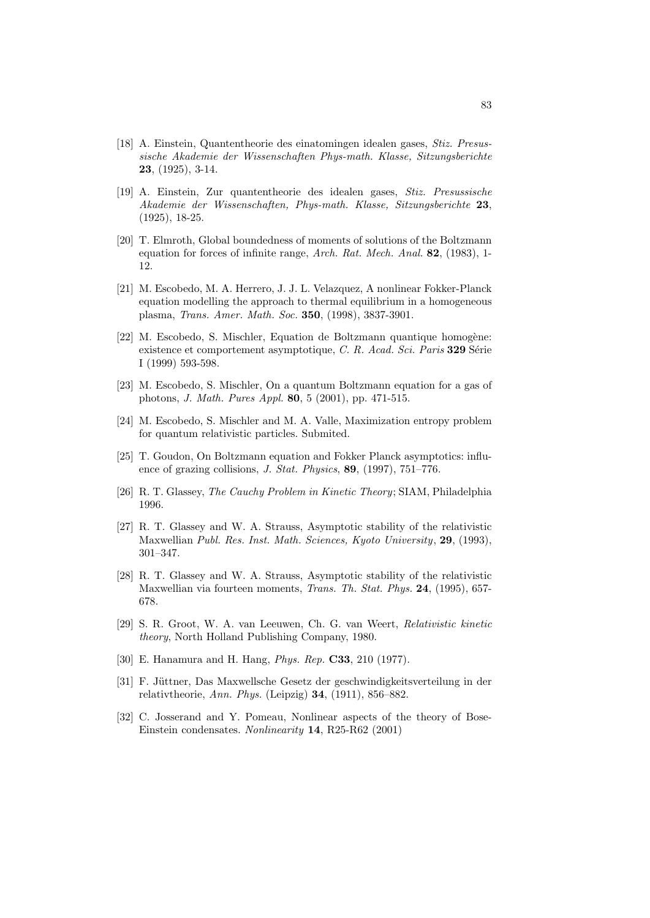- [18] A. Einstein, Quantentheorie des einatomingen idealen gases, Stiz. Presussische Akademie der Wissenschaften Phys-math. Klasse, Sitzungsberichte 23, (1925), 3-14.
- [19] A. Einstein, Zur quantentheorie des idealen gases, Stiz. Presussische Akademie der Wissenschaften, Phys-math. Klasse, Sitzungsberichte 23, (1925), 18-25.
- [20] T. Elmroth, Global boundedness of moments of solutions of the Boltzmann equation for forces of infinite range, Arch. Rat. Mech. Anal.  $82$ , (1983), 1-12.
- [21] M. Escobedo, M. A. Herrero, J. J. L. Velazquez, A nonlinear Fokker-Planck equation modelling the approach to thermal equilibrium in a homogeneous plasma, Trans. Amer. Math. Soc. 350, (1998), 3837-3901.
- [22] M. Escobedo, S. Mischler, Equation de Boltzmann quantique homogène: existence et comportement asymptotique, C. R. Acad. Sci. Paris 329 Série I (1999) 593-598.
- [23] M. Escobedo, S. Mischler, On a quantum Boltzmann equation for a gas of photons, J. Math. Pures Appl. 80, 5 (2001), pp. 471-515.
- [24] M. Escobedo, S. Mischler and M. A. Valle, Maximization entropy problem for quantum relativistic particles. Submited.
- [25] T. Goudon, On Boltzmann equation and Fokker Planck asymptotics: influence of grazing collisions, J. Stat. Physics, 89, (1997), 751–776.
- [26] R. T. Glassey, The Cauchy Problem in Kinetic Theory; SIAM, Philadelphia 1996.
- [27] R. T. Glassey and W. A. Strauss, Asymptotic stability of the relativistic Maxwellian Publ. Res. Inst. Math. Sciences, Kyoto University, 29, (1993), 301–347.
- [28] R. T. Glassey and W. A. Strauss, Asymptotic stability of the relativistic Maxwellian via fourteen moments, Trans. Th. Stat. Phys. 24, (1995), 657- 678.
- [29] S. R. Groot, W. A. van Leeuwen, Ch. G. van Weert, Relativistic kinetic theory, North Holland Publishing Company, 1980.
- [30] E. Hanamura and H. Hang, Phys. Rep. C33, 210 (1977).
- [31] F. Jüttner, Das Maxwellsche Gesetz der geschwindigkeitsverteilung in der relativtheorie, Ann. Phys. (Leipzig) 34, (1911), 856–882.
- [32] C. Josserand and Y. Pomeau, Nonlinear aspects of the theory of Bose-Einstein condensates. Nonlinearity 14, R25-R62 (2001)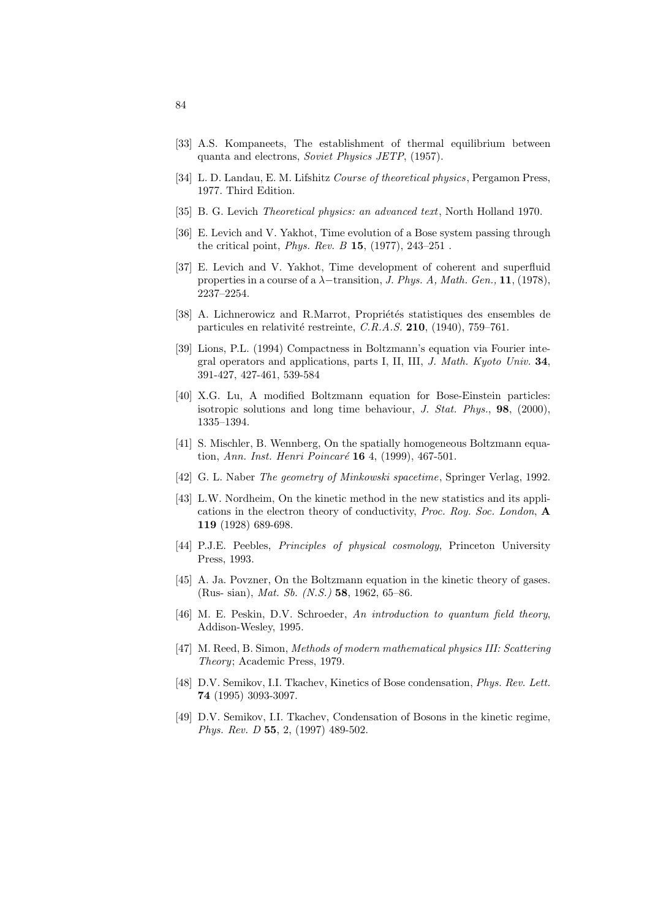- [33] A.S. Kompaneets, The establishment of thermal equilibrium between quanta and electrons, Soviet Physics JETP, (1957).
- [34] L. D. Landau, E. M. Lifshitz Course of theoretical physics, Pergamon Press, 1977. Third Edition.
- [35] B. G. Levich Theoretical physics: an advanced text, North Holland 1970.
- [36] E. Levich and V. Yakhot, Time evolution of a Bose system passing through the critical point, *Phys. Rev. B* **15**,  $(1977)$ , 243–251.
- [37] E. Levich and V. Yakhot, Time development of coherent and superfluid properties in a course of a  $\lambda$ -transition, J. Phys. A, Math. Gen., 11, (1978), 2237–2254.
- [38] A. Lichnerowicz and R.Marrot, Propriétés statistiques des ensembles de particules en relativité restreinte, C.R.A.S. 210,  $(1940)$ , 759–761.
- [39] Lions, P.L. (1994) Compactness in Boltzmann's equation via Fourier integral operators and applications, parts I, II, III, J. Math. Kyoto Univ. 34, 391-427, 427-461, 539-584
- [40] X.G. Lu, A modified Boltzmann equation for Bose-Einstein particles: isotropic solutions and long time behaviour, J. Stat. Phys., 98, (2000), 1335–1394.
- [41] S. Mischler, B. Wennberg, On the spatially homogeneous Boltzmann equation, Ann. Inst. Henri Poincaré  $16$  4, (1999), 467-501.
- [42] G. L. Naber The geometry of Minkowski spacetime, Springer Verlag, 1992.
- [43] L.W. Nordheim, On the kinetic method in the new statistics and its applications in the electron theory of conductivity, Proc. Roy. Soc. London, A 119 (1928) 689-698.
- [44] P.J.E. Peebles, *Principles of physical cosmology*, Princeton University Press, 1993.
- [45] A. Ja. Povzner, On the Boltzmann equation in the kinetic theory of gases. (Rus- sian), Mat. Sb. (N.S.) 58, 1962, 65–86.
- [46] M. E. Peskin, D.V. Schroeder, An introduction to quantum field theory, Addison-Wesley, 1995.
- [47] M. Reed, B. Simon, Methods of modern mathematical physics III: Scattering Theory; Academic Press, 1979.
- [48] D.V. Semikov, I.I. Tkachev, Kinetics of Bose condensation, *Phys. Rev. Lett.* 74 (1995) 3093-3097.
- [49] D.V. Semikov, I.I. Tkachev, Condensation of Bosons in the kinetic regime, Phys. Rev. D 55, 2, (1997) 489-502.